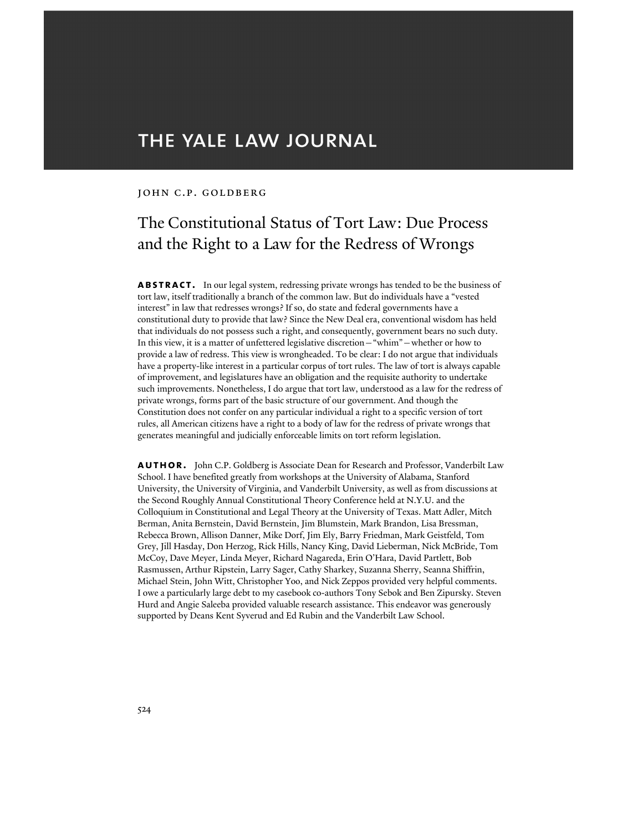# THE YALE LAW JOURNAL

#### JOHN C.P. GOLDBERG

## The Constitutional Status of Tort Law: Due Process and the Right to a Law for the Redress of Wrongs

**ABSTRACT.** In our legal system, redressing private wrongs has tended to be the business of tort law, itself traditionally a branch of the common law. But do individuals have a "vested interest" in law that redresses wrongs? If so, do state and federal governments have a constitutional duty to provide that law? Since the New Deal era, conventional wisdom has held that individuals do not possess such a right, and consequently, government bears no such duty. In this view, it is a matter of unfettered legislative discretion—"whim"—whether or how to provide a law of redress. This view is wrongheaded. To be clear: I do not argue that individuals have a property-like interest in a particular corpus of tort rules. The law of tort is always capable of improvement, and legislatures have an obligation and the requisite authority to undertake such improvements. Nonetheless, I do argue that tort law, understood as a law for the redress of private wrongs, forms part of the basic structure of our government. And though the Constitution does not confer on any particular individual a right to a specific version of tort rules, all American citizens have a right to a body of law for the redress of private wrongs that generates meaningful and judicially enforceable limits on tort reform legislation.

**author.** John C.P. Goldberg is Associate Dean for Research and Professor, Vanderbilt Law School. I have benefited greatly from workshops at the University of Alabama, Stanford University, the University of Virginia, and Vanderbilt University, as well as from discussions at the Second Roughly Annual Constitutional Theory Conference held at N.Y.U. and the Colloquium in Constitutional and Legal Theory at the University of Texas. Matt Adler, Mitch Berman, Anita Bernstein, David Bernstein, Jim Blumstein, Mark Brandon, Lisa Bressman, Rebecca Brown, Allison Danner, Mike Dorf, Jim Ely, Barry Friedman, Mark Geistfeld, Tom Grey, Jill Hasday, Don Herzog, Rick Hills, Nancy King, David Lieberman, Nick McBride, Tom McCoy, Dave Meyer, Linda Meyer, Richard Nagareda, Erin O'Hara, David Partlett, Bob Rasmussen, Arthur Ripstein, Larry Sager, Cathy Sharkey, Suzanna Sherry, Seanna Shiffrin, Michael Stein, John Witt, Christopher Yoo, and Nick Zeppos provided very helpful comments. I owe a particularly large debt to my casebook co-authors Tony Sebok and Ben Zipursky. Steven Hurd and Angie Saleeba provided valuable research assistance. This endeavor was generously supported by Deans Kent Syverud and Ed Rubin and the Vanderbilt Law School.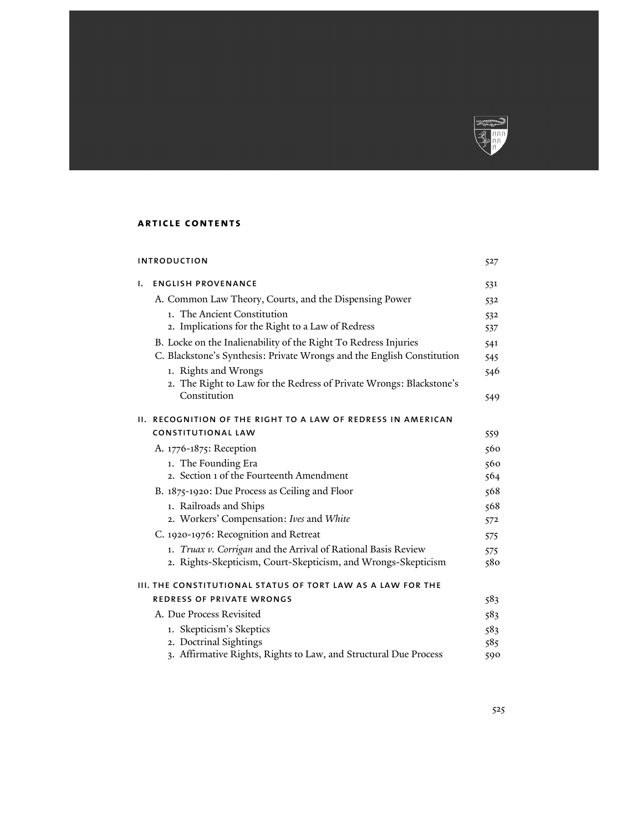

## **article contents**

| <b>INTRODUCTION</b>                                         |                                                                        | 527 |
|-------------------------------------------------------------|------------------------------------------------------------------------|-----|
| ı.                                                          | <b>ENGLISH PROVENANCE</b>                                              | 531 |
|                                                             | A. Common Law Theory, Courts, and the Dispensing Power                 | 532 |
|                                                             | 1. The Ancient Constitution                                            | 532 |
|                                                             | 2. Implications for the Right to a Law of Redress                      | 537 |
|                                                             | B. Locke on the Inalienability of the Right To Redress Injuries        | 541 |
|                                                             | C. Blackstone's Synthesis: Private Wrongs and the English Constitution | 545 |
|                                                             | 1. Rights and Wrongs                                                   | 546 |
|                                                             | 2. The Right to Law for the Redress of Private Wrongs: Blackstone's    |     |
|                                                             | Constitution                                                           | 549 |
|                                                             | II. RECOGNITION OF THE RIGHT TO A LAW OF REDRESS IN AMERICAN           |     |
|                                                             | <b>CONSTITUTIONAL LAW</b>                                              | 559 |
|                                                             | A. 1776-1875: Reception                                                | 560 |
|                                                             | 1. The Founding Era                                                    | 560 |
|                                                             | 2. Section 1 of the Fourteenth Amendment                               | 564 |
|                                                             | B. 1875-1920: Due Process as Ceiling and Floor                         | 568 |
|                                                             | 1. Railroads and Ships                                                 | 568 |
|                                                             | 2. Workers' Compensation: Ives and White                               | 572 |
|                                                             | C. 1920-1976: Recognition and Retreat                                  | 575 |
|                                                             | 1. Truax v. Corrigan and the Arrival of Rational Basis Review          | 575 |
|                                                             | 2. Rights-Skepticism, Court-Skepticism, and Wrongs-Skepticism          | 580 |
| III. THE CONSTITUTIONAL STATUS OF TORT LAW AS A LAW FOR THE |                                                                        |     |
|                                                             | REDRESS OF PRIVATE WRONGS                                              | 583 |
|                                                             | A. Due Process Revisited                                               | 583 |
|                                                             | 1. Skepticism's Skeptics                                               | 583 |
|                                                             | 2. Doctrinal Sightings                                                 | 585 |
|                                                             | 3. Affirmative Rights, Rights to Law, and Structural Due Process       | 590 |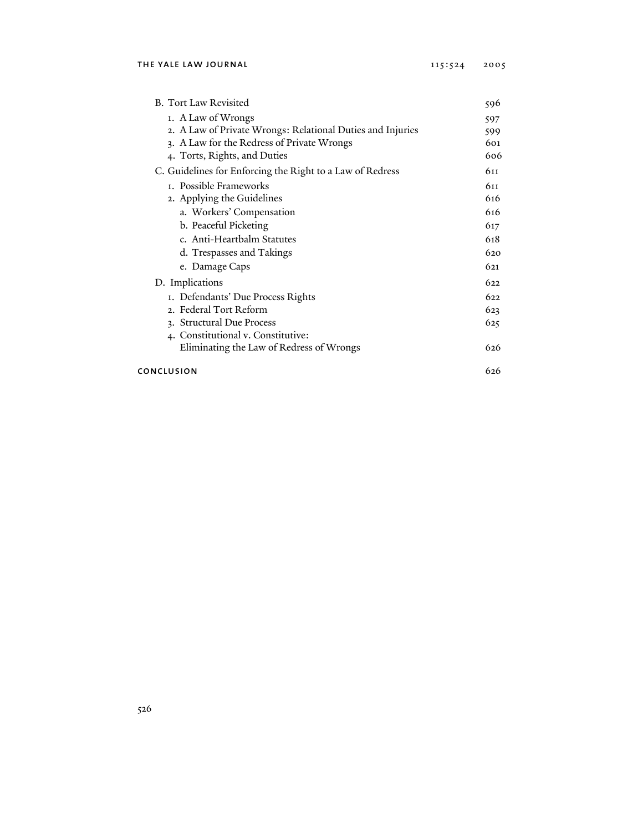| <b>B.</b> Tort Law Revisited                               | 596 |
|------------------------------------------------------------|-----|
| 1. A Law of Wrongs                                         | 597 |
| 2. A Law of Private Wrongs: Relational Duties and Injuries | 599 |
| 3. A Law for the Redress of Private Wrongs                 | 601 |
| 4. Torts, Rights, and Duties                               | 606 |
| C. Guidelines for Enforcing the Right to a Law of Redress  | 611 |
| 1. Possible Frameworks                                     | 611 |
| 2. Applying the Guidelines                                 | 616 |
| a. Workers' Compensation                                   | 616 |
| b. Peaceful Picketing                                      | 617 |
| c. Anti-Heartbalm Statutes                                 | 618 |
| d. Trespasses and Takings                                  | 620 |
| e. Damage Caps                                             | 621 |
| D. Implications                                            | 622 |
| 1. Defendants' Due Process Rights                          | 622 |
| 2. Federal Tort Reform                                     | 623 |
| 3. Structural Due Process                                  | 625 |
| 4. Constitutional v. Constitutive:                         |     |
| Eliminating the Law of Redress of Wrongs                   | 626 |
| CONCLUSION                                                 |     |
|                                                            |     |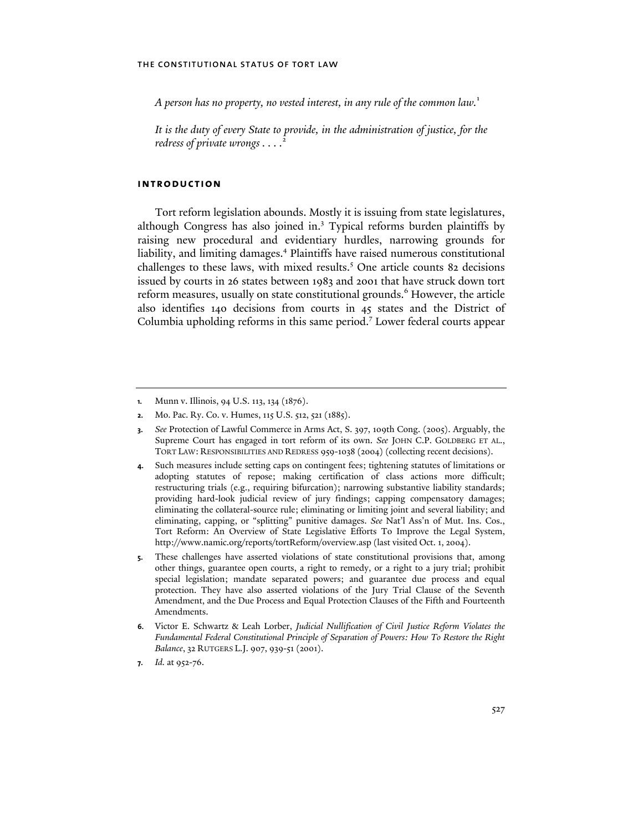*A person has no property, no vested interest, in any rule of the common law.*<sup>1</sup>

*It is the duty of every State to provide, in the administration of justice, for the redress of private wrongs . . . .*<sup>2</sup>

## **introduction**

Tort reform legislation abounds. Mostly it is issuing from state legislatures, although Congress has also joined in.<sup>3</sup> Typical reforms burden plaintiffs by raising new procedural and evidentiary hurdles, narrowing grounds for liability, and limiting damages.<sup>4</sup> Plaintiffs have raised numerous constitutional challenges to these laws, with mixed results.<sup>5</sup> One article counts 82 decisions issued by courts in 26 states between 1983 and 2001 that have struck down tort reform measures, usually on state constitutional grounds.<sup>6</sup> However, the article also identifies 140 decisions from courts in 45 states and the District of Columbia upholding reforms in this same period.<sup>7</sup> Lower federal courts appear

- **3.** *See* Protection of Lawful Commerce in Arms Act, S. 397, 109th Cong. (2005). Arguably, the Supreme Court has engaged in tort reform of its own. *See* JOHN C.P. GOLDBERG ET AL., TORT LAW: RESPONSIBILITIES AND REDRESS 959-1038 (2004) (collecting recent decisions).
- **4.** Such measures include setting caps on contingent fees; tightening statutes of limitations or adopting statutes of repose; making certification of class actions more difficult; restructuring trials (e.g., requiring bifurcation); narrowing substantive liability standards; providing hard-look judicial review of jury findings; capping compensatory damages; eliminating the collateral-source rule; eliminating or limiting joint and several liability; and eliminating, capping, or "splitting" punitive damages. *See* Nat'l Ass'n of Mut. Ins. Cos., Tort Reform: An Overview of State Legislative Efforts To Improve the Legal System, http://www.namic.org/reports/tortReform/overview.asp (last visited Oct. 1, 2004).
- **5.** These challenges have asserted violations of state constitutional provisions that, among other things, guarantee open courts, a right to remedy, or a right to a jury trial; prohibit special legislation; mandate separated powers; and guarantee due process and equal protection. They have also asserted violations of the Jury Trial Clause of the Seventh Amendment, and the Due Process and Equal Protection Clauses of the Fifth and Fourteenth Amendments.
- **6.** Victor E. Schwartz & Leah Lorber, *Judicial Nullification of Civil Justice Reform Violates the Fundamental Federal Constitutional Principle of Separation of Powers: How To Restore the Right Balance*, 32 RUTGERS L.J. 907, 939-51 (2001).
- **7.** *Id.* at 952-76.

**<sup>1.</sup>** Munn v. Illinois, 94 U.S. 113, 134 (1876).

**<sup>2.</sup>** Mo. Pac. Ry. Co. v. Humes, 115 U.S. 512, 521 (1885).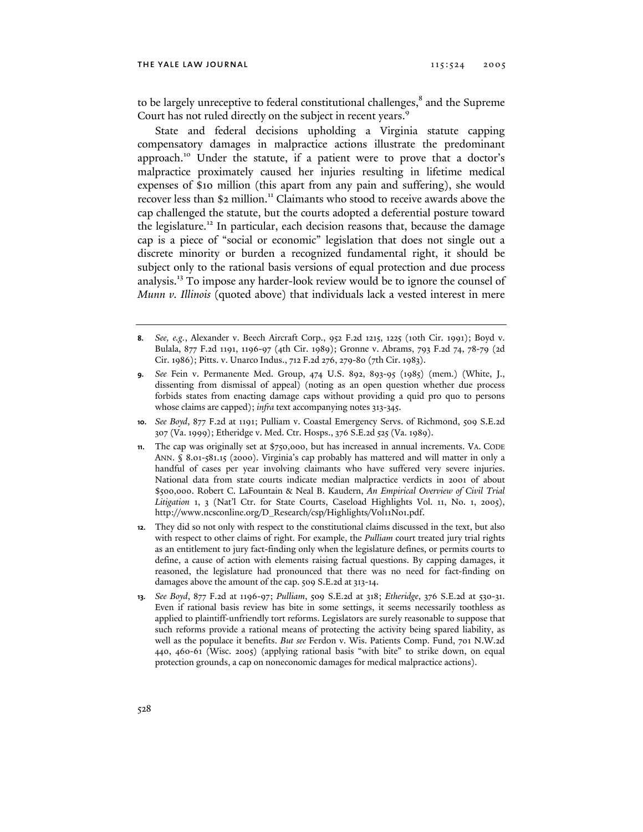to be largely unreceptive to federal constitutional challenges,<sup>8</sup> and the Supreme Court has not ruled directly on the subject in recent years.<sup>9</sup>

State and federal decisions upholding a Virginia statute capping compensatory damages in malpractice actions illustrate the predominant approach.10 Under the statute, if a patient were to prove that a doctor's malpractice proximately caused her injuries resulting in lifetime medical expenses of \$10 million (this apart from any pain and suffering), she would recover less than \$2 million.<sup>11</sup> Claimants who stood to receive awards above the cap challenged the statute, but the courts adopted a deferential posture toward the legislature.<sup>12</sup> In particular, each decision reasons that, because the damage cap is a piece of "social or economic" legislation that does not single out a discrete minority or burden a recognized fundamental right, it should be subject only to the rational basis versions of equal protection and due process analysis.13 To impose any harder-look review would be to ignore the counsel of *Munn v. Illinois* (quoted above) that individuals lack a vested interest in mere

- **9.** *See* Fein v. Permanente Med. Group, 474 U.S. 892, 893-95 (1985) (mem.) (White, J., dissenting from dismissal of appeal) (noting as an open question whether due process forbids states from enacting damage caps without providing a quid pro quo to persons whose claims are capped); *infra* text accompanying notes 313-345.
- **10.** *See Boyd*, 877 F.2d at 1191; Pulliam v. Coastal Emergency Servs. of Richmond, 509 S.E.2d 307 (Va. 1999); Etheridge v. Med. Ctr. Hosps., 376 S.E.2d 525 (Va. 1989).
- **11.** The cap was originally set at \$750,000, but has increased in annual increments. VA. CODE ANN. § 8.01-581.15 (2000). Virginia's cap probably has mattered and will matter in only a handful of cases per year involving claimants who have suffered very severe injuries. National data from state courts indicate median malpractice verdicts in 2001 of about \$500,000. Robert C. LaFountain & Neal B. Kaudern, *An Empirical Overview of Civil Trial*  Litigation 1, 3 (Nat'l Ctr. for State Courts, Caseload Highlights Vol. 11, No. 1, 2005), http://www.ncsconline.org/D\_Research/csp/Highlights/Vol11No1.pdf.
- **12.** They did so not only with respect to the constitutional claims discussed in the text, but also with respect to other claims of right. For example, the *Pulliam* court treated jury trial rights as an entitlement to jury fact-finding only when the legislature defines, or permits courts to define, a cause of action with elements raising factual questions. By capping damages, it reasoned, the legislature had pronounced that there was no need for fact-finding on damages above the amount of the cap. 509 S.E.2d at 313-14.
- **13.** *See Boyd*, 877 F.2d at 1196-97; *Pulliam*, 509 S.E.2d at 318; *Etheridge*, 376 S.E.2d at 530-31. Even if rational basis review has bite in some settings, it seems necessarily toothless as applied to plaintiff-unfriendly tort reforms. Legislators are surely reasonable to suppose that such reforms provide a rational means of protecting the activity being spared liability, as well as the populace it benefits. *But see* Ferdon v. Wis. Patients Comp. Fund, 701 N.W.2d 440, 460-61 (Wisc. 2005) (applying rational basis "with bite" to strike down, on equal protection grounds, a cap on noneconomic damages for medical malpractice actions).

**<sup>8.</sup>** *See, e.g.*, Alexander v. Beech Aircraft Corp., 952 F.2d 1215, 1225 (10th Cir. 1991); Boyd v. Bulala, 877 F.2d 1191, 1196-97 (4th Cir. 1989); Gronne v. Abrams, 793 F.2d 74, 78-79 (2d Cir. 1986); Pitts. v. Unarco Indus., 712 F.2d 276, 279-80 (7th Cir. 1983).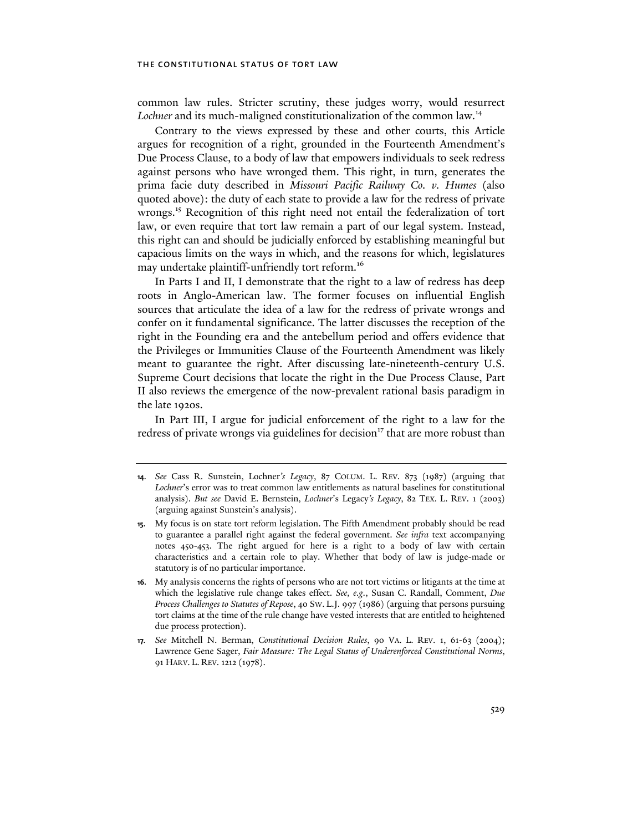common law rules. Stricter scrutiny, these judges worry, would resurrect Lochner and its much-maligned constitutionalization of the common law.<sup>14</sup>

Contrary to the views expressed by these and other courts, this Article argues for recognition of a right, grounded in the Fourteenth Amendment's Due Process Clause, to a body of law that empowers individuals to seek redress against persons who have wronged them. This right, in turn, generates the prima facie duty described in *Missouri Pacific Railway Co. v. Humes* (also quoted above): the duty of each state to provide a law for the redress of private wrongs.<sup>15</sup> Recognition of this right need not entail the federalization of tort law, or even require that tort law remain a part of our legal system. Instead, this right can and should be judicially enforced by establishing meaningful but capacious limits on the ways in which, and the reasons for which, legislatures may undertake plaintiff-unfriendly tort reform.<sup>16</sup>

In Parts I and II, I demonstrate that the right to a law of redress has deep roots in Anglo-American law. The former focuses on influential English sources that articulate the idea of a law for the redress of private wrongs and confer on it fundamental significance. The latter discusses the reception of the right in the Founding era and the antebellum period and offers evidence that the Privileges or Immunities Clause of the Fourteenth Amendment was likely meant to guarantee the right. After discussing late-nineteenth-century U.S. Supreme Court decisions that locate the right in the Due Process Clause, Part II also reviews the emergence of the now-prevalent rational basis paradigm in the late 1920s.

In Part III, I argue for judicial enforcement of the right to a law for the redress of private wrongs via guidelines for decision<sup>17</sup> that are more robust than

**<sup>14.</sup>** *See* Cass R. Sunstein, Lochner*'s Legacy*, 87 COLUM. L. REV. 873 (1987) (arguing that *Lochner*'s error was to treat common law entitlements as natural baselines for constitutional analysis). *But see* David E. Bernstein, *Lochner*'s Legacy*'s Legacy*, 82 TEX. L. REV. 1 (2003) (arguing against Sunstein's analysis).

**<sup>15.</sup>** My focus is on state tort reform legislation. The Fifth Amendment probably should be read to guarantee a parallel right against the federal government. *See infra* text accompanying notes 450-453. The right argued for here is a right to a body of law with certain characteristics and a certain role to play. Whether that body of law is judge-made or statutory is of no particular importance.

**<sup>16.</sup>** My analysis concerns the rights of persons who are not tort victims or litigants at the time at which the legislative rule change takes effect. *See, e.g.*, Susan C. Randall, Comment, *Due Process Challenges to Statutes of Repose*, 40 SW. L.J. 997 (1986) (arguing that persons pursuing tort claims at the time of the rule change have vested interests that are entitled to heightened due process protection).

**<sup>17.</sup>** *See* Mitchell N. Berman, *Constitutional Decision Rules*, 90 VA. L. REV. 1, 61-63 (2004); Lawrence Gene Sager, *Fair Measure: The Legal Status of Underenforced Constitutional Norms*, 91 HARV. L. REV. 1212 (1978).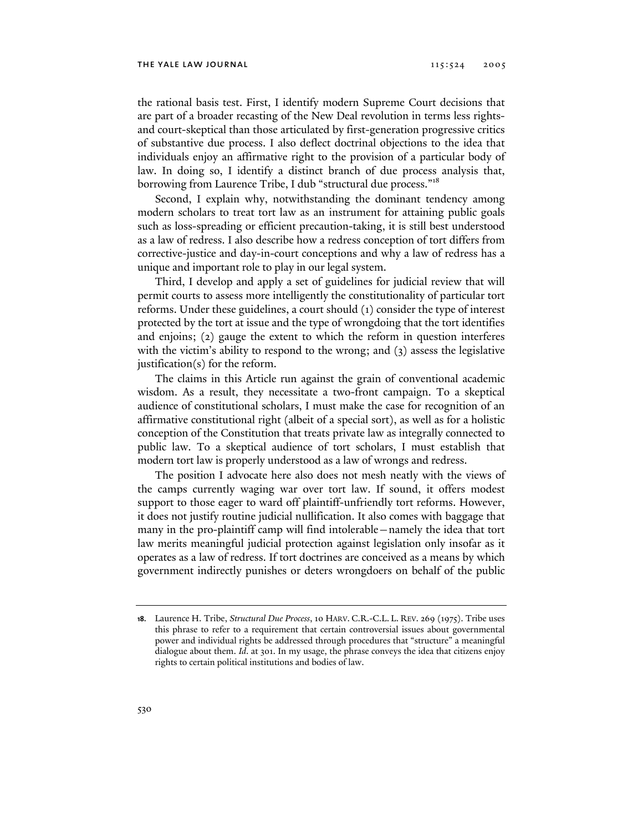the rational basis test. First, I identify modern Supreme Court decisions that are part of a broader recasting of the New Deal revolution in terms less rightsand court-skeptical than those articulated by first-generation progressive critics of substantive due process. I also deflect doctrinal objections to the idea that individuals enjoy an affirmative right to the provision of a particular body of law. In doing so, I identify a distinct branch of due process analysis that, borrowing from Laurence Tribe, I dub "structural due process."<sup>18</sup>

Second, I explain why, notwithstanding the dominant tendency among modern scholars to treat tort law as an instrument for attaining public goals such as loss-spreading or efficient precaution-taking, it is still best understood as a law of redress. I also describe how a redress conception of tort differs from corrective-justice and day-in-court conceptions and why a law of redress has a unique and important role to play in our legal system.

Third, I develop and apply a set of guidelines for judicial review that will permit courts to assess more intelligently the constitutionality of particular tort reforms. Under these guidelines, a court should (1) consider the type of interest protected by the tort at issue and the type of wrongdoing that the tort identifies and enjoins; (2) gauge the extent to which the reform in question interferes with the victim's ability to respond to the wrong; and (3) assess the legislative justification(s) for the reform.

The claims in this Article run against the grain of conventional academic wisdom. As a result, they necessitate a two-front campaign. To a skeptical audience of constitutional scholars, I must make the case for recognition of an affirmative constitutional right (albeit of a special sort), as well as for a holistic conception of the Constitution that treats private law as integrally connected to public law. To a skeptical audience of tort scholars, I must establish that modern tort law is properly understood as a law of wrongs and redress.

The position I advocate here also does not mesh neatly with the views of the camps currently waging war over tort law. If sound, it offers modest support to those eager to ward off plaintiff-unfriendly tort reforms. However, it does not justify routine judicial nullification. It also comes with baggage that many in the pro-plaintiff camp will find intolerable—namely the idea that tort law merits meaningful judicial protection against legislation only insofar as it operates as a law of redress. If tort doctrines are conceived as a means by which government indirectly punishes or deters wrongdoers on behalf of the public

**<sup>18.</sup>** Laurence H. Tribe, *Structural Due Process*, 10 HARV. C.R.-C.L. L. REV. 269 (1975). Tribe uses this phrase to refer to a requirement that certain controversial issues about governmental power and individual rights be addressed through procedures that "structure" a meaningful dialogue about them. *Id*. at 301. In my usage, the phrase conveys the idea that citizens enjoy rights to certain political institutions and bodies of law.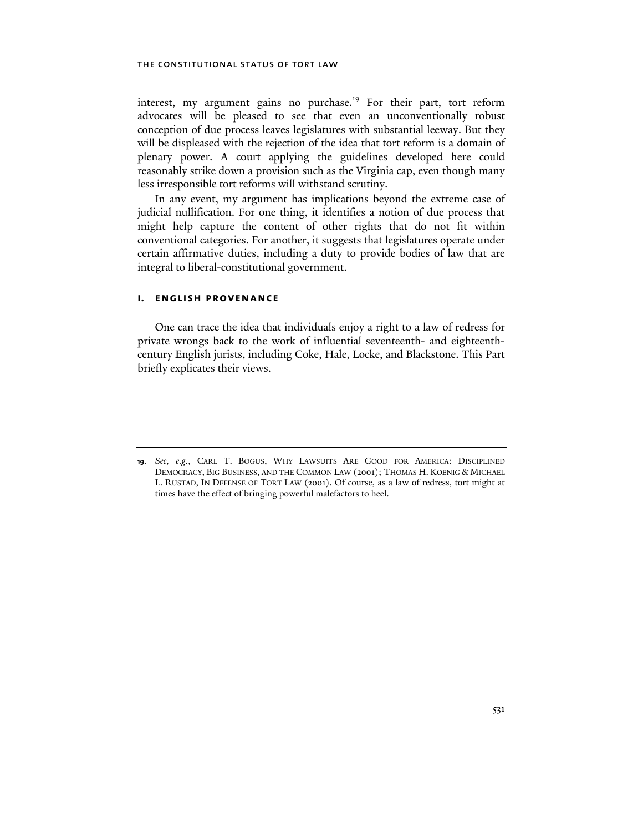interest, my argument gains no purchase.<sup>19</sup> For their part, tort reform advocates will be pleased to see that even an unconventionally robust conception of due process leaves legislatures with substantial leeway. But they will be displeased with the rejection of the idea that tort reform is a domain of plenary power. A court applying the guidelines developed here could reasonably strike down a provision such as the Virginia cap, even though many less irresponsible tort reforms will withstand scrutiny.

In any event, my argument has implications beyond the extreme case of judicial nullification. For one thing, it identifies a notion of due process that might help capture the content of other rights that do not fit within conventional categories. For another, it suggests that legislatures operate under certain affirmative duties, including a duty to provide bodies of law that are integral to liberal-constitutional government.

#### **i. english provenance**

One can trace the idea that individuals enjoy a right to a law of redress for private wrongs back to the work of influential seventeenth- and eighteenthcentury English jurists, including Coke, Hale, Locke, and Blackstone. This Part briefly explicates their views.

**<sup>19.</sup>** *See, e.g.*, CARL T. BOGUS, WHY LAWSUITS ARE GOOD FOR AMERICA: DISCIPLINED DEMOCRACY, BIG BUSINESS, AND THE COMMON LAW (2001); THOMAS H. KOENIG & MICHAEL L. RUSTAD, IN DEFENSE OF TORT LAW (2001). Of course, as a law of redress, tort might at times have the effect of bringing powerful malefactors to heel.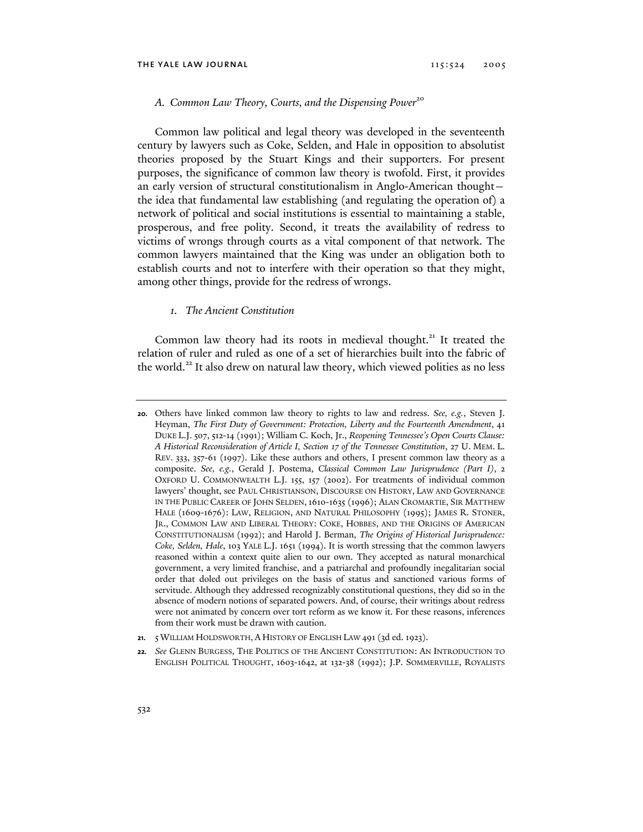## A. Common Law Theory, Courts, and the Dispensing Power<sup>20</sup>

Common law political and legal theory was developed in the seventeenth century by lawyers such as Coke, Selden, and Hale in opposition to absolutist theories proposed by the Stuart Kings and their supporters. For present purposes, the significance of common law theory is twofold. First, it provides an early version of structural constitutionalism in Anglo-American thought the idea that fundamental law establishing (and regulating the operation of) a network of political and social institutions is essential to maintaining a stable, prosperous, and free polity. Second, it treats the availability of redress to victims of wrongs through courts as a vital component of that network. The common lawyers maintained that the King was under an obligation both to establish courts and not to interfere with their operation so that they might, among other things, provide for the redress of wrongs.

## *1. The Ancient Constitution*

Common law theory had its roots in medieval thought.<sup>21</sup> It treated the relation of ruler and ruled as one of a set of hierarchies built into the fabric of the world.<sup>22</sup> It also drew on natural law theory, which viewed polities as no less

**<sup>20.</sup>** Others have linked common law theory to rights to law and redress. *See, e.g.*, Steven J. Heyman, *The First Duty of Government: Protection, Liberty and the Fourteenth Amendment*, 41 DUKE L.J. 507, 512-14 (1991); William C. Koch, Jr., *Reopening Tennessee's Open Courts Clause: A Historical Reconsideration of Article I, Section 17 of the Tennessee Constitution*, 27 U. MEM. L. REV. 333, 357-61 (1997). Like these authors and others, I present common law theory as a composite. *See, e.g.*, Gerald J. Postema, *Classical Common Law Jurisprudence (Part I)*, 2 OXFORD U. COMMONWEALTH L.J. 155, 157 (2002). For treatments of individual common lawyers' thought, see PAUL CHRISTIANSON, DISCOURSE ON HISTORY, LAW AND GOVERNANCE IN THE PUBLIC CAREER OF JOHN SELDEN, 1610-1635 (1996); ALAN CROMARTIE, SIR MATTHEW HALE (1609-1676): LAW, RELIGION, AND NATURAL PHILOSOPHY (1995); JAMES R. STONER, JR., COMMON LAW AND LIBERAL THEORY: COKE, HOBBES, AND THE ORIGINS OF AMERICAN CONSTITUTIONALISM (1992); and Harold J. Berman, *The Origins of Historical Jurisprudence: Coke, Selden, Hale*, 103 YALE L.J. 1651 (1994). It is worth stressing that the common lawyers reasoned within a context quite alien to our own. They accepted as natural monarchical government, a very limited franchise, and a patriarchal and profoundly inegalitarian social order that doled out privileges on the basis of status and sanctioned various forms of servitude. Although they addressed recognizably constitutional questions, they did so in the absence of modern notions of separated powers. And, of course, their writings about redress were not animated by concern over tort reform as we know it. For these reasons, inferences from their work must be drawn with caution.

**<sup>21.</sup>** 5 WILLIAM HOLDSWORTH, A HISTORY OF ENGLISH LAW 491 (3d ed. 1923).

**<sup>22.</sup>** *See* GLENN BURGESS, THE POLITICS OF THE ANCIENT CONSTITUTION: AN INTRODUCTION TO ENGLISH POLITICAL THOUGHT, 1603-1642, at 132-38 (1992); J.P. SOMMERVILLE, ROYALISTS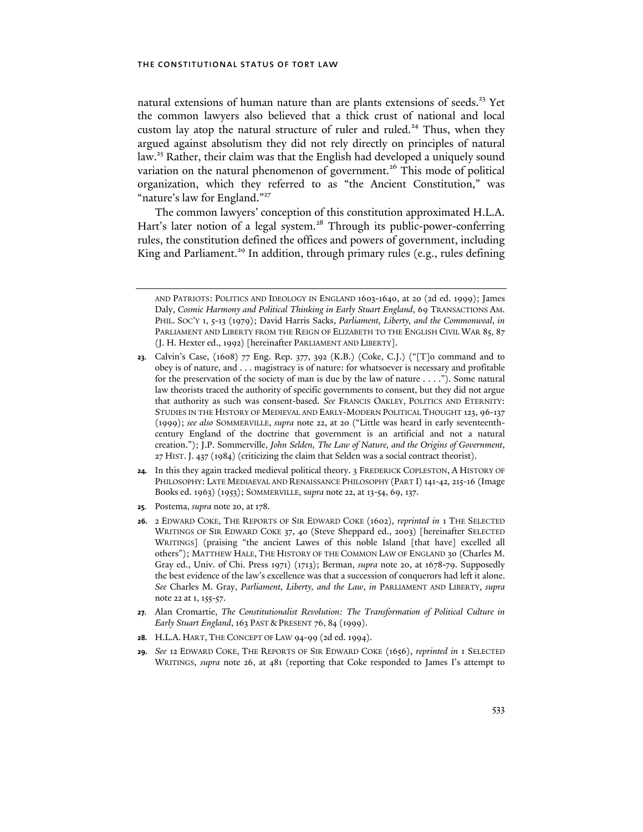natural extensions of human nature than are plants extensions of seeds.<sup>23</sup> Yet the common lawyers also believed that a thick crust of national and local custom lay atop the natural structure of ruler and ruled.<sup>24</sup> Thus, when they argued against absolutism they did not rely directly on principles of natural law.<sup>25</sup> Rather, their claim was that the English had developed a uniquely sound variation on the natural phenomenon of government.<sup>26</sup> This mode of political organization, which they referred to as "the Ancient Constitution," was "nature's law for England."<sup>27</sup>

The common lawyers' conception of this constitution approximated H.L.A. Hart's later notion of a legal system.<sup>28</sup> Through its public-power-conferring rules, the constitution defined the offices and powers of government, including King and Parliament.<sup>29</sup> In addition, through primary rules (e.g., rules defining

- **24.** In this they again tracked medieval political theory. 3 FREDERICK COPLESTON, A HISTORY OF PHILOSOPHY: LATE MEDIAEVAL AND RENAISSANCE PHILOSOPHY (PART I) 141-42, 215-16 (Image Books ed. 1963) (1953); SOMMERVILLE, s*upra* note 22, at 13-54, 69, 137.
- **25.** Postema, *supra* note 20, at 178.
- **26.** 2 EDWARD COKE, THE REPORTS OF SIR EDWARD COKE (1602), *reprinted in* 1 THE SELECTED WRITINGS OF SIR EDWARD COKE 37, 40 (Steve Sheppard ed., 2003) [hereinafter SELECTED WRITINGS] (praising "the ancient Lawes of this noble Island [that have] excelled all others"); MATTHEW HALE, THE HISTORY OF THE COMMON LAW OF ENGLAND 30 (Charles M. Gray ed., Univ. of Chi. Press 1971) (1713); Berman, *supra* note 20, at 1678-79. Supposedly the best evidence of the law's excellence was that a succession of conquerors had left it alone. *See* Charles M. Gray, *Parliament, Liberty, and the Law*, *in* PARLIAMENT AND LIBERTY, *supra* note 22 at 1, 155-57.
- **27.** Alan Cromartie, *The Constitutionalist Revolution: The Transformation of Political Culture in Early Stuart England*, 163 PAST & PRESENT 76, 84 (1999).
- **28.** H.L.A. HART, THE CONCEPT OF LAW 94-99 (2d ed. 1994).
- **29.** *See* 12 EDWARD COKE, THE REPORTS OF SIR EDWARD COKE (1656), *reprinted in* 1 SELECTED WRITINGS, *supra* note 26, at 481 (reporting that Coke responded to James I's attempt to

AND PATRIOTS: POLITICS AND IDEOLOGY IN ENGLAND 1603-1640, at 20 (2d ed. 1999); James Daly, *Cosmic Harmony and Political Thinking in Early Stuart England*, 69 TRANSACTIONS AM. PHIL. SOC'Y 1, 5-13 (1979); David Harris Sacks, *Parliament, Liberty, and the Commonweal*, *in* PARLIAMENT AND LIBERTY FROM THE REIGN OF ELIZABETH TO THE ENGLISH CIVIL WAR 85, 87 (J. H. Hexter ed., 1992) [hereinafter PARLIAMENT AND LIBERTY].

**<sup>23.</sup>** Calvin's Case, (1608) 77 Eng. Rep. 377, 392 (K.B.) (Coke, C.J.) ("[T]o command and to obey is of nature, and . . . magistracy is of nature: for whatsoever is necessary and profitable for the preservation of the society of man is due by the law of nature . . . ."). Some natural law theorists traced the authority of specific governments to consent, but they did not argue that authority as such was consent-based. *See* FRANCIS OAKLEY, POLITICS AND ETERNITY: STUDIES IN THE HISTORY OF MEDIEVAL AND EARLY-MODERN POLITICAL THOUGHT 123, 96-137 (1999); *see also* SOMMERVILLE, *supra* note 22, at 20 ("Little was heard in early seventeenthcentury England of the doctrine that government is an artificial and not a natural creation."); J.P. Sommerville, *John Selden, The Law of Nature, and the Origins of Government*, 27 HIST.J. 437 (1984) (criticizing the claim that Selden was a social contract theorist).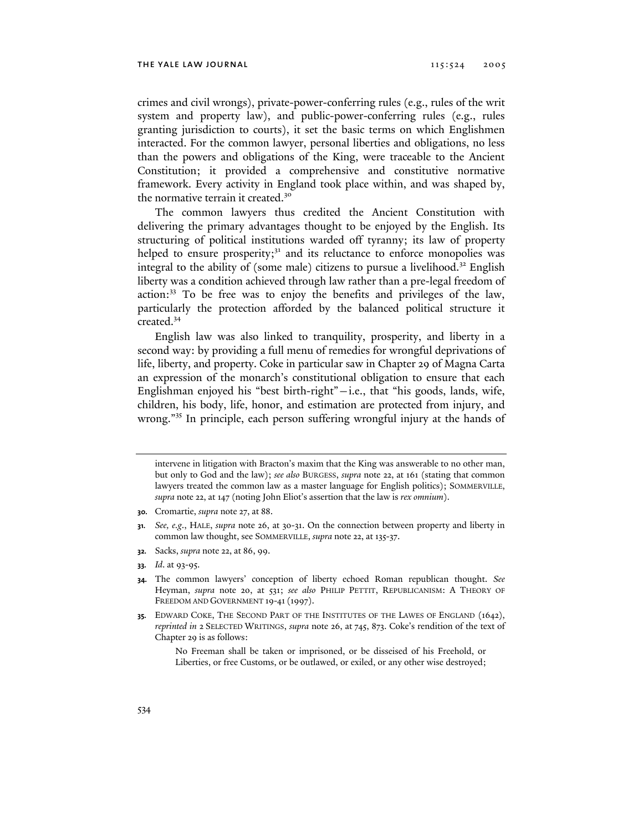crimes and civil wrongs), private-power-conferring rules (e.g., rules of the writ system and property law), and public-power-conferring rules (e.g., rules granting jurisdiction to courts), it set the basic terms on which Englishmen interacted. For the common lawyer, personal liberties and obligations, no less than the powers and obligations of the King, were traceable to the Ancient Constitution; it provided a comprehensive and constitutive normative framework. Every activity in England took place within, and was shaped by, the normative terrain it created.<sup>30</sup>

The common lawyers thus credited the Ancient Constitution with delivering the primary advantages thought to be enjoyed by the English. Its structuring of political institutions warded off tyranny; its law of property helped to ensure prosperity;<sup>31</sup> and its reluctance to enforce monopolies was integral to the ability of (some male) citizens to pursue a livelihood.<sup>32</sup> English liberty was a condition achieved through law rather than a pre-legal freedom of action:33 To be free was to enjoy the benefits and privileges of the law, particularly the protection afforded by the balanced political structure it created.<sup>34</sup>

English law was also linked to tranquility, prosperity, and liberty in a second way: by providing a full menu of remedies for wrongful deprivations of life, liberty, and property. Coke in particular saw in Chapter 29 of Magna Carta an expression of the monarch's constitutional obligation to ensure that each Englishman enjoyed his "best birth-right"—i.e., that "his goods, lands, wife, children, his body, life, honor, and estimation are protected from injury, and wrong."35 In principle, each person suffering wrongful injury at the hands of

- **32.** Sacks, *supra* note 22, at 86, 99.
- **33.** *Id*. at 93-95.
- **34.** The common lawyers' conception of liberty echoed Roman republican thought. *See* Heyman, *supra* note 20, at 531; *see also* PHILIP PETTIT, REPUBLICANISM: A THEORY OF FREEDOM AND GOVERNMENT 19-41 (1997).
- **35.** EDWARD COKE, THE SECOND PART OF THE INSTITUTES OF THE LAWES OF ENGLAND (1642), *reprinted in* 2 SELECTED WRITINGS, *supra* note 26, at 745, 873. Coke's rendition of the text of Chapter 29 is as follows:

intervene in litigation with Bracton's maxim that the King was answerable to no other man, but only to God and the law); *see also* BURGESS, *supra* note 22, at 161 (stating that common lawyers treated the common law as a master language for English politics); SOMMERVILLE, *supra* note 22, at 147 (noting John Eliot's assertion that the law is *rex omnium*).

**<sup>30.</sup>** Cromartie, *supra* note 27, at 88.

**<sup>31.</sup>** *See, e.g*., HALE, *supra* note 26, at 30-31. On the connection between property and liberty in common law thought, see SOMMERVILLE, *supra* note 22, at 135-37.

No Freeman shall be taken or imprisoned, or be disseised of his Freehold, or Liberties, or free Customs, or be outlawed, or exiled, or any other wise destroyed;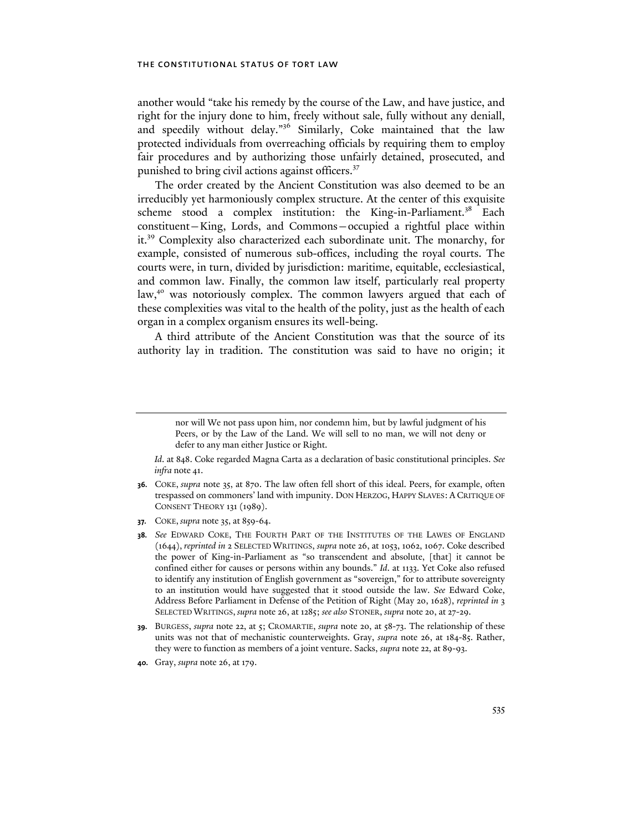another would "take his remedy by the course of the Law, and have justice, and right for the injury done to him, freely without sale, fully without any deniall, and speedily without delay."36 Similarly, Coke maintained that the law protected individuals from overreaching officials by requiring them to employ fair procedures and by authorizing those unfairly detained, prosecuted, and punished to bring civil actions against officers.<sup>37</sup>

The order created by the Ancient Constitution was also deemed to be an irreducibly yet harmoniously complex structure. At the center of this exquisite scheme stood a complex institution: the King-in-Parliament.<sup>38</sup> Each constituent—King, Lords, and Commons—occupied a rightful place within it.39 Complexity also characterized each subordinate unit. The monarchy, for example, consisted of numerous sub-offices, including the royal courts. The courts were, in turn, divided by jurisdiction: maritime, equitable, ecclesiastical, and common law. Finally, the common law itself, particularly real property law,<sup>40</sup> was notoriously complex. The common lawyers argued that each of these complexities was vital to the health of the polity, just as the health of each organ in a complex organism ensures its well-being.

A third attribute of the Ancient Constitution was that the source of its authority lay in tradition. The constitution was said to have no origin; it

nor will We not pass upon him, nor condemn him, but by lawful judgment of his Peers, or by the Law of the Land. We will sell to no man, we will not deny or defer to any man either Justice or Right.

*Id*. at 848. Coke regarded Magna Carta as a declaration of basic constitutional principles. *See infra* note 41.

**<sup>36.</sup>** COKE, *supra* note 35, at 870. The law often fell short of this ideal. Peers, for example, often trespassed on commoners' land with impunity. DON HERZOG, HAPPY SLAVES: A CRITIQUE OF CONSENT THEORY 131 (1989).

**<sup>37.</sup>** COKE, *supra* note 35, at 859-64.

**<sup>38.</sup>** *See* EDWARD COKE, THE FOURTH PART OF THE INSTITUTES OF THE LAWES OF ENGLAND (1644), *reprinted in* 2 SELECTED WRITINGS, *supra* note 26, at 1053, 1062, 1067. Coke described the power of King-in-Parliament as "so transcendent and absolute, [that] it cannot be confined either for causes or persons within any bounds." *Id*. at 1133. Yet Coke also refused to identify any institution of English government as "sovereign," for to attribute sovereignty to an institution would have suggested that it stood outside the law. *See* Edward Coke, Address Before Parliament in Defense of the Petition of Right (May 20, 1628), *reprinted in* 3 SELECTED WRITINGS, *supra* note 26, at 1285; *see also* STONER, *supra* note 20, at 27-29.

**<sup>39.</sup>** BURGESS, *supra* note 22, at 5; CROMARTIE, *supra* note 20, at 58-73. The relationship of these units was not that of mechanistic counterweights. Gray, *supra* note 26, at 184-85. Rather, they were to function as members of a joint venture. Sacks, *supra* note 22, at 89-93.

**<sup>40.</sup>** Gray, *supra* note 26, at 179.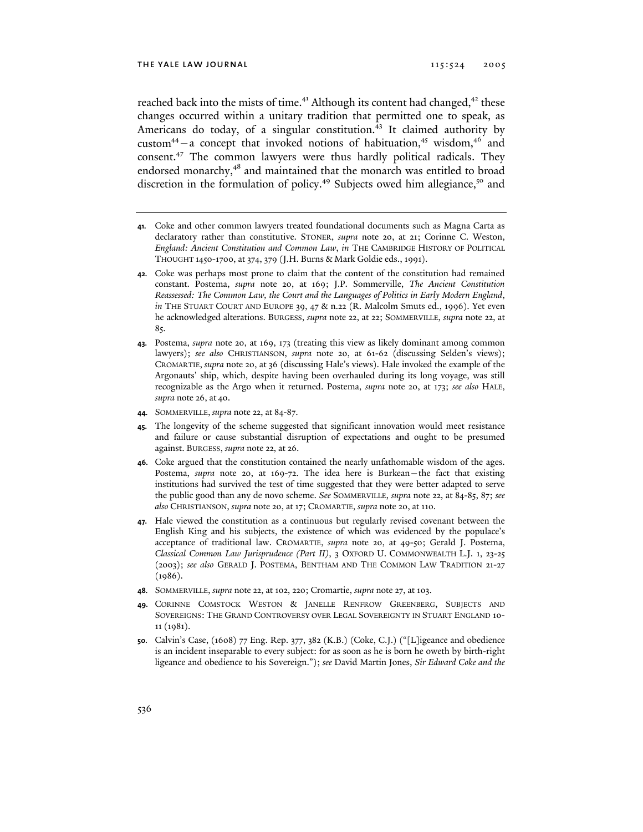reached back into the mists of time.<sup>41</sup> Although its content had changed,<sup>42</sup> these changes occurred within a unitary tradition that permitted one to speak, as Americans do today, of a singular constitution.<sup>43</sup> It claimed authority by custom<sup>44</sup> – a concept that invoked notions of habituation,<sup>45</sup> wisdom,<sup>46</sup> and consent.47 The common lawyers were thus hardly political radicals. They endorsed monarchy,<sup>48</sup> and maintained that the monarch was entitled to broad discretion in the formulation of policy.<sup>49</sup> Subjects owed him allegiance,<sup>50</sup> and

- **41.** Coke and other common lawyers treated foundational documents such as Magna Carta as declaratory rather than constitutive. STONER, *supra* note 20, at 21; Corinne C. Weston, *England: Ancient Constitution and Common Law*, *in* THE CAMBRIDGE HISTORY OF POLITICAL THOUGHT 1450-1700, at 374, 379 (J.H. Burns & Mark Goldie eds., 1991).
- **42.** Coke was perhaps most prone to claim that the content of the constitution had remained constant. Postema, *supra* note 20, at 169; J.P. Sommerville, *The Ancient Constitution Reassessed: The Common Law, the Court and the Languages of Politics in Early Modern England*, *in* THE STUART COURT AND EUROPE 39, 47 & n.22 (R. Malcolm Smuts ed., 1996). Yet even he acknowledged alterations. BURGESS, *supra* note 22, at 22; SOMMERVILLE, *supra* note 22, at 85.
- **43.** Postema, *supra* note 20, at 169, 173 (treating this view as likely dominant among common lawyers); *see also* CHRISTIANSON, *supra* note 20, at 61-62 (discussing Selden's views); CROMARTIE, *supra* note 20, at 36 (discussing Hale's views). Hale invoked the example of the Argonauts' ship, which, despite having been overhauled during its long voyage, was still recognizable as the Argo when it returned. Postema, *supra* note 20, at 173; *see also* HALE, *supra* note 26, at 40.
- **44.** SOMMERVILLE, *supra* note 22, at 84-87.
- **45.** The longevity of the scheme suggested that significant innovation would meet resistance and failure or cause substantial disruption of expectations and ought to be presumed against. BURGESS, *supra* note 22, at 26.
- **46.** Coke argued that the constitution contained the nearly unfathomable wisdom of the ages. Postema, *supra* note 20, at 169-72. The idea here is Burkean—the fact that existing institutions had survived the test of time suggested that they were better adapted to serve the public good than any de novo scheme. *See* SOMMERVILLE, *supra* note 22, at 84-85, 87; *see also* CHRISTIANSON, *supra* note 20, at 17; CROMARTIE, *supra* note 20, at 110.
- **47.** Hale viewed the constitution as a continuous but regularly revised covenant between the English King and his subjects, the existence of which was evidenced by the populace's acceptance of traditional law. CROMARTIE, *supra* note 20, at 49-50; Gerald J. Postema, *Classical Common Law Jurisprudence (Part II)*, 3 OXFORD U. COMMONWEALTH L.J. 1, 23-25 (2003); *see also* GERALD J. POSTEMA, BENTHAM AND THE COMMON LAW TRADITION 21-27 (1986).
- **48.** SOMMERVILLE, *supra* note 22, at 102, 220; Cromartie, *supra* note 27, at 103.
- **49.** CORINNE COMSTOCK WESTON & JANELLE RENFROW GREENBERG, SUBJECTS AND SOVEREIGNS: THE GRAND CONTROVERSY OVER LEGAL SOVEREIGNTY IN STUART ENGLAND 10- 11 (1981).
- **50.** Calvin's Case, (1608) 77 Eng. Rep. 377, 382 (K.B.) (Coke, C.J.) ("[L]igeance and obedience is an incident inseparable to every subject: for as soon as he is born he oweth by birth-right ligeance and obedience to his Sovereign."); *see* David Martin Jones, *Sir Edward Coke and the*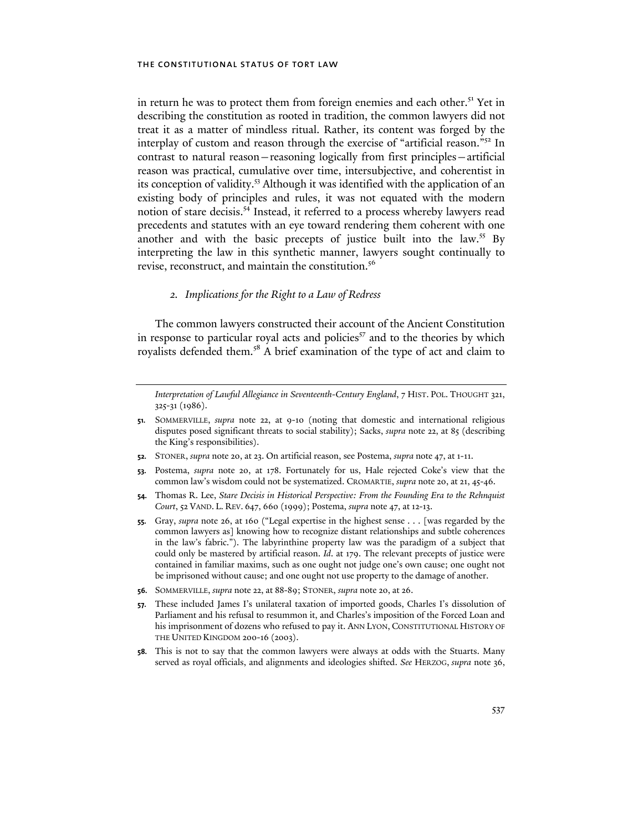in return he was to protect them from foreign enemies and each other.<sup>51</sup> Yet in describing the constitution as rooted in tradition, the common lawyers did not treat it as a matter of mindless ritual. Rather, its content was forged by the interplay of custom and reason through the exercise of "artificial reason."52 In contrast to natural reason—reasoning logically from first principles—artificial reason was practical, cumulative over time, intersubjective, and coherentist in its conception of validity.<sup>53</sup> Although it was identified with the application of an existing body of principles and rules, it was not equated with the modern notion of stare decisis.54 Instead, it referred to a process whereby lawyers read precedents and statutes with an eye toward rendering them coherent with one another and with the basic precepts of justice built into the law.<sup>55</sup> By interpreting the law in this synthetic manner, lawyers sought continually to revise, reconstruct, and maintain the constitution.<sup>56</sup>

## *2. Implications for the Right to a Law of Redress*

The common lawyers constructed their account of the Ancient Constitution in response to particular royal acts and policies $5<sup>57</sup>$  and to the theories by which royalists defended them.<sup>58</sup> A brief examination of the type of act and claim to

*Interpretation of Lawful Allegiance in Seventeenth-Century England*, 7 HIST. POL. THOUGHT 321, 325-31 (1986).

- **51.** SOMMERVILLE, *supra* note 22, at 9-10 (noting that domestic and international religious disputes posed significant threats to social stability); Sacks, *supra* note 22, at 85 (describing the King's responsibilities).
- **52.** STONER, *supra* note 20, at 23. On artificial reason, see Postema, *supra* note 47, at 1-11.
- **53.** Postema, *supra* note 20, at 178. Fortunately for us, Hale rejected Coke's view that the common law's wisdom could not be systematized. CROMARTIE, *supra* note 20, at 21, 45-46.
- **54.** Thomas R. Lee, *Stare Decisis in Historical Perspective: From the Founding Era to the Rehnquist Court*, 52 VAND. L. REV. 647, 660 (1999); Postema, *supra* note 47, at 12-13.
- **55.** Gray, *supra* note 26, at 160 ("Legal expertise in the highest sense . . . [was regarded by the common lawyers as] knowing how to recognize distant relationships and subtle coherences in the law's fabric."). The labyrinthine property law was the paradigm of a subject that could only be mastered by artificial reason. *Id*. at 179. The relevant precepts of justice were contained in familiar maxims, such as one ought not judge one's own cause; one ought not be imprisoned without cause; and one ought not use property to the damage of another.
- **56.** SOMMERVILLE, *supra* note 22, at 88-89; STONER, *supra* note 20, at 26.
- **57.** These included James I's unilateral taxation of imported goods, Charles I's dissolution of Parliament and his refusal to resummon it, and Charles's imposition of the Forced Loan and his imprisonment of dozens who refused to pay it. ANN LYON, CONSTITUTIONAL HISTORY OF THE UNITED KINGDOM 200-16 (2003).
- **58.** This is not to say that the common lawyers were always at odds with the Stuarts. Many served as royal officials, and alignments and ideologies shifted. *See* HERZOG, *supra* note 36,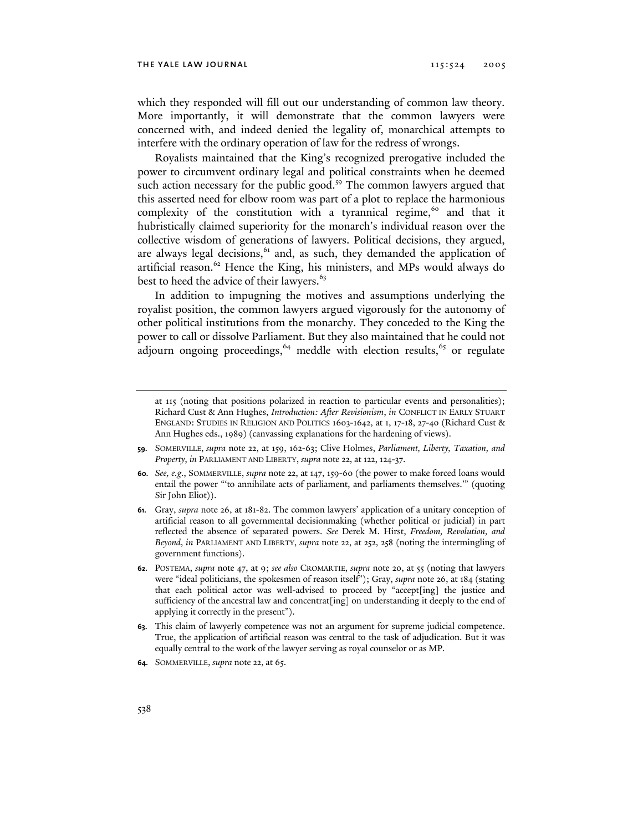which they responded will fill out our understanding of common law theory. More importantly, it will demonstrate that the common lawyers were concerned with, and indeed denied the legality of, monarchical attempts to interfere with the ordinary operation of law for the redress of wrongs.

Royalists maintained that the King's recognized prerogative included the power to circumvent ordinary legal and political constraints when he deemed such action necessary for the public good.<sup>59</sup> The common lawyers argued that this asserted need for elbow room was part of a plot to replace the harmonious complexity of the constitution with a tyrannical regime, $60$  and that it hubristically claimed superiority for the monarch's individual reason over the collective wisdom of generations of lawyers. Political decisions, they argued, are always legal decisions, $61$  and, as such, they demanded the application of artificial reason.<sup>62</sup> Hence the King, his ministers, and MPs would always do best to heed the advice of their lawyers.<sup>63</sup>

In addition to impugning the motives and assumptions underlying the royalist position, the common lawyers argued vigorously for the autonomy of other political institutions from the monarchy. They conceded to the King the power to call or dissolve Parliament. But they also maintained that he could not adjourn ongoing proceedings,  $64$  meddle with election results,  $65$  or regulate

- **59.** SOMERVILLE, *supra* note 22, at 159, 162-63; Clive Holmes, *Parliament, Liberty, Taxation, and Property*, *in* PARLIAMENT AND LIBERTY, *supra* note 22, at 122, 124-37.
- **60.** *See, e.g*., SOMMERVILLE, *supra* note 22, at 147, 159-60 (the power to make forced loans would entail the power "'to annihilate acts of parliament, and parliaments themselves.'" (quoting Sir John Eliot)).
- **61.** Gray, *supra* note 26, at 181-82. The common lawyers' application of a unitary conception of artificial reason to all governmental decisionmaking (whether political or judicial) in part reflected the absence of separated powers. *See* Derek M. Hirst, *Freedom, Revolution, and Beyond*, *in* PARLIAMENT AND LIBERTY, *supra* note 22, at 252, 258 (noting the intermingling of government functions).
- **62.** POSTEMA, *supra* note 47, at 9; *see also* CROMARTIE, *supra* note 20, at 55 (noting that lawyers were "ideal politicians, the spokesmen of reason itself"); Gray, *supra* note 26, at 184 (stating that each political actor was well-advised to proceed by "accept[ing] the justice and sufficiency of the ancestral law and concentrat[ing] on understanding it deeply to the end of applying it correctly in the present").
- **63.** This claim of lawyerly competence was not an argument for supreme judicial competence. True, the application of artificial reason was central to the task of adjudication. But it was equally central to the work of the lawyer serving as royal counselor or as MP.
- **64.** SOMMERVILLE, *supra* note 22, at 65.

at 115 (noting that positions polarized in reaction to particular events and personalities); Richard Cust & Ann Hughes, *Introduction: After Revisionism*, *in* CONFLICT IN EARLY STUART ENGLAND: STUDIES IN RELIGION AND POLITICS 1603-1642, at 1, 17-18, 27-40 (Richard Cust & Ann Hughes eds., 1989) (canvassing explanations for the hardening of views).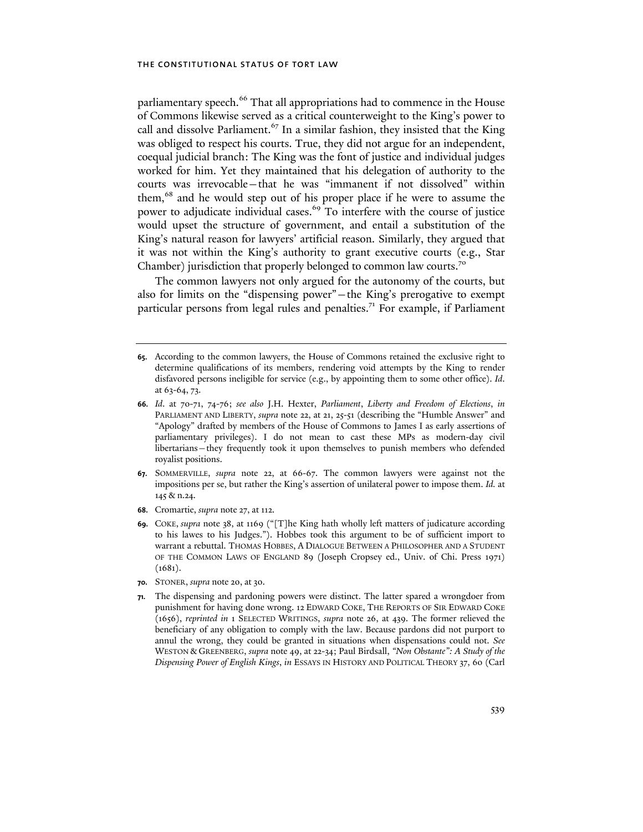parliamentary speech.<sup>66</sup> That all appropriations had to commence in the House of Commons likewise served as a critical counterweight to the King's power to call and dissolve Parliament.<sup>67</sup> In a similar fashion, they insisted that the King was obliged to respect his courts. True, they did not argue for an independent, coequal judicial branch: The King was the font of justice and individual judges worked for him. Yet they maintained that his delegation of authority to the courts was irrevocable—that he was "immanent if not dissolved" within them,<sup>68</sup> and he would step out of his proper place if he were to assume the power to adjudicate individual cases.<sup>69</sup> To interfere with the course of justice would upset the structure of government, and entail a substitution of the King's natural reason for lawyers' artificial reason. Similarly, they argued that it was not within the King's authority to grant executive courts (e.g., Star Chamber) jurisdiction that properly belonged to common law courts.<sup>70</sup>

The common lawyers not only argued for the autonomy of the courts, but also for limits on the "dispensing power"—the King's prerogative to exempt particular persons from legal rules and penalties.<sup>71</sup> For example, if Parliament

- **67.** SOMMERVILLE, *supra* note 22, at 66-67. The common lawyers were against not the impositions per se, but rather the King's assertion of unilateral power to impose them. *Id.* at 145 & n.24.
- **68.** Cromartie, *supra* note 27, at 112.
- **69.** COKE, *supra* note 38, at 1169 ("[T]he King hath wholly left matters of judicature according to his lawes to his Judges."). Hobbes took this argument to be of sufficient import to warrant a rebuttal. THOMAS HOBBES, A DIALOGUE BETWEEN A PHILOSOPHER AND A STUDENT OF THE COMMON LAWS OF ENGLAND 89 (Joseph Cropsey ed., Univ. of Chi. Press 1971)  $(1681)$ .
- **70.** STONER, *supra* note 20, at 30.
- **71.** The dispensing and pardoning powers were distinct. The latter spared a wrongdoer from punishment for having done wrong. 12 EDWARD COKE, THE REPORTS OF SIR EDWARD COKE (1656), *reprinted in* 1 SELECTED WRITINGS, *supra* note 26, at 439. The former relieved the beneficiary of any obligation to comply with the law. Because pardons did not purport to annul the wrong, they could be granted in situations when dispensations could not. *See* WESTON & GREENBERG, *supra* note 49, at 22-34; Paul Birdsall, *"Non Obstante": A Study of the Dispensing Power of English Kings*, *in* ESSAYS IN HISTORY AND POLITICAL THEORY 37, 60 (Carl

**<sup>65.</sup>** According to the common lawyers, the House of Commons retained the exclusive right to determine qualifications of its members, rendering void attempts by the King to render disfavored persons ineligible for service (e.g., by appointing them to some other office). *Id*. at 63-64, 73.

**<sup>66.</sup>** *Id*. at 70-71, 74-76; *see also* J.H. Hexter, *Parliament*, *Liberty and Freedom of Elections*, *in* PARLIAMENT AND LIBERTY, *supra* note 22, at 21, 25-51 (describing the "Humble Answer" and "Apology" drafted by members of the House of Commons to James I as early assertions of parliamentary privileges). I do not mean to cast these MPs as modern-day civil libertarians—they frequently took it upon themselves to punish members who defended royalist positions.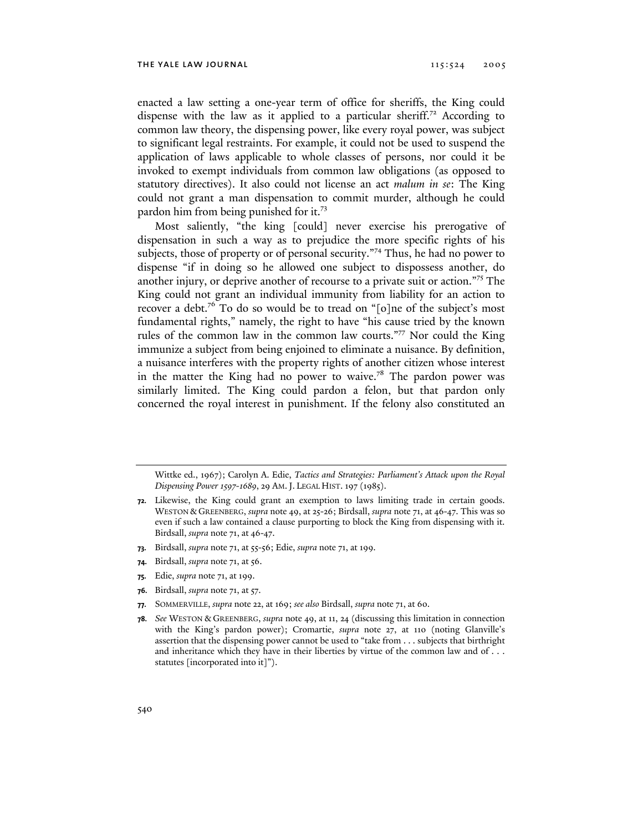enacted a law setting a one-year term of office for sheriffs, the King could dispense with the law as it applied to a particular sheriff.<sup>72</sup> According to common law theory, the dispensing power, like every royal power, was subject to significant legal restraints. For example, it could not be used to suspend the application of laws applicable to whole classes of persons, nor could it be invoked to exempt individuals from common law obligations (as opposed to statutory directives). It also could not license an act *malum in se*: The King could not grant a man dispensation to commit murder, although he could pardon him from being punished for it.<sup>73</sup>

Most saliently, "the king [could] never exercise his prerogative of dispensation in such a way as to prejudice the more specific rights of his subjects, those of property or of personal security."<sup>74</sup> Thus, he had no power to dispense "if in doing so he allowed one subject to dispossess another, do another injury, or deprive another of recourse to a private suit or action."75 The King could not grant an individual immunity from liability for an action to recover a debt.<sup>76</sup> To do so would be to tread on "[o]ne of the subject's most fundamental rights," namely, the right to have "his cause tried by the known rules of the common law in the common law courts."77 Nor could the King immunize a subject from being enjoined to eliminate a nuisance. By definition, a nuisance interferes with the property rights of another citizen whose interest in the matter the King had no power to waive.<sup>78</sup> The pardon power was similarly limited. The King could pardon a felon, but that pardon only concerned the royal interest in punishment. If the felony also constituted an

- **73.** Birdsall, *supra* note 71, at 55-56; Edie, *supra* note 71, at 199.
- **74.** Birdsall, *supra* note 71, at 56.
- **75.** Edie, *supra* note 71, at 199.
- **76.** Birdsall, *supra* note 71, at 57.
- **77.** SOMMERVILLE, *supra* note 22, at 169; *see also* Birdsall, *supra* note 71, at 60.
- **78.** *See* WESTON & GREENBERG, *supra* note 49, at 11, 24 (discussing this limitation in connection with the King's pardon power); Cromartie, *supra* note 27, at 110 (noting Glanville's assertion that the dispensing power cannot be used to "take from . . . subjects that birthright and inheritance which they have in their liberties by virtue of the common law and of . . . statutes [incorporated into it]").

Wittke ed., 1967); Carolyn A. Edie, *Tactics and Strategies: Parliament's Attack upon the Royal Dispensing Power 1597-1689*, 29 AM.J. LEGAL HIST. 197 (1985).

**<sup>72.</sup>** Likewise, the King could grant an exemption to laws limiting trade in certain goods. WESTON & GREENBERG, *supra* note 49, at 25-26; Birdsall, *supra* note 71, at 46-47. This was so even if such a law contained a clause purporting to block the King from dispensing with it. Birdsall, *supra* note 71, at 46-47.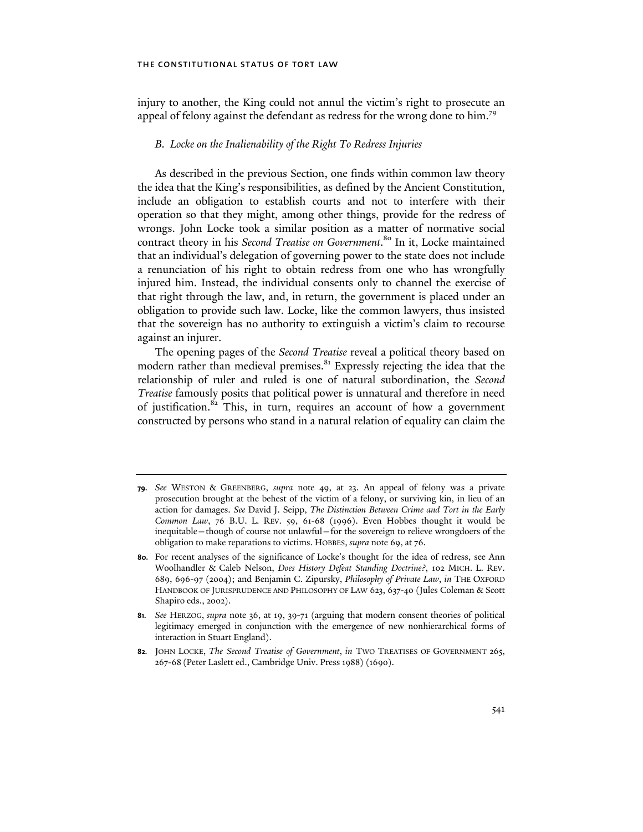injury to another, the King could not annul the victim's right to prosecute an appeal of felony against the defendant as redress for the wrong done to him.<sup>79</sup>

## *B. Locke on the Inalienability of the Right To Redress Injuries*

As described in the previous Section, one finds within common law theory the idea that the King's responsibilities, as defined by the Ancient Constitution, include an obligation to establish courts and not to interfere with their operation so that they might, among other things, provide for the redress of wrongs. John Locke took a similar position as a matter of normative social contract theory in his *Second Treatise on Government*. 80 In it, Locke maintained that an individual's delegation of governing power to the state does not include a renunciation of his right to obtain redress from one who has wrongfully injured him. Instead, the individual consents only to channel the exercise of that right through the law, and, in return, the government is placed under an obligation to provide such law. Locke, like the common lawyers, thus insisted that the sovereign has no authority to extinguish a victim's claim to recourse against an injurer.

The opening pages of the *Second Treatise* reveal a political theory based on modern rather than medieval premises.<sup>81</sup> Expressly rejecting the idea that the relationship of ruler and ruled is one of natural subordination, the *Second Treatise* famously posits that political power is unnatural and therefore in need of justification.<sup>82</sup> This, in turn, requires an account of how a government constructed by persons who stand in a natural relation of equality can claim the

**<sup>79.</sup>** *See* WESTON & GREENBERG, *supra* note 49, at 23. An appeal of felony was a private prosecution brought at the behest of the victim of a felony, or surviving kin, in lieu of an action for damages. *See* David J. Seipp, *The Distinction Between Crime and Tort in the Early Common Law*, 76 B.U. L. REV. 59, 61-68 (1996). Even Hobbes thought it would be inequitable—though of course not unlawful—for the sovereign to relieve wrongdoers of the obligation to make reparations to victims. HOBBES, *supra* note 69, at 76.

**<sup>80.</sup>** For recent analyses of the significance of Locke's thought for the idea of redress, see Ann Woolhandler & Caleb Nelson, *Does History Defeat Standing Doctrine?*, 102 MICH. L. REV. 689, 696-97 (2004); and Benjamin C. Zipursky, *Philosophy of Private Law*, *in* THE OXFORD HANDBOOK OF JURISPRUDENCE AND PHILOSOPHY OF LAW 623, 637-40 (Jules Coleman & Scott Shapiro eds., 2002).

**<sup>81.</sup>** *See* HERZOG, *supra* note 36, at 19, 39-71 (arguing that modern consent theories of political legitimacy emerged in conjunction with the emergence of new nonhierarchical forms of interaction in Stuart England).

**<sup>82.</sup>** JOHN LOCKE, *The Second Treatise of Government*, *in* TWO TREATISES OF GOVERNMENT 265, 267-68 (Peter Laslett ed., Cambridge Univ. Press 1988) (1690).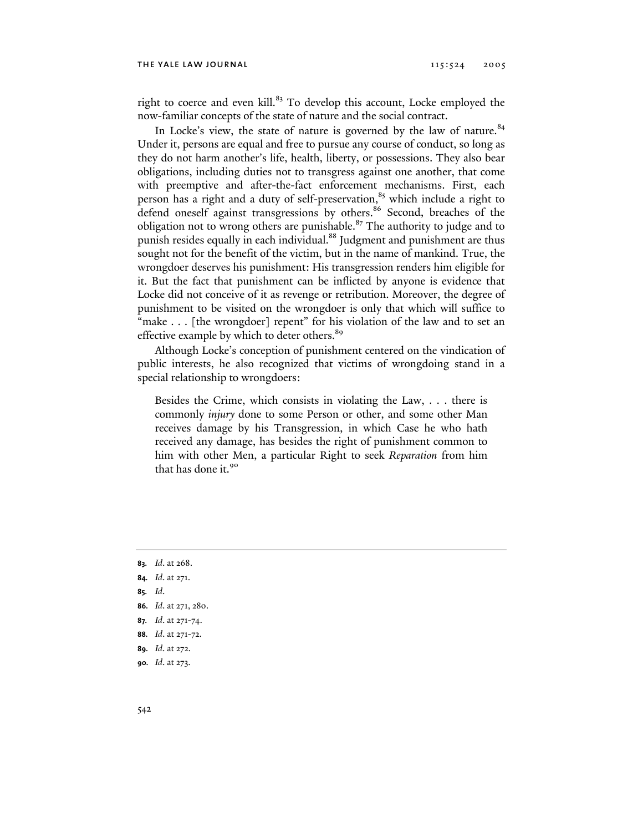right to coerce and even kill.<sup>83</sup> To develop this account, Locke employed the now-familiar concepts of the state of nature and the social contract.

In Locke's view, the state of nature is governed by the law of nature. $84$ Under it, persons are equal and free to pursue any course of conduct, so long as they do not harm another's life, health, liberty, or possessions. They also bear obligations, including duties not to transgress against one another, that come with preemptive and after-the-fact enforcement mechanisms. First, each person has a right and a duty of self-preservation,<sup>85</sup> which include a right to defend oneself against transgressions by others.<sup>86</sup> Second, breaches of the obligation not to wrong others are punishable.<sup>87</sup> The authority to judge and to punish resides equally in each individual.<sup>88</sup> Judgment and punishment are thus sought not for the benefit of the victim, but in the name of mankind. True, the wrongdoer deserves his punishment: His transgression renders him eligible for it. But the fact that punishment can be inflicted by anyone is evidence that Locke did not conceive of it as revenge or retribution. Moreover, the degree of punishment to be visited on the wrongdoer is only that which will suffice to "make . . . [the wrongdoer] repent" for his violation of the law and to set an effective example by which to deter others.<sup>89</sup>

Although Locke's conception of punishment centered on the vindication of public interests, he also recognized that victims of wrongdoing stand in a special relationship to wrongdoers:

Besides the Crime, which consists in violating the Law, . . . there is commonly *injury* done to some Person or other, and some other Man receives damage by his Transgression, in which Case he who hath received any damage, has besides the right of punishment common to him with other Men, a particular Right to seek *Reparation* from him that has done it.<sup>90</sup>

- **85.** *Id*.
- **86.** *Id*. at 271, 280.
- **87.** *Id*. at 271-74.
- **88.** *Id*. at 271-72.
- **89.** *Id*. at 272.
- **90.** *Id*. at 273.

**<sup>83.</sup>** *Id*. at 268.

**<sup>84.</sup>** *Id*. at 271.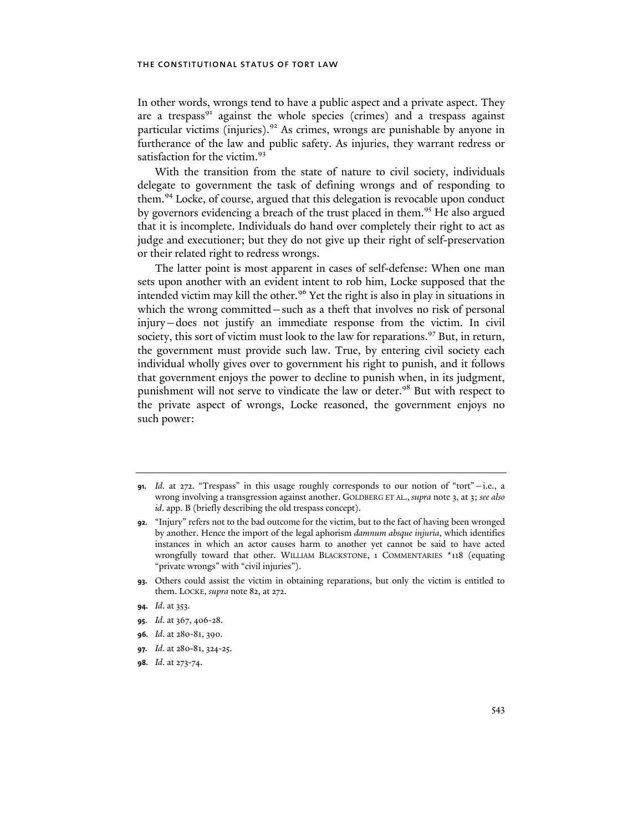In other words, wrongs tend to have a public aspect and a private aspect. They are a trespass<sup>91</sup> against the whole species (crimes) and a trespass against particular victims (injuries).<sup>92</sup> As crimes, wrongs are punishable by anyone in furtherance of the law and public safety. As injuries, they warrant redress or satisfaction for the victim.<sup>93</sup>

With the transition from the state of nature to civil society, individuals delegate to government the task of defining wrongs and of responding to them.94 Locke, of course, argued that this delegation is revocable upon conduct by governors evidencing a breach of the trust placed in them.<sup>95</sup> He also argued that it is incomplete. Individuals do hand over completely their right to act as judge and executioner; but they do not give up their right of self-preservation or their related right to redress wrongs.

The latter point is most apparent in cases of self-defense: When one man sets upon another with an evident intent to rob him, Locke supposed that the intended victim may kill the other.<sup>96</sup> Yet the right is also in play in situations in which the wrong committed—such as a theft that involves no risk of personal injury—does not justify an immediate response from the victim. In civil society, this sort of victim must look to the law for reparations.<sup>97</sup> But, in return, the government must provide such law. True, by entering civil society each individual wholly gives over to government his right to punish, and it follows that government enjoys the power to decline to punish when, in its judgment, punishment will not serve to vindicate the law or deter.<sup>98</sup> But with respect to the private aspect of wrongs, Locke reasoned, the government enjoys no such power:

- **93.** Others could assist the victim in obtaining reparations, but only the victim is entitled to them. LOCKE, *supra* note 82, at 272.
- **94.** *Id*. at 353.
- **95.** *Id*. at 367, 406-28.
- **96.** *Id*. at 280-81, 390.
- **97.** *Id*. at 280-81, 324-25.
- **98.** *Id*. at 273-74.

**<sup>91.</sup>** *Id*. at 272. "Trespass" in this usage roughly corresponds to our notion of "tort"—i.e., a wrong involving a transgression against another. GOLDBERG ET AL., *supra* note 3, at 3; *see also id*. app. B (briefly describing the old trespass concept).

**<sup>92.</sup>** "Injury" refers not to the bad outcome for the victim, but to the fact of having been wronged by another. Hence the import of the legal aphorism *damnum absque injuria*, which identifies instances in which an actor causes harm to another yet cannot be said to have acted wrongfully toward that other. WILLIAM BLACKSTONE, 1 COMMENTARIES \*118 (equating "private wrongs" with "civil injuries").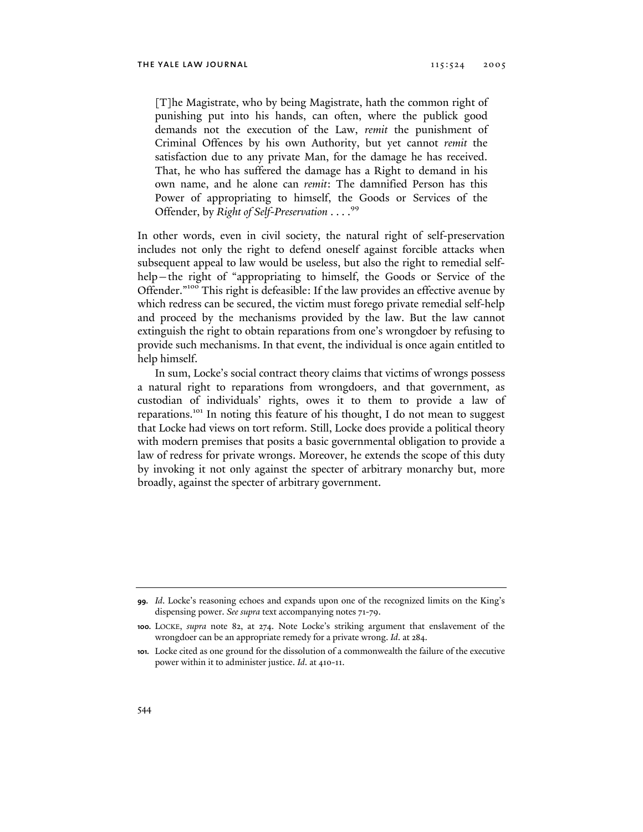[T]he Magistrate, who by being Magistrate, hath the common right of punishing put into his hands, can often, where the publick good demands not the execution of the Law, *remit* the punishment of Criminal Offences by his own Authority, but yet cannot *remit* the satisfaction due to any private Man, for the damage he has received. That, he who has suffered the damage has a Right to demand in his own name, and he alone can *remit*: The damnified Person has this Power of appropriating to himself, the Goods or Services of the Offender, by *Right of Self-Preservation* . . . .<sup>99</sup>

In other words, even in civil society, the natural right of self-preservation includes not only the right to defend oneself against forcible attacks when subsequent appeal to law would be useless, but also the right to remedial selfhelp–the right of "appropriating to himself, the Goods or Service of the Offender."100 This right is defeasible: If the law provides an effective avenue by which redress can be secured, the victim must forego private remedial self-help and proceed by the mechanisms provided by the law. But the law cannot extinguish the right to obtain reparations from one's wrongdoer by refusing to provide such mechanisms. In that event, the individual is once again entitled to help himself.

In sum, Locke's social contract theory claims that victims of wrongs possess a natural right to reparations from wrongdoers, and that government, as custodian of individuals' rights, owes it to them to provide a law of reparations.<sup>101</sup> In noting this feature of his thought, I do not mean to suggest that Locke had views on tort reform. Still, Locke does provide a political theory with modern premises that posits a basic governmental obligation to provide a law of redress for private wrongs. Moreover, he extends the scope of this duty by invoking it not only against the specter of arbitrary monarchy but, more broadly, against the specter of arbitrary government.

**<sup>99.</sup>** *Id*. Locke's reasoning echoes and expands upon one of the recognized limits on the King's dispensing power. *See supra* text accompanying notes 71-79.

**<sup>100.</sup>** LOCKE, *supra* note 82, at 274. Note Locke's striking argument that enslavement of the wrongdoer can be an appropriate remedy for a private wrong. *Id*. at 284.

**<sup>101.</sup>** Locke cited as one ground for the dissolution of a commonwealth the failure of the executive power within it to administer justice. *Id*. at 410-11.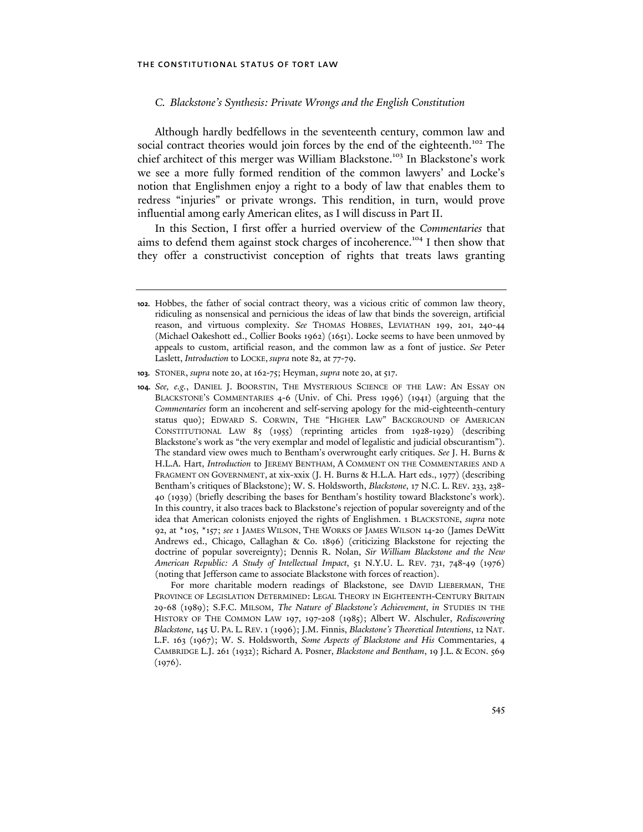## *C. Blackstone's Synthesis: Private Wrongs and the English Constitution*

Although hardly bedfellows in the seventeenth century, common law and social contract theories would join forces by the end of the eighteenth.<sup>102</sup> The chief architect of this merger was William Blackstone.<sup>103</sup> In Blackstone's work we see a more fully formed rendition of the common lawyers' and Locke's notion that Englishmen enjoy a right to a body of law that enables them to redress "injuries" or private wrongs. This rendition, in turn, would prove influential among early American elites, as I will discuss in Part II.

In this Section, I first offer a hurried overview of the *Commentaries* that aims to defend them against stock charges of incoherence.<sup>104</sup> I then show that they offer a constructivist conception of rights that treats laws granting

For more charitable modern readings of Blackstone, see DAVID LIEBERMAN, THE PROVINCE OF LEGISLATION DETERMINED: LEGAL THEORY IN EIGHTEENTH-CENTURY BRITAIN 29-68 (1989); S.F.C. MILSOM, *The Nature of Blackstone's Achievement*, *in* STUDIES IN THE HISTORY OF THE COMMON LAW 197, 197-208 (1985); Albert W. Alschuler, *Rediscovering Blackstone*, 145 U. PA. L. REV.1 (1996); J.M. Finnis, *Blackstone's Theoretical Intentions*, 12 NAT. L.F. 163 (1967); W. S. Holdsworth, *Some Aspects of Blackstone and His* Commentaries, 4 CAMBRIDGE L.J. 261 (1932); Richard A. Posner, *Blackstone and Bentham*, 19 J.L. & ECON. 569  $(1976).$ 

**<sup>102.</sup>** Hobbes, the father of social contract theory, was a vicious critic of common law theory, ridiculing as nonsensical and pernicious the ideas of law that binds the sovereign, artificial reason, and virtuous complexity. *See* THOMAS HOBBES, LEVIATHAN 199, 201, 240-44 (Michael Oakeshott ed., Collier Books 1962) (1651). Locke seems to have been unmoved by appeals to custom, artificial reason, and the common law as a font of justice. *See* Peter Laslett, *Introduction* to LOCKE, *supra* note 82, at 77-79.

**<sup>103.</sup>** STONER, *supra* note 20, at 162-75; Heyman, *supra* note 20, at 517.

**<sup>104.</sup>** *See, e.g.*, DANIEL J. BOORSTIN, THE MYSTERIOUS SCIENCE OF THE LAW: AN ESSAY ON BLACKSTONE'S COMMENTARIES 4-6 (Univ. of Chi. Press 1996) (1941) (arguing that the *Commentaries* form an incoherent and self-serving apology for the mid-eighteenth-century status quo); EDWARD S. CORWIN, THE "HIGHER LAW" BACKGROUND OF AMERICAN CONSTITUTIONAL LAW 85 (1955) (reprinting articles from 1928-1929) (describing Blackstone's work as "the very exemplar and model of legalistic and judicial obscurantism"). The standard view owes much to Bentham's overwrought early critiques. *See* J. H. Burns & H.L.A. Hart, *Introduction* to JEREMY BENTHAM, A COMMENT ON THE COMMENTARIES AND A FRAGMENT ON GOVERNMENT, at xix-xxix (J. H. Burns & H.L.A. Hart eds., 1977) (describing Bentham's critiques of Blackstone); W. S. Holdsworth, *Blackstone*, 17 N.C. L. REV. 233, 238- 40 (1939) (briefly describing the bases for Bentham's hostility toward Blackstone's work). In this country, it also traces back to Blackstone's rejection of popular sovereignty and of the idea that American colonists enjoyed the rights of Englishmen. 1 BLACKSTONE, *supra* note 92, at \*105, \*157; *see* 1 JAMES WILSON, THE WORKS OF JAMES WILSON 14-20 (James DeWitt Andrews ed., Chicago, Callaghan & Co. 1896) (criticizing Blackstone for rejecting the doctrine of popular sovereignty); Dennis R. Nolan, *Sir William Blackstone and the New American Republic: A Study of Intellectual Impact*, 51 N.Y.U. L. REV. 731, 748-49 (1976) (noting that Jefferson came to associate Blackstone with forces of reaction).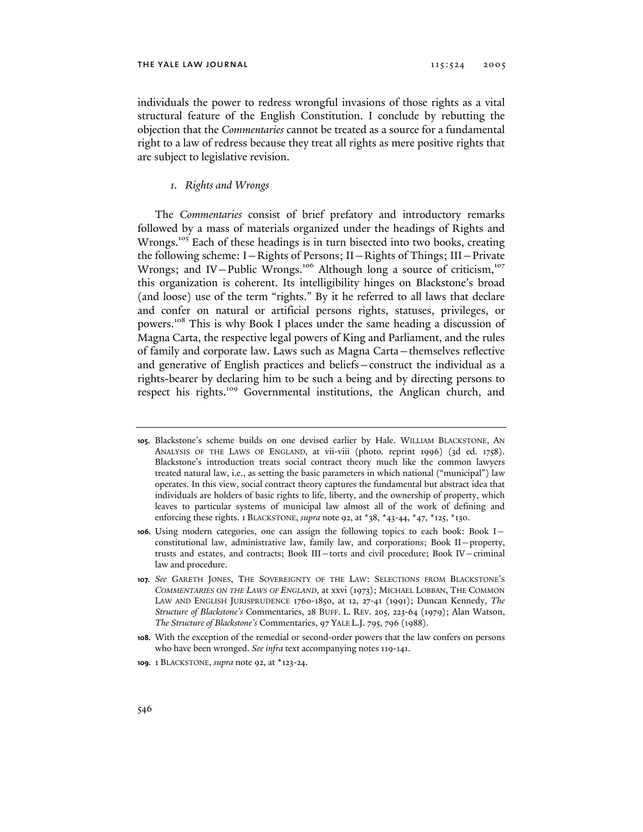individuals the power to redress wrongful invasions of those rights as a vital structural feature of the English Constitution. I conclude by rebutting the objection that the *Commentaries* cannot be treated as a source for a fundamental right to a law of redress because they treat all rights as mere positive rights that are subject to legislative revision.

## *1. Rights and Wrongs*

The *Commentaries* consist of brief prefatory and introductory remarks followed by a mass of materials organized under the headings of Rights and Wrongs.<sup>105</sup> Each of these headings is in turn bisected into two books, creating the following scheme: I—Rights of Persons; II—Rights of Things; III—Private Wrongs; and IV-Public Wrongs.<sup>106</sup> Although long a source of criticism,<sup>107</sup> this organization is coherent. Its intelligibility hinges on Blackstone's broad (and loose) use of the term "rights." By it he referred to all laws that declare and confer on natural or artificial persons rights, statuses, privileges, or powers.108 This is why Book I places under the same heading a discussion of Magna Carta, the respective legal powers of King and Parliament, and the rules of family and corporate law. Laws such as Magna Carta—themselves reflective and generative of English practices and beliefs—construct the individual as a rights-bearer by declaring him to be such a being and by directing persons to respect his rights.109 Governmental institutions, the Anglican church, and

**<sup>105.</sup>** Blackstone's scheme builds on one devised earlier by Hale. WILLIAM BLACKSTONE, AN ANALYSIS OF THE LAWS OF ENGLAND, at vii-viii (photo. reprint 1996) (3d ed. 1758). Blackstone's introduction treats social contract theory much like the common lawyers treated natural law, i.e., as setting the basic parameters in which national ("municipal") law operates. In this view, social contract theory captures the fundamental but abstract idea that individuals are holders of basic rights to life, liberty, and the ownership of property, which leaves to particular systems of municipal law almost all of the work of defining and enforcing these rights. 1 BLACKSTONE, *supra* note 92, at \*38, \*43-44, \*47, \*125, \*130.

**<sup>106.</sup>** Using modern categories, one can assign the following topics to each book: Book I constitutional law, administrative law, family law, and corporations; Book II—property, trusts and estates, and contracts; Book III—torts and civil procedure; Book IV—criminal law and procedure.

**<sup>107.</sup>** *See* GARETH JONES, THE SOVEREIGNTY OF THE LAW: SELECTIONS FROM BLACKSTONE'S *COMMENTARIES ON THE LAWS OF ENGLAND*, at xxvi (1973); MICHAEL LOBBAN, THE COMMON LAW AND ENGLISH JURISPRUDENCE 1760-1850, at 12, 27-41 (1991); Duncan Kennedy, *The Structure of Blackstone's* Commentaries, 28 BUFF. L. REV. 205, 223-64 (1979); Alan Watson, *The Structure of Blackstone's* Commentaries, 97 YALE L.J. 795, 796 (1988).

**<sup>108.</sup>** With the exception of the remedial or second-order powers that the law confers on persons who have been wronged. *See infra* text accompanying notes 119-141.

**<sup>109.</sup>** 1 BLACKSTONE, *supra* note 92, at \*123-24.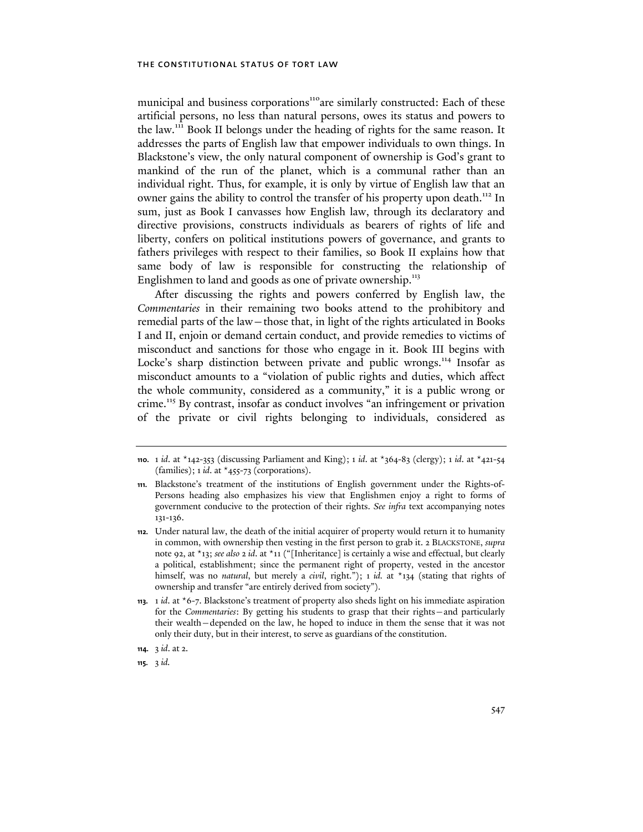municipal and business corporations<sup>110</sup>are similarly constructed: Each of these artificial persons, no less than natural persons, owes its status and powers to the law.111 Book II belongs under the heading of rights for the same reason. It addresses the parts of English law that empower individuals to own things. In Blackstone's view, the only natural component of ownership is God's grant to mankind of the run of the planet, which is a communal rather than an individual right. Thus, for example, it is only by virtue of English law that an owner gains the ability to control the transfer of his property upon death.<sup>112</sup> In sum, just as Book I canvasses how English law, through its declaratory and directive provisions, constructs individuals as bearers of rights of life and liberty, confers on political institutions powers of governance, and grants to fathers privileges with respect to their families, so Book II explains how that same body of law is responsible for constructing the relationship of Englishmen to land and goods as one of private ownership.<sup>113</sup>

After discussing the rights and powers conferred by English law, the *Commentaries* in their remaining two books attend to the prohibitory and remedial parts of the law—those that, in light of the rights articulated in Books I and II, enjoin or demand certain conduct, and provide remedies to victims of misconduct and sanctions for those who engage in it. Book III begins with Locke's sharp distinction between private and public wrongs.<sup>114</sup> Insofar as misconduct amounts to a "violation of public rights and duties, which affect the whole community, considered as a community," it is a public wrong or crime.<sup>115</sup> By contrast, insofar as conduct involves "an infringement or privation of the private or civil rights belonging to individuals, considered as

**115.** 3 *id.*

**<sup>110.</sup>** 1 *id*. at \*142-353 (discussing Parliament and King); 1 *id*. at \*364-83 (clergy); 1 *id*. at \*421-54 (families); 1 *id*. at \*455-73 (corporations).

**<sup>111.</sup>** Blackstone's treatment of the institutions of English government under the Rights-of-Persons heading also emphasizes his view that Englishmen enjoy a right to forms of government conducive to the protection of their rights. *See infra* text accompanying notes 131-136.

**<sup>112.</sup>** Under natural law, the death of the initial acquirer of property would return it to humanity in common, with ownership then vesting in the first person to grab it. 2 BLACKSTONE, *supra* note 92, at \*13; *see also* 2 *id*. at \*11 ("[Inheritance] is certainly a wise and effectual, but clearly a political, establishment; since the permanent right of property, vested in the ancestor himself, was no *natural*, but merely a *civil*, right."); 1 *id.* at \*134 (stating that rights of ownership and transfer "are entirely derived from society").

**<sup>113.</sup>** 1 *id*. at \*6-7. Blackstone's treatment of property also sheds light on his immediate aspiration for the *Commentaries*: By getting his students to grasp that their rights—and particularly their wealth—depended on the law, he hoped to induce in them the sense that it was not only their duty, but in their interest, to serve as guardians of the constitution.

**<sup>114.</sup>** 3 *id*. at 2.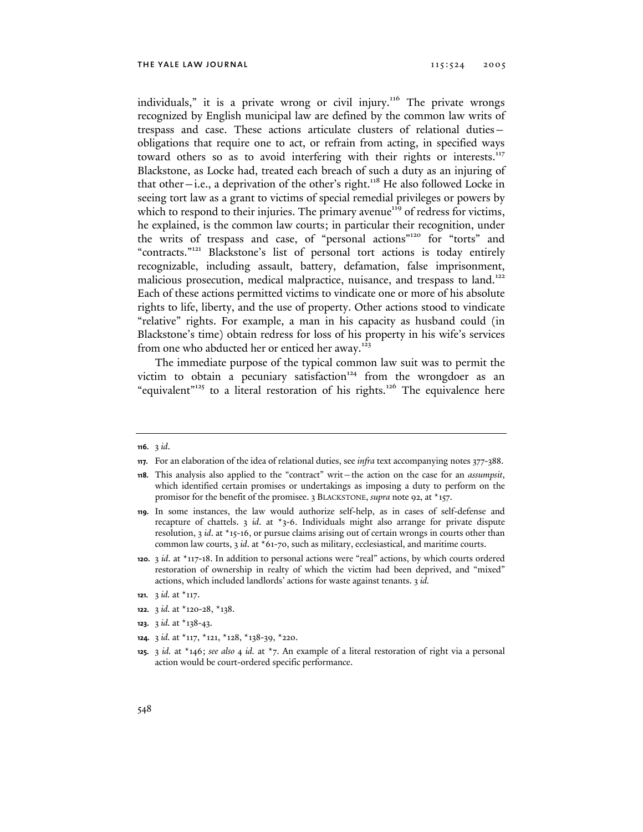individuals," it is a private wrong or civil injury.<sup>116</sup> The private wrongs recognized by English municipal law are defined by the common law writs of trespass and case. These actions articulate clusters of relational duties obligations that require one to act, or refrain from acting, in specified ways toward others so as to avoid interfering with their rights or interests.<sup>117</sup> Blackstone, as Locke had, treated each breach of such a duty as an injuring of that other—i.e., a deprivation of the other's right.<sup>118</sup> He also followed Locke in seeing tort law as a grant to victims of special remedial privileges or powers by which to respond to their injuries. The primary avenue<sup>119</sup> of redress for victims, he explained, is the common law courts; in particular their recognition, under the writs of trespass and case, of "personal actions"120 for "torts" and "contracts."<sup>121</sup> Blackstone's list of personal tort actions is today entirely recognizable, including assault, battery, defamation, false imprisonment, malicious prosecution, medical malpractice, nuisance, and trespass to land.<sup>122</sup> Each of these actions permitted victims to vindicate one or more of his absolute rights to life, liberty, and the use of property. Other actions stood to vindicate "relative" rights. For example, a man in his capacity as husband could (in Blackstone's time) obtain redress for loss of his property in his wife's services from one who abducted her or enticed her away.<sup>123</sup>

The immediate purpose of the typical common law suit was to permit the victim to obtain a pecuniary satisfaction $124$  from the wrongdoer as an "equivalent"<sup>125</sup> to a literal restoration of his rights.<sup>126</sup> The equivalence here

- **123.** 3 *id.* at \*138-43.
- **124.** 3 *id.* at \*117, \*121, \*128, \*138-39, \*220.

**<sup>116.</sup>** 3 *id*.

**<sup>117.</sup>** For an elaboration of the idea of relational duties, see *infra* text accompanying notes 377-388.

**<sup>118.</sup>** This analysis also applied to the "contract" writ—the action on the case for an *assumpsit*, which identified certain promises or undertakings as imposing a duty to perform on the promisor for the benefit of the promisee. 3 BLACKSTONE, *supra* note 92, at \*157.

**<sup>119.</sup>** In some instances, the law would authorize self-help, as in cases of self-defense and recapture of chattels. 3 *id*. at \*3-6. Individuals might also arrange for private dispute resolution, 3 *id*. at \*15-16, or pursue claims arising out of certain wrongs in courts other than common law courts, 3 *id*. at \*61-70, such as military, ecclesiastical, and maritime courts.

**<sup>120.</sup>** 3 *id*. at \*117-18. In addition to personal actions were "real" actions, by which courts ordered restoration of ownership in realty of which the victim had been deprived, and "mixed" actions, which included landlords' actions for waste against tenants. 3 *id.*

**<sup>121.</sup>** 3 *id.* at \*117.

**<sup>122.</sup>** 3 *id.* at \*120-28, \*138.

**<sup>125.</sup>** 3 *id.* at \*146; *see also* 4 *id.* at \*7. An example of a literal restoration of right via a personal action would be court-ordered specific performance.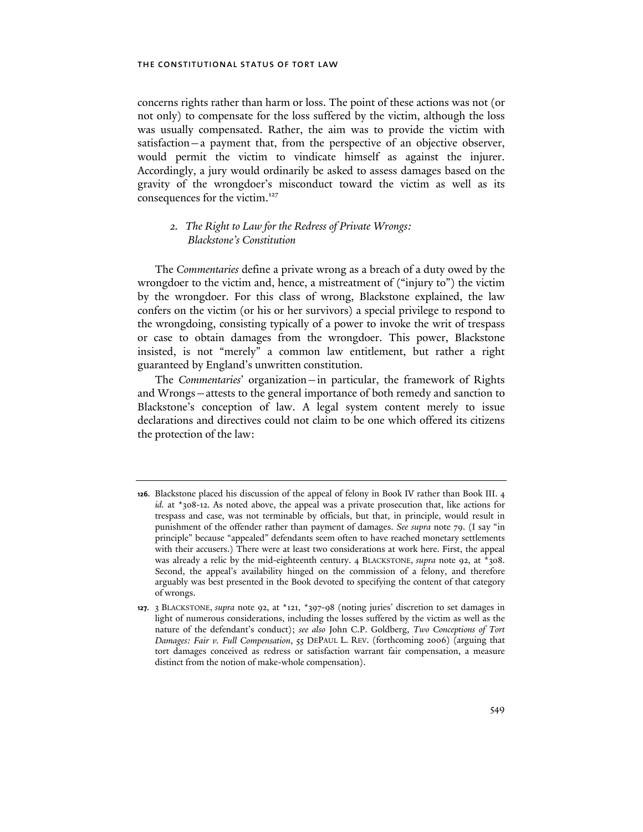concerns rights rather than harm or loss. The point of these actions was not (or not only) to compensate for the loss suffered by the victim, although the loss was usually compensated. Rather, the aim was to provide the victim with satisfaction—a payment that, from the perspective of an objective observer, would permit the victim to vindicate himself as against the injurer. Accordingly, a jury would ordinarily be asked to assess damages based on the gravity of the wrongdoer's misconduct toward the victim as well as its consequences for the victim.<sup>127</sup>

## *2. The Right to Law for the Redress of Private Wrongs: Blackstone's Constitution*

The *Commentaries* define a private wrong as a breach of a duty owed by the wrongdoer to the victim and, hence, a mistreatment of ("injury to") the victim by the wrongdoer. For this class of wrong, Blackstone explained, the law confers on the victim (or his or her survivors) a special privilege to respond to the wrongdoing, consisting typically of a power to invoke the writ of trespass or case to obtain damages from the wrongdoer. This power, Blackstone insisted, is not "merely" a common law entitlement, but rather a right guaranteed by England's unwritten constitution.

The *Commentaries*' organization—in particular, the framework of Rights and Wrongs—attests to the general importance of both remedy and sanction to Blackstone's conception of law. A legal system content merely to issue declarations and directives could not claim to be one which offered its citizens the protection of the law:

**<sup>126.</sup>** Blackstone placed his discussion of the appeal of felony in Book IV rather than Book III. 4 *id.* at \*308-12. As noted above, the appeal was a private prosecution that, like actions for trespass and case, was not terminable by officials, but that, in principle, would result in punishment of the offender rather than payment of damages. *See supra* note 79. (I say "in principle" because "appealed" defendants seem often to have reached monetary settlements with their accusers.) There were at least two considerations at work here. First, the appeal was already a relic by the mid-eighteenth century. 4 BLACKSTONE, *supra* note 92, at \*308. Second, the appeal's availability hinged on the commission of a felony, and therefore arguably was best presented in the Book devoted to specifying the content of that category of wrongs.

**<sup>127.</sup>** 3 BLACKSTONE, *supra* note 92, at \*121, \*397-98 (noting juries' discretion to set damages in light of numerous considerations, including the losses suffered by the victim as well as the nature of the defendant's conduct); *see also* John C.P. Goldberg, *Two Conceptions of Tort Damages: Fair v. Full Compensation*, 55 DEPAUL L. REV. (forthcoming 2006) (arguing that tort damages conceived as redress or satisfaction warrant fair compensation, a measure distinct from the notion of make-whole compensation).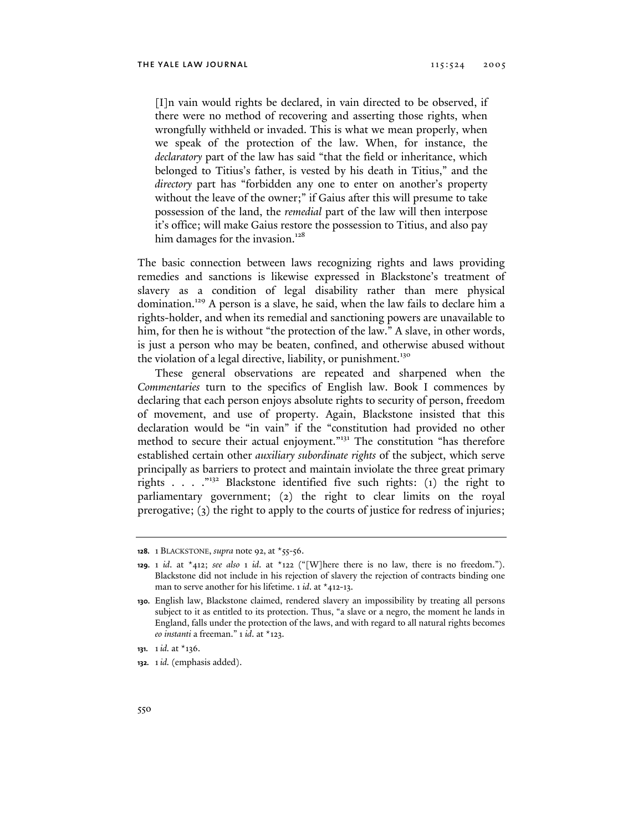[I]n vain would rights be declared, in vain directed to be observed, if there were no method of recovering and asserting those rights, when wrongfully withheld or invaded. This is what we mean properly, when we speak of the protection of the law. When, for instance, the *declaratory* part of the law has said "that the field or inheritance, which belonged to Titius's father, is vested by his death in Titius," and the *directory* part has "forbidden any one to enter on another's property without the leave of the owner;" if Gaius after this will presume to take possession of the land, the *remedial* part of the law will then interpose it's office; will make Gaius restore the possession to Titius, and also pay him damages for the invasion.<sup>128</sup>

The basic connection between laws recognizing rights and laws providing remedies and sanctions is likewise expressed in Blackstone's treatment of slavery as a condition of legal disability rather than mere physical domination.129 A person is a slave, he said, when the law fails to declare him a rights-holder, and when its remedial and sanctioning powers are unavailable to him, for then he is without "the protection of the law." A slave, in other words, is just a person who may be beaten, confined, and otherwise abused without the violation of a legal directive, liability, or punishment.<sup>130</sup>

These general observations are repeated and sharpened when the *Commentaries* turn to the specifics of English law. Book I commences by declaring that each person enjoys absolute rights to security of person, freedom of movement, and use of property. Again, Blackstone insisted that this declaration would be "in vain" if the "constitution had provided no other method to secure their actual enjoyment."<sup>131</sup> The constitution "has therefore established certain other *auxiliary subordinate rights* of the subject, which serve principally as barriers to protect and maintain inviolate the three great primary rights . . . ."132 Blackstone identified five such rights: (1) the right to parliamentary government; (2) the right to clear limits on the royal prerogative; (3) the right to apply to the courts of justice for redress of injuries;

**<sup>128.</sup>** 1 BLACKSTONE, *supra* note 92, at \*55-56.

**<sup>129.</sup>** 1 *id*. at \*412; *see also* 1 *id*. at \*122 ("[W]here there is no law, there is no freedom."). Blackstone did not include in his rejection of slavery the rejection of contracts binding one man to serve another for his lifetime. 1 *id*. at \*412-13.

**<sup>130.</sup>** English law, Blackstone claimed, rendered slavery an impossibility by treating all persons subject to it as entitled to its protection. Thus, "a slave or a negro, the moment he lands in England, falls under the protection of the laws, and with regard to all natural rights becomes *eo instanti* a freeman." 1 *id*. at \*123.

**<sup>131.</sup>** 1*id.* at \*136.

**<sup>132.</sup>** 1*id.* (emphasis added).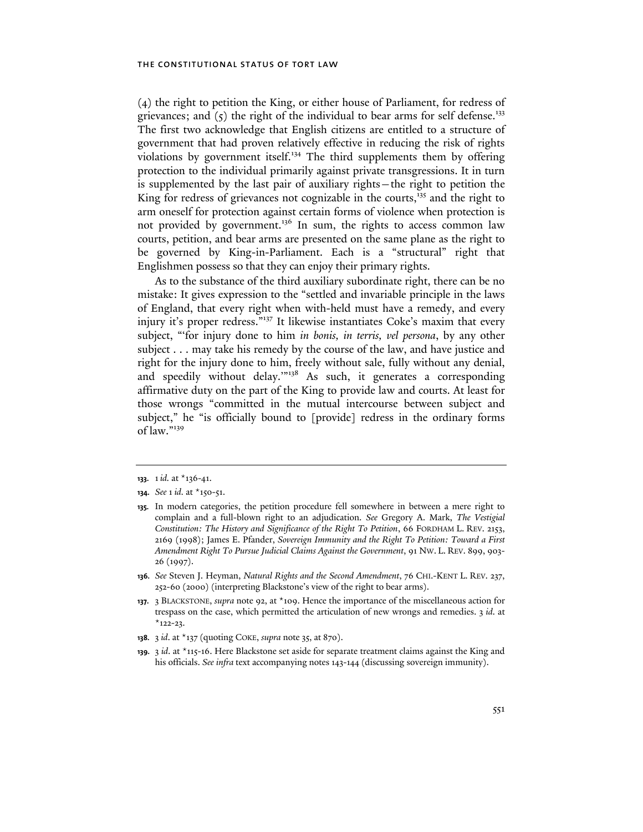(4) the right to petition the King, or either house of Parliament, for redress of grievances; and  $(5)$  the right of the individual to bear arms for self defense.<sup>133</sup> The first two acknowledge that English citizens are entitled to a structure of government that had proven relatively effective in reducing the risk of rights violations by government itself.<sup>134</sup> The third supplements them by offering protection to the individual primarily against private transgressions. It in turn is supplemented by the last pair of auxiliary rights—the right to petition the King for redress of grievances not cognizable in the courts,<sup>135</sup> and the right to arm oneself for protection against certain forms of violence when protection is not provided by government.<sup>136</sup> In sum, the rights to access common law courts, petition, and bear arms are presented on the same plane as the right to be governed by King-in-Parliament. Each is a "structural" right that Englishmen possess so that they can enjoy their primary rights.

As to the substance of the third auxiliary subordinate right, there can be no mistake: It gives expression to the "settled and invariable principle in the laws of England, that every right when with-held must have a remedy, and every injury it's proper redress."<sup>137</sup> It likewise instantiates Coke's maxim that every subject, "'for injury done to him *in bonis, in terris, vel persona*, by any other subject . . . may take his remedy by the course of the law, and have justice and right for the injury done to him, freely without sale, fully without any denial, and speedily without delay."<sup>138</sup> As such, it generates a corresponding affirmative duty on the part of the King to provide law and courts. At least for those wrongs "committed in the mutual intercourse between subject and subject," he "is officially bound to [provide] redress in the ordinary forms of law."<sup>139</sup>

**136.** *See* Steven J. Heyman, *Natural Rights and the Second Amendment*, 76 CHI.-KENT L. REV. 237, 252-60 (2000) (interpreting Blackstone's view of the right to bear arms).

- **138.** 3 *id*. at \*137 (quoting COKE, *supra* note 35, at 870).
- **139.** 3 *id*. at \*115-16. Here Blackstone set aside for separate treatment claims against the King and his officials. *See infra* text accompanying notes 143-144 (discussing sovereign immunity).

**<sup>133.</sup>** 1*id.* at \*136-41.

**<sup>134.</sup>** *See* 1 *id.* at \*150-51.

**<sup>135.</sup>** In modern categories, the petition procedure fell somewhere in between a mere right to complain and a full-blown right to an adjudication. *See* Gregory A. Mark, *The Vestigial Constitution: The History and Significance of the Right To Petition*, 66 FORDHAM L. REV. 2153, 2169 (1998); James E. Pfander, *Sovereign Immunity and the Right To Petition: Toward a First Amendment Right To Pursue Judicial Claims Against the Government*, 91 NW. L. REV. 899, 903- 26 (1997).

**<sup>137.</sup>** 3 BLACKSTONE, *supra* note 92, at \*109. Hence the importance of the miscellaneous action for trespass on the case, which permitted the articulation of new wrongs and remedies. 3 *id*. at  $*$ 122-23.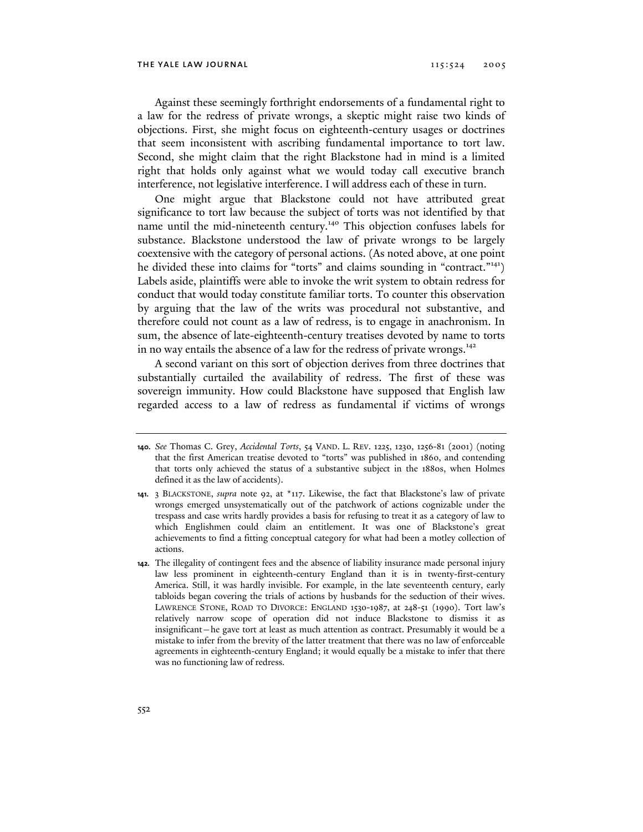Against these seemingly forthright endorsements of a fundamental right to a law for the redress of private wrongs, a skeptic might raise two kinds of objections. First, she might focus on eighteenth-century usages or doctrines that seem inconsistent with ascribing fundamental importance to tort law. Second, she might claim that the right Blackstone had in mind is a limited right that holds only against what we would today call executive branch interference, not legislative interference. I will address each of these in turn.

One might argue that Blackstone could not have attributed great significance to tort law because the subject of torts was not identified by that name until the mid-nineteenth century.<sup>140</sup> This objection confuses labels for substance. Blackstone understood the law of private wrongs to be largely coextensive with the category of personal actions. (As noted above, at one point he divided these into claims for "torts" and claims sounding in "contract."141) Labels aside, plaintiffs were able to invoke the writ system to obtain redress for conduct that would today constitute familiar torts. To counter this observation by arguing that the law of the writs was procedural not substantive, and therefore could not count as a law of redress, is to engage in anachronism. In sum, the absence of late-eighteenth-century treatises devoted by name to torts in no way entails the absence of a law for the redress of private wrongs.<sup>142</sup>

A second variant on this sort of objection derives from three doctrines that substantially curtailed the availability of redress. The first of these was sovereign immunity. How could Blackstone have supposed that English law regarded access to a law of redress as fundamental if victims of wrongs

**<sup>140.</sup>** *See* Thomas C. Grey, *Accidental Torts*, 54 VAND. L. REV. 1225, 1230, 1256-81 (2001) (noting that the first American treatise devoted to "torts" was published in 1860, and contending that torts only achieved the status of a substantive subject in the 1880s, when Holmes defined it as the law of accidents).

**<sup>141.</sup>** 3 BLACKSTONE, *supra* note 92, at \*117. Likewise, the fact that Blackstone's law of private wrongs emerged unsystematically out of the patchwork of actions cognizable under the trespass and case writs hardly provides a basis for refusing to treat it as a category of law to which Englishmen could claim an entitlement. It was one of Blackstone's great achievements to find a fitting conceptual category for what had been a motley collection of actions.

**<sup>142.</sup>** The illegality of contingent fees and the absence of liability insurance made personal injury law less prominent in eighteenth-century England than it is in twenty-first-century America. Still, it was hardly invisible. For example, in the late seventeenth century, early tabloids began covering the trials of actions by husbands for the seduction of their wives. LAWRENCE STONE, ROAD TO DIVORCE: ENGLAND 1530-1987, at 248-51 (1990). Tort law's relatively narrow scope of operation did not induce Blackstone to dismiss it as insignificant—he gave tort at least as much attention as contract. Presumably it would be a mistake to infer from the brevity of the latter treatment that there was no law of enforceable agreements in eighteenth-century England; it would equally be a mistake to infer that there was no functioning law of redress.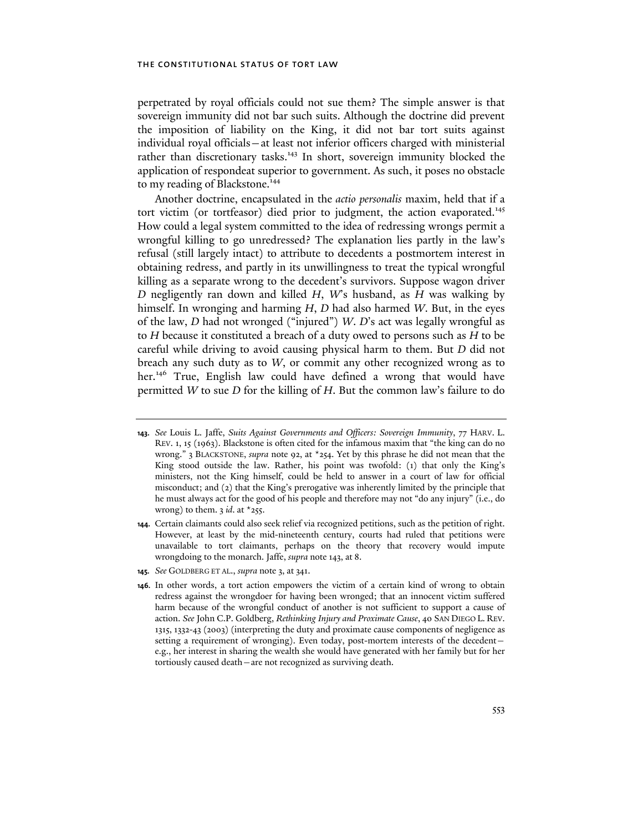perpetrated by royal officials could not sue them? The simple answer is that sovereign immunity did not bar such suits. Although the doctrine did prevent the imposition of liability on the King, it did not bar tort suits against individual royal officials—at least not inferior officers charged with ministerial rather than discretionary tasks.<sup>143</sup> In short, sovereign immunity blocked the application of respondeat superior to government. As such, it poses no obstacle to my reading of Blackstone.<sup>144</sup>

Another doctrine, encapsulated in the *actio personalis* maxim, held that if a tort victim (or tortfeasor) died prior to judgment, the action evaporated.<sup>145</sup> How could a legal system committed to the idea of redressing wrongs permit a wrongful killing to go unredressed? The explanation lies partly in the law's refusal (still largely intact) to attribute to decedents a postmortem interest in obtaining redress, and partly in its unwillingness to treat the typical wrongful killing as a separate wrong to the decedent's survivors. Suppose wagon driver *D* negligently ran down and killed *H*, *W*'s husband, as *H* was walking by himself. In wronging and harming *H*, *D* had also harmed *W*. But, in the eyes of the law, *D* had not wronged ("injured") *W*. *D*'s act was legally wrongful as to *H* because it constituted a breach of a duty owed to persons such as *H* to be careful while driving to avoid causing physical harm to them. But *D* did not breach any such duty as to *W*, or commit any other recognized wrong as to her.<sup>146</sup> True, English law could have defined a wrong that would have permitted *W* to sue *D* for the killing of *H*. But the common law's failure to do

**145.** *See* GOLDBERG ET AL., *supra* note 3, at 341.

**<sup>143.</sup>** *See* Louis L. Jaffe, *Suits Against Governments and Officers: Sovereign Immunity*, 77 HARV. L. REV. 1, 15 (1963). Blackstone is often cited for the infamous maxim that "the king can do no wrong." 3 BLACKSTONE, *supra* note 92, at \*254. Yet by this phrase he did not mean that the King stood outside the law. Rather, his point was twofold: (1) that only the King's ministers, not the King himself, could be held to answer in a court of law for official misconduct; and (2) that the King's prerogative was inherently limited by the principle that he must always act for the good of his people and therefore may not "do any injury" (i.e., do wrong) to them.  $3$  *id*. at  $*$ 255.

**<sup>144.</sup>** Certain claimants could also seek relief via recognized petitions, such as the petition of right. However, at least by the mid-nineteenth century, courts had ruled that petitions were unavailable to tort claimants, perhaps on the theory that recovery would impute wrongdoing to the monarch. Jaffe, *supra* note 143, at 8.

**<sup>146.</sup>** In other words, a tort action empowers the victim of a certain kind of wrong to obtain redress against the wrongdoer for having been wronged; that an innocent victim suffered harm because of the wrongful conduct of another is not sufficient to support a cause of action. *See* John C.P. Goldberg, *Rethinking Injury and Proximate Cause*, 40 SAN DIEGO L. REV. 1315, 1332-43 (2003) (interpreting the duty and proximate cause components of negligence as setting a requirement of wronging). Even today, post-mortem interests of the decedent e.g., her interest in sharing the wealth she would have generated with her family but for her tortiously caused death—are not recognized as surviving death.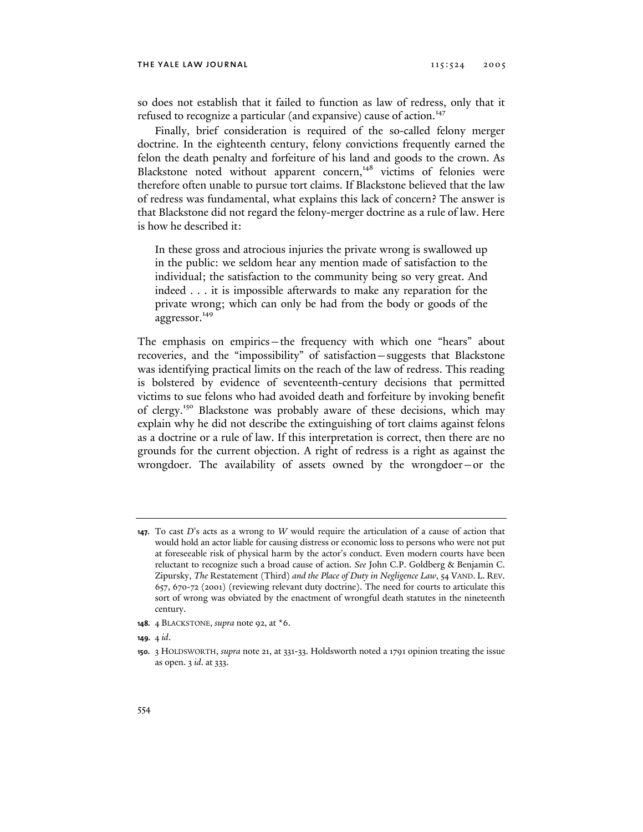so does not establish that it failed to function as law of redress, only that it refused to recognize a particular (and expansive) cause of action.<sup>147</sup>

Finally, brief consideration is required of the so-called felony merger doctrine. In the eighteenth century, felony convictions frequently earned the felon the death penalty and forfeiture of his land and goods to the crown. As Blackstone noted without apparent concern,<sup>148</sup> victims of felonies were therefore often unable to pursue tort claims. If Blackstone believed that the law of redress was fundamental, what explains this lack of concern? The answer is that Blackstone did not regard the felony-merger doctrine as a rule of law. Here is how he described it:

In these gross and atrocious injuries the private wrong is swallowed up in the public: we seldom hear any mention made of satisfaction to the individual; the satisfaction to the community being so very great. And indeed . . . it is impossible afterwards to make any reparation for the private wrong; which can only be had from the body or goods of the aggressor.<sup>149</sup>

The emphasis on empirics—the frequency with which one "hears" about recoveries, and the "impossibility" of satisfaction—suggests that Blackstone was identifying practical limits on the reach of the law of redress. This reading is bolstered by evidence of seventeenth-century decisions that permitted victims to sue felons who had avoided death and forfeiture by invoking benefit of clergy.150 Blackstone was probably aware of these decisions, which may explain why he did not describe the extinguishing of tort claims against felons as a doctrine or a rule of law. If this interpretation is correct, then there are no grounds for the current objection. A right of redress is a right as against the wrongdoer. The availability of assets owned by the wrongdoer—or the

**<sup>147.</sup>** To cast *D*'s acts as a wrong to *W* would require the articulation of a cause of action that would hold an actor liable for causing distress or economic loss to persons who were not put at foreseeable risk of physical harm by the actor's conduct. Even modern courts have been reluctant to recognize such a broad cause of action. *See* John C.P. Goldberg & Benjamin C. Zipursky, *The* Restatement (Third) *and the Place of Duty in Negligence Law*, 54 VAND. L. REV. 657, 670-72 (2001) (reviewing relevant duty doctrine). The need for courts to articulate this sort of wrong was obviated by the enactment of wrongful death statutes in the nineteenth century.

**<sup>148.</sup>** 4 BLACKSTONE, *supra* note 92, at \*6.

**<sup>149.</sup>** 4 *id*.

**<sup>150.</sup>** 3 HOLDSWORTH, *supra* note 21, at 331-33. Holdsworth noted a 1791 opinion treating the issue as open. 3 *id*. at 333.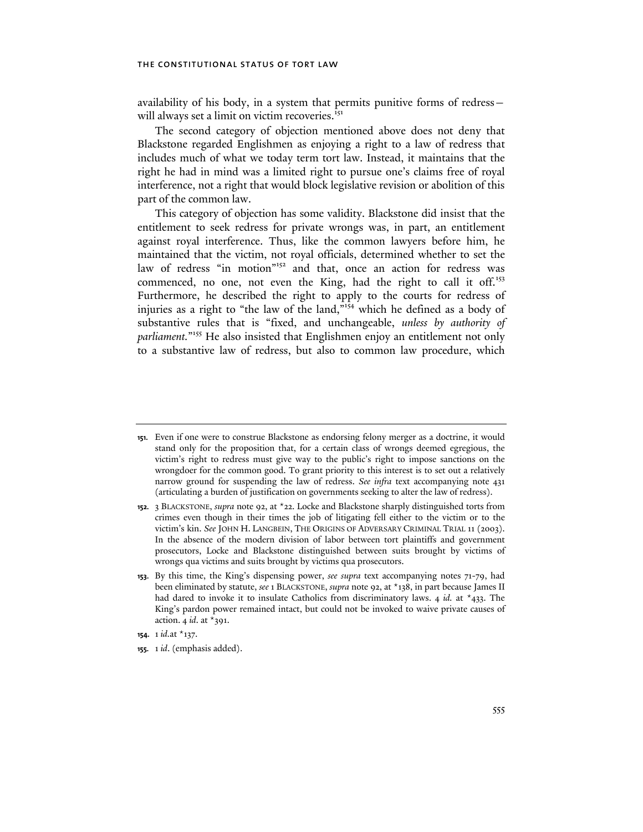availability of his body, in a system that permits punitive forms of redress will always set a limit on victim recoveries.<sup>151</sup>

The second category of objection mentioned above does not deny that Blackstone regarded Englishmen as enjoying a right to a law of redress that includes much of what we today term tort law. Instead, it maintains that the right he had in mind was a limited right to pursue one's claims free of royal interference, not a right that would block legislative revision or abolition of this part of the common law.

This category of objection has some validity. Blackstone did insist that the entitlement to seek redress for private wrongs was, in part, an entitlement against royal interference. Thus, like the common lawyers before him, he maintained that the victim, not royal officials, determined whether to set the law of redress "in motion"<sup>152</sup> and that, once an action for redress was commenced, no one, not even the King, had the right to call it off.<sup>153</sup> Furthermore, he described the right to apply to the courts for redress of injuries as a right to "the law of the land,"154 which he defined as a body of substantive rules that is "fixed, and unchangeable, *unless by authority of*  parliament."<sup>155</sup> He also insisted that Englishmen enjoy an entitlement not only to a substantive law of redress, but also to common law procedure, which

**155.** 1 *id*. (emphasis added).

**<sup>151.</sup>** Even if one were to construe Blackstone as endorsing felony merger as a doctrine, it would stand only for the proposition that, for a certain class of wrongs deemed egregious, the victim's right to redress must give way to the public's right to impose sanctions on the wrongdoer for the common good. To grant priority to this interest is to set out a relatively narrow ground for suspending the law of redress. *See infra* text accompanying note 431 (articulating a burden of justification on governments seeking to alter the law of redress).

**<sup>152.</sup>** 3 BLACKSTONE, *supra* note 92, at \*22. Locke and Blackstone sharply distinguished torts from crimes even though in their times the job of litigating fell either to the victim or to the victim's kin. *See* JOHN H. LANGBEIN, THE ORIGINS OF ADVERSARY CRIMINAL TRIAL 11 (2003). In the absence of the modern division of labor between tort plaintiffs and government prosecutors, Locke and Blackstone distinguished between suits brought by victims of wrongs qua victims and suits brought by victims qua prosecutors.

**<sup>153.</sup>** By this time, the King's dispensing power, *see supra* text accompanying notes 71-79, had been eliminated by statute, *see* 1 BLACKSTONE, *supra* note 92, at \*138, in part because James II had dared to invoke it to insulate Catholics from discriminatory laws. 4 *id.* at \*433. The King's pardon power remained intact, but could not be invoked to waive private causes of action. 4 *id*. at \*391.

**<sup>154.</sup>** 1 *id.*at \*137.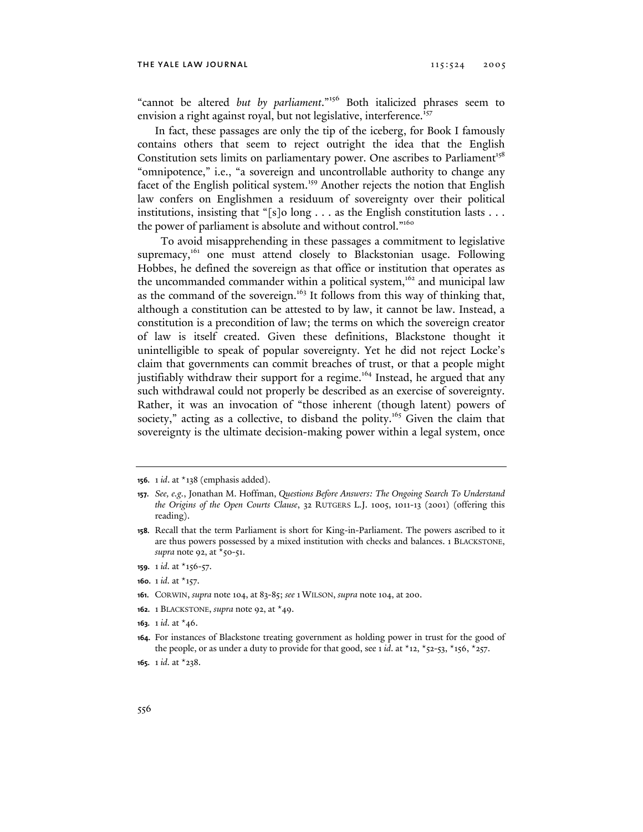"cannot be altered *but by parliament*."156 Both italicized phrases seem to envision a right against royal, but not legislative, interference.<sup>157</sup>

In fact, these passages are only the tip of the iceberg, for Book I famously contains others that seem to reject outright the idea that the English Constitution sets limits on parliamentary power. One ascribes to Parliament<sup>158</sup> "omnipotence," i.e., "a sovereign and uncontrollable authority to change any facet of the English political system.<sup>159</sup> Another rejects the notion that English law confers on Englishmen a residuum of sovereignty over their political institutions, insisting that "[s]o long  $\dots$  as the English constitution lasts  $\dots$ the power of parliament is absolute and without control."<sup>160</sup>

 To avoid misapprehending in these passages a commitment to legislative supremacy,<sup>161</sup> one must attend closely to Blackstonian usage. Following Hobbes, he defined the sovereign as that office or institution that operates as the uncommanded commander within a political system,<sup>162</sup> and municipal law as the command of the sovereign.<sup>163</sup> It follows from this way of thinking that, although a constitution can be attested to by law, it cannot be law. Instead, a constitution is a precondition of law; the terms on which the sovereign creator of law is itself created. Given these definitions, Blackstone thought it unintelligible to speak of popular sovereignty. Yet he did not reject Locke's claim that governments can commit breaches of trust, or that a people might justifiably withdraw their support for a regime.<sup>164</sup> Instead, he argued that any such withdrawal could not properly be described as an exercise of sovereignty. Rather, it was an invocation of "those inherent (though latent) powers of society," acting as a collective, to disband the polity.<sup>165</sup> Given the claim that sovereignty is the ultimate decision-making power within a legal system, once

- **159.** 1 *id.* at \*156-57.
- **160.** 1 *id.* at \*157.
- **161.** CORWIN, *supra* note 104, at 83-85; *see* 1 WILSON, *supra* note 104, at 200.
- **162.** 1 BLACKSTONE, *supra* note 92, at \*49.
- **163.** 1 *id.* at \*46.

**<sup>156.</sup>** 1 *id*. at \*138 (emphasis added).

**<sup>157.</sup>** *See, e.g.*, Jonathan M. Hoffman, *Questions Before Answers: The Ongoing Search To Understand the Origins of the Open Courts Clause*, 32 RUTGERS L.J. 1005, 1011-13 (2001) (offering this reading).

**<sup>158.</sup>** Recall that the term Parliament is short for King-in-Parliament. The powers ascribed to it are thus powers possessed by a mixed institution with checks and balances. 1 BLACKSTONE, *supra* note 92, at \*50-51.

**<sup>164.</sup>** For instances of Blackstone treating government as holding power in trust for the good of the people, or as under a duty to provide for that good, see 1 *id*. at  $x_{12}$ ,  $x_{52}$ -53,  $x_{15}$ 6,  $x_{257}$ .

**<sup>165.</sup>** 1 *id.* at \*238.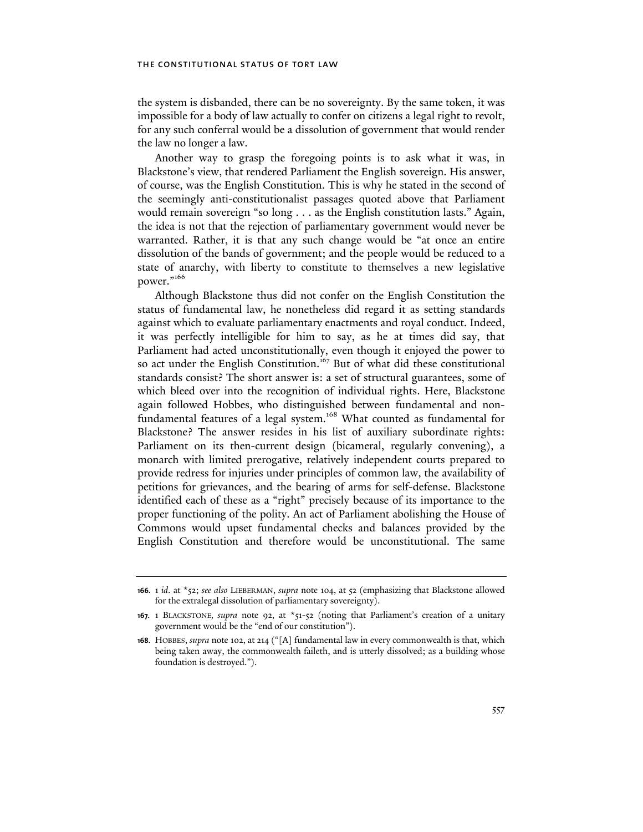the system is disbanded, there can be no sovereignty. By the same token, it was impossible for a body of law actually to confer on citizens a legal right to revolt, for any such conferral would be a dissolution of government that would render the law no longer a law.

Another way to grasp the foregoing points is to ask what it was, in Blackstone's view, that rendered Parliament the English sovereign. His answer, of course, was the English Constitution. This is why he stated in the second of the seemingly anti-constitutionalist passages quoted above that Parliament would remain sovereign "so long . . . as the English constitution lasts." Again, the idea is not that the rejection of parliamentary government would never be warranted. Rather, it is that any such change would be "at once an entire dissolution of the bands of government; and the people would be reduced to a state of anarchy, with liberty to constitute to themselves a new legislative power."<sup>166</sup>

Although Blackstone thus did not confer on the English Constitution the status of fundamental law, he nonetheless did regard it as setting standards against which to evaluate parliamentary enactments and royal conduct. Indeed, it was perfectly intelligible for him to say, as he at times did say, that Parliament had acted unconstitutionally, even though it enjoyed the power to so act under the English Constitution.<sup>167</sup> But of what did these constitutional standards consist? The short answer is: a set of structural guarantees, some of which bleed over into the recognition of individual rights. Here, Blackstone again followed Hobbes, who distinguished between fundamental and nonfundamental features of a legal system.<sup>168</sup> What counted as fundamental for Blackstone? The answer resides in his list of auxiliary subordinate rights: Parliament on its then-current design (bicameral, regularly convening), a monarch with limited prerogative, relatively independent courts prepared to provide redress for injuries under principles of common law, the availability of petitions for grievances, and the bearing of arms for self-defense. Blackstone identified each of these as a "right" precisely because of its importance to the proper functioning of the polity. An act of Parliament abolishing the House of Commons would upset fundamental checks and balances provided by the English Constitution and therefore would be unconstitutional. The same

**<sup>166.</sup>** 1 *id*. at \*52; *see also* LIEBERMAN, *supra* note 104, at 52 (emphasizing that Blackstone allowed for the extralegal dissolution of parliamentary sovereignty).

**<sup>167.</sup>** 1 BLACKSTONE*, supra* note 92, at \*51-52 (noting that Parliament's creation of a unitary government would be the "end of our constitution").

**<sup>168.</sup>** HOBBES, *supra* note 102, at 214 ("[A] fundamental law in every commonwealth is that, which being taken away, the commonwealth faileth, and is utterly dissolved; as a building whose foundation is destroyed.").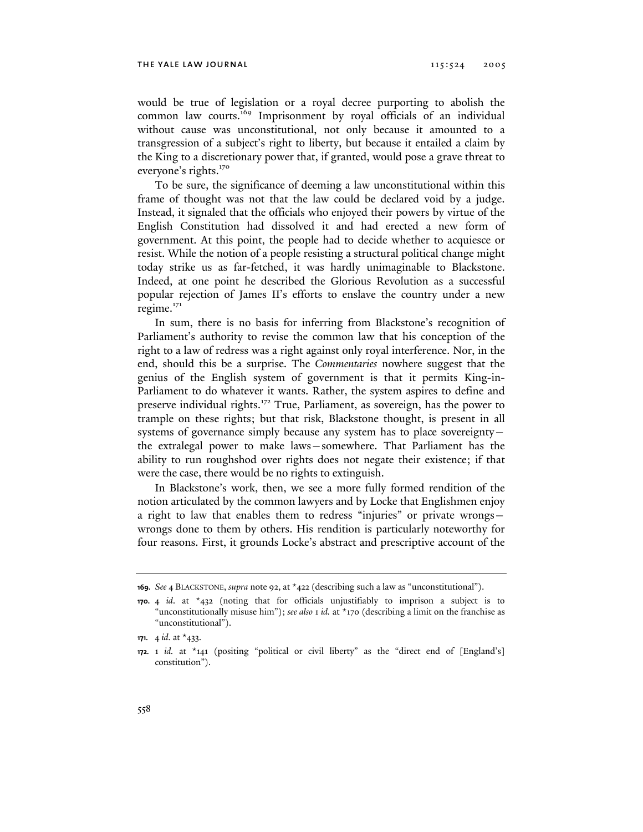would be true of legislation or a royal decree purporting to abolish the common law courts.<sup>169</sup> Imprisonment by royal officials of an individual without cause was unconstitutional, not only because it amounted to a transgression of a subject's right to liberty, but because it entailed a claim by the King to a discretionary power that, if granted, would pose a grave threat to everyone's rights.<sup>170</sup>

To be sure, the significance of deeming a law unconstitutional within this frame of thought was not that the law could be declared void by a judge. Instead, it signaled that the officials who enjoyed their powers by virtue of the English Constitution had dissolved it and had erected a new form of government. At this point, the people had to decide whether to acquiesce or resist. While the notion of a people resisting a structural political change might today strike us as far-fetched, it was hardly unimaginable to Blackstone. Indeed, at one point he described the Glorious Revolution as a successful popular rejection of James II's efforts to enslave the country under a new regime. $171$ 

In sum, there is no basis for inferring from Blackstone's recognition of Parliament's authority to revise the common law that his conception of the right to a law of redress was a right against only royal interference. Nor, in the end, should this be a surprise. The *Commentaries* nowhere suggest that the genius of the English system of government is that it permits King-in-Parliament to do whatever it wants. Rather, the system aspires to define and preserve individual rights.<sup>172</sup> True, Parliament, as sovereign, has the power to trample on these rights; but that risk, Blackstone thought, is present in all systems of governance simply because any system has to place sovereignty the extralegal power to make laws—somewhere. That Parliament has the ability to run roughshod over rights does not negate their existence; if that were the case, there would be no rights to extinguish.

In Blackstone's work, then, we see a more fully formed rendition of the notion articulated by the common lawyers and by Locke that Englishmen enjoy a right to law that enables them to redress "injuries" or private wrongs wrongs done to them by others. His rendition is particularly noteworthy for four reasons. First, it grounds Locke's abstract and prescriptive account of the

**<sup>169.</sup>** *See* 4 BLACKSTONE, *supra* note 92, at \*422 (describing such a law as "unconstitutional").

**<sup>170.</sup>** 4 *id*. at \*432 (noting that for officials unjustifiably to imprison a subject is to "unconstitutionally misuse him"); *see also* 1 *id.* at \*170 (describing a limit on the franchise as "unconstitutional").

**<sup>171.</sup>** 4 *id.* at \*433.

**<sup>172.</sup>** 1 *id.* at \*141 (positing "political or civil liberty" as the "direct end of [England's] constitution").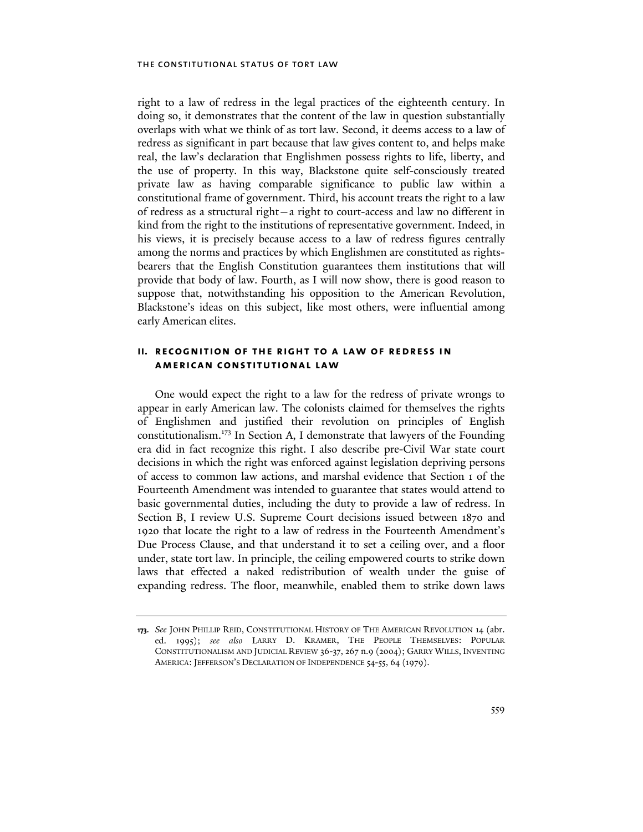right to a law of redress in the legal practices of the eighteenth century. In doing so, it demonstrates that the content of the law in question substantially overlaps with what we think of as tort law. Second, it deems access to a law of redress as significant in part because that law gives content to, and helps make real, the law's declaration that Englishmen possess rights to life, liberty, and the use of property. In this way, Blackstone quite self-consciously treated private law as having comparable significance to public law within a constitutional frame of government. Third, his account treats the right to a law of redress as a structural right—a right to court-access and law no different in kind from the right to the institutions of representative government. Indeed, in his views, it is precisely because access to a law of redress figures centrally among the norms and practices by which Englishmen are constituted as rightsbearers that the English Constitution guarantees them institutions that will provide that body of law. Fourth, as I will now show, there is good reason to suppose that, notwithstanding his opposition to the American Revolution, Blackstone's ideas on this subject, like most others, were influential among early American elites.

## **ii. recognition of the right to a law of redress in american constitutional law**

One would expect the right to a law for the redress of private wrongs to appear in early American law. The colonists claimed for themselves the rights of Englishmen and justified their revolution on principles of English constitutionalism.<sup>173</sup> In Section A, I demonstrate that lawyers of the Founding era did in fact recognize this right. I also describe pre-Civil War state court decisions in which the right was enforced against legislation depriving persons of access to common law actions, and marshal evidence that Section 1 of the Fourteenth Amendment was intended to guarantee that states would attend to basic governmental duties, including the duty to provide a law of redress. In Section B, I review U.S. Supreme Court decisions issued between 1870 and 1920 that locate the right to a law of redress in the Fourteenth Amendment's Due Process Clause, and that understand it to set a ceiling over, and a floor under, state tort law. In principle, the ceiling empowered courts to strike down laws that effected a naked redistribution of wealth under the guise of expanding redress. The floor, meanwhile, enabled them to strike down laws

**<sup>173.</sup>** *See* JOHN PHILLIP REID, CONSTITUTIONAL HISTORY OF THE AMERICAN REVOLUTION 14 (abr. ed. 1995); *see also* LARRY D. KRAMER, THE PEOPLE THEMSELVES: POPULAR CONSTITUTIONALISM AND JUDICIAL REVIEW 36-37, 267 n.9 (2004); GARRY WILLS, INVENTING AMERICA: JEFFERSON'S DECLARATION OF INDEPENDENCE 54-55, 64 (1979).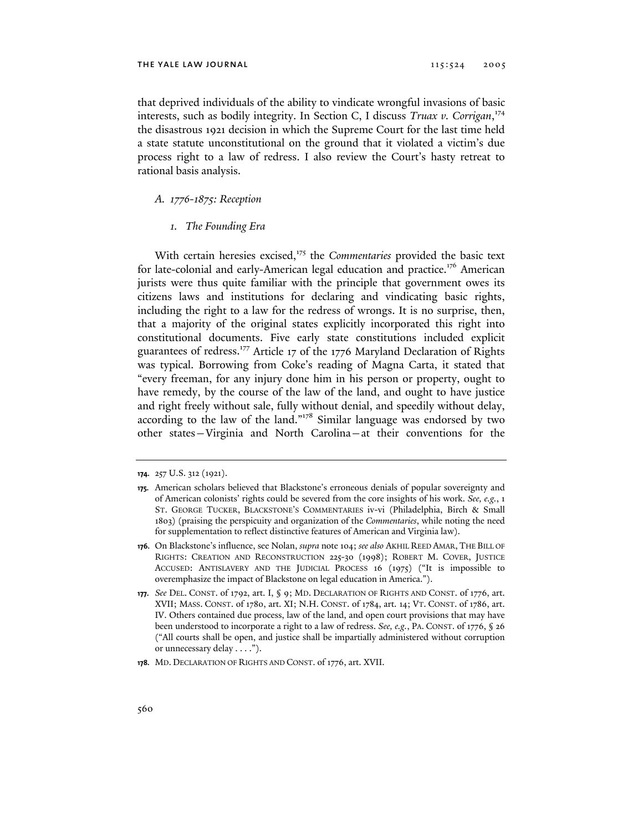that deprived individuals of the ability to vindicate wrongful invasions of basic interests, such as bodily integrity. In Section C, I discuss *Truax v. Corrigan*, 174 the disastrous 1921 decision in which the Supreme Court for the last time held a state statute unconstitutional on the ground that it violated a victim's due process right to a law of redress. I also review the Court's hasty retreat to rational basis analysis.

# *A. 1776-1875: Reception*

# *1. The Founding Era*

With certain heresies excised,<sup>175</sup> the *Commentaries* provided the basic text for late-colonial and early-American legal education and practice.<sup>176</sup> American jurists were thus quite familiar with the principle that government owes its citizens laws and institutions for declaring and vindicating basic rights, including the right to a law for the redress of wrongs. It is no surprise, then, that a majority of the original states explicitly incorporated this right into constitutional documents. Five early state constitutions included explicit guarantees of redress.<sup>177</sup> Article 17 of the 1776 Maryland Declaration of Rights was typical. Borrowing from Coke's reading of Magna Carta, it stated that "every freeman, for any injury done him in his person or property, ought to have remedy, by the course of the law of the land, and ought to have justice and right freely without sale, fully without denial, and speedily without delay, according to the law of the land."178 Similar language was endorsed by two other states—Virginia and North Carolina—at their conventions for the

**<sup>174.</sup>** 257 U.S. 312 (1921).

**<sup>175.</sup>** American scholars believed that Blackstone's erroneous denials of popular sovereignty and of American colonists' rights could be severed from the core insights of his work. *See, e.g.*, 1 ST. GEORGE TUCKER, BLACKSTONE'S COMMENTARIES iv-vi (Philadelphia, Birch & Small 1803) (praising the perspicuity and organization of the *Commentaries*, while noting the need for supplementation to reflect distinctive features of American and Virginia law).

**<sup>176.</sup>** On Blackstone's influence, see Nolan, *supra* note 104; *see also* AKHIL REED AMAR, THE BILL OF RIGHTS: CREATION AND RECONSTRUCTION 225-30 (1998); ROBERT M. COVER, JUSTICE ACCUSED: ANTISLAVERY AND THE JUDICIAL PROCESS 16 (1975) ("It is impossible to overemphasize the impact of Blackstone on legal education in America.").

**<sup>177.</sup>** *See* DEL. CONST. of 1792, art. I, § 9; MD. DECLARATION OF RIGHTS AND CONST. of 1776, art. XVII; MASS. CONST. of 1780, art. XI; N.H. CONST. of 1784, art. 14; VT. CONST. of 1786, art. IV. Others contained due process, law of the land, and open court provisions that may have been understood to incorporate a right to a law of redress. *See, e.g.*, PA. CONST. of 1776, § 26 ("All courts shall be open, and justice shall be impartially administered without corruption or unnecessary delay . . . .").

**<sup>178.</sup>** MD. DECLARATION OF RIGHTS AND CONST. of 1776, art. XVII.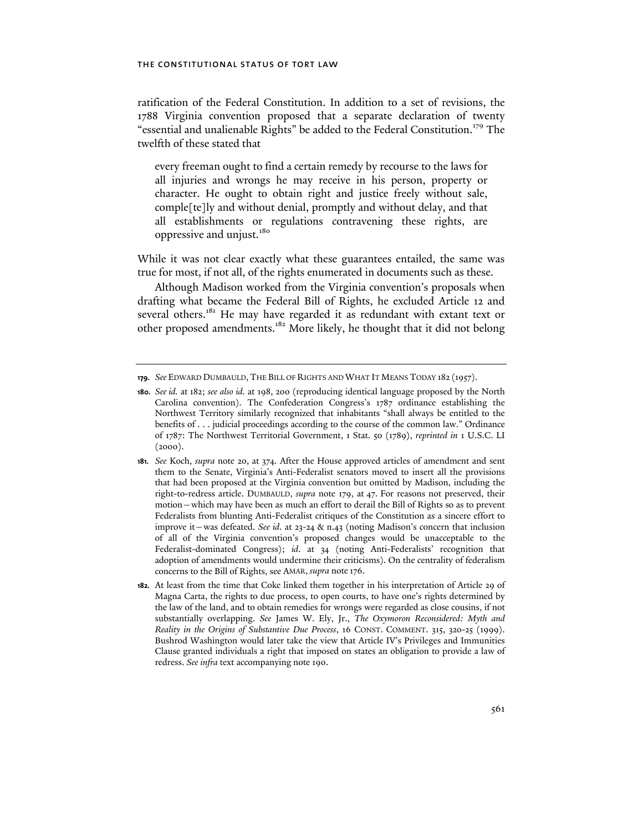ratification of the Federal Constitution. In addition to a set of revisions, the 1788 Virginia convention proposed that a separate declaration of twenty "essential and unalienable Rights" be added to the Federal Constitution.<sup>179</sup> The twelfth of these stated that

every freeman ought to find a certain remedy by recourse to the laws for all injuries and wrongs he may receive in his person, property or character. He ought to obtain right and justice freely without sale, comple[te]ly and without denial, promptly and without delay, and that all establishments or regulations contravening these rights, are oppressive and unjust.<sup>180</sup>

While it was not clear exactly what these guarantees entailed, the same was true for most, if not all, of the rights enumerated in documents such as these.

Although Madison worked from the Virginia convention's proposals when drafting what became the Federal Bill of Rights, he excluded Article 12 and several others.<sup>181</sup> He may have regarded it as redundant with extant text or other proposed amendments.<sup>182</sup> More likely, he thought that it did not belong

**<sup>179.</sup>** *See* EDWARD DUMBAULD, THE BILL OF RIGHTS AND WHAT IT MEANS TODAY 182 (1957).

**<sup>180.</sup>** *See id.* at 182; *see also id.* at 198, 200 (reproducing identical language proposed by the North Carolina convention). The Confederation Congress's 1787 ordinance establishing the Northwest Territory similarly recognized that inhabitants "shall always be entitled to the benefits of . . . judicial proceedings according to the course of the common law." Ordinance of 1787: The Northwest Territorial Government, 1 Stat. 50 (1789), *reprinted in* 1 U.S.C. LI  $(2000).$ 

**<sup>181.</sup>** *See* Koch, *supra* note 20, at 374. After the House approved articles of amendment and sent them to the Senate, Virginia's Anti-Federalist senators moved to insert all the provisions that had been proposed at the Virginia convention but omitted by Madison, including the right-to-redress article. DUMBAULD, *supra* note 179, at 47. For reasons not preserved, their motion—which may have been as much an effort to derail the Bill of Rights so as to prevent Federalists from blunting Anti-Federalist critiques of the Constitution as a sincere effort to improve it—was defeated. *See id*. at 23-24 & n.43 (noting Madison's concern that inclusion of all of the Virginia convention's proposed changes would be unacceptable to the Federalist-dominated Congress); *id*. at 34 (noting Anti-Federalists' recognition that adoption of amendments would undermine their criticisms). On the centrality of federalism concerns to the Bill of Rights, see AMAR, *supra* note 176.

**<sup>182.</sup>** At least from the time that Coke linked them together in his interpretation of Article 29 of Magna Carta, the rights to due process, to open courts, to have one's rights determined by the law of the land, and to obtain remedies for wrongs were regarded as close cousins, if not substantially overlapping. *See* James W. Ely, Jr., *The Oxymoron Reconsidered: Myth and Reality in the Origins of Substantive Due Process*, 16 CONST. COMMENT. 315, 320-25 (1999). Bushrod Washington would later take the view that Article IV's Privileges and Immunities Clause granted individuals a right that imposed on states an obligation to provide a law of redress. *See infra* text accompanying note 190.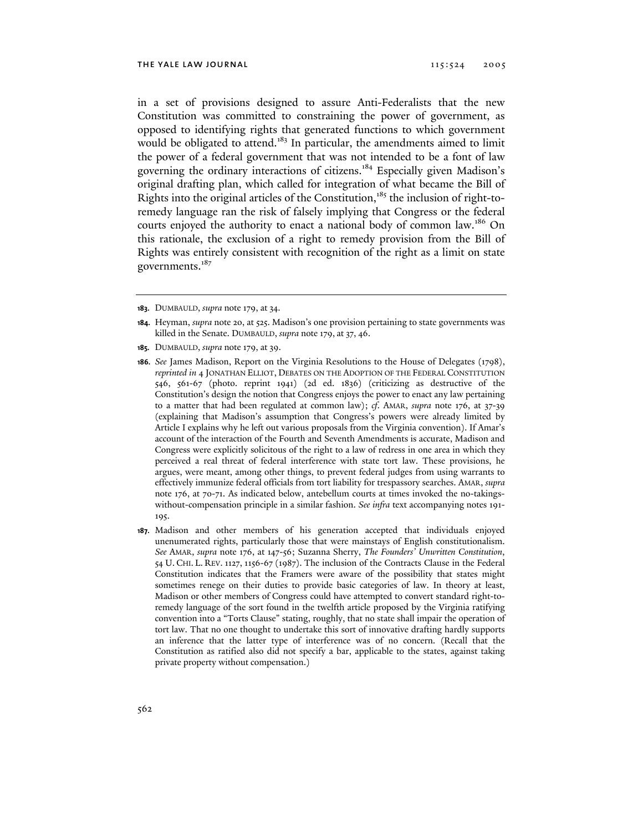in a set of provisions designed to assure Anti-Federalists that the new Constitution was committed to constraining the power of government, as opposed to identifying rights that generated functions to which government would be obligated to attend.<sup>183</sup> In particular, the amendments aimed to limit the power of a federal government that was not intended to be a font of law governing the ordinary interactions of citizens.<sup>184</sup> Especially given Madison's original drafting plan, which called for integration of what became the Bill of Rights into the original articles of the Constitution,<sup>185</sup> the inclusion of right-toremedy language ran the risk of falsely implying that Congress or the federal courts enjoyed the authority to enact a national body of common law.<sup>186</sup> On this rationale, the exclusion of a right to remedy provision from the Bill of Rights was entirely consistent with recognition of the right as a limit on state governments.<sup>187</sup>

- **183.** DUMBAULD, *supra* note 179, at 34.
- **184.** Heyman, *supra* note 20, at 525. Madison's one provision pertaining to state governments was killed in the Senate. DUMBAULD, *supra* note 179, at 37, 46.
- **185.** DUMBAULD, *supra* note 179, at 39.
- **186.** *See* James Madison, Report on the Virginia Resolutions to the House of Delegates (1798), *reprinted in* 4 JONATHAN ELLIOT, DEBATES ON THE ADOPTION OF THE FEDERAL CONSTITUTION 546, 561-67 (photo. reprint 1941) (2d ed. 1836) (criticizing as destructive of the Constitution's design the notion that Congress enjoys the power to enact any law pertaining to a matter that had been regulated at common law); *cf*. AMAR, *supra* note 176, at 37-39 (explaining that Madison's assumption that Congress's powers were already limited by Article I explains why he left out various proposals from the Virginia convention). If Amar's account of the interaction of the Fourth and Seventh Amendments is accurate, Madison and Congress were explicitly solicitous of the right to a law of redress in one area in which they perceived a real threat of federal interference with state tort law. These provisions, he argues, were meant, among other things, to prevent federal judges from using warrants to effectively immunize federal officials from tort liability for trespassory searches. AMAR, *supra* note 176, at 70-71. As indicated below, antebellum courts at times invoked the no-takingswithout-compensation principle in a similar fashion. *See infra* text accompanying notes 191- 195.
- **187.** Madison and other members of his generation accepted that individuals enjoyed unenumerated rights, particularly those that were mainstays of English constitutionalism. *See* AMAR, *supra* note 176, at 147-56; Suzanna Sherry, *The Founders' Unwritten Constitution*, 54 U. CHI. L. REV. 1127, 1156-67 (1987). The inclusion of the Contracts Clause in the Federal Constitution indicates that the Framers were aware of the possibility that states might sometimes renege on their duties to provide basic categories of law. In theory at least, Madison or other members of Congress could have attempted to convert standard right-toremedy language of the sort found in the twelfth article proposed by the Virginia ratifying convention into a "Torts Clause" stating, roughly, that no state shall impair the operation of tort law. That no one thought to undertake this sort of innovative drafting hardly supports an inference that the latter type of interference was of no concern. (Recall that the Constitution as ratified also did not specify a bar, applicable to the states, against taking private property without compensation.)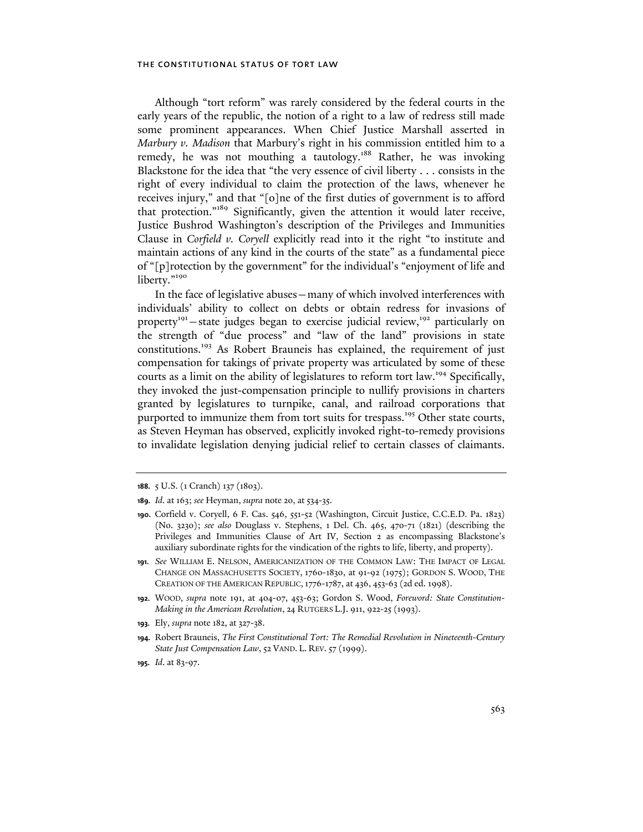Although "tort reform" was rarely considered by the federal courts in the early years of the republic, the notion of a right to a law of redress still made some prominent appearances. When Chief Justice Marshall asserted in *Marbury v. Madison* that Marbury's right in his commission entitled him to a remedy, he was not mouthing a tautology.<sup>188</sup> Rather, he was invoking Blackstone for the idea that "the very essence of civil liberty . . . consists in the right of every individual to claim the protection of the laws, whenever he receives injury," and that "[o]ne of the first duties of government is to afford that protection."189 Significantly, given the attention it would later receive, Justice Bushrod Washington's description of the Privileges and Immunities Clause in *Corfield v. Coryell* explicitly read into it the right "to institute and maintain actions of any kind in the courts of the state" as a fundamental piece of "[p]rotection by the government" for the individual's "enjoyment of life and liberty."<sup>190</sup>

In the face of legislative abuses—many of which involved interferences with individuals' ability to collect on debts or obtain redress for invasions of property<sup>191</sup> – state judges began to exercise judicial review,<sup>192</sup> particularly on the strength of "due process" and "law of the land" provisions in state constitutions.193 As Robert Brauneis has explained, the requirement of just compensation for takings of private property was articulated by some of these courts as a limit on the ability of legislatures to reform tort law.<sup>194</sup> Specifically, they invoked the just-compensation principle to nullify provisions in charters granted by legislatures to turnpike, canal, and railroad corporations that purported to immunize them from tort suits for trespass.<sup>195</sup> Other state courts, as Steven Heyman has observed, explicitly invoked right-to-remedy provisions to invalidate legislation denying judicial relief to certain classes of claimants.

- **191.** *See* WILLIAM E. NELSON, AMERICANIZATION OF THE COMMON LAW: THE IMPACT OF LEGAL CHANGE ON MASSACHUSETTS SOCIETY, 1760-1830, at 91-92 (1975); GORDON S. WOOD, THE CREATION OF THE AMERICAN REPUBLIC,1776-1787, at 436, 453-63 (2d ed. 1998).
- **192.** WOOD, *supra* note 191, at 404-07, 453-63; Gordon S. Wood, *Foreword: State Constitution-Making in the American Revolution*, 24 RUTGERS L.J. 911, 922-25 (1993).
- **193.** Ely, *supra* note 182, at 327-38.

**195.** *Id*. at 83-97.

**<sup>188.</sup>** 5 U.S. (1 Cranch) 137 (1803).

**<sup>189.</sup>** *Id*. at 163; *see* Heyman, *supra* note 20, at 534-35.

**<sup>190.</sup>** Corfield v. Coryell, 6 F. Cas. 546, 551-52 (Washington, Circuit Justice, C.C.E.D. Pa. 1823) (No. 3230); *see also* Douglass v. Stephens, 1 Del. Ch. 465, 470-71 (1821) (describing the Privileges and Immunities Clause of Art IV, Section 2 as encompassing Blackstone's auxiliary subordinate rights for the vindication of the rights to life, liberty, and property).

**<sup>194.</sup>** Robert Brauneis, *The First Constitutional Tort: The Remedial Revolution in Nineteenth-Century State Just Compensation Law*, 52 VAND. L. REV. 57 (1999).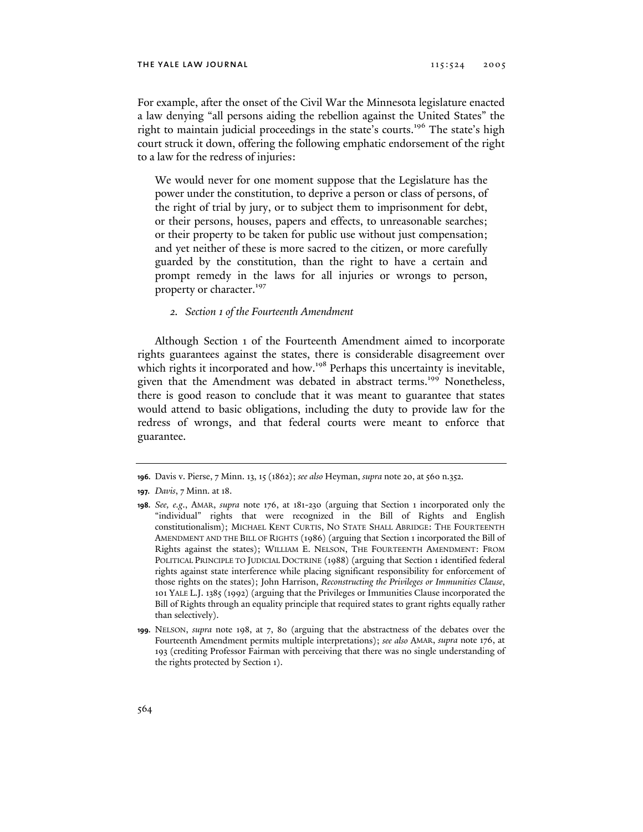# the yale law journal 115:524 2005

For example, after the onset of the Civil War the Minnesota legislature enacted a law denying "all persons aiding the rebellion against the United States" the right to maintain judicial proceedings in the state's courts.196 The state's high court struck it down, offering the following emphatic endorsement of the right to a law for the redress of injuries:

We would never for one moment suppose that the Legislature has the power under the constitution, to deprive a person or class of persons, of the right of trial by jury, or to subject them to imprisonment for debt, or their persons, houses, papers and effects, to unreasonable searches; or their property to be taken for public use without just compensation; and yet neither of these is more sacred to the citizen, or more carefully guarded by the constitution, than the right to have a certain and prompt remedy in the laws for all injuries or wrongs to person, property or character.<sup>197</sup>

# *2. Section 1 of the Fourteenth Amendment*

Although Section 1 of the Fourteenth Amendment aimed to incorporate rights guarantees against the states, there is considerable disagreement over which rights it incorporated and how.<sup>198</sup> Perhaps this uncertainty is inevitable, given that the Amendment was debated in abstract terms.<sup>199</sup> Nonetheless, there is good reason to conclude that it was meant to guarantee that states would attend to basic obligations, including the duty to provide law for the redress of wrongs, and that federal courts were meant to enforce that guarantee.

**<sup>196.</sup>** Davis v. Pierse, 7 Minn. 13, 15 (1862); *see also* Heyman, *supra* note 20, at 560 n.352.

**<sup>197.</sup>** *Davis*, 7 Minn. at 18.

**<sup>198.</sup>** *See, e.g*., AMAR, *supra* note 176, at 181-230 (arguing that Section 1 incorporated only the "individual" rights that were recognized in the Bill of Rights and English constitutionalism); MICHAEL KENT CURTIS, NO STATE SHALL ABRIDGE: THE FOURTEENTH AMENDMENT AND THE BILL OF RIGHTS (1986) (arguing that Section 1 incorporated the Bill of Rights against the states); WILLIAM E. NELSON, THE FOURTEENTH AMENDMENT: FROM POLITICAL PRINCIPLE TO JUDICIAL DOCTRINE (1988) (arguing that Section 1 identified federal rights against state interference while placing significant responsibility for enforcement of those rights on the states); John Harrison, *Reconstructing the Privileges or Immunities Clause*, 101 YALE L.J. 1385 (1992) (arguing that the Privileges or Immunities Clause incorporated the Bill of Rights through an equality principle that required states to grant rights equally rather than selectively).

**<sup>199.</sup>** NELSON, *supra* note 198, at 7, 80 (arguing that the abstractness of the debates over the Fourteenth Amendment permits multiple interpretations); *see also* AMAR, *supra* note 176, at 193 (crediting Professor Fairman with perceiving that there was no single understanding of the rights protected by Section 1).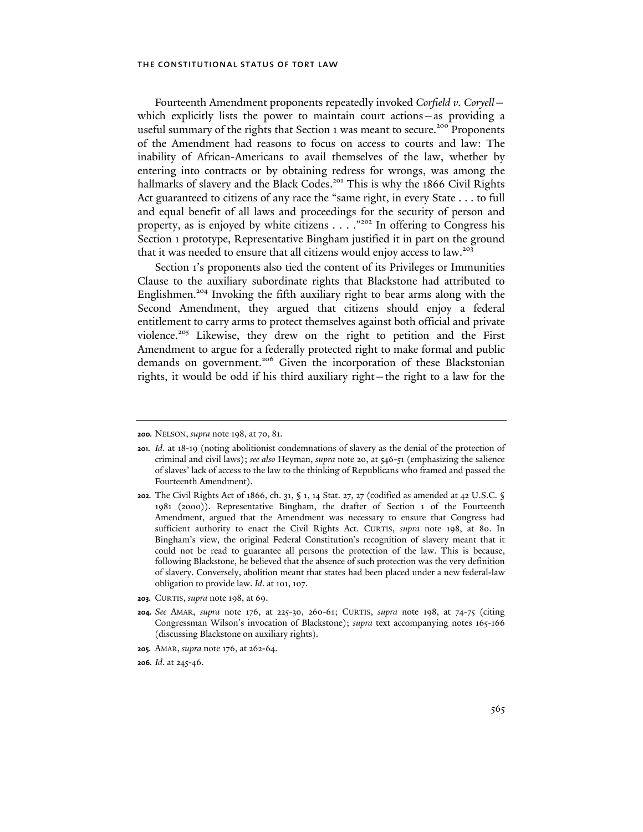Fourteenth Amendment proponents repeatedly invoked *Corfield v. Coryell* which explicitly lists the power to maintain court actions—as providing a useful summary of the rights that Section 1 was meant to secure.<sup>200</sup> Proponents of the Amendment had reasons to focus on access to courts and law: The inability of African-Americans to avail themselves of the law, whether by entering into contracts or by obtaining redress for wrongs, was among the hallmarks of slavery and the Black Codes.<sup>201</sup> This is why the 1866 Civil Rights Act guaranteed to citizens of any race the "same right, in every State . . . to full and equal benefit of all laws and proceedings for the security of person and property, as is enjoyed by white citizens  $\dots$ ."<sup>202</sup> In offering to Congress his Section 1 prototype, Representative Bingham justified it in part on the ground that it was needed to ensure that all citizens would enjoy access to law.<sup>203</sup>

Section 1's proponents also tied the content of its Privileges or Immunities Clause to the auxiliary subordinate rights that Blackstone had attributed to Englishmen.<sup>204</sup> Invoking the fifth auxiliary right to bear arms along with the Second Amendment, they argued that citizens should enjoy a federal entitlement to carry arms to protect themselves against both official and private violence.<sup>205</sup> Likewise, they drew on the right to petition and the First Amendment to argue for a federally protected right to make formal and public demands on government.<sup>206</sup> Given the incorporation of these Blackstonian rights, it would be odd if his third auxiliary right—the right to a law for the

- **203.** CURTIS, *supra* note 198, at 69.
- **204.** *See* AMAR, *supra* note 176, at 225-30, 260-61; CURTIS, *supra* note 198, at 74-75 (citing Congressman Wilson's invocation of Blackstone); *supra* text accompanying notes 165-166 (discussing Blackstone on auxiliary rights).
- **205.** AMAR, *supra* note 176, at 262-64.
- **206.** *Id*. at 245-46.

**<sup>200.</sup>** NELSON, *supra* note 198, at 70, 81.

**<sup>201.</sup>** *Id*. at 18-19 (noting abolitionist condemnations of slavery as the denial of the protection of criminal and civil laws); *see also* Heyman, *supra* note 20, at 546-51 (emphasizing the salience of slaves' lack of access to the law to the thinking of Republicans who framed and passed the Fourteenth Amendment).

**<sup>202.</sup>** The Civil Rights Act of 1866, ch. 31, § 1, 14 Stat. 27, 27 (codified as amended at 42 U.S.C. § 1981 (2000)). Representative Bingham, the drafter of Section 1 of the Fourteenth Amendment, argued that the Amendment was necessary to ensure that Congress had sufficient authority to enact the Civil Rights Act. CURTIS, *supra* note 198, at 80. In Bingham's view, the original Federal Constitution's recognition of slavery meant that it could not be read to guarantee all persons the protection of the law. This is because, following Blackstone, he believed that the absence of such protection was the very definition of slavery. Conversely, abolition meant that states had been placed under a new federal-law obligation to provide law. *Id*. at 101, 107.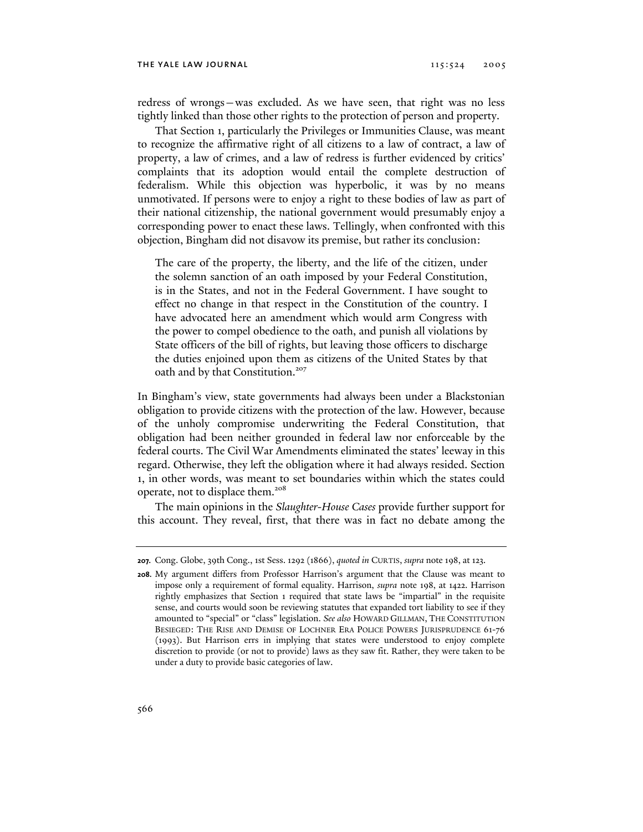redress of wrongs—was excluded. As we have seen, that right was no less tightly linked than those other rights to the protection of person and property.

That Section 1, particularly the Privileges or Immunities Clause, was meant to recognize the affirmative right of all citizens to a law of contract, a law of property, a law of crimes, and a law of redress is further evidenced by critics' complaints that its adoption would entail the complete destruction of federalism. While this objection was hyperbolic, it was by no means unmotivated. If persons were to enjoy a right to these bodies of law as part of their national citizenship, the national government would presumably enjoy a corresponding power to enact these laws. Tellingly, when confronted with this objection, Bingham did not disavow its premise, but rather its conclusion:

The care of the property, the liberty, and the life of the citizen, under the solemn sanction of an oath imposed by your Federal Constitution, is in the States, and not in the Federal Government. I have sought to effect no change in that respect in the Constitution of the country. I have advocated here an amendment which would arm Congress with the power to compel obedience to the oath, and punish all violations by State officers of the bill of rights, but leaving those officers to discharge the duties enjoined upon them as citizens of the United States by that oath and by that Constitution.<sup>207</sup>

In Bingham's view, state governments had always been under a Blackstonian obligation to provide citizens with the protection of the law. However, because of the unholy compromise underwriting the Federal Constitution, that obligation had been neither grounded in federal law nor enforceable by the federal courts. The Civil War Amendments eliminated the states' leeway in this regard. Otherwise, they left the obligation where it had always resided. Section 1, in other words, was meant to set boundaries within which the states could operate, not to displace them.<sup>208</sup>

The main opinions in the *Slaughter-House Cases* provide further support for this account. They reveal, first, that there was in fact no debate among the

**<sup>207.</sup>** Cong. Globe, 39th Cong., 1st Sess. 1292 (1866), *quoted in* CURTIS, *supra* note 198, at 123.

**<sup>208.</sup>** My argument differs from Professor Harrison's argument that the Clause was meant to impose only a requirement of formal equality. Harrison, *supra* note 198, at 1422. Harrison rightly emphasizes that Section 1 required that state laws be "impartial" in the requisite sense, and courts would soon be reviewing statutes that expanded tort liability to see if they amounted to "special" or "class" legislation. *See also* HOWARD GILLMAN, THE CONSTITUTION BESIEGED: THE RISE AND DEMISE OF LOCHNER ERA POLICE POWERS JURISPRUDENCE 61-76 (1993). But Harrison errs in implying that states were understood to enjoy complete discretion to provide (or not to provide) laws as they saw fit. Rather, they were taken to be under a duty to provide basic categories of law.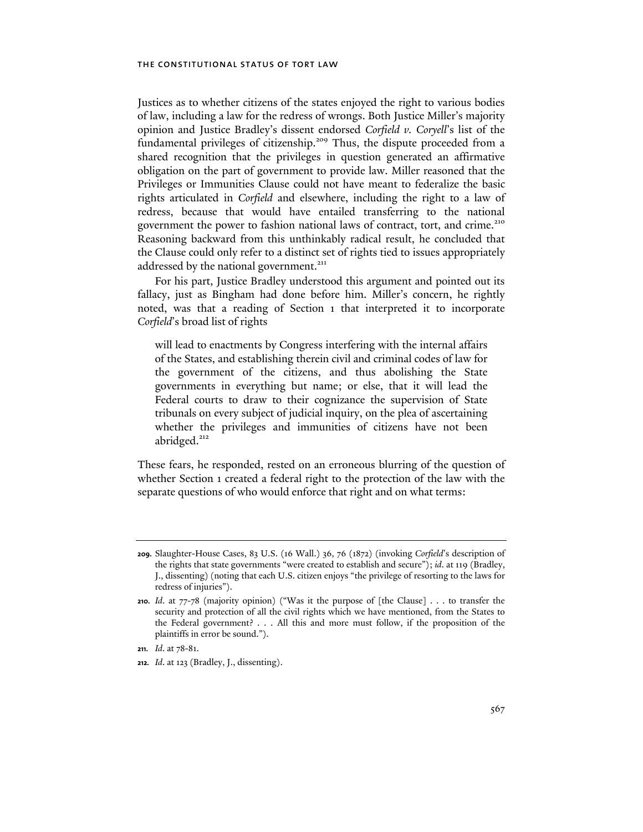Justices as to whether citizens of the states enjoyed the right to various bodies of law, including a law for the redress of wrongs. Both Justice Miller's majority opinion and Justice Bradley's dissent endorsed *Corfield v. Coryell*'s list of the fundamental privileges of citizenship.<sup>209</sup> Thus, the dispute proceeded from a shared recognition that the privileges in question generated an affirmative obligation on the part of government to provide law. Miller reasoned that the Privileges or Immunities Clause could not have meant to federalize the basic rights articulated in *Corfield* and elsewhere, including the right to a law of redress, because that would have entailed transferring to the national government the power to fashion national laws of contract, tort, and crime.<sup>210</sup> Reasoning backward from this unthinkably radical result, he concluded that the Clause could only refer to a distinct set of rights tied to issues appropriately addressed by the national government.<sup>211</sup>

For his part, Justice Bradley understood this argument and pointed out its fallacy, just as Bingham had done before him. Miller's concern, he rightly noted, was that a reading of Section 1 that interpreted it to incorporate *Corfield*'s broad list of rights

will lead to enactments by Congress interfering with the internal affairs of the States, and establishing therein civil and criminal codes of law for the government of the citizens, and thus abolishing the State governments in everything but name; or else, that it will lead the Federal courts to draw to their cognizance the supervision of State tribunals on every subject of judicial inquiry, on the plea of ascertaining whether the privileges and immunities of citizens have not been abridged.<sup>212</sup>

These fears, he responded, rested on an erroneous blurring of the question of whether Section 1 created a federal right to the protection of the law with the separate questions of who would enforce that right and on what terms:

**<sup>209.</sup>** Slaughter-House Cases, 83 U.S. (16 Wall.) 36, 76 (1872) (invoking *Corfield*'s description of the rights that state governments "were created to establish and secure"); *id*. at 119 (Bradley, J., dissenting) (noting that each U.S. citizen enjoys "the privilege of resorting to the laws for redress of injuries").

**<sup>210.</sup>** *Id*. at 77-78 (majority opinion) ("Was it the purpose of [the Clause] . . . to transfer the security and protection of all the civil rights which we have mentioned, from the States to the Federal government? . . . All this and more must follow, if the proposition of the plaintiffs in error be sound.").

**<sup>211.</sup>** *Id*. at 78-81.

**<sup>212.</sup>** *Id*. at 123 (Bradley, J., dissenting).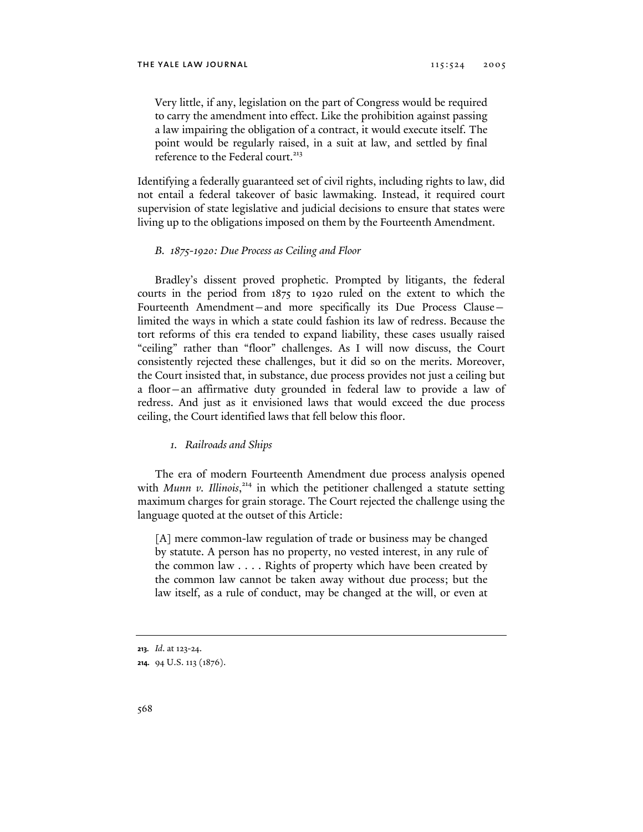Very little, if any, legislation on the part of Congress would be required to carry the amendment into effect. Like the prohibition against passing a law impairing the obligation of a contract, it would execute itself. The point would be regularly raised, in a suit at law, and settled by final reference to the Federal court.<sup>213</sup>

Identifying a federally guaranteed set of civil rights, including rights to law, did not entail a federal takeover of basic lawmaking. Instead, it required court supervision of state legislative and judicial decisions to ensure that states were living up to the obligations imposed on them by the Fourteenth Amendment.

# *B. 1875-1920: Due Process as Ceiling and Floor*

Bradley's dissent proved prophetic. Prompted by litigants, the federal courts in the period from 1875 to 1920 ruled on the extent to which the Fourteenth Amendment—and more specifically its Due Process Clause limited the ways in which a state could fashion its law of redress. Because the tort reforms of this era tended to expand liability, these cases usually raised "ceiling" rather than "floor" challenges. As I will now discuss, the Court consistently rejected these challenges, but it did so on the merits. Moreover, the Court insisted that, in substance, due process provides not just a ceiling but a floor—an affirmative duty grounded in federal law to provide a law of redress. And just as it envisioned laws that would exceed the due process ceiling, the Court identified laws that fell below this floor.

# *1. Railroads and Ships*

The era of modern Fourteenth Amendment due process analysis opened with *Munn v. Illinois*,<sup>214</sup> in which the petitioner challenged a statute setting maximum charges for grain storage. The Court rejected the challenge using the language quoted at the outset of this Article:

[A] mere common-law regulation of trade or business may be changed by statute. A person has no property, no vested interest, in any rule of the common law . . . . Rights of property which have been created by the common law cannot be taken away without due process; but the law itself, as a rule of conduct, may be changed at the will, or even at

**<sup>213.</sup>** *Id*. at 123-24.

**<sup>214.</sup>** 94 U.S. 113 (1876).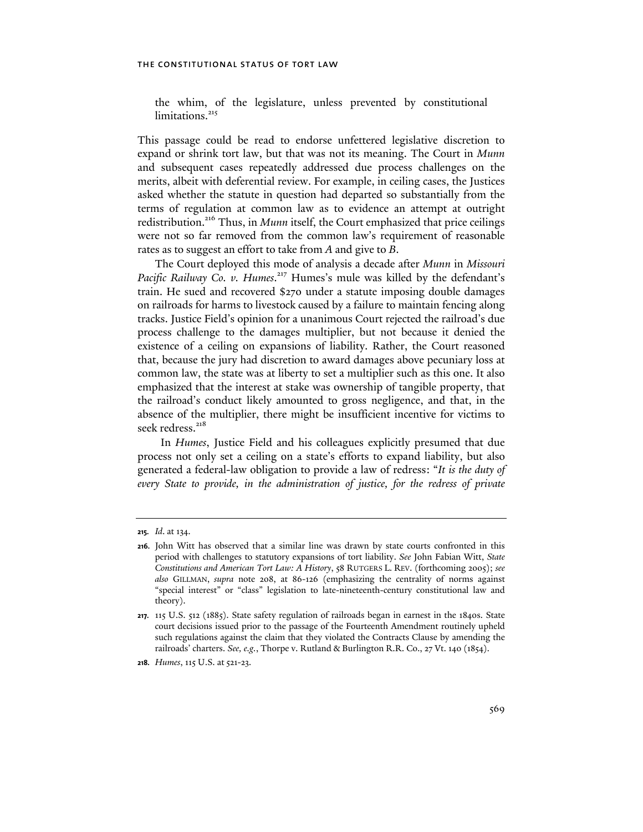the whim, of the legislature, unless prevented by constitutional limitations.<sup>215</sup>

This passage could be read to endorse unfettered legislative discretion to expand or shrink tort law, but that was not its meaning. The Court in *Munn* and subsequent cases repeatedly addressed due process challenges on the merits, albeit with deferential review. For example, in ceiling cases, the Justices asked whether the statute in question had departed so substantially from the terms of regulation at common law as to evidence an attempt at outright redistribution.<sup>216</sup> Thus, in *Munn* itself, the Court emphasized that price ceilings were not so far removed from the common law's requirement of reasonable rates as to suggest an effort to take from *A* and give to *B*.

The Court deployed this mode of analysis a decade after *Munn* in *Missouri*  Pacific Railway Co. v. Humes.<sup>217</sup> Humes's mule was killed by the defendant's train. He sued and recovered \$270 under a statute imposing double damages on railroads for harms to livestock caused by a failure to maintain fencing along tracks. Justice Field's opinion for a unanimous Court rejected the railroad's due process challenge to the damages multiplier, but not because it denied the existence of a ceiling on expansions of liability. Rather, the Court reasoned that, because the jury had discretion to award damages above pecuniary loss at common law, the state was at liberty to set a multiplier such as this one. It also emphasized that the interest at stake was ownership of tangible property, that the railroad's conduct likely amounted to gross negligence, and that, in the absence of the multiplier, there might be insufficient incentive for victims to seek redress.<sup>218</sup>

 In *Humes*, Justice Field and his colleagues explicitly presumed that due process not only set a ceiling on a state's efforts to expand liability, but also generated a federal-law obligation to provide a law of redress: "*It is the duty of*  every State to provide, in the administration of justice, for the redress of private

**<sup>215.</sup>** *Id*. at 134.

**<sup>216.</sup>** John Witt has observed that a similar line was drawn by state courts confronted in this period with challenges to statutory expansions of tort liability. *See* John Fabian Witt, *State Constitutions and American Tort Law: A History*, 58 RUTGERS L. REV. (forthcoming 2005); *see also* GILLMAN, *supra* note 208, at 86-126 (emphasizing the centrality of norms against "special interest" or "class" legislation to late-nineteenth-century constitutional law and theory).

**<sup>217.</sup>** 115 U.S. 512 (1885). State safety regulation of railroads began in earnest in the 1840s. State court decisions issued prior to the passage of the Fourteenth Amendment routinely upheld such regulations against the claim that they violated the Contracts Clause by amending the railroads' charters. *See, e.g.*, Thorpe v. Rutland & Burlington R.R. Co., 27 Vt. 140 (1854).

**<sup>218.</sup>** *Humes*, 115 U.S. at 521-23.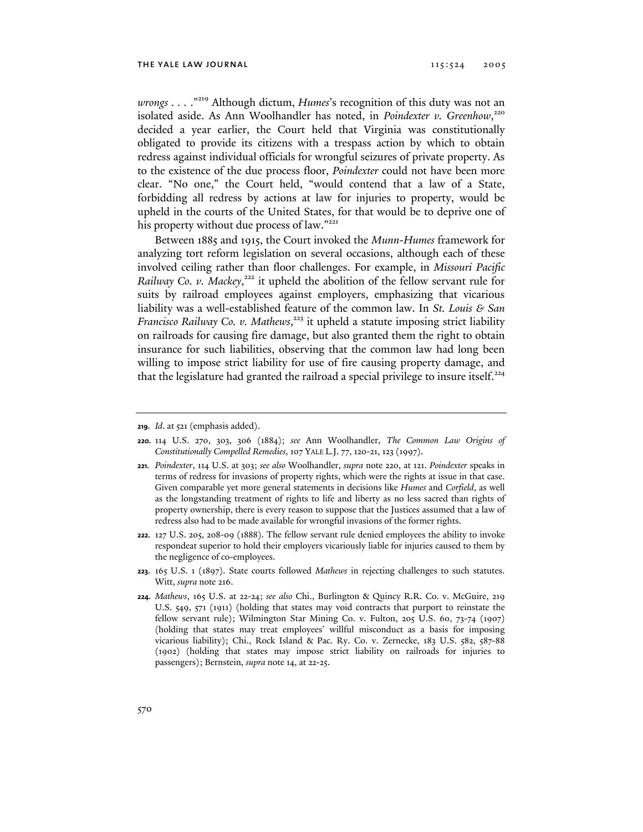*wrongs . . .* ."219 Although dictum, *Humes*'s recognition of this duty was not an isolated aside. As Ann Woolhandler has noted, in *Poindexter v. Greenhow*,<sup>220</sup> decided a year earlier, the Court held that Virginia was constitutionally obligated to provide its citizens with a trespass action by which to obtain redress against individual officials for wrongful seizures of private property. As to the existence of the due process floor, *Poindexter* could not have been more clear. "No one," the Court held, "would contend that a law of a State, forbidding all redress by actions at law for injuries to property, would be upheld in the courts of the United States, for that would be to deprive one of his property without due process of law."<sup>221</sup>

Between 1885 and 1915, the Court invoked the *Munn-Humes* framework for analyzing tort reform legislation on several occasions, although each of these involved ceiling rather than floor challenges. For example, in *Missouri Pacific*  Railway Co. v. Mackey,<sup>222</sup> it upheld the abolition of the fellow servant rule for suits by railroad employees against employers, emphasizing that vicarious liability was a well-established feature of the common law. In *St. Louis & San*  Francisco Railway Co. v. Mathews,<sup>223</sup> it upheld a statute imposing strict liability on railroads for causing fire damage, but also granted them the right to obtain insurance for such liabilities, observing that the common law had long been willing to impose strict liability for use of fire causing property damage, and that the legislature had granted the railroad a special privilege to insure itself.<sup>224</sup>

- **221.** *Poindexter*, 114 U.S. at 303; *see also* Woolhandler, *supra* note 220, at 121. *Poindexter* speaks in terms of redress for invasions of property rights, which were the rights at issue in that case. Given comparable yet more general statements in decisions like *Humes* and *Corfield*, as well as the longstanding treatment of rights to life and liberty as no less sacred than rights of property ownership, there is every reason to suppose that the Justices assumed that a law of redress also had to be made available for wrongful invasions of the former rights.
- **222.** 127 U.S. 205, 208-09 (1888). The fellow servant rule denied employees the ability to invoke respondeat superior to hold their employers vicariously liable for injuries caused to them by the negligence of co-employees.
- **223.** 165 U.S. 1 (1897). State courts followed *Mathews* in rejecting challenges to such statutes. Witt, *supra* note 216.
- **224.** *Mathews*, 165 U.S. at 22-24; *see also* Chi., Burlington & Quincy R.R. Co. v. McGuire, 219 U.S. 549, 571 (1911) (holding that states may void contracts that purport to reinstate the fellow servant rule); Wilmington Star Mining Co. v. Fulton, 205 U.S. 60, 73-74 (1907) (holding that states may treat employees' willful misconduct as a basis for imposing vicarious liability); Chi., Rock Island & Pac. Ry. Co. v. Zernecke, 183 U.S. 582, 587-88 (1902) (holding that states may impose strict liability on railroads for injuries to passengers); Bernstein, *supra* note 14, at 22-25.

**<sup>219.</sup>** *Id*. at 521 (emphasis added).

**<sup>220.</sup>** 114 U.S. 270, 303, 306 (1884); *see* Ann Woolhandler, *The Common Law Origins of Constitutionally Compelled Remedies*, 107 YALE L.J. 77, 120-21, 123 (1997).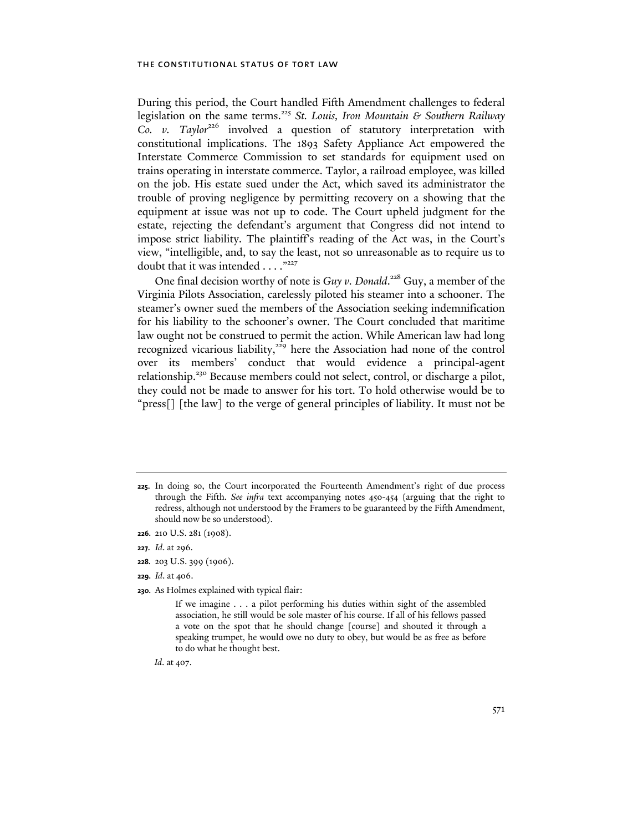During this period, the Court handled Fifth Amendment challenges to federal legislation on the same terms.225 *St. Louis, Iron Mountain & Southern Railway Co. v. Taylor*<sup>226</sup> involved a question of statutory interpretation with constitutional implications. The 1893 Safety Appliance Act empowered the Interstate Commerce Commission to set standards for equipment used on trains operating in interstate commerce. Taylor, a railroad employee, was killed on the job. His estate sued under the Act, which saved its administrator the trouble of proving negligence by permitting recovery on a showing that the equipment at issue was not up to code. The Court upheld judgment for the estate, rejecting the defendant's argument that Congress did not intend to impose strict liability. The plaintiff's reading of the Act was, in the Court's view, "intelligible, and, to say the least, not so unreasonable as to require us to doubt that it was intended . . . . "227

One final decision worthy of note is *Guy v. Donald*.<sup>228</sup> Guy, a member of the Virginia Pilots Association, carelessly piloted his steamer into a schooner. The steamer's owner sued the members of the Association seeking indemnification for his liability to the schooner's owner. The Court concluded that maritime law ought not be construed to permit the action. While American law had long recognized vicarious liability,<sup>229</sup> here the Association had none of the control over its members' conduct that would evidence a principal-agent relationship.230 Because members could not select, control, or discharge a pilot, they could not be made to answer for his tort. To hold otherwise would be to "press[] [the law] to the verge of general principles of liability. It must not be

- **228.** 203 U.S. 399 (1906).
- **229.** *Id*. at 406.
- **230.** As Holmes explained with typical flair:

*Id*. at 407.

**<sup>225.</sup>** In doing so, the Court incorporated the Fourteenth Amendment's right of due process through the Fifth. *See infra* text accompanying notes 450-454 (arguing that the right to redress, although not understood by the Framers to be guaranteed by the Fifth Amendment, should now be so understood).

**<sup>226.</sup>** 210 U.S. 281 (1908).

**<sup>227.</sup>** *Id*. at 296.

If we imagine . . . a pilot performing his duties within sight of the assembled association, he still would be sole master of his course. If all of his fellows passed a vote on the spot that he should change [course] and shouted it through a speaking trumpet, he would owe no duty to obey, but would be as free as before to do what he thought best.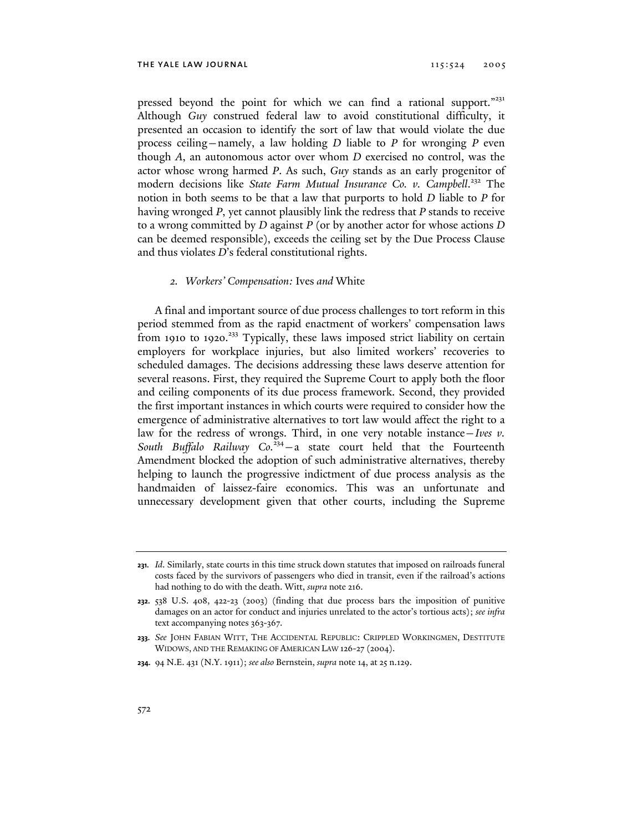pressed beyond the point for which we can find a rational support."<sup>231</sup> Although *Guy* construed federal law to avoid constitutional difficulty, it presented an occasion to identify the sort of law that would violate the due process ceiling—namely, a law holding *D* liable to *P* for wronging *P* even though *A*, an autonomous actor over whom *D* exercised no control, was the actor whose wrong harmed *P*. As such, *Guy* stands as an early progenitor of modern decisions like State Farm Mutual Insurance Co. v. Campbell.<sup>232</sup> The notion in both seems to be that a law that purports to hold *D* liable to *P* for having wronged *P*, yet cannot plausibly link the redress that *P* stands to receive to a wrong committed by *D* against *P* (or by another actor for whose actions *D* can be deemed responsible), exceeds the ceiling set by the Due Process Clause and thus violates *D*'s federal constitutional rights.

# *2. Workers' Compensation:* Ives *and* White

A final and important source of due process challenges to tort reform in this period stemmed from as the rapid enactment of workers' compensation laws from 1910 to 1920.<sup>233</sup> Typically, these laws imposed strict liability on certain employers for workplace injuries, but also limited workers' recoveries to scheduled damages. The decisions addressing these laws deserve attention for several reasons. First, they required the Supreme Court to apply both the floor and ceiling components of its due process framework. Second, they provided the first important instances in which courts were required to consider how the emergence of administrative alternatives to tort law would affect the right to a law for the redress of wrongs. Third, in one very notable instance—*Ives v.*  South Buffalo Railway Co.<sup>234</sup> - a state court held that the Fourteenth Amendment blocked the adoption of such administrative alternatives, thereby helping to launch the progressive indictment of due process analysis as the handmaiden of laissez-faire economics. This was an unfortunate and unnecessary development given that other courts, including the Supreme

**<sup>231.</sup>** *Id*. Similarly, state courts in this time struck down statutes that imposed on railroads funeral costs faced by the survivors of passengers who died in transit, even if the railroad's actions had nothing to do with the death. Witt, *supra* note 216.

**<sup>232.</sup>** 538 U.S. 408, 422-23 (2003) (finding that due process bars the imposition of punitive damages on an actor for conduct and injuries unrelated to the actor's tortious acts); *see infra* text accompanying notes 363-367.

**<sup>233.</sup>** *See* JOHN FABIAN WITT, THE ACCIDENTAL REPUBLIC: CRIPPLED WORKINGMEN, DESTITUTE WIDOWS, AND THE REMAKING OF AMERICAN LAW 126-27 (2004).

**<sup>234.</sup>** 94 N.E. 431 (N.Y. 1911); *see also* Bernstein, *supra* note 14, at 25 n.129.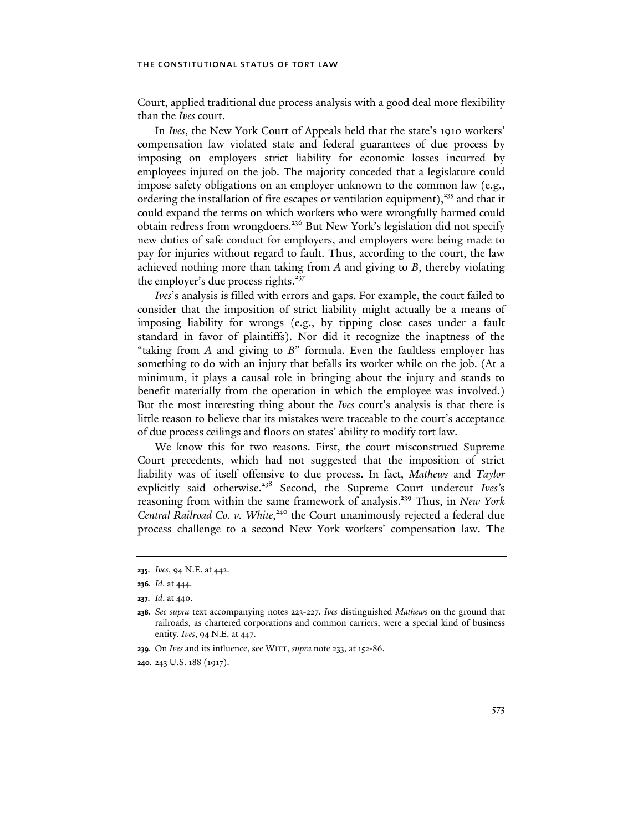Court, applied traditional due process analysis with a good deal more flexibility than the *Ives* court.

In *Ives*, the New York Court of Appeals held that the state's 1910 workers' compensation law violated state and federal guarantees of due process by imposing on employers strict liability for economic losses incurred by employees injured on the job. The majority conceded that a legislature could impose safety obligations on an employer unknown to the common law (e.g., ordering the installation of fire escapes or ventilation equipment), $335$  and that it could expand the terms on which workers who were wrongfully harmed could obtain redress from wrongdoers.236 But New York's legislation did not specify new duties of safe conduct for employers, and employers were being made to pay for injuries without regard to fault. Thus, according to the court, the law achieved nothing more than taking from *A* and giving to *B*, thereby violating the employer's due process rights.<sup>237</sup>

*Ives*'s analysis is filled with errors and gaps. For example, the court failed to consider that the imposition of strict liability might actually be a means of imposing liability for wrongs (e.g., by tipping close cases under a fault standard in favor of plaintiffs). Nor did it recognize the inaptness of the "taking from *A* and giving to *B*" formula. Even the faultless employer has something to do with an injury that befalls its worker while on the job. (At a minimum, it plays a causal role in bringing about the injury and stands to benefit materially from the operation in which the employee was involved.) But the most interesting thing about the *Ives* court's analysis is that there is little reason to believe that its mistakes were traceable to the court's acceptance of due process ceilings and floors on states' ability to modify tort law.

We know this for two reasons. First, the court misconstrued Supreme Court precedents, which had not suggested that the imposition of strict liability was of itself offensive to due process. In fact, *Mathews* and *Taylor*  explicitly said otherwise.<sup>238</sup> Second, the Supreme Court undercut *Ives's* reasoning from within the same framework of analysis.239 Thus, in *New York*  Central Railroad Co. v. White,<sup>240</sup> the Court unanimously rejected a federal due process challenge to a second New York workers' compensation law. The

**<sup>235.</sup>** *Ives*, 94 N.E. at 442.

**<sup>236.</sup>** *Id*. at 444.

**<sup>237.</sup>** *Id*. at 440.

**<sup>238.</sup>** *See supra* text accompanying notes 223-227. *Ives* distinguished *Mathews* on the ground that railroads, as chartered corporations and common carriers, were a special kind of business entity. *Ives*, 94 N.E. at 447.

**<sup>239.</sup>** On *Ives* and its influence, see WITT, *supra* note 233, at 152-86.

**<sup>240.</sup>** 243 U.S. 188 (1917).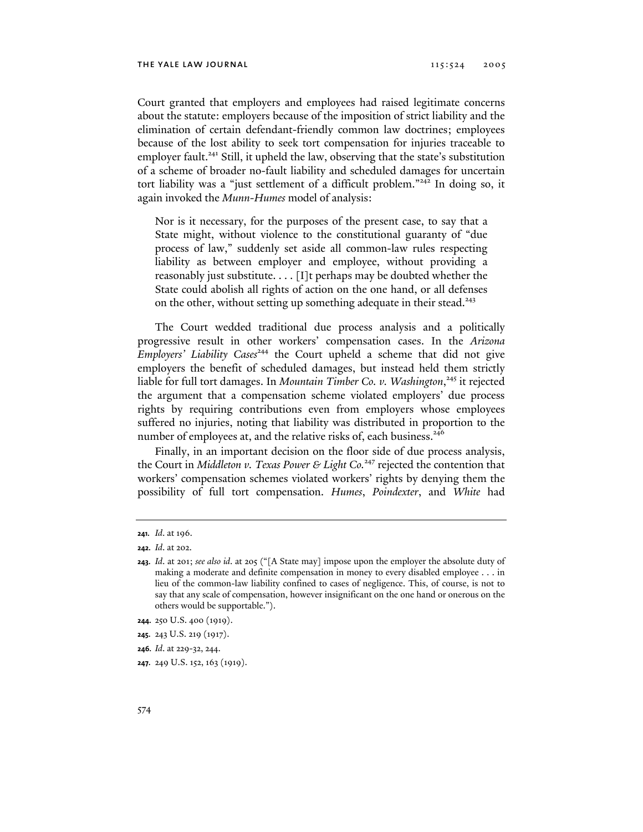Court granted that employers and employees had raised legitimate concerns about the statute: employers because of the imposition of strict liability and the elimination of certain defendant-friendly common law doctrines; employees because of the lost ability to seek tort compensation for injuries traceable to employer fault.<sup>241</sup> Still, it upheld the law, observing that the state's substitution of a scheme of broader no-fault liability and scheduled damages for uncertain tort liability was a "just settlement of a difficult problem."242 In doing so, it again invoked the *Munn-Humes* model of analysis:

Nor is it necessary, for the purposes of the present case, to say that a State might, without violence to the constitutional guaranty of "due process of law," suddenly set aside all common-law rules respecting liability as between employer and employee, without providing a reasonably just substitute. . . . [I]t perhaps may be doubted whether the State could abolish all rights of action on the one hand, or all defenses on the other, without setting up something adequate in their stead.<sup>243</sup>

The Court wedded traditional due process analysis and a politically progressive result in other workers' compensation cases. In the *Arizona Employers' Liability Cases*<sup>244</sup> the Court upheld a scheme that did not give employers the benefit of scheduled damages, but instead held them strictly liable for full tort damages. In *Mountain Timber Co. v. Washington*, 245 it rejected the argument that a compensation scheme violated employers' due process rights by requiring contributions even from employers whose employees suffered no injuries, noting that liability was distributed in proportion to the number of employees at, and the relative risks of, each business.<sup>246</sup>

Finally, in an important decision on the floor side of due process analysis, the Court in *Middleton v. Texas Power & Light Co.*<sup>247</sup> rejected the contention that workers' compensation schemes violated workers' rights by denying them the possibility of full tort compensation. *Humes*, *Poindexter*, and *White* had

**<sup>241.</sup>** *Id*. at 196.

**<sup>242.</sup>** *Id*. at 202.

**<sup>243.</sup>** *Id*. at 201; *see also id*. at 205 ("[A State may] impose upon the employer the absolute duty of making a moderate and definite compensation in money to every disabled employee . . . in lieu of the common-law liability confined to cases of negligence. This, of course, is not to say that any scale of compensation, however insignificant on the one hand or onerous on the others would be supportable.").

**<sup>244.</sup>** 250 U.S. 400 (1919).

**<sup>245.</sup>** 243 U.S. 219 (1917).

**<sup>246.</sup>** *Id*. at 229-32, 244.

**<sup>247.</sup>** 249 U.S. 152, 163 (1919).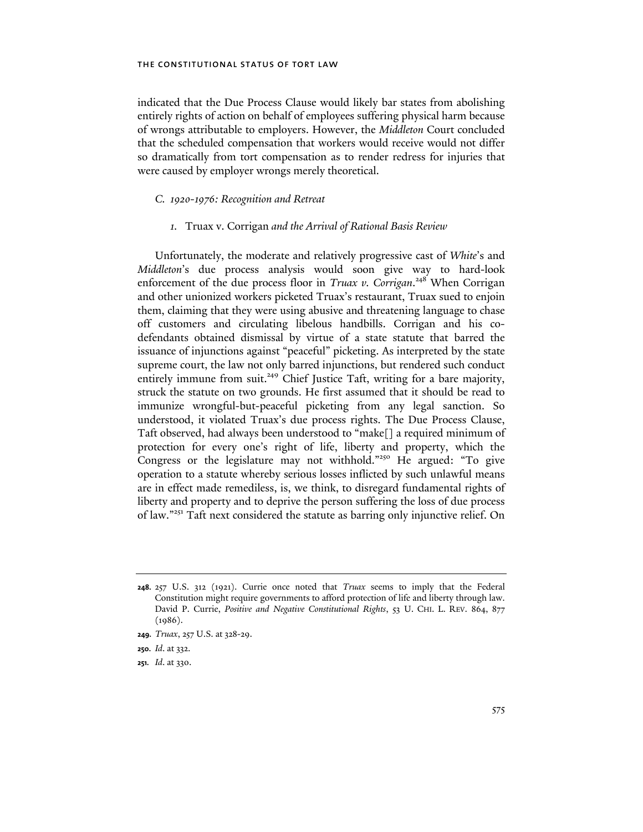indicated that the Due Process Clause would likely bar states from abolishing entirely rights of action on behalf of employees suffering physical harm because of wrongs attributable to employers. However, the *Middleton* Court concluded that the scheduled compensation that workers would receive would not differ so dramatically from tort compensation as to render redress for injuries that were caused by employer wrongs merely theoretical.

# *C. 1920-1976: Recognition and Retreat*

# *1.* Truax v. Corrigan *and the Arrival of Rational Basis Review*

Unfortunately, the moderate and relatively progressive cast of *White*'s and *Middleton*'s due process analysis would soon give way to hard-look enforcement of the due process floor in *Truax v. Corrigan*.<sup>248</sup> When Corrigan and other unionized workers picketed Truax's restaurant, Truax sued to enjoin them, claiming that they were using abusive and threatening language to chase off customers and circulating libelous handbills. Corrigan and his codefendants obtained dismissal by virtue of a state statute that barred the issuance of injunctions against "peaceful" picketing. As interpreted by the state supreme court, the law not only barred injunctions, but rendered such conduct entirely immune from suit.<sup>249</sup> Chief Justice Taft, writing for a bare majority, struck the statute on two grounds. He first assumed that it should be read to immunize wrongful-but-peaceful picketing from any legal sanction. So understood, it violated Truax's due process rights. The Due Process Clause, Taft observed, had always been understood to "make[] a required minimum of protection for every one's right of life, liberty and property, which the Congress or the legislature may not withhold."<sup>250</sup> He argued: "To give operation to a statute whereby serious losses inflicted by such unlawful means are in effect made remediless, is, we think, to disregard fundamental rights of liberty and property and to deprive the person suffering the loss of due process of law."251 Taft next considered the statute as barring only injunctive relief. On

**<sup>248.</sup>** 257 U.S. 312 (1921). Currie once noted that *Truax* seems to imply that the Federal Constitution might require governments to afford protection of life and liberty through law. David P. Currie, *Positive and Negative Constitutional Rights*, 53 U. CHI. L. REV. 864, 877  $(1986).$ 

**<sup>249.</sup>** *Truax*, 257 U.S. at 328-29.

**<sup>250.</sup>** *Id*. at 332.

**<sup>251.</sup>** *Id*. at 330.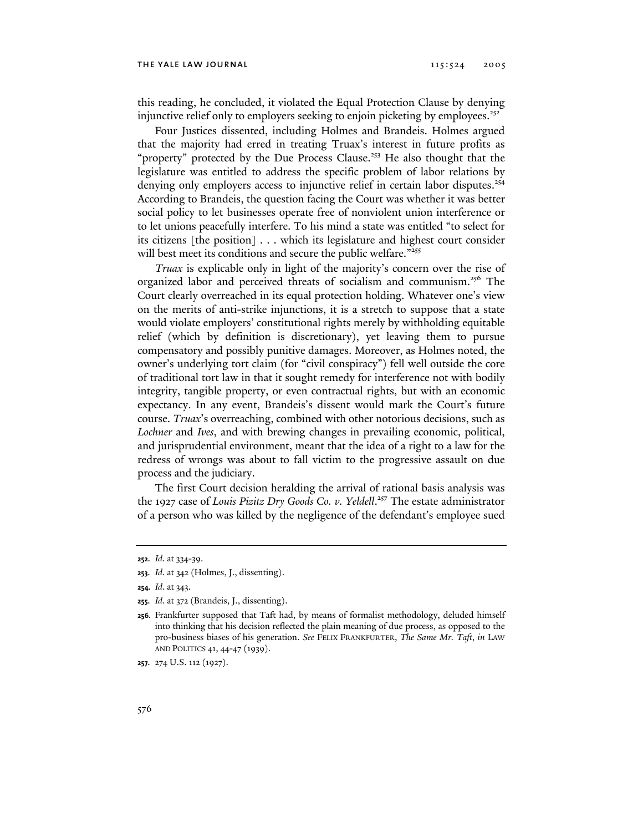this reading, he concluded, it violated the Equal Protection Clause by denying injunctive relief only to employers seeking to enjoin picketing by employees.<sup> $252$ </sup>

Four Justices dissented, including Holmes and Brandeis. Holmes argued that the majority had erred in treating Truax's interest in future profits as "property" protected by the Due Process Clause.<sup>253</sup> He also thought that the legislature was entitled to address the specific problem of labor relations by denying only employers access to injunctive relief in certain labor disputes.<sup>254</sup> According to Brandeis, the question facing the Court was whether it was better social policy to let businesses operate free of nonviolent union interference or to let unions peacefully interfere. To his mind a state was entitled "to select for its citizens [the position] . . . which its legislature and highest court consider will best meet its conditions and secure the public welfare."<sup>255</sup>

*Truax* is explicable only in light of the majority's concern over the rise of organized labor and perceived threats of socialism and communism.<sup>256</sup> The Court clearly overreached in its equal protection holding. Whatever one's view on the merits of anti-strike injunctions, it is a stretch to suppose that a state would violate employers' constitutional rights merely by withholding equitable relief (which by definition is discretionary), yet leaving them to pursue compensatory and possibly punitive damages. Moreover, as Holmes noted, the owner's underlying tort claim (for "civil conspiracy") fell well outside the core of traditional tort law in that it sought remedy for interference not with bodily integrity, tangible property, or even contractual rights, but with an economic expectancy. In any event, Brandeis's dissent would mark the Court's future course. *Truax*'s overreaching, combined with other notorious decisions, such as *Lochner* and *Ives*, and with brewing changes in prevailing economic, political, and jurisprudential environment, meant that the idea of a right to a law for the redress of wrongs was about to fall victim to the progressive assault on due process and the judiciary.

The first Court decision heralding the arrival of rational basis analysis was the 1927 case of *Louis Pizitz Dry Goods Co. v. Yeldell*. 257 The estate administrator of a person who was killed by the negligence of the defendant's employee sued

**257.** 274 U.S. 112 (1927).

**<sup>252.</sup>** *Id*. at 334-39.

**<sup>253.</sup>** *Id*. at 342 (Holmes, J., dissenting).

**<sup>254.</sup>** *Id*. at 343.

**<sup>255.</sup>** *Id*. at 372 (Brandeis, J., dissenting).

**<sup>256.</sup>** Frankfurter supposed that Taft had, by means of formalist methodology, deluded himself into thinking that his decision reflected the plain meaning of due process, as opposed to the pro-business biases of his generation. *See* FELIX FRANKFURTER, *The Same Mr. Taft*, *in* LAW AND POLITICS 41, 44-47 (1939).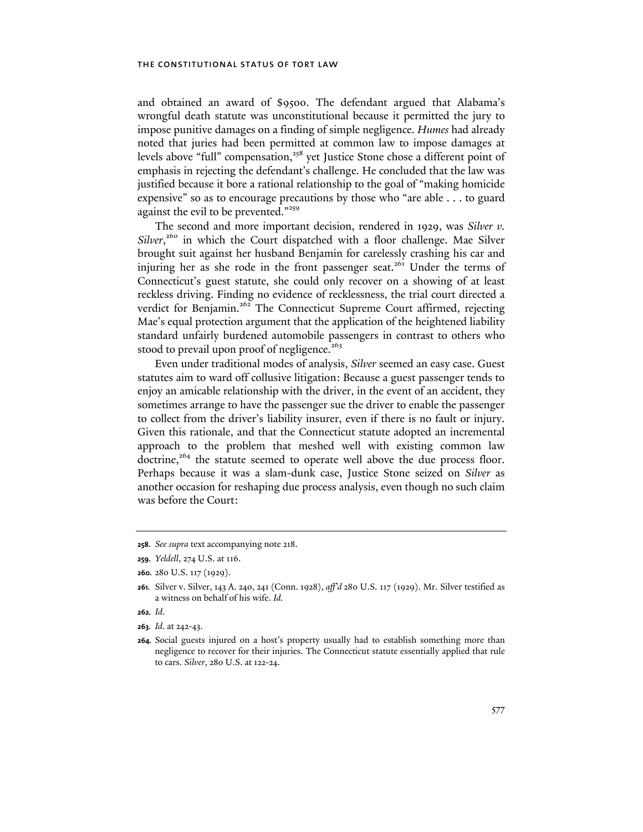and obtained an award of \$9500. The defendant argued that Alabama's wrongful death statute was unconstitutional because it permitted the jury to impose punitive damages on a finding of simple negligence. *Humes* had already noted that juries had been permitted at common law to impose damages at levels above "full" compensation,<sup>258</sup> yet Justice Stone chose a different point of emphasis in rejecting the defendant's challenge. He concluded that the law was justified because it bore a rational relationship to the goal of "making homicide expensive" so as to encourage precautions by those who "are able . . . to guard against the evil to be prevented."<sup>259</sup>

The second and more important decision, rendered in 1929, was *Silver v.*  Silver,<sup>260</sup> in which the Court dispatched with a floor challenge. Mae Silver brought suit against her husband Benjamin for carelessly crashing his car and injuring her as she rode in the front passenger seat.<sup>261</sup> Under the terms of Connecticut's guest statute, she could only recover on a showing of at least reckless driving. Finding no evidence of recklessness, the trial court directed a verdict for Benjamin.<sup>262</sup> The Connecticut Supreme Court affirmed, rejecting Mae's equal protection argument that the application of the heightened liability standard unfairly burdened automobile passengers in contrast to others who stood to prevail upon proof of negligence.<sup>263</sup>

Even under traditional modes of analysis, *Silver* seemed an easy case. Guest statutes aim to ward off collusive litigation: Because a guest passenger tends to enjoy an amicable relationship with the driver, in the event of an accident, they sometimes arrange to have the passenger sue the driver to enable the passenger to collect from the driver's liability insurer, even if there is no fault or injury. Given this rationale, and that the Connecticut statute adopted an incremental approach to the problem that meshed well with existing common law doctrine,<sup>264</sup> the statute seemed to operate well above the due process floor. Perhaps because it was a slam-dunk case, Justice Stone seized on *Silver* as another occasion for reshaping due process analysis, even though no such claim was before the Court:

**<sup>258.</sup>** *See supra* text accompanying note 218.

**<sup>259.</sup>** *Yeldell*, 274 U.S. at 116.

**<sup>260.</sup>** 280 U.S. 117 (1929).

**<sup>261.</sup>** Silver v. Silver, 143 A. 240, 241 (Conn. 1928), *aff'd* 280 U.S. 117 (1929). Mr. Silver testified as a witness on behalf of his wife. *Id.*

**<sup>262.</sup>** *Id*.

**<sup>263.</sup>** *Id*. at 242-43.

**<sup>264.</sup>** Social guests injured on a host's property usually had to establish something more than negligence to recover for their injuries. The Connecticut statute essentially applied that rule to cars. *Silver*, 280 U.S. at 122-24.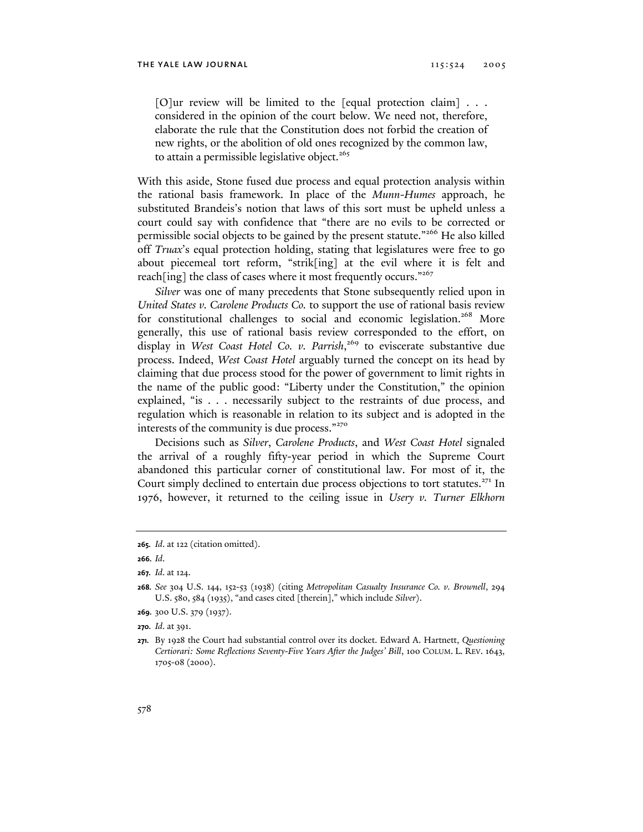[O]ur review will be limited to the [equal protection claim] . . . considered in the opinion of the court below. We need not, therefore, elaborate the rule that the Constitution does not forbid the creation of new rights, or the abolition of old ones recognized by the common law, to attain a permissible legislative object.<sup>265</sup>

With this aside, Stone fused due process and equal protection analysis within the rational basis framework. In place of the *Munn-Humes* approach, he substituted Brandeis's notion that laws of this sort must be upheld unless a court could say with confidence that "there are no evils to be corrected or permissible social objects to be gained by the present statute."266 He also killed off *Truax*'s equal protection holding, stating that legislatures were free to go about piecemeal tort reform, "strik[ing] at the evil where it is felt and reach[ing] the class of cases where it most frequently occurs."267

*Silver* was one of many precedents that Stone subsequently relied upon in *United States v. Carolene Products Co.* to support the use of rational basis review for constitutional challenges to social and economic legislation.<sup>268</sup> More generally, this use of rational basis review corresponded to the effort, on display in *West Coast Hotel Co. v. Parrish*, 269 to eviscerate substantive due process. Indeed, *West Coast Hotel* arguably turned the concept on its head by claiming that due process stood for the power of government to limit rights in the name of the public good: "Liberty under the Constitution," the opinion explained, "is . . . necessarily subject to the restraints of due process, and regulation which is reasonable in relation to its subject and is adopted in the interests of the community is due process."<sup>270</sup>

Decisions such as *Silver*, *Carolene Products*, and *West Coast Hotel* signaled the arrival of a roughly fifty-year period in which the Supreme Court abandoned this particular corner of constitutional law. For most of it, the Court simply declined to entertain due process objections to tort statutes.<sup>271</sup> In 1976, however, it returned to the ceiling issue in *Usery v. Turner Elkhorn* 

**269.** 300 U.S. 379 (1937).

**<sup>265.</sup>** *Id*. at 122 (citation omitted).

**<sup>266.</sup>** *Id*.

**<sup>267.</sup>** *Id*. at 124.

**<sup>268.</sup>** *See* 304 U.S. 144, 152-53 (1938) (citing *Metropolitan Casualty Insurance Co. v. Brownell*, 294 U.S. 580, 584 (1935), "and cases cited [therein]," which include *Silver*).

**<sup>270.</sup>** *Id*. at 391.

**<sup>271.</sup>** By 1928 the Court had substantial control over its docket. Edward A. Hartnett, *Questioning Certiorari: Some Reflections Seventy-Five Years After the Judges' Bill*, 100 COLUM. L. REV. 1643, 1705-08 (2000).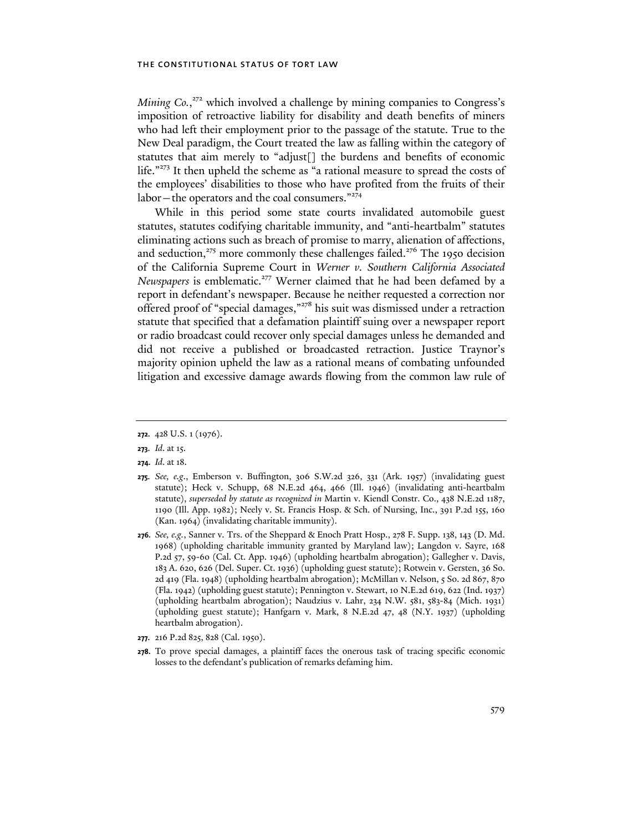Mining Co.,<sup>272</sup> which involved a challenge by mining companies to Congress's imposition of retroactive liability for disability and death benefits of miners who had left their employment prior to the passage of the statute. True to the New Deal paradigm, the Court treated the law as falling within the category of statutes that aim merely to "adjust[] the burdens and benefits of economic life."<sup>273</sup> It then upheld the scheme as "a rational measure to spread the costs of the employees' disabilities to those who have profited from the fruits of their labor – the operators and the coal consumers."<sup>274</sup>

While in this period some state courts invalidated automobile guest statutes, statutes codifying charitable immunity, and "anti-heartbalm" statutes eliminating actions such as breach of promise to marry, alienation of affections, and seduction, $275$  more commonly these challenges failed. $276$  The 1950 decision of the California Supreme Court in *Werner v. Southern California Associated Newspapers* is emblematic.<sup>277</sup> Werner claimed that he had been defamed by a report in defendant's newspaper. Because he neither requested a correction nor offered proof of "special damages,"<sup>278</sup> his suit was dismissed under a retraction statute that specified that a defamation plaintiff suing over a newspaper report or radio broadcast could recover only special damages unless he demanded and did not receive a published or broadcasted retraction. Justice Traynor's majority opinion upheld the law as a rational means of combating unfounded litigation and excessive damage awards flowing from the common law rule of

- **277.** 216 P.2d 825, 828 (Cal. 1950).
- **278.** To prove special damages, a plaintiff faces the onerous task of tracing specific economic losses to the defendant's publication of remarks defaming him.

**<sup>272.</sup>** 428 U.S. 1 (1976).

**<sup>273.</sup>** *Id*. at 15.

**<sup>274.</sup>** *Id*. at 18.

**<sup>275.</sup>** *See, e.g*., Emberson v. Buffington, 306 S.W.2d 326, 331 (Ark. 1957) (invalidating guest statute); Heck v. Schupp, 68 N.E.2d 464, 466 (Ill. 1946) (invalidating anti-heartbalm statute), *superseded by statute as recognized in* Martin v. Kiendl Constr. Co., 438 N.E.2d 1187, 1190 (Ill. App. 1982); Neely v. St. Francis Hosp. & Sch. of Nursing, Inc., 391 P.2d 155, 160 (Kan. 1964) (invalidating charitable immunity).

**<sup>276.</sup>** *See, e.g.*, Sanner v. Trs. of the Sheppard & Enoch Pratt Hosp., 278 F. Supp. 138, 143 (D. Md. 1968) (upholding charitable immunity granted by Maryland law); Langdon v. Sayre, 168 P.2d 57, 59-60 (Cal. Ct. App. 1946) (upholding heartbalm abrogation); Gallegher v. Davis, 183 A. 620, 626 (Del. Super. Ct. 1936) (upholding guest statute); Rotwein v. Gersten, 36 So. 2d 419 (Fla. 1948) (upholding heartbalm abrogation); McMillan v. Nelson, 5 So. 2d 867, 870 (Fla. 1942) (upholding guest statute); Pennington v. Stewart, 10 N.E.2d 619, 622 (Ind. 1937) (upholding heartbalm abrogation); Naudzius v. Lahr, 234 N.W. 581, 583-84 (Mich. 1931) (upholding guest statute); Hanfgarn v. Mark, 8 N.E.2d 47, 48 (N.Y. 1937) (upholding heartbalm abrogation).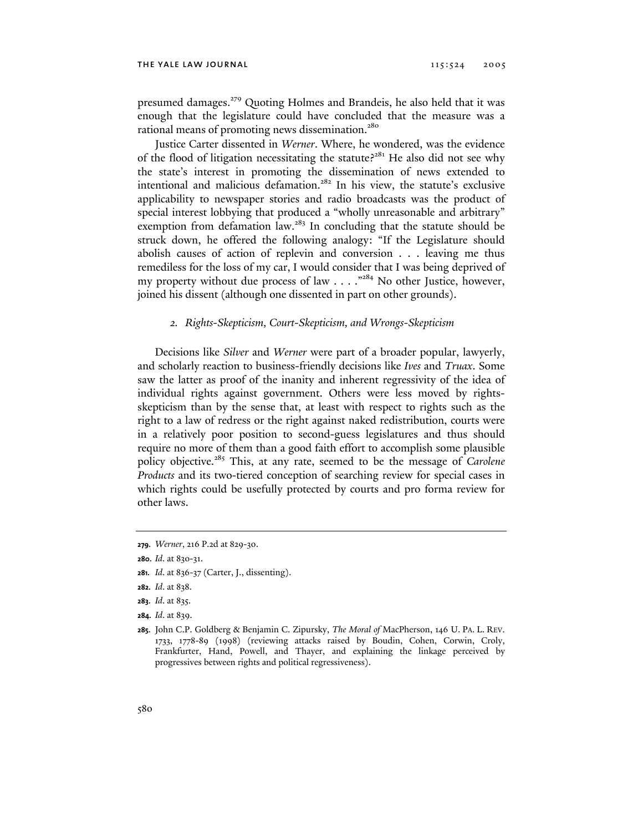presumed damages.<sup>279</sup> Quoting Holmes and Brandeis, he also held that it was enough that the legislature could have concluded that the measure was a rational means of promoting news dissemination.<sup>280</sup>

Justice Carter dissented in *Werner*. Where, he wondered, was the evidence of the flood of litigation necessitating the statute?<sup>281</sup> He also did not see why the state's interest in promoting the dissemination of news extended to intentional and malicious defamation.<sup>282</sup> In his view, the statute's exclusive applicability to newspaper stories and radio broadcasts was the product of special interest lobbying that produced a "wholly unreasonable and arbitrary" exemption from defamation  $law.^{283}$  In concluding that the statute should be struck down, he offered the following analogy: "If the Legislature should abolish causes of action of replevin and conversion . . . leaving me thus remediless for the loss of my car, I would consider that I was being deprived of my property without due process of law  $\dots$ ."<sup>284</sup> No other Justice, however, joined his dissent (although one dissented in part on other grounds).

# *2. Rights-Skepticism, Court-Skepticism, and Wrongs-Skepticism*

Decisions like *Silver* and *Werner* were part of a broader popular, lawyerly, and scholarly reaction to business-friendly decisions like *Ives* and *Truax*. Some saw the latter as proof of the inanity and inherent regressivity of the idea of individual rights against government. Others were less moved by rightsskepticism than by the sense that, at least with respect to rights such as the right to a law of redress or the right against naked redistribution, courts were in a relatively poor position to second-guess legislatures and thus should require no more of them than a good faith effort to accomplish some plausible policy objective.285 This, at any rate, seemed to be the message of *Carolene Products* and its two-tiered conception of searching review for special cases in which rights could be usefully protected by courts and pro forma review for other laws.

- **281.** *Id*. at 836-37 (Carter, J., dissenting).
- **282.** *Id*. at 838.
- **283.** *Id*. at 835.
- **284.** *Id*. at 839.
- **285.** John C.P. Goldberg & Benjamin C. Zipursky, *The Moral of* MacPherson, 146 U. PA. L. REV. 1733, 1778-89 (1998) (reviewing attacks raised by Boudin, Cohen, Corwin, Croly, Frankfurter, Hand, Powell, and Thayer, and explaining the linkage perceived by progressives between rights and political regressiveness).

**<sup>279.</sup>** *Werner*, 216 P.2d at 829-30.

**<sup>280.</sup>** *Id*. at 830-31.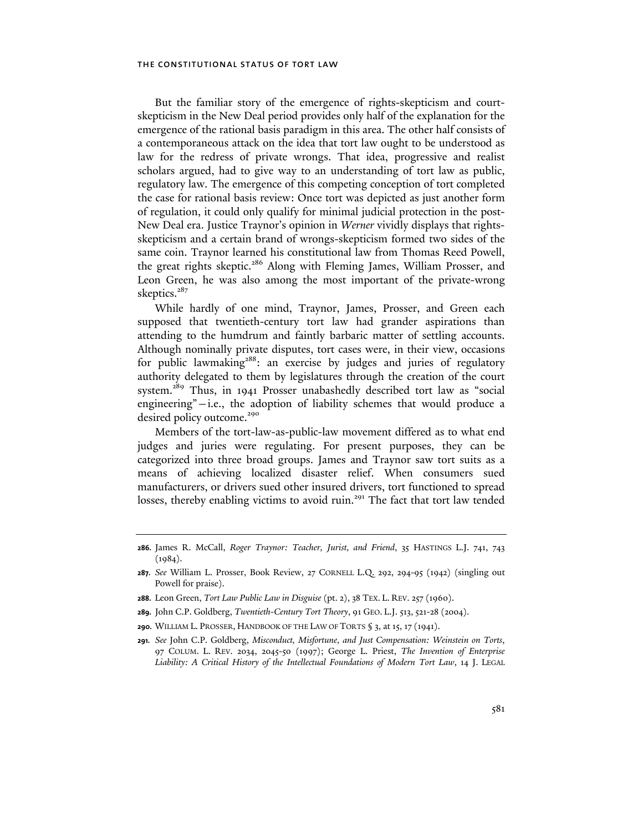But the familiar story of the emergence of rights-skepticism and courtskepticism in the New Deal period provides only half of the explanation for the emergence of the rational basis paradigm in this area. The other half consists of a contemporaneous attack on the idea that tort law ought to be understood as law for the redress of private wrongs. That idea, progressive and realist scholars argued, had to give way to an understanding of tort law as public, regulatory law. The emergence of this competing conception of tort completed the case for rational basis review: Once tort was depicted as just another form of regulation, it could only qualify for minimal judicial protection in the post-New Deal era. Justice Traynor's opinion in *Werner* vividly displays that rightsskepticism and a certain brand of wrongs-skepticism formed two sides of the same coin. Traynor learned his constitutional law from Thomas Reed Powell, the great rights skeptic.<sup>286</sup> Along with Fleming James, William Prosser, and Leon Green, he was also among the most important of the private-wrong skeptics.<sup>287</sup>

While hardly of one mind, Traynor, James, Prosser, and Green each supposed that twentieth-century tort law had grander aspirations than attending to the humdrum and faintly barbaric matter of settling accounts. Although nominally private disputes, tort cases were, in their view, occasions for public lawmaking<sup>288</sup>: an exercise by judges and juries of regulatory authority delegated to them by legislatures through the creation of the court system.289 Thus, in 1941 Prosser unabashedly described tort law as "social engineering"—i.e., the adoption of liability schemes that would produce a desired policy outcome.<sup>290</sup>

Members of the tort-law-as-public-law movement differed as to what end judges and juries were regulating. For present purposes, they can be categorized into three broad groups. James and Traynor saw tort suits as a means of achieving localized disaster relief. When consumers sued manufacturers, or drivers sued other insured drivers, tort functioned to spread losses, thereby enabling victims to avoid ruin.<sup>291</sup> The fact that tort law tended

**<sup>286.</sup>** James R. McCall, *Roger Traynor: Teacher, Jurist, and Friend*, 35 HASTINGS L.J. 741, 743  $(1984)$ .

**<sup>287.</sup>** *See* William L. Prosser, Book Review, 27 CORNELL L.Q. 292, 294-95 (1942) (singling out Powell for praise).

**<sup>288.</sup>** Leon Green, *Tort Law Public Law in Disguise* (pt. 2), 38 TEX. L. REV. 257 (1960).

**<sup>289.</sup>** John C.P. Goldberg, *Twentieth-Century Tort Theory*, 91 GEO. L.J. 513, 521-28 (2004).

**<sup>290.</sup>** WILLIAM L. PROSSER, HANDBOOK OF THE LAW OF TORTS § 3, at 15, 17 (1941).

**<sup>291.</sup>** *See* John C.P. Goldberg, *Misconduct, Misfortune, and Just Compensation: Weinstein on Torts*, 97 COLUM. L. REV. 2034, 2045-50 (1997); George L. Priest, *The Invention of Enterprise Liability: A Critical History of the Intellectual Foundations of Modern Tort Law*, 14 J. LEGAL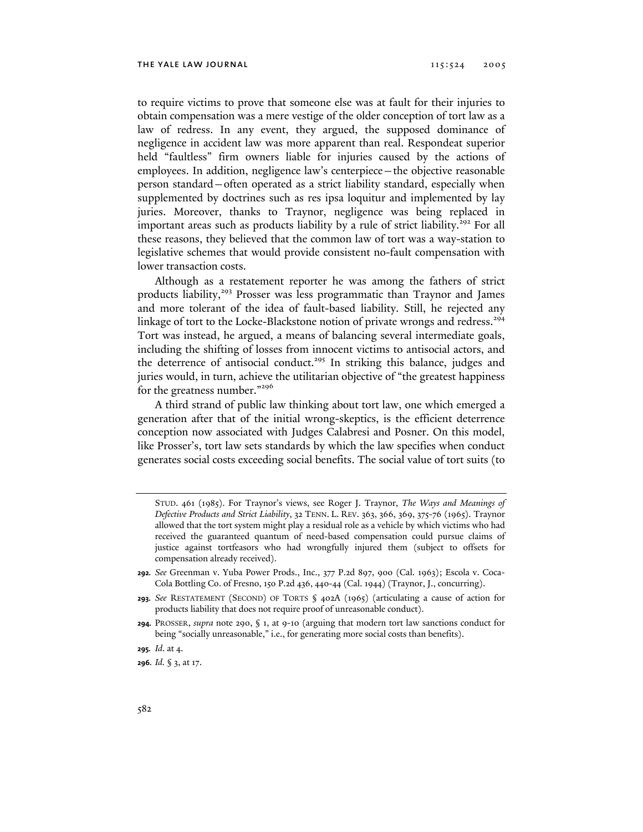to require victims to prove that someone else was at fault for their injuries to obtain compensation was a mere vestige of the older conception of tort law as a law of redress. In any event, they argued, the supposed dominance of negligence in accident law was more apparent than real. Respondeat superior held "faultless" firm owners liable for injuries caused by the actions of employees. In addition, negligence law's centerpiece—the objective reasonable person standard—often operated as a strict liability standard, especially when supplemented by doctrines such as res ipsa loquitur and implemented by lay juries. Moreover, thanks to Traynor, negligence was being replaced in important areas such as products liability by a rule of strict liability.<sup>292</sup> For all these reasons, they believed that the common law of tort was a way-station to legislative schemes that would provide consistent no-fault compensation with lower transaction costs.

Although as a restatement reporter he was among the fathers of strict products liability,<sup>293</sup> Prosser was less programmatic than Traynor and James and more tolerant of the idea of fault-based liability. Still, he rejected any linkage of tort to the Locke-Blackstone notion of private wrongs and redress.<sup>294</sup> Tort was instead, he argued, a means of balancing several intermediate goals, including the shifting of losses from innocent victims to antisocial actors, and the deterrence of antisocial conduct.<sup>295</sup> In striking this balance, judges and juries would, in turn, achieve the utilitarian objective of "the greatest happiness for the greatness number."<sup>296</sup>

A third strand of public law thinking about tort law, one which emerged a generation after that of the initial wrong-skeptics, is the efficient deterrence conception now associated with Judges Calabresi and Posner. On this model, like Prosser's, tort law sets standards by which the law specifies when conduct generates social costs exceeding social benefits. The social value of tort suits (to

- **292.** *See* Greenman v. Yuba Power Prods., Inc., 377 P.2d 897, 900 (Cal. 1963); Escola v. Coca-Cola Bottling Co. of Fresno, 150 P.2d 436, 440-44 (Cal. 1944) (Traynor, J., concurring).
- **293.** *See* RESTATEMENT (SECOND) OF TORTS § 402A (1965) (articulating a cause of action for products liability that does not require proof of unreasonable conduct).
- **294.** PROSSER, *supra* note 290, § 1, at 9-10 (arguing that modern tort law sanctions conduct for being "socially unreasonable," i.e., for generating more social costs than benefits).
- **295.** *Id*. at 4.

**296.** *Id.* § 3, at 17.

STUD. 461 (1985). For Traynor's views, see Roger J. Traynor, *The Ways and Meanings of Defective Products and Strict Liability*, 32 TENN. L. REV. 363, 366, 369, 375-76 (1965). Traynor allowed that the tort system might play a residual role as a vehicle by which victims who had received the guaranteed quantum of need-based compensation could pursue claims of justice against tortfeasors who had wrongfully injured them (subject to offsets for compensation already received).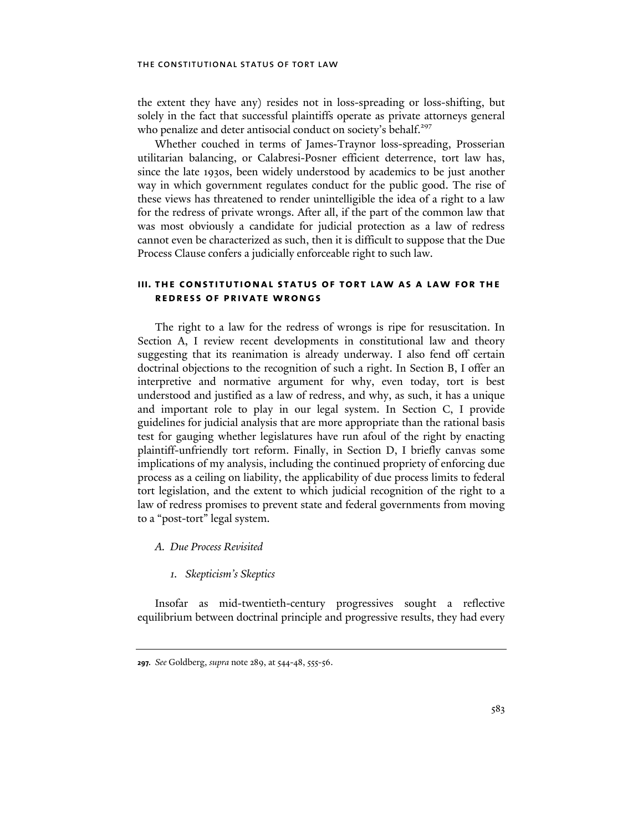the extent they have any) resides not in loss-spreading or loss-shifting, but solely in the fact that successful plaintiffs operate as private attorneys general who penalize and deter antisocial conduct on society's behalf.<sup>297</sup>

Whether couched in terms of James-Traynor loss-spreading, Prosserian utilitarian balancing, or Calabresi-Posner efficient deterrence, tort law has, since the late 1930s, been widely understood by academics to be just another way in which government regulates conduct for the public good. The rise of these views has threatened to render unintelligible the idea of a right to a law for the redress of private wrongs. After all, if the part of the common law that was most obviously a candidate for judicial protection as a law of redress cannot even be characterized as such, then it is difficult to suppose that the Due Process Clause confers a judicially enforceable right to such law.

# **iii. the constitutional status of tort law as a law for the redress of private wrongs**

The right to a law for the redress of wrongs is ripe for resuscitation. In Section A, I review recent developments in constitutional law and theory suggesting that its reanimation is already underway. I also fend off certain doctrinal objections to the recognition of such a right. In Section B, I offer an interpretive and normative argument for why, even today, tort is best understood and justified as a law of redress, and why, as such, it has a unique and important role to play in our legal system. In Section C, I provide guidelines for judicial analysis that are more appropriate than the rational basis test for gauging whether legislatures have run afoul of the right by enacting plaintiff-unfriendly tort reform. Finally, in Section D, I briefly canvas some implications of my analysis, including the continued propriety of enforcing due process as a ceiling on liability, the applicability of due process limits to federal tort legislation, and the extent to which judicial recognition of the right to a law of redress promises to prevent state and federal governments from moving to a "post-tort" legal system.

- *A. Due Process Revisited* 
	- *1. Skepticism's Skeptics*

Insofar as mid-twentieth-century progressives sought a reflective equilibrium between doctrinal principle and progressive results, they had every

**<sup>297.</sup>** *See* Goldberg, *supra* note 289, at 544-48, 555-56.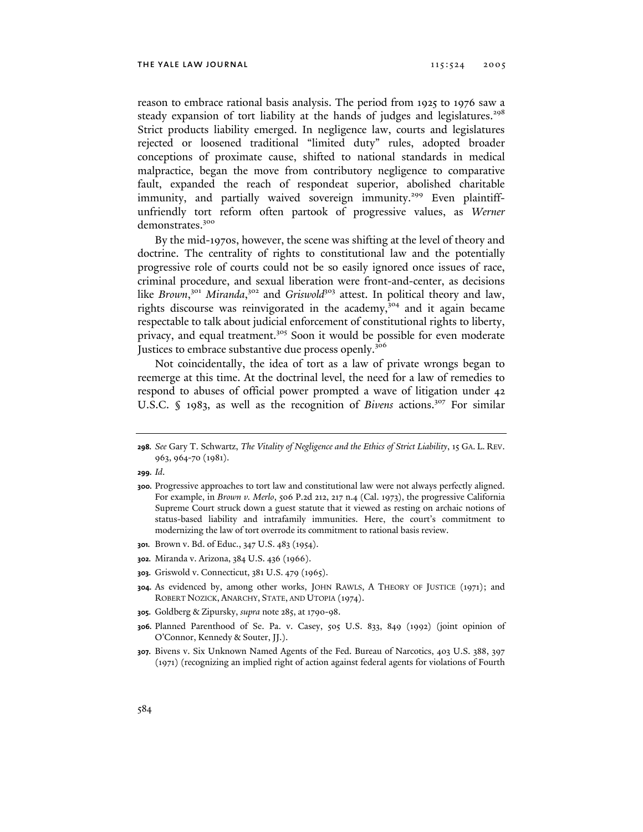reason to embrace rational basis analysis. The period from 1925 to 1976 saw a steady expansion of tort liability at the hands of judges and legislatures.<sup>298</sup> Strict products liability emerged. In negligence law, courts and legislatures rejected or loosened traditional "limited duty" rules, adopted broader conceptions of proximate cause, shifted to national standards in medical malpractice, began the move from contributory negligence to comparative fault, expanded the reach of respondeat superior, abolished charitable immunity, and partially waived sovereign immunity.<sup>299</sup> Even plaintiffunfriendly tort reform often partook of progressive values, as *Werner* demonstrates.<sup>300</sup>

By the mid-1970s, however, the scene was shifting at the level of theory and doctrine. The centrality of rights to constitutional law and the potentially progressive role of courts could not be so easily ignored once issues of race, criminal procedure, and sexual liberation were front-and-center, as decisions like *Brown*,<sup>301</sup> Miranda,<sup>302</sup> and *Griswold*<sup>303</sup> attest. In political theory and law, rights discourse was reinvigorated in the academy,<sup>304</sup> and it again became respectable to talk about judicial enforcement of constitutional rights to liberty, privacy, and equal treatment.<sup>305</sup> Soon it would be possible for even moderate Justices to embrace substantive due process openly.<sup>306</sup>

Not coincidentally, the idea of tort as a law of private wrongs began to reemerge at this time. At the doctrinal level, the need for a law of remedies to respond to abuses of official power prompted a wave of litigation under 42 U.S.C. § 1983, as well as the recognition of *Bivens* actions.<sup>307</sup> For similar

- **300.** Progressive approaches to tort law and constitutional law were not always perfectly aligned. For example, in *Brown v. Merlo*, 506 P.2d 212, 217 n.4 (Cal. 1973), the progressive California Supreme Court struck down a guest statute that it viewed as resting on archaic notions of status-based liability and intrafamily immunities. Here, the court's commitment to modernizing the law of tort overrode its commitment to rational basis review.
- **301.** Brown v. Bd. of Educ., 347 U.S. 483 (1954).
- **302.** Miranda v. Arizona, 384 U.S. 436 (1966).
- **303.** Griswold v. Connecticut, 381 U.S. 479 (1965).
- **304.** As evidenced by, among other works, JOHN RAWLS, A THEORY OF JUSTICE (1971); and ROBERT NOZICK, ANARCHY, STATE, AND UTOPIA (1974).
- **305.** Goldberg & Zipursky, *supra* note 285, at 1790-98.
- **306.** Planned Parenthood of Se. Pa. v. Casey, 505 U.S. 833, 849 (1992) (joint opinion of O'Connor, Kennedy & Souter, JJ.).
- **307.** Bivens v. Six Unknown Named Agents of the Fed. Bureau of Narcotics, 403 U.S. 388, 397 (1971) (recognizing an implied right of action against federal agents for violations of Fourth

**<sup>298.</sup>** *See* Gary T. Schwartz, *The Vitality of Negligence and the Ethics of Strict Liability*, 15 GA. L. REV. 963, 964-70 (1981).

**<sup>299.</sup>** *Id*.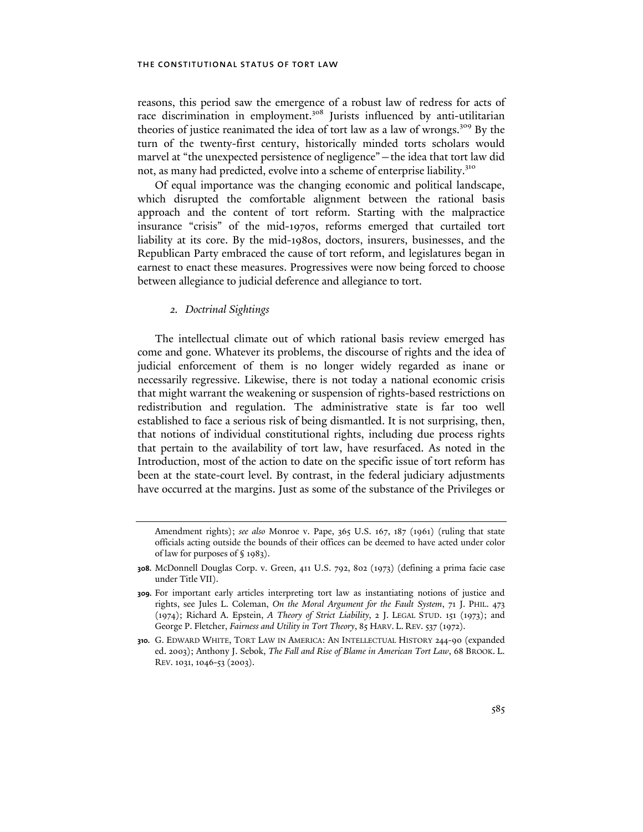reasons, this period saw the emergence of a robust law of redress for acts of race discrimination in employment.<sup>308</sup> Jurists influenced by anti-utilitarian theories of justice reanimated the idea of tort law as a law of wrongs.309 By the turn of the twenty-first century, historically minded torts scholars would marvel at "the unexpected persistence of negligence"—the idea that tort law did not, as many had predicted, evolve into a scheme of enterprise liability.<sup>310</sup>

Of equal importance was the changing economic and political landscape, which disrupted the comfortable alignment between the rational basis approach and the content of tort reform. Starting with the malpractice insurance "crisis" of the mid-1970s, reforms emerged that curtailed tort liability at its core. By the mid-1980s, doctors, insurers, businesses, and the Republican Party embraced the cause of tort reform, and legislatures began in earnest to enact these measures. Progressives were now being forced to choose between allegiance to judicial deference and allegiance to tort.

# *2. Doctrinal Sightings*

The intellectual climate out of which rational basis review emerged has come and gone. Whatever its problems, the discourse of rights and the idea of judicial enforcement of them is no longer widely regarded as inane or necessarily regressive. Likewise, there is not today a national economic crisis that might warrant the weakening or suspension of rights-based restrictions on redistribution and regulation. The administrative state is far too well established to face a serious risk of being dismantled. It is not surprising, then, that notions of individual constitutional rights, including due process rights that pertain to the availability of tort law, have resurfaced. As noted in the Introduction, most of the action to date on the specific issue of tort reform has been at the state-court level. By contrast, in the federal judiciary adjustments have occurred at the margins. Just as some of the substance of the Privileges or

Amendment rights); *see also* Monroe v. Pape, 365 U.S. 167, 187 (1961) (ruling that state officials acting outside the bounds of their offices can be deemed to have acted under color of law for purposes of § 1983).

**<sup>308.</sup>** McDonnell Douglas Corp. v. Green, 411 U.S. 792, 802 (1973) (defining a prima facie case under Title VII).

**<sup>309.</sup>** For important early articles interpreting tort law as instantiating notions of justice and rights, see Jules L. Coleman, *On the Moral Argument for the Fault System*, 71 J. PHIL. 473 (1974); Richard A. Epstein, *A Theory of Strict Liability*, 2 J. LEGAL STUD. 151 (1973); and George P. Fletcher, *Fairness and Utility in Tort Theory*, 85 HARV. L. REV. 537 (1972).

**<sup>310.</sup>** G. EDWARD WHITE, TORT LAW IN AMERICA: AN INTELLECTUAL HISTORY 244-90 (expanded ed. 2003); Anthony J. Sebok, *The Fall and Rise of Blame in American Tort Law*, 68 BROOK. L. REV. 1031, 1046-53 (2003).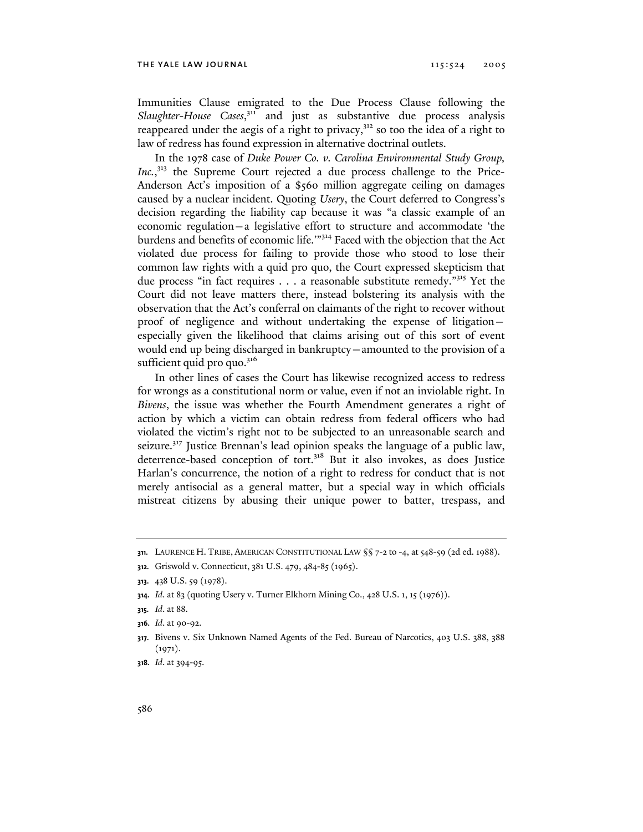Immunities Clause emigrated to the Due Process Clause following the Slaughter-House Cases,<sup>311</sup> and just as substantive due process analysis reappeared under the aegis of a right to privacy, $3^{32}$  so too the idea of a right to law of redress has found expression in alternative doctrinal outlets.

In the 1978 case of *Duke Power Co. v. Carolina Environmental Study Group,*  Inc.,<sup>313</sup> the Supreme Court rejected a due process challenge to the Price-Anderson Act's imposition of a \$560 million aggregate ceiling on damages caused by a nuclear incident. Quoting *Usery*, the Court deferred to Congress's decision regarding the liability cap because it was "a classic example of an economic regulation—a legislative effort to structure and accommodate 'the burdens and benefits of economic life.'"314 Faced with the objection that the Act violated due process for failing to provide those who stood to lose their common law rights with a quid pro quo, the Court expressed skepticism that due process "in fact requires . . . a reasonable substitute remedy."315 Yet the Court did not leave matters there, instead bolstering its analysis with the observation that the Act's conferral on claimants of the right to recover without proof of negligence and without undertaking the expense of litigation especially given the likelihood that claims arising out of this sort of event would end up being discharged in bankruptcy—amounted to the provision of a sufficient quid pro quo. $316$ 

In other lines of cases the Court has likewise recognized access to redress for wrongs as a constitutional norm or value, even if not an inviolable right. In *Bivens*, the issue was whether the Fourth Amendment generates a right of action by which a victim can obtain redress from federal officers who had violated the victim's right not to be subjected to an unreasonable search and seizure.<sup>317</sup> Justice Brennan's lead opinion speaks the language of a public law, deterrence-based conception of tort.<sup>318</sup> But it also invokes, as does Justice Harlan's concurrence, the notion of a right to redress for conduct that is not merely antisocial as a general matter, but a special way in which officials mistreat citizens by abusing their unique power to batter, trespass, and

**<sup>311.</sup>** LAURENCE H. TRIBE, AMERICAN CONSTITUTIONAL LAW §§ 7-2 to -4, at 548-59 (2d ed. 1988).

**<sup>312.</sup>** Griswold v. Connecticut, 381 U.S. 479, 484-85 (1965).

**<sup>313.</sup>** 438 U.S. 59 (1978).

**<sup>314.</sup>** *Id*. at 83 (quoting Usery v. Turner Elkhorn Mining Co., 428 U.S. 1, 15 (1976)).

**<sup>315.</sup>** *Id*. at 88.

**<sup>316.</sup>** *Id*. at 90-92.

**<sup>317.</sup>** Bivens v. Six Unknown Named Agents of the Fed. Bureau of Narcotics, 403 U.S. 388, 388  $(1971).$ 

**<sup>318.</sup>** *Id*. at 394-95.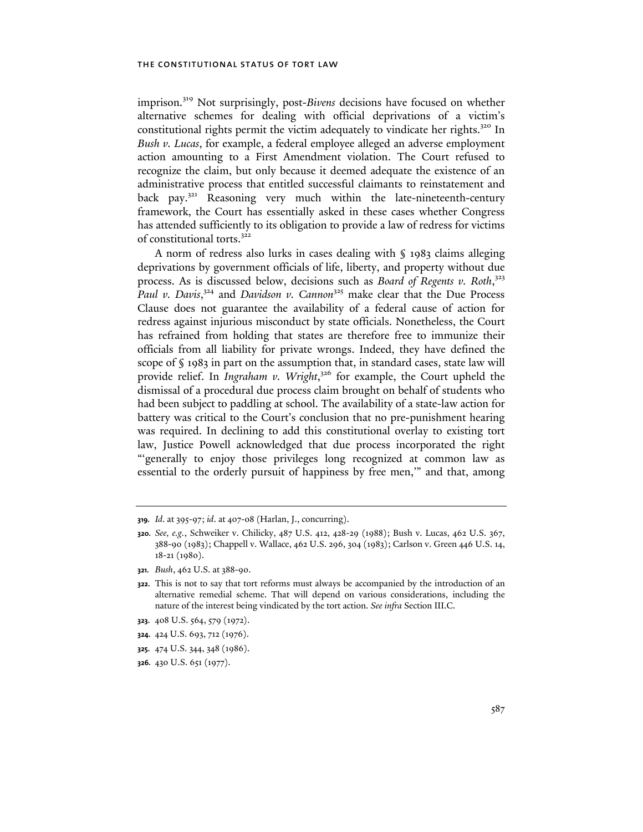imprison.319 Not surprisingly, post-*Bivens* decisions have focused on whether alternative schemes for dealing with official deprivations of a victim's constitutional rights permit the victim adequately to vindicate her rights.<sup>320</sup> In *Bush v. Lucas*, for example, a federal employee alleged an adverse employment action amounting to a First Amendment violation. The Court refused to recognize the claim, but only because it deemed adequate the existence of an administrative process that entitled successful claimants to reinstatement and back pay.<sup>321</sup> Reasoning very much within the late-nineteenth-century framework, the Court has essentially asked in these cases whether Congress has attended sufficiently to its obligation to provide a law of redress for victims of constitutional torts.<sup>322</sup>

A norm of redress also lurks in cases dealing with § 1983 claims alleging deprivations by government officials of life, liberty, and property without due process. As is discussed below, decisions such as *Board of Regents v. Roth*, 323 Paul v. Davis,<sup>324</sup> and *Davidson v. Cannon*<sup>325</sup> make clear that the Due Process Clause does not guarantee the availability of a federal cause of action for redress against injurious misconduct by state officials. Nonetheless, the Court has refrained from holding that states are therefore free to immunize their officials from all liability for private wrongs. Indeed, they have defined the scope of § 1983 in part on the assumption that, in standard cases, state law will provide relief. In *Ingraham v. Wright*, 326 for example, the Court upheld the dismissal of a procedural due process claim brought on behalf of students who had been subject to paddling at school. The availability of a state-law action for battery was critical to the Court's conclusion that no pre-punishment hearing was required. In declining to add this constitutional overlay to existing tort law, Justice Powell acknowledged that due process incorporated the right "'generally to enjoy those privileges long recognized at common law as essential to the orderly pursuit of happiness by free men,'" and that, among

- **323.** 408 U.S. 564, 579 (1972).
- **324.** 424 U.S. 693, 712 (1976).
- **325.** 474 U.S. 344, 348 (1986).
- **326.** 430 U.S. 651 (1977).

**<sup>319.</sup>** *Id*. at 395-97; *id*. at 407-08 (Harlan, J., concurring).

**<sup>320.</sup>** *See, e.g.*, Schweiker v. Chilicky, 487 U.S. 412, 428-29 (1988); Bush v. Lucas, 462 U.S. 367, 388-90 (1983); Chappell v. Wallace, 462 U.S. 296, 304 (1983); Carlson v. Green 446 U.S. 14, 18-21 (1980).

**<sup>321.</sup>** *Bush*, 462 U.S. at 388-90.

**<sup>322.</sup>** This is not to say that tort reforms must always be accompanied by the introduction of an alternative remedial scheme. That will depend on various considerations, including the nature of the interest being vindicated by the tort action. *See infra* Section III.C.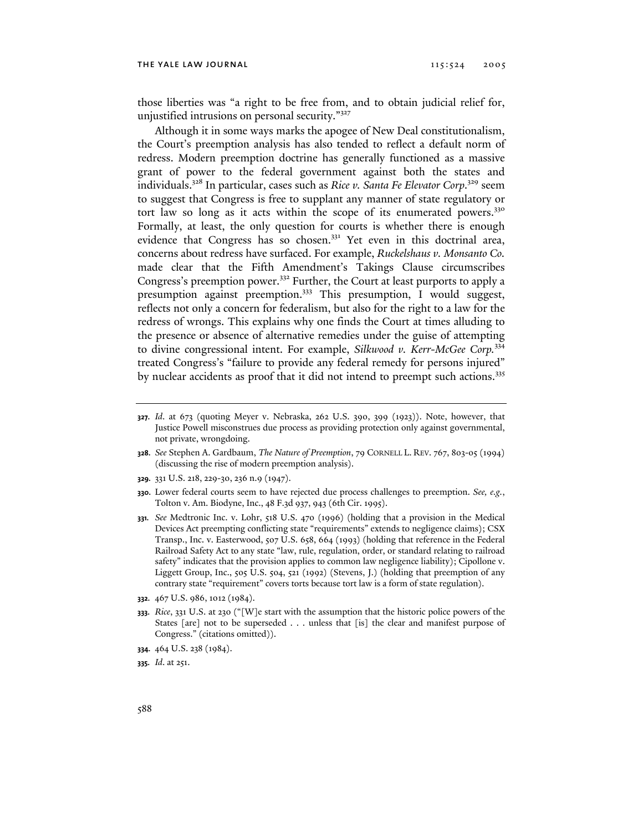those liberties was "a right to be free from, and to obtain judicial relief for, unjustified intrusions on personal security."<sup>327</sup>

Although it in some ways marks the apogee of New Deal constitutionalism, the Court's preemption analysis has also tended to reflect a default norm of redress. Modern preemption doctrine has generally functioned as a massive grant of power to the federal government against both the states and individuals.<sup>328</sup> In particular, cases such as *Rice v. Santa Fe Elevator Corp*.<sup>329</sup> seem to suggest that Congress is free to supplant any manner of state regulatory or tort law so long as it acts within the scope of its enumerated powers.<sup>330</sup> Formally, at least, the only question for courts is whether there is enough evidence that Congress has so chosen.<sup>331</sup> Yet even in this doctrinal area, concerns about redress have surfaced. For example, *Ruckelshaus v. Monsanto Co.*  made clear that the Fifth Amendment's Takings Clause circumscribes Congress's preemption power.332 Further, the Court at least purports to apply a presumption against preemption.<sup>333</sup> This presumption, I would suggest, reflects not only a concern for federalism, but also for the right to a law for the redress of wrongs. This explains why one finds the Court at times alluding to the presence or absence of alternative remedies under the guise of attempting to divine congressional intent. For example, *Silkwood v. Kerr-McGee Corp.*<sup>334</sup> treated Congress's "failure to provide any federal remedy for persons injured" by nuclear accidents as proof that it did not intend to preempt such actions.<sup>335</sup>

- **329.** 331 U.S. 218, 229-30, 236 n.9 (1947).
- **330.** Lower federal courts seem to have rejected due process challenges to preemption. *See, e.g.*, Tolton v. Am. Biodyne, Inc., 48 F.3d 937, 943 (6th Cir. 1995).
- **331.** *See* Medtronic Inc. v. Lohr, 518 U.S. 470 (1996) (holding that a provision in the Medical Devices Act preempting conflicting state "requirements" extends to negligence claims); CSX Transp., Inc. v. Easterwood, 507 U.S. 658, 664 (1993) (holding that reference in the Federal Railroad Safety Act to any state "law, rule, regulation, order, or standard relating to railroad safety" indicates that the provision applies to common law negligence liability); Cipollone v. Liggett Group, Inc., 505 U.S. 504, 521 (1992) (Stevens, J.) (holding that preemption of any contrary state "requirement" covers torts because tort law is a form of state regulation).
- **332.** 467 U.S. 986, 1012 (1984).
- **333.** *Rice*, 331 U.S. at 230 ("[W]e start with the assumption that the historic police powers of the States [are] not to be superseded . . . unless that [is] the clear and manifest purpose of Congress." (citations omitted)).
- **334.** 464 U.S. 238 (1984).
- **335.** *Id*. at 251.

**<sup>327.</sup>** *Id*. at 673 (quoting Meyer v. Nebraska, 262 U.S. 390, 399 (1923)). Note, however, that Justice Powell misconstrues due process as providing protection only against governmental, not private, wrongdoing.

**<sup>328.</sup>** *See* Stephen A. Gardbaum, *The Nature of Preemption*, 79 CORNELL L. REV. 767, 803-05 (1994) (discussing the rise of modern preemption analysis).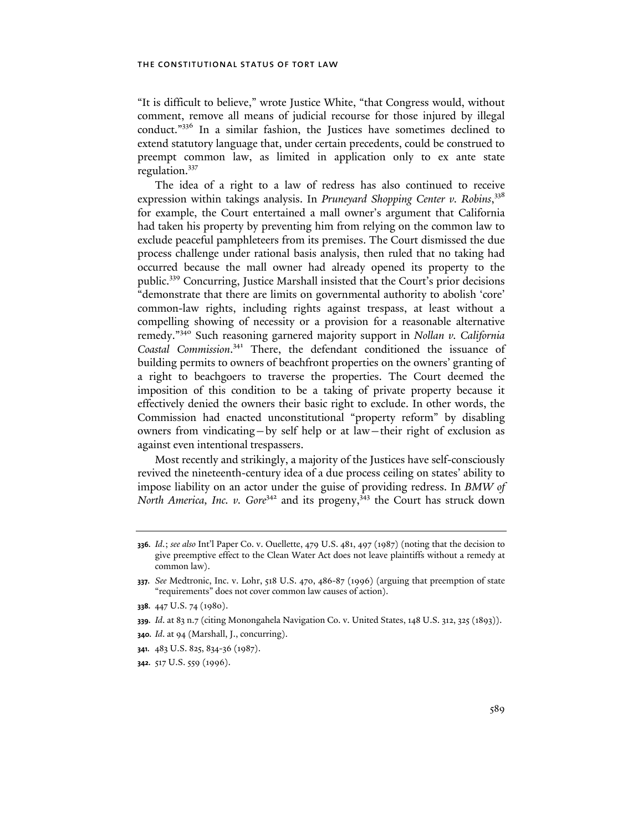"It is difficult to believe," wrote Justice White, "that Congress would, without comment, remove all means of judicial recourse for those injured by illegal conduct."336 In a similar fashion, the Justices have sometimes declined to extend statutory language that, under certain precedents, could be construed to preempt common law, as limited in application only to ex ante state regulation.<sup>337</sup>

The idea of a right to a law of redress has also continued to receive expression within takings analysis. In *Pruneyard Shopping Center v. Robins*, 338 for example, the Court entertained a mall owner's argument that California had taken his property by preventing him from relying on the common law to exclude peaceful pamphleteers from its premises. The Court dismissed the due process challenge under rational basis analysis, then ruled that no taking had occurred because the mall owner had already opened its property to the public.339 Concurring, Justice Marshall insisted that the Court's prior decisions "demonstrate that there are limits on governmental authority to abolish 'core' common-law rights, including rights against trespass, at least without a compelling showing of necessity or a provision for a reasonable alternative remedy."340 Such reasoning garnered majority support in *Nollan v. California Coastal Commission*. 341 There, the defendant conditioned the issuance of building permits to owners of beachfront properties on the owners' granting of a right to beachgoers to traverse the properties. The Court deemed the imposition of this condition to be a taking of private property because it effectively denied the owners their basic right to exclude. In other words, the Commission had enacted unconstitutional "property reform" by disabling owners from vindicating—by self help or at law—their right of exclusion as against even intentional trespassers.

Most recently and strikingly, a majority of the Justices have self-consciously revived the nineteenth-century idea of a due process ceiling on states' ability to impose liability on an actor under the guise of providing redress. In *BMW of North America, Inc. v. Gore<sup>342</sup>* and its progeny,<sup>343</sup> the Court has struck down

**<sup>336.</sup>** *Id*.; *see also* Int'l Paper Co. v. Ouellette, 479 U.S. 481, 497 (1987) (noting that the decision to give preemptive effect to the Clean Water Act does not leave plaintiffs without a remedy at common law).

**<sup>337.</sup>** *See* Medtronic, Inc. v. Lohr, 518 U.S. 470, 486-87 (1996) (arguing that preemption of state "requirements" does not cover common law causes of action).

**<sup>338.</sup>** 447 U.S. 74 (1980).

**<sup>339.</sup>** *Id*. at 83 n.7 (citing Monongahela Navigation Co. v. United States, 148 U.S. 312, 325 (1893)).

**<sup>340.</sup>** *Id*. at 94 (Marshall, J., concurring).

**<sup>341.</sup>** 483 U.S. 825, 834-36 (1987).

**<sup>342.</sup>** 517 U.S. 559 (1996).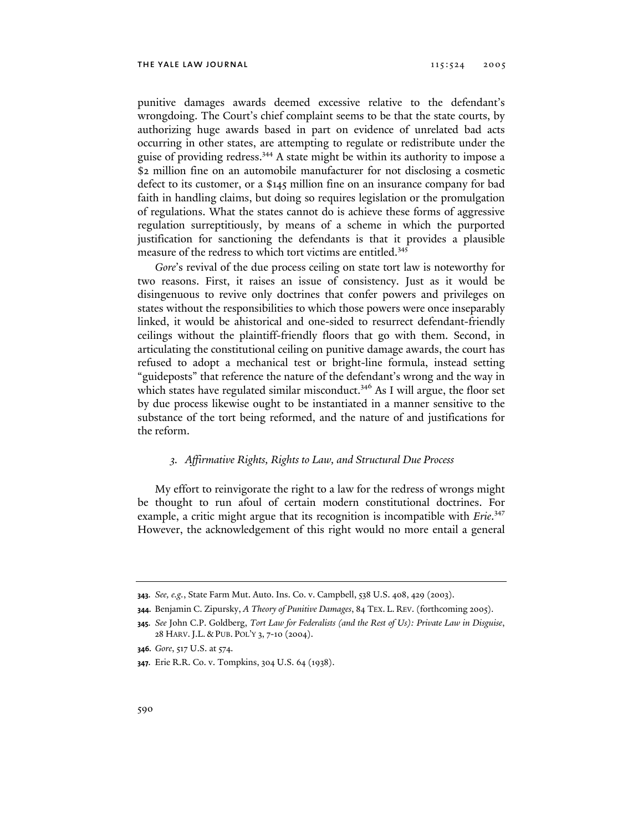punitive damages awards deemed excessive relative to the defendant's wrongdoing. The Court's chief complaint seems to be that the state courts, by authorizing huge awards based in part on evidence of unrelated bad acts occurring in other states, are attempting to regulate or redistribute under the guise of providing redress.344 A state might be within its authority to impose a \$2 million fine on an automobile manufacturer for not disclosing a cosmetic defect to its customer, or a \$145 million fine on an insurance company for bad faith in handling claims, but doing so requires legislation or the promulgation of regulations. What the states cannot do is achieve these forms of aggressive regulation surreptitiously, by means of a scheme in which the purported justification for sanctioning the defendants is that it provides a plausible measure of the redress to which tort victims are entitled.<sup>345</sup>

*Gore*'s revival of the due process ceiling on state tort law is noteworthy for two reasons. First, it raises an issue of consistency. Just as it would be disingenuous to revive only doctrines that confer powers and privileges on states without the responsibilities to which those powers were once inseparably linked, it would be ahistorical and one-sided to resurrect defendant-friendly ceilings without the plaintiff-friendly floors that go with them. Second, in articulating the constitutional ceiling on punitive damage awards, the court has refused to adopt a mechanical test or bright-line formula, instead setting "guideposts" that reference the nature of the defendant's wrong and the way in which states have regulated similar misconduct.<sup>346</sup> As I will argue, the floor set by due process likewise ought to be instantiated in a manner sensitive to the substance of the tort being reformed, and the nature of and justifications for the reform.

# *3. Affirmative Rights, Rights to Law, and Structural Due Process*

My effort to reinvigorate the right to a law for the redress of wrongs might be thought to run afoul of certain modern constitutional doctrines. For example, a critic might argue that its recognition is incompatible with *Erie*. 347 However, the acknowledgement of this right would no more entail a general

**<sup>343.</sup>** *See, e.g.*, State Farm Mut. Auto. Ins. Co. v. Campbell, 538 U.S. 408, 429 (2003).

**<sup>344.</sup>** Benjamin C. Zipursky, *A Theory of Punitive Damages*, 84 TEX. L. REV. (forthcoming 2005).

**<sup>345.</sup>** *See* John C.P. Goldberg, *Tort Law for Federalists (and the Rest of Us): Private Law in Disguise*, 28 HARV.J.L. & PUB. POL'Y 3, 7-10 (2004).

**<sup>346.</sup>** *Gore*, 517 U.S. at 574.

**<sup>347.</sup>** Erie R.R. Co. v. Tompkins, 304 U.S. 64 (1938).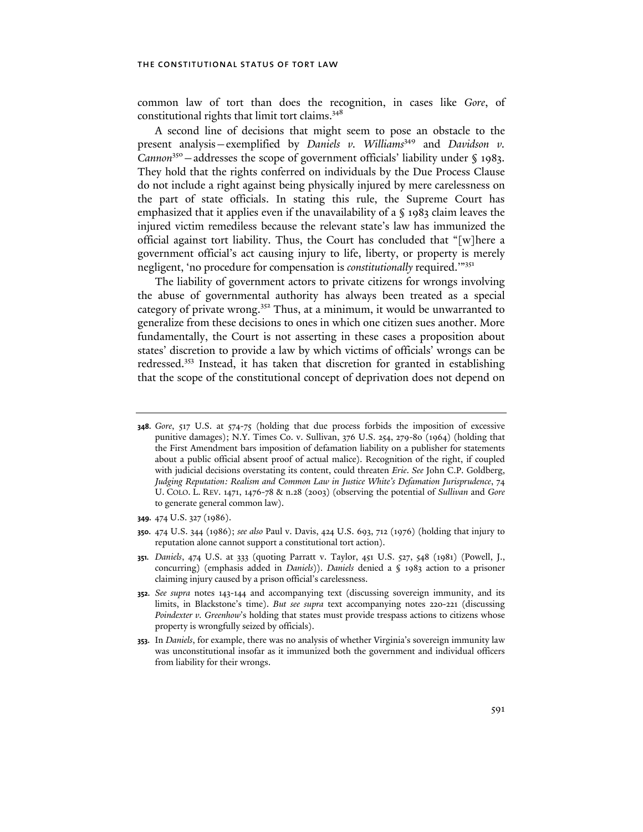common law of tort than does the recognition, in cases like *Gore*, of constitutional rights that limit tort claims.<sup>348</sup>

A second line of decisions that might seem to pose an obstacle to the present analysis–exemplified by *Daniels v. Williams*<sup>349</sup> and *Davidson v. Cannon*<sup>350</sup> – addresses the scope of government officials' liability under § 1983. They hold that the rights conferred on individuals by the Due Process Clause do not include a right against being physically injured by mere carelessness on the part of state officials. In stating this rule, the Supreme Court has emphasized that it applies even if the unavailability of a  $\sqrt{ }$  1983 claim leaves the injured victim remediless because the relevant state's law has immunized the official against tort liability. Thus, the Court has concluded that "[w]here a government official's act causing injury to life, liberty, or property is merely negligent, 'no procedure for compensation is *constitutionally* required.'"<sup>351</sup>

The liability of government actors to private citizens for wrongs involving the abuse of governmental authority has always been treated as a special category of private wrong.<sup>352</sup> Thus, at a minimum, it would be unwarranted to generalize from these decisions to ones in which one citizen sues another. More fundamentally, the Court is not asserting in these cases a proposition about states' discretion to provide a law by which victims of officials' wrongs can be redressed.353 Instead, it has taken that discretion for granted in establishing that the scope of the constitutional concept of deprivation does not depend on

- **349.** 474 U.S. 327 (1986).
- **350.** 474 U.S. 344 (1986); *see also* Paul v. Davis, 424 U.S. 693, 712 (1976) (holding that injury to reputation alone cannot support a constitutional tort action).
- **351.** *Daniels*, 474 U.S. at 333 (quoting Parratt v. Taylor, 451 U.S. 527, 548 (1981) (Powell, J., concurring) (emphasis added in *Daniels*)). *Daniels* denied a § 1983 action to a prisoner claiming injury caused by a prison official's carelessness.
- **352.** *See supra* notes 143-144 and accompanying text (discussing sovereign immunity, and its limits, in Blackstone's time). *But see supra* text accompanying notes 220-221 (discussing *Poindexter v. Greenhow's* holding that states must provide trespass actions to citizens whose property is wrongfully seized by officials).
- **353.** In *Daniels*, for example, there was no analysis of whether Virginia's sovereign immunity law was unconstitutional insofar as it immunized both the government and individual officers from liability for their wrongs.

**<sup>348.</sup>** *Gore*, 517 U.S. at 574-75 (holding that due process forbids the imposition of excessive punitive damages); N.Y. Times Co. v. Sullivan, 376 U.S. 254, 279-80 (1964) (holding that the First Amendment bars imposition of defamation liability on a publisher for statements about a public official absent proof of actual malice). Recognition of the right, if coupled with judicial decisions overstating its content, could threaten *Erie*. *See* John C.P. Goldberg, *Judging Reputation: Realism and Common Law in Justice White's Defamation Jurisprudence*, 74 U. COLO. L. REV. 1471, 1476-78 & n.28 (2003) (observing the potential of *Sullivan* and *Gore* to generate general common law).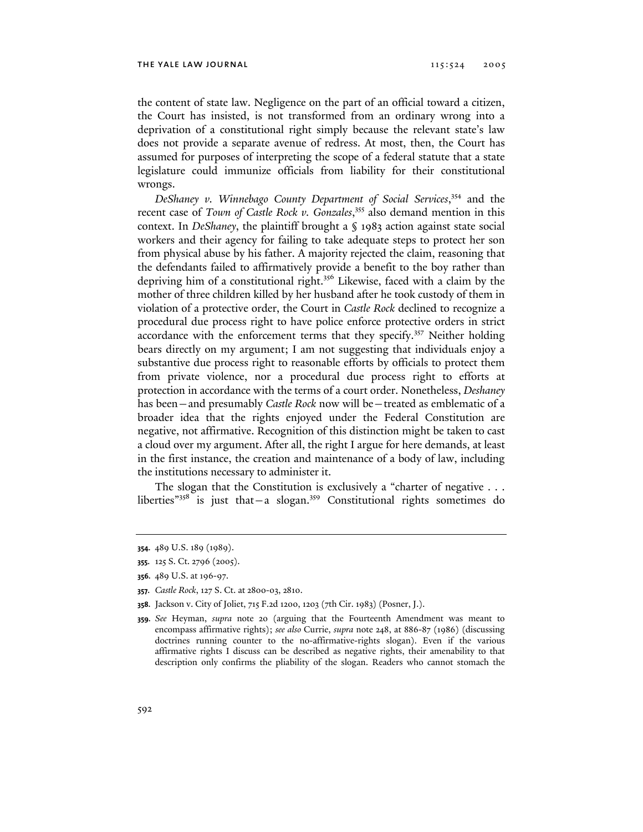the content of state law. Negligence on the part of an official toward a citizen, the Court has insisted, is not transformed from an ordinary wrong into a deprivation of a constitutional right simply because the relevant state's law does not provide a separate avenue of redress. At most, then, the Court has assumed for purposes of interpreting the scope of a federal statute that a state legislature could immunize officials from liability for their constitutional wrongs.

*DeShaney v. Winnebago County Department of Social Services*, 354 and the recent case of *Town of Castle Rock v. Gonzales*, 355 also demand mention in this context. In *DeShaney*, the plaintiff brought a § 1983 action against state social workers and their agency for failing to take adequate steps to protect her son from physical abuse by his father. A majority rejected the claim, reasoning that the defendants failed to affirmatively provide a benefit to the boy rather than depriving him of a constitutional right.356 Likewise, faced with a claim by the mother of three children killed by her husband after he took custody of them in violation of a protective order, the Court in *Castle Rock* declined to recognize a procedural due process right to have police enforce protective orders in strict accordance with the enforcement terms that they specify.<sup>357</sup> Neither holding bears directly on my argument; I am not suggesting that individuals enjoy a substantive due process right to reasonable efforts by officials to protect them from private violence, nor a procedural due process right to efforts at protection in accordance with the terms of a court order. Nonetheless, *Deshaney* has been—and presumably *Castle Rock* now will be—treated as emblematic of a broader idea that the rights enjoyed under the Federal Constitution are negative, not affirmative. Recognition of this distinction might be taken to cast a cloud over my argument. After all, the right I argue for here demands, at least in the first instance, the creation and maintenance of a body of law, including the institutions necessary to administer it.

The slogan that the Constitution is exclusively a "charter of negative . . . liberties"<sup>358</sup> is just that - a slogan.<sup>359</sup> Constitutional rights sometimes do

**<sup>354.</sup>** 489 U.S. 189 (1989).

**<sup>355.</sup>** 125 S. Ct. 2796 (2005).

**<sup>356.</sup>** 489 U.S. at 196-97.

**<sup>357.</sup>** *Castle Rock*, 127 S. Ct. at 2800-03, 2810.

**<sup>358.</sup>** Jackson v. City of Joliet, 715 F.2d 1200, 1203 (7th Cir. 1983) (Posner, J.).

**<sup>359.</sup>** *See* Heyman, *supra* note 20 (arguing that the Fourteenth Amendment was meant to encompass affirmative rights); *see also* Currie, *supra* note 248, at 886-87 (1986) (discussing doctrines running counter to the no-affirmative-rights slogan). Even if the various affirmative rights I discuss can be described as negative rights, their amenability to that description only confirms the pliability of the slogan. Readers who cannot stomach the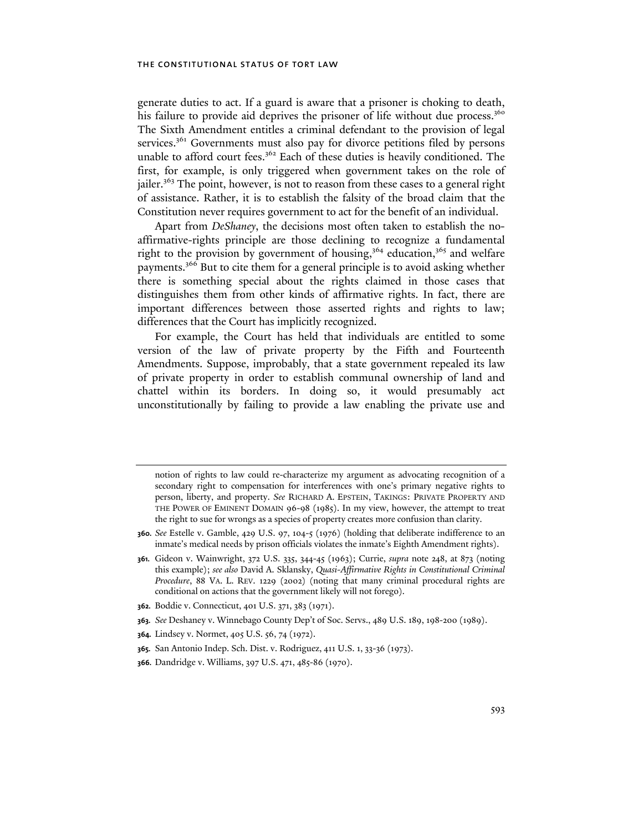generate duties to act. If a guard is aware that a prisoner is choking to death, his failure to provide aid deprives the prisoner of life without due process.<sup>360</sup> The Sixth Amendment entitles a criminal defendant to the provision of legal services.<sup>361</sup> Governments must also pay for divorce petitions filed by persons unable to afford court fees.<sup>362</sup> Each of these duties is heavily conditioned. The first, for example, is only triggered when government takes on the role of jailer.<sup>363</sup> The point, however, is not to reason from these cases to a general right of assistance. Rather, it is to establish the falsity of the broad claim that the Constitution never requires government to act for the benefit of an individual.

Apart from *DeShaney*, the decisions most often taken to establish the noaffirmative-rights principle are those declining to recognize a fundamental right to the provision by government of housing,<sup>364</sup> education,<sup>365</sup> and welfare payments.366 But to cite them for a general principle is to avoid asking whether there is something special about the rights claimed in those cases that distinguishes them from other kinds of affirmative rights. In fact, there are important differences between those asserted rights and rights to law; differences that the Court has implicitly recognized.

For example, the Court has held that individuals are entitled to some version of the law of private property by the Fifth and Fourteenth Amendments. Suppose, improbably, that a state government repealed its law of private property in order to establish communal ownership of land and chattel within its borders. In doing so, it would presumably act unconstitutionally by failing to provide a law enabling the private use and

- **362.** Boddie v. Connecticut, 401 U.S. 371, 383 (1971).
- **363.** *See* Deshaney v. Winnebago County Dep't of Soc. Servs., 489 U.S. 189, 198-200 (1989).
- **364.** Lindsey v. Normet, 405 U.S. 56, 74 (1972).
- **365.** San Antonio Indep. Sch. Dist. v. Rodriguez, 411 U.S. 1, 33-36 (1973).
- **366.** Dandridge v. Williams, 397 U.S. 471, 485-86 (1970).

notion of rights to law could re-characterize my argument as advocating recognition of a secondary right to compensation for interferences with one's primary negative rights to person, liberty, and property. *See* RICHARD A. EPSTEIN, TAKINGS: PRIVATE PROPERTY AND THE POWER OF EMINENT DOMAIN 96-98 (1985). In my view, however, the attempt to treat the right to sue for wrongs as a species of property creates more confusion than clarity.

**<sup>360.</sup>** *See* Estelle v. Gamble, 429 U.S. 97, 104-5 (1976) (holding that deliberate indifference to an inmate's medical needs by prison officials violates the inmate's Eighth Amendment rights).

**<sup>361.</sup>** Gideon v. Wainwright, 372 U.S. 335, 344-45 (1963); Currie, *supra* note 248, at 873 (noting this example); *see also* David A. Sklansky, *Quasi-Affirmative Rights in Constitutional Criminal Procedure*, 88 VA. L. REV. 1229 (2002) (noting that many criminal procedural rights are conditional on actions that the government likely will not forego).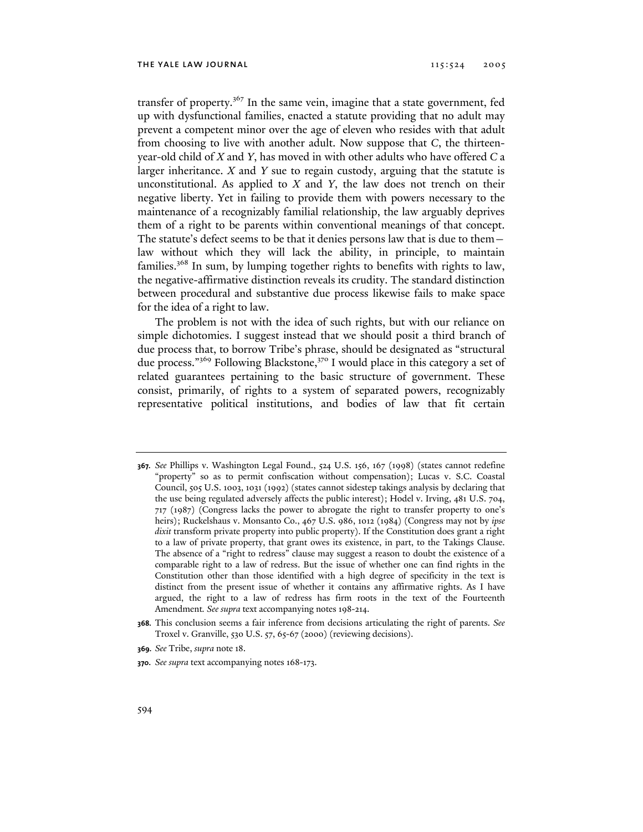transfer of property.<sup>367</sup> In the same vein, imagine that a state government, fed up with dysfunctional families, enacted a statute providing that no adult may prevent a competent minor over the age of eleven who resides with that adult from choosing to live with another adult. Now suppose that *C*, the thirteenyear-old child of *X* and *Y*, has moved in with other adults who have offered *C* a larger inheritance. *X* and *Y* sue to regain custody, arguing that the statute is unconstitutional. As applied to *X* and *Y*, the law does not trench on their negative liberty. Yet in failing to provide them with powers necessary to the maintenance of a recognizably familial relationship, the law arguably deprives them of a right to be parents within conventional meanings of that concept. The statute's defect seems to be that it denies persons law that is due to them law without which they will lack the ability, in principle, to maintain families.368 In sum, by lumping together rights to benefits with rights to law, the negative-affirmative distinction reveals its crudity. The standard distinction between procedural and substantive due process likewise fails to make space for the idea of a right to law.

The problem is not with the idea of such rights, but with our reliance on simple dichotomies. I suggest instead that we should posit a third branch of due process that, to borrow Tribe's phrase, should be designated as "structural due process."<sup>369</sup> Following Blackstone,<sup>370</sup> I would place in this category a set of related guarantees pertaining to the basic structure of government. These consist, primarily, of rights to a system of separated powers, recognizably representative political institutions, and bodies of law that fit certain

**<sup>367.</sup>** *See* Phillips v. Washington Legal Found., 524 U.S. 156, 167 (1998) (states cannot redefine "property" so as to permit confiscation without compensation); Lucas v. S.C. Coastal Council, 505 U.S. 1003, 1031 (1992) (states cannot sidestep takings analysis by declaring that the use being regulated adversely affects the public interest); Hodel v. Irving, 481 U.S. 704, 717 (1987) (Congress lacks the power to abrogate the right to transfer property to one's heirs); Ruckelshaus v. Monsanto Co., 467 U.S. 986, 1012 (1984) (Congress may not by *ipse dixit* transform private property into public property). If the Constitution does grant a right to a law of private property, that grant owes its existence, in part, to the Takings Clause. The absence of a "right to redress" clause may suggest a reason to doubt the existence of a comparable right to a law of redress. But the issue of whether one can find rights in the Constitution other than those identified with a high degree of specificity in the text is distinct from the present issue of whether it contains any affirmative rights. As I have argued, the right to a law of redress has firm roots in the text of the Fourteenth Amendment*. See supra* text accompanying notes 198-214.

**<sup>368.</sup>** This conclusion seems a fair inference from decisions articulating the right of parents. *See*  Troxel v. Granville, 530 U.S. 57, 65-67 (2000) (reviewing decisions).

**<sup>369.</sup>** *See* Tribe, *supra* note 18.

**<sup>370.</sup>** *See supra* text accompanying notes 168-173.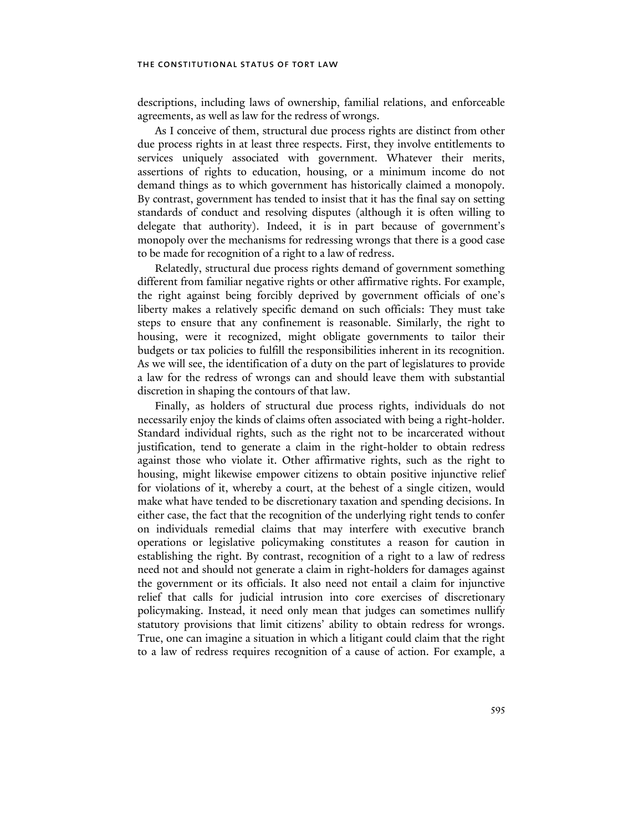descriptions, including laws of ownership, familial relations, and enforceable agreements, as well as law for the redress of wrongs.

As I conceive of them, structural due process rights are distinct from other due process rights in at least three respects. First, they involve entitlements to services uniquely associated with government. Whatever their merits, assertions of rights to education, housing, or a minimum income do not demand things as to which government has historically claimed a monopoly. By contrast, government has tended to insist that it has the final say on setting standards of conduct and resolving disputes (although it is often willing to delegate that authority). Indeed, it is in part because of government's monopoly over the mechanisms for redressing wrongs that there is a good case to be made for recognition of a right to a law of redress.

Relatedly, structural due process rights demand of government something different from familiar negative rights or other affirmative rights. For example, the right against being forcibly deprived by government officials of one's liberty makes a relatively specific demand on such officials: They must take steps to ensure that any confinement is reasonable. Similarly, the right to housing, were it recognized, might obligate governments to tailor their budgets or tax policies to fulfill the responsibilities inherent in its recognition. As we will see, the identification of a duty on the part of legislatures to provide a law for the redress of wrongs can and should leave them with substantial discretion in shaping the contours of that law.

Finally, as holders of structural due process rights, individuals do not necessarily enjoy the kinds of claims often associated with being a right-holder. Standard individual rights, such as the right not to be incarcerated without justification, tend to generate a claim in the right-holder to obtain redress against those who violate it. Other affirmative rights, such as the right to housing, might likewise empower citizens to obtain positive injunctive relief for violations of it, whereby a court, at the behest of a single citizen, would make what have tended to be discretionary taxation and spending decisions. In either case, the fact that the recognition of the underlying right tends to confer on individuals remedial claims that may interfere with executive branch operations or legislative policymaking constitutes a reason for caution in establishing the right. By contrast, recognition of a right to a law of redress need not and should not generate a claim in right-holders for damages against the government or its officials. It also need not entail a claim for injunctive relief that calls for judicial intrusion into core exercises of discretionary policymaking. Instead, it need only mean that judges can sometimes nullify statutory provisions that limit citizens' ability to obtain redress for wrongs. True, one can imagine a situation in which a litigant could claim that the right to a law of redress requires recognition of a cause of action. For example, a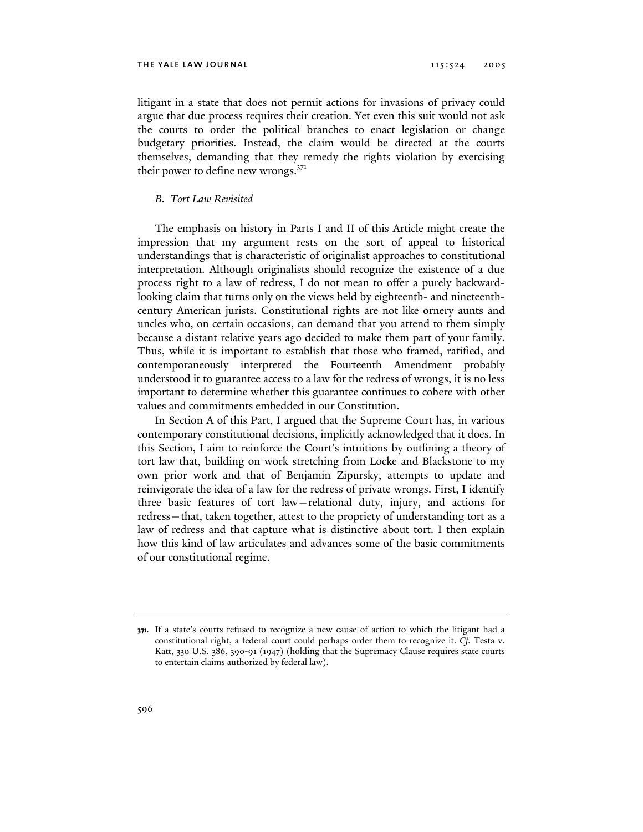litigant in a state that does not permit actions for invasions of privacy could argue that due process requires their creation. Yet even this suit would not ask the courts to order the political branches to enact legislation or change budgetary priorities. Instead, the claim would be directed at the courts themselves, demanding that they remedy the rights violation by exercising their power to define new wrongs. $371$ 

# *B. Tort Law Revisited*

The emphasis on history in Parts I and II of this Article might create the impression that my argument rests on the sort of appeal to historical understandings that is characteristic of originalist approaches to constitutional interpretation. Although originalists should recognize the existence of a due process right to a law of redress, I do not mean to offer a purely backwardlooking claim that turns only on the views held by eighteenth- and nineteenthcentury American jurists. Constitutional rights are not like ornery aunts and uncles who, on certain occasions, can demand that you attend to them simply because a distant relative years ago decided to make them part of your family. Thus, while it is important to establish that those who framed, ratified, and contemporaneously interpreted the Fourteenth Amendment probably understood it to guarantee access to a law for the redress of wrongs, it is no less important to determine whether this guarantee continues to cohere with other values and commitments embedded in our Constitution.

In Section A of this Part, I argued that the Supreme Court has, in various contemporary constitutional decisions, implicitly acknowledged that it does. In this Section, I aim to reinforce the Court's intuitions by outlining a theory of tort law that, building on work stretching from Locke and Blackstone to my own prior work and that of Benjamin Zipursky, attempts to update and reinvigorate the idea of a law for the redress of private wrongs. First, I identify three basic features of tort law—relational duty, injury, and actions for redress—that, taken together, attest to the propriety of understanding tort as a law of redress and that capture what is distinctive about tort. I then explain how this kind of law articulates and advances some of the basic commitments of our constitutional regime.

**<sup>371.</sup>** If a state's courts refused to recognize a new cause of action to which the litigant had a constitutional right, a federal court could perhaps order them to recognize it. *Cf.* Testa v. Katt, 330 U.S. 386, 390-91 (1947) (holding that the Supremacy Clause requires state courts to entertain claims authorized by federal law).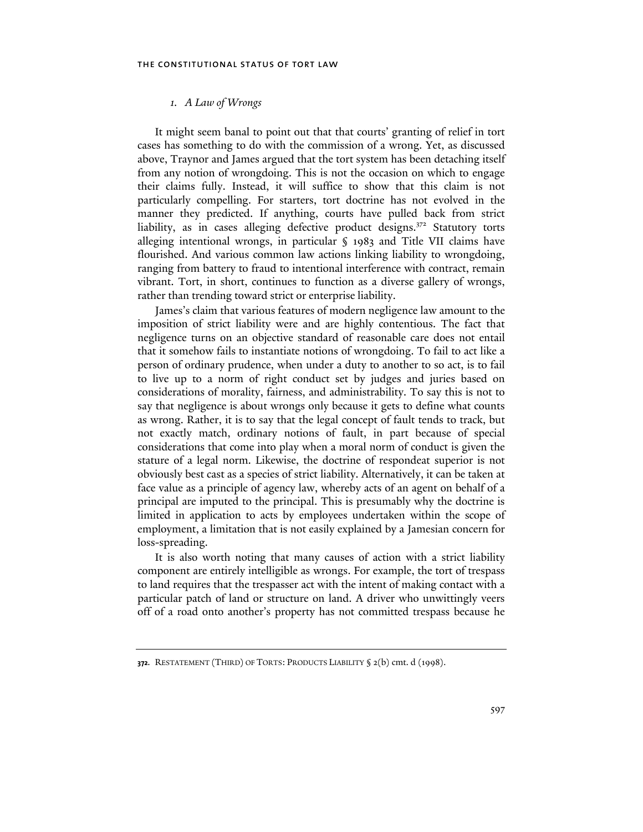# *1. A Law of Wrongs*

It might seem banal to point out that that courts' granting of relief in tort cases has something to do with the commission of a wrong. Yet, as discussed above, Traynor and James argued that the tort system has been detaching itself from any notion of wrongdoing. This is not the occasion on which to engage their claims fully. Instead, it will suffice to show that this claim is not particularly compelling. For starters, tort doctrine has not evolved in the manner they predicted. If anything, courts have pulled back from strict liability, as in cases alleging defective product designs. $372$  Statutory torts alleging intentional wrongs, in particular § 1983 and Title VII claims have flourished. And various common law actions linking liability to wrongdoing, ranging from battery to fraud to intentional interference with contract, remain vibrant. Tort, in short, continues to function as a diverse gallery of wrongs, rather than trending toward strict or enterprise liability.

James's claim that various features of modern negligence law amount to the imposition of strict liability were and are highly contentious. The fact that negligence turns on an objective standard of reasonable care does not entail that it somehow fails to instantiate notions of wrongdoing. To fail to act like a person of ordinary prudence, when under a duty to another to so act, is to fail to live up to a norm of right conduct set by judges and juries based on considerations of morality, fairness, and administrability. To say this is not to say that negligence is about wrongs only because it gets to define what counts as wrong. Rather, it is to say that the legal concept of fault tends to track, but not exactly match, ordinary notions of fault, in part because of special considerations that come into play when a moral norm of conduct is given the stature of a legal norm. Likewise, the doctrine of respondeat superior is not obviously best cast as a species of strict liability. Alternatively, it can be taken at face value as a principle of agency law, whereby acts of an agent on behalf of a principal are imputed to the principal. This is presumably why the doctrine is limited in application to acts by employees undertaken within the scope of employment, a limitation that is not easily explained by a Jamesian concern for loss-spreading.

It is also worth noting that many causes of action with a strict liability component are entirely intelligible as wrongs. For example, the tort of trespass to land requires that the trespasser act with the intent of making contact with a particular patch of land or structure on land. A driver who unwittingly veers off of a road onto another's property has not committed trespass because he

**<sup>372.</sup>** RESTATEMENT (THIRD) OF TORTS: PRODUCTS LIABILITY § 2(b) cmt. d (1998).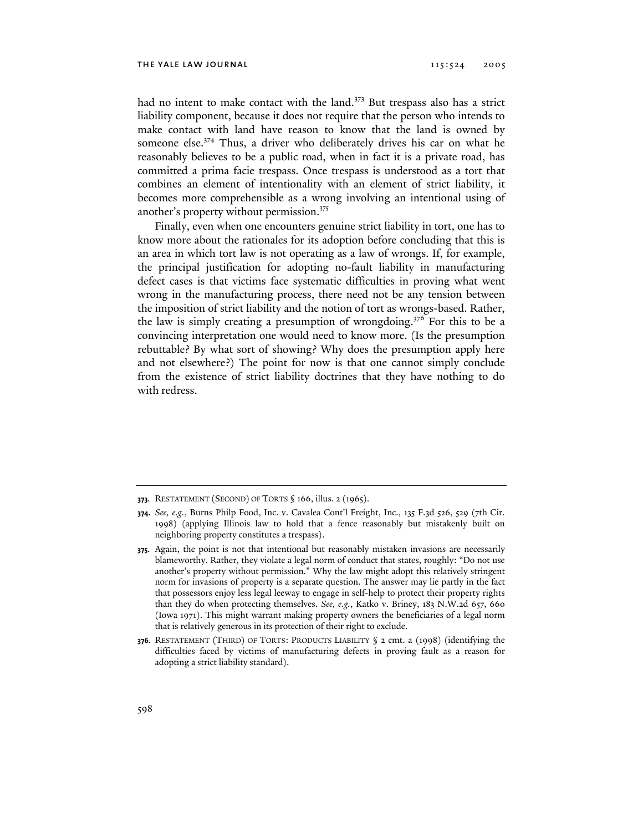had no intent to make contact with the land.<sup>373</sup> But trespass also has a strict liability component, because it does not require that the person who intends to make contact with land have reason to know that the land is owned by someone else.<sup>374</sup> Thus, a driver who deliberately drives his car on what he reasonably believes to be a public road, when in fact it is a private road, has committed a prima facie trespass. Once trespass is understood as a tort that combines an element of intentionality with an element of strict liability, it becomes more comprehensible as a wrong involving an intentional using of another's property without permission.<sup>375</sup>

Finally, even when one encounters genuine strict liability in tort, one has to know more about the rationales for its adoption before concluding that this is an area in which tort law is not operating as a law of wrongs. If, for example, the principal justification for adopting no-fault liability in manufacturing defect cases is that victims face systematic difficulties in proving what went wrong in the manufacturing process, there need not be any tension between the imposition of strict liability and the notion of tort as wrongs-based. Rather, the law is simply creating a presumption of wrongdoing.376 For this to be a convincing interpretation one would need to know more. (Is the presumption rebuttable? By what sort of showing? Why does the presumption apply here and not elsewhere?) The point for now is that one cannot simply conclude from the existence of strict liability doctrines that they have nothing to do with redress.

**<sup>373.</sup>** RESTATEMENT (SECOND) OF TORTS § 166, illus. 2 (1965).

**<sup>374.</sup>** *See, e.g.*, Burns Philp Food, Inc. v. Cavalea Cont'l Freight, Inc., 135 F.3d 526, 529 (7th Cir. 1998) (applying Illinois law to hold that a fence reasonably but mistakenly built on neighboring property constitutes a trespass).

**<sup>375.</sup>** Again, the point is not that intentional but reasonably mistaken invasions are necessarily blameworthy. Rather, they violate a legal norm of conduct that states, roughly: "Do not use another's property without permission." Why the law might adopt this relatively stringent norm for invasions of property is a separate question. The answer may lie partly in the fact that possessors enjoy less legal leeway to engage in self-help to protect their property rights than they do when protecting themselves. *See, e.g.*, Katko v. Briney, 183 N.W.2d 657, 660 (Iowa 1971). This might warrant making property owners the beneficiaries of a legal norm that is relatively generous in its protection of their right to exclude.

**<sup>376.</sup>** RESTATEMENT (THIRD) OF TORTS: PRODUCTS LIABILITY § 2 cmt. a (1998) (identifying the difficulties faced by victims of manufacturing defects in proving fault as a reason for adopting a strict liability standard).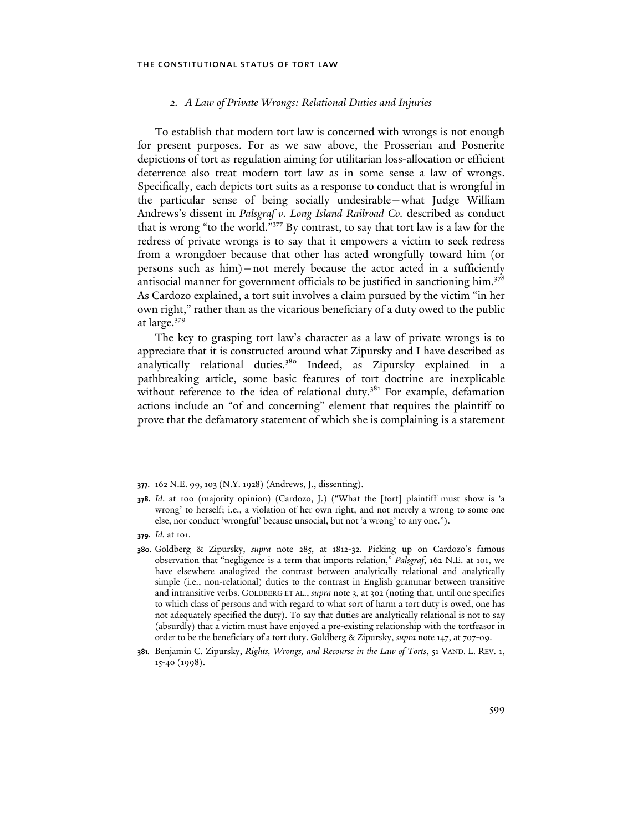## *2. A Law of Private Wrongs: Relational Duties and Injuries*

To establish that modern tort law is concerned with wrongs is not enough for present purposes. For as we saw above, the Prosserian and Posnerite depictions of tort as regulation aiming for utilitarian loss-allocation or efficient deterrence also treat modern tort law as in some sense a law of wrongs. Specifically, each depicts tort suits as a response to conduct that is wrongful in the particular sense of being socially undesirable—what Judge William Andrews's dissent in *Palsgraf v. Long Island Railroad Co.* described as conduct that is wrong "to the world."377 By contrast, to say that tort law is a law for the redress of private wrongs is to say that it empowers a victim to seek redress from a wrongdoer because that other has acted wrongfully toward him (or persons such as him)—not merely because the actor acted in a sufficiently antisocial manner for government officials to be justified in sanctioning him.<sup>378</sup> As Cardozo explained, a tort suit involves a claim pursued by the victim "in her own right," rather than as the vicarious beneficiary of a duty owed to the public at large.<sup>379</sup>

The key to grasping tort law's character as a law of private wrongs is to appreciate that it is constructed around what Zipursky and I have described as analytically relational duties.<sup>380</sup> Indeed, as Zipursky explained in a pathbreaking article, some basic features of tort doctrine are inexplicable without reference to the idea of relational duty.<sup>381</sup> For example, defamation actions include an "of and concerning" element that requires the plaintiff to prove that the defamatory statement of which she is complaining is a statement

**<sup>377.</sup>** 162 N.E. 99, 103 (N.Y. 1928) (Andrews, J., dissenting).

**<sup>378.</sup>** *Id*. at 100 (majority opinion) (Cardozo, J.) ("What the [tort] plaintiff must show is 'a wrong' to herself; i.e., a violation of her own right, and not merely a wrong to some one else, nor conduct 'wrongful' because unsocial, but not 'a wrong' to any one.").

**<sup>379.</sup>** *Id.* at 101.

**<sup>380.</sup>** Goldberg & Zipursky, *supra* note 285, at 1812-32. Picking up on Cardozo's famous observation that "negligence is a term that imports relation," *Palsgraf*, 162 N.E. at 101, we have elsewhere analogized the contrast between analytically relational and analytically simple (i.e., non-relational) duties to the contrast in English grammar between transitive and intransitive verbs. GOLDBERG ET AL., *supra* note 3, at 302 (noting that, until one specifies to which class of persons and with regard to what sort of harm a tort duty is owed, one has not adequately specified the duty). To say that duties are analytically relational is not to say (absurdly) that a victim must have enjoyed a pre-existing relationship with the tortfeasor in order to be the beneficiary of a tort duty. Goldberg & Zipursky, *supra* note 147, at 707-09.

**<sup>381.</sup>** Benjamin C. Zipursky, *Rights, Wrongs, and Recourse in the Law of Torts*, 51 VAND. L. REV. 1, 15-40 (1998).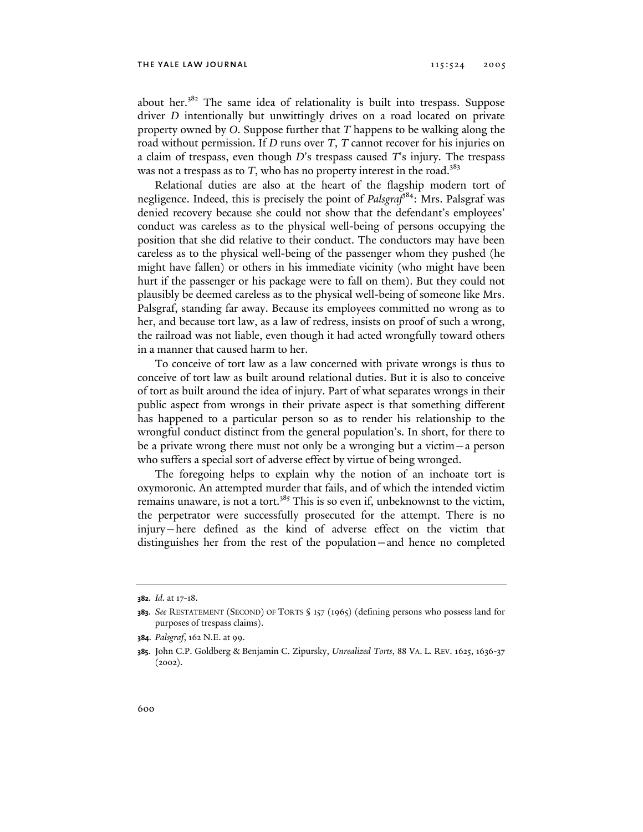about her.<sup>382</sup> The same idea of relationality is built into trespass. Suppose driver *D* intentionally but unwittingly drives on a road located on private property owned by *O*. Suppose further that *T* happens to be walking along the road without permission. If *D* runs over *T*, *T* cannot recover for his injuries on a claim of trespass, even though *D*'s trespass caused *T*'s injury. The trespass was not a trespass as to  $T$ , who has no property interest in the road.<sup>383</sup>

Relational duties are also at the heart of the flagship modern tort of negligence. Indeed, this is precisely the point of *Palsgraf*384: Mrs. Palsgraf was denied recovery because she could not show that the defendant's employees' conduct was careless as to the physical well-being of persons occupying the position that she did relative to their conduct. The conductors may have been careless as to the physical well-being of the passenger whom they pushed (he might have fallen) or others in his immediate vicinity (who might have been hurt if the passenger or his package were to fall on them). But they could not plausibly be deemed careless as to the physical well-being of someone like Mrs. Palsgraf, standing far away. Because its employees committed no wrong as to her, and because tort law, as a law of redress, insists on proof of such a wrong, the railroad was not liable, even though it had acted wrongfully toward others in a manner that caused harm to her.

To conceive of tort law as a law concerned with private wrongs is thus to conceive of tort law as built around relational duties. But it is also to conceive of tort as built around the idea of injury. Part of what separates wrongs in their public aspect from wrongs in their private aspect is that something different has happened to a particular person so as to render his relationship to the wrongful conduct distinct from the general population's. In short, for there to be a private wrong there must not only be a wronging but a victim—a person who suffers a special sort of adverse effect by virtue of being wronged.

The foregoing helps to explain why the notion of an inchoate tort is oxymoronic. An attempted murder that fails, and of which the intended victim remains unaware, is not a tort.<sup>385</sup> This is so even if, unbeknownst to the victim, the perpetrator were successfully prosecuted for the attempt. There is no injury—here defined as the kind of adverse effect on the victim that distinguishes her from the rest of the population—and hence no completed

**<sup>382.</sup>** *Id.* at 17-18.

**<sup>383.</sup>** *See* RESTATEMENT (SECOND) OF TORTS § 157 (1965) (defining persons who possess land for purposes of trespass claims).

**<sup>384.</sup>** *Palsgraf*, 162 N.E. at 99.

**<sup>385.</sup>** John C.P. Goldberg & Benjamin C. Zipursky, *Unrealized Torts*, 88 VA. L. REV. 1625, 1636-37  $(2002).$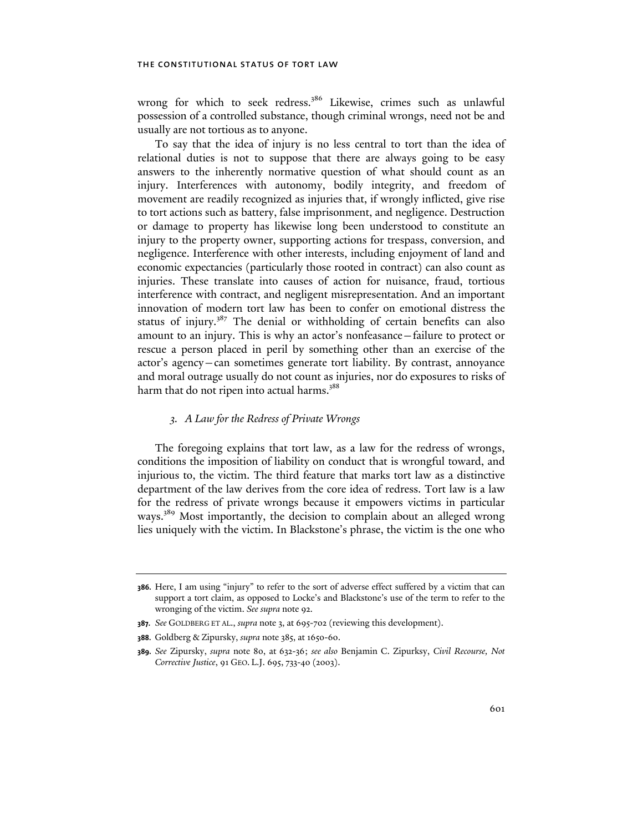wrong for which to seek redress.<sup>386</sup> Likewise, crimes such as unlawful possession of a controlled substance, though criminal wrongs, need not be and usually are not tortious as to anyone.

To say that the idea of injury is no less central to tort than the idea of relational duties is not to suppose that there are always going to be easy answers to the inherently normative question of what should count as an injury. Interferences with autonomy, bodily integrity, and freedom of movement are readily recognized as injuries that, if wrongly inflicted, give rise to tort actions such as battery, false imprisonment, and negligence. Destruction or damage to property has likewise long been understood to constitute an injury to the property owner, supporting actions for trespass, conversion, and negligence. Interference with other interests, including enjoyment of land and economic expectancies (particularly those rooted in contract) can also count as injuries. These translate into causes of action for nuisance, fraud, tortious interference with contract, and negligent misrepresentation. And an important innovation of modern tort law has been to confer on emotional distress the status of injury.<sup>387</sup> The denial or withholding of certain benefits can also amount to an injury. This is why an actor's nonfeasance—failure to protect or rescue a person placed in peril by something other than an exercise of the actor's agency—can sometimes generate tort liability. By contrast, annoyance and moral outrage usually do not count as injuries, nor do exposures to risks of harm that do not ripen into actual harms.<sup>388</sup>

## *3. A Law for the Redress of Private Wrongs*

The foregoing explains that tort law, as a law for the redress of wrongs, conditions the imposition of liability on conduct that is wrongful toward, and injurious to, the victim. The third feature that marks tort law as a distinctive department of the law derives from the core idea of redress. Tort law is a law for the redress of private wrongs because it empowers victims in particular ways.<sup>389</sup> Most importantly, the decision to complain about an alleged wrong lies uniquely with the victim. In Blackstone's phrase, the victim is the one who

**<sup>386.</sup>** Here, I am using "injury" to refer to the sort of adverse effect suffered by a victim that can support a tort claim, as opposed to Locke's and Blackstone's use of the term to refer to the wronging of the victim. *See supra* note 92.

**<sup>387.</sup>** *See* GOLDBERG ET AL., *supra* note 3, at 695-702 (reviewing this development).

**<sup>388.</sup>** Goldberg & Zipursky, *supra* note 385, at 1650-60.

**<sup>389.</sup>** *See* Zipursky, *supra* note 80, at 632-36; *see also* Benjamin C. Zipurksy, *Civil Recourse, Not Corrective Justice*, 91 GEO. L.J. 695, 733-40 (2003).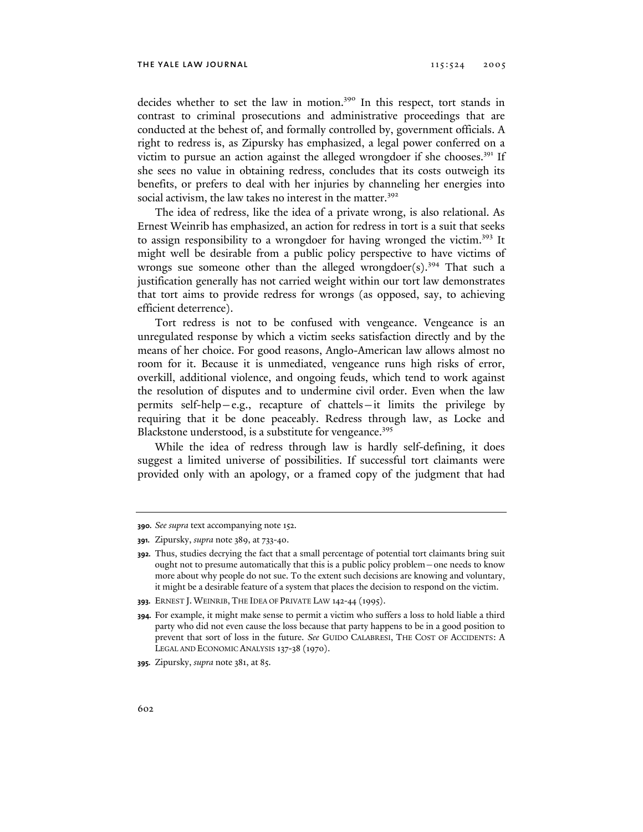decides whether to set the law in motion.<sup>390</sup> In this respect, tort stands in contrast to criminal prosecutions and administrative proceedings that are conducted at the behest of, and formally controlled by, government officials. A right to redress is, as Zipursky has emphasized, a legal power conferred on a victim to pursue an action against the alleged wrongdoer if she chooses.<sup>391</sup> If she sees no value in obtaining redress, concludes that its costs outweigh its benefits, or prefers to deal with her injuries by channeling her energies into social activism, the law takes no interest in the matter.<sup>392</sup>

The idea of redress, like the idea of a private wrong, is also relational. As Ernest Weinrib has emphasized, an action for redress in tort is a suit that seeks to assign responsibility to a wrongdoer for having wronged the victim.<sup>393</sup> It might well be desirable from a public policy perspective to have victims of wrongs sue someone other than the alleged wrongdoer(s).<sup>394</sup> That such a justification generally has not carried weight within our tort law demonstrates that tort aims to provide redress for wrongs (as opposed, say, to achieving efficient deterrence).

Tort redress is not to be confused with vengeance. Vengeance is an unregulated response by which a victim seeks satisfaction directly and by the means of her choice. For good reasons, Anglo-American law allows almost no room for it. Because it is unmediated, vengeance runs high risks of error, overkill, additional violence, and ongoing feuds, which tend to work against the resolution of disputes and to undermine civil order. Even when the law permits self-help—e.g., recapture of chattels—it limits the privilege by requiring that it be done peaceably. Redress through law, as Locke and Blackstone understood, is a substitute for vengeance.<sup>395</sup>

While the idea of redress through law is hardly self-defining, it does suggest a limited universe of possibilities. If successful tort claimants were provided only with an apology, or a framed copy of the judgment that had

**<sup>390.</sup>** *See supra* text accompanying note 152.

**<sup>391.</sup>** Zipursky, *supra* note 389, at 733-40.

**<sup>392.</sup>** Thus, studies decrying the fact that a small percentage of potential tort claimants bring suit ought not to presume automatically that this is a public policy problem—one needs to know more about why people do not sue. To the extent such decisions are knowing and voluntary, it might be a desirable feature of a system that places the decision to respond on the victim.

**<sup>393.</sup>** ERNEST J. WEINRIB, THE IDEA OF PRIVATE LAW 142-44 (1995).

**<sup>394.</sup>** For example, it might make sense to permit a victim who suffers a loss to hold liable a third party who did not even cause the loss because that party happens to be in a good position to prevent that sort of loss in the future. *See* GUIDO CALABRESI, THE COST OF ACCIDENTS: A LEGAL AND ECONOMIC ANALYSIS 137-38 (1970).

**<sup>395.</sup>** Zipursky, *supra* note 381, at 85.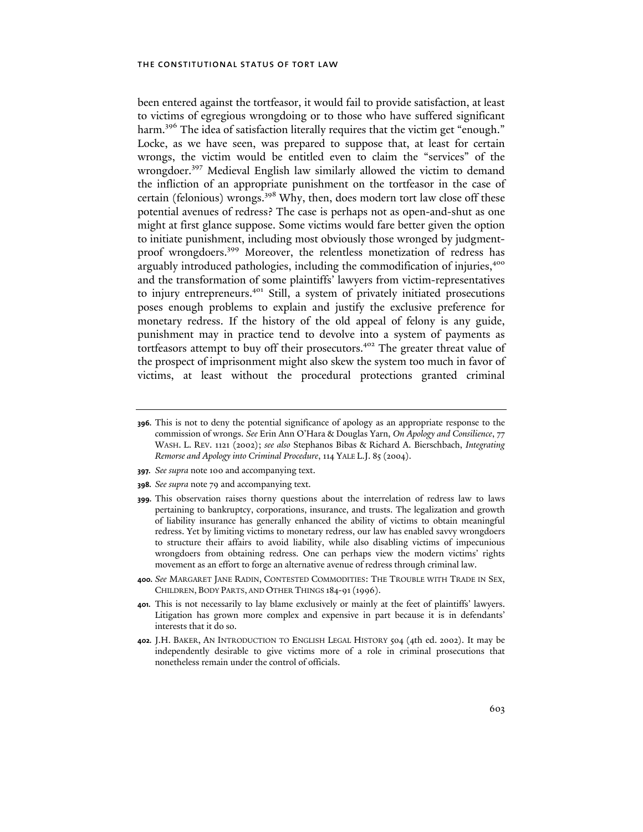been entered against the tortfeasor, it would fail to provide satisfaction, at least to victims of egregious wrongdoing or to those who have suffered significant harm.<sup>396</sup> The idea of satisfaction literally requires that the victim get "enough." Locke, as we have seen, was prepared to suppose that, at least for certain wrongs, the victim would be entitled even to claim the "services" of the wrongdoer.<sup>397</sup> Medieval English law similarly allowed the victim to demand the infliction of an appropriate punishment on the tortfeasor in the case of certain (felonious) wrongs.<sup>398</sup> Why, then, does modern tort law close off these potential avenues of redress? The case is perhaps not as open-and-shut as one might at first glance suppose. Some victims would fare better given the option to initiate punishment, including most obviously those wronged by judgmentproof wrongdoers.399 Moreover, the relentless monetization of redress has arguably introduced pathologies, including the commodification of injuries,<sup>400</sup> and the transformation of some plaintiffs' lawyers from victim-representatives to injury entrepreneurs.<sup>401</sup> Still, a system of privately initiated prosecutions poses enough problems to explain and justify the exclusive preference for monetary redress. If the history of the old appeal of felony is any guide, punishment may in practice tend to devolve into a system of payments as tortfeasors attempt to buy off their prosecutors.<sup>402</sup> The greater threat value of the prospect of imprisonment might also skew the system too much in favor of victims, at least without the procedural protections granted criminal

- **397.** *See supra* note 100 and accompanying text.
- **398.** *See supra* note 79 and accompanying text.
- **399.** This observation raises thorny questions about the interrelation of redress law to laws pertaining to bankruptcy, corporations, insurance, and trusts. The legalization and growth of liability insurance has generally enhanced the ability of victims to obtain meaningful redress. Yet by limiting victims to monetary redress, our law has enabled savvy wrongdoers to structure their affairs to avoid liability, while also disabling victims of impecunious wrongdoers from obtaining redress. One can perhaps view the modern victims' rights movement as an effort to forge an alternative avenue of redress through criminal law.
- **400.** *See* MARGARET JANE RADIN, CONTESTED COMMODITIES: THE TROUBLE WITH TRADE IN SEX, CHILDREN, BODY PARTS, AND OTHER THINGS 184-91(1996).
- **401.** This is not necessarily to lay blame exclusively or mainly at the feet of plaintiffs' lawyers. Litigation has grown more complex and expensive in part because it is in defendants' interests that it do so.
- **402.** J.H. BAKER, AN INTRODUCTION TO ENGLISH LEGAL HISTORY 504 (4th ed. 2002). It may be independently desirable to give victims more of a role in criminal prosecutions that nonetheless remain under the control of officials.

**<sup>396.</sup>** This is not to deny the potential significance of apology as an appropriate response to the commission of wrongs. *See* Erin Ann O'Hara & Douglas Yarn, *On Apology and Consilience*, 77 WASH. L. REV. 1121 (2002); *see also* Stephanos Bibas & Richard A. Bierschbach, *Integrating Remorse and Apology into Criminal Procedure*, 114 YALE L.J. 85 (2004).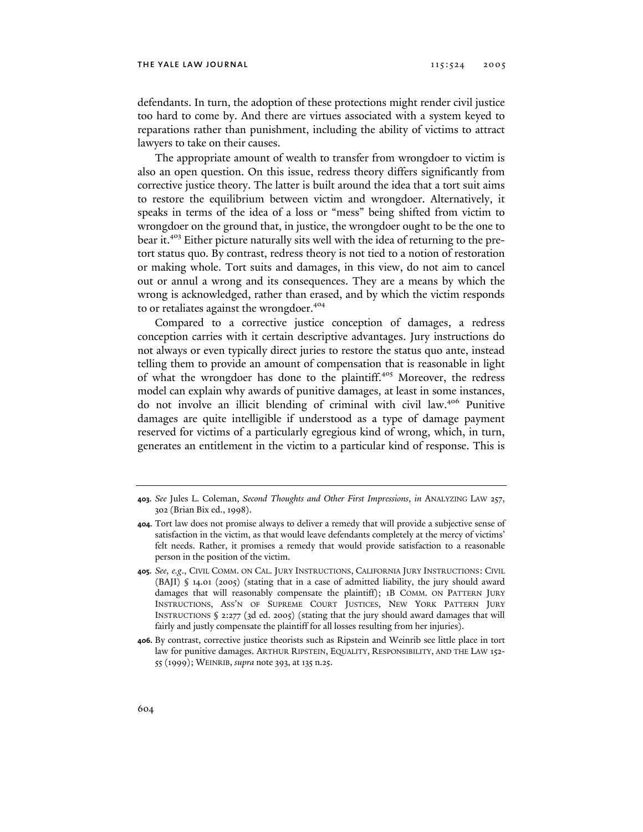defendants. In turn, the adoption of these protections might render civil justice too hard to come by. And there are virtues associated with a system keyed to reparations rather than punishment, including the ability of victims to attract lawyers to take on their causes.

The appropriate amount of wealth to transfer from wrongdoer to victim is also an open question. On this issue, redress theory differs significantly from corrective justice theory. The latter is built around the idea that a tort suit aims to restore the equilibrium between victim and wrongdoer. Alternatively, it speaks in terms of the idea of a loss or "mess" being shifted from victim to wrongdoer on the ground that, in justice, the wrongdoer ought to be the one to bear it.403 Either picture naturally sits well with the idea of returning to the pretort status quo. By contrast, redress theory is not tied to a notion of restoration or making whole. Tort suits and damages, in this view, do not aim to cancel out or annul a wrong and its consequences. They are a means by which the wrong is acknowledged, rather than erased, and by which the victim responds to or retaliates against the wrongdoer.<sup>404</sup>

Compared to a corrective justice conception of damages, a redress conception carries with it certain descriptive advantages. Jury instructions do not always or even typically direct juries to restore the status quo ante, instead telling them to provide an amount of compensation that is reasonable in light of what the wrongdoer has done to the plaintiff.<sup>405</sup> Moreover, the redress model can explain why awards of punitive damages, at least in some instances, do not involve an illicit blending of criminal with civil law.406 Punitive damages are quite intelligible if understood as a type of damage payment reserved for victims of a particularly egregious kind of wrong, which, in turn, generates an entitlement in the victim to a particular kind of response. This is

**405.** *See, e.g*., CIVIL COMM. ON CAL. JURY INSTRUCTIONS, CALIFORNIA JURY INSTRUCTIONS: CIVIL (BAJI) § 14.01 (2005) (stating that in a case of admitted liability, the jury should award damages that will reasonably compensate the plaintiff); 1B COMM. ON PATTERN JURY INSTRUCTIONS, ASS'N OF SUPREME COURT JUSTICES, NEW YORK PATTERN JURY INSTRUCTIONS § 2:277 (3d ed. 2005) (stating that the jury should award damages that will fairly and justly compensate the plaintiff for all losses resulting from her injuries).

**406.** By contrast, corrective justice theorists such as Ripstein and Weinrib see little place in tort law for punitive damages. ARTHUR RIPSTEIN, EQUALITY, RESPONSIBILITY, AND THE LAW 152- 55 (1999); WEINRIB, *supra* note 393, at 135 n.25.

**<sup>403.</sup>** *See* Jules L. Coleman, *Second Thoughts and Other First Impressions*, *in* ANALYZING LAW 257, 302 (Brian Bix ed., 1998).

**<sup>404.</sup>** Tort law does not promise always to deliver a remedy that will provide a subjective sense of satisfaction in the victim, as that would leave defendants completely at the mercy of victims' felt needs. Rather, it promises a remedy that would provide satisfaction to a reasonable person in the position of the victim.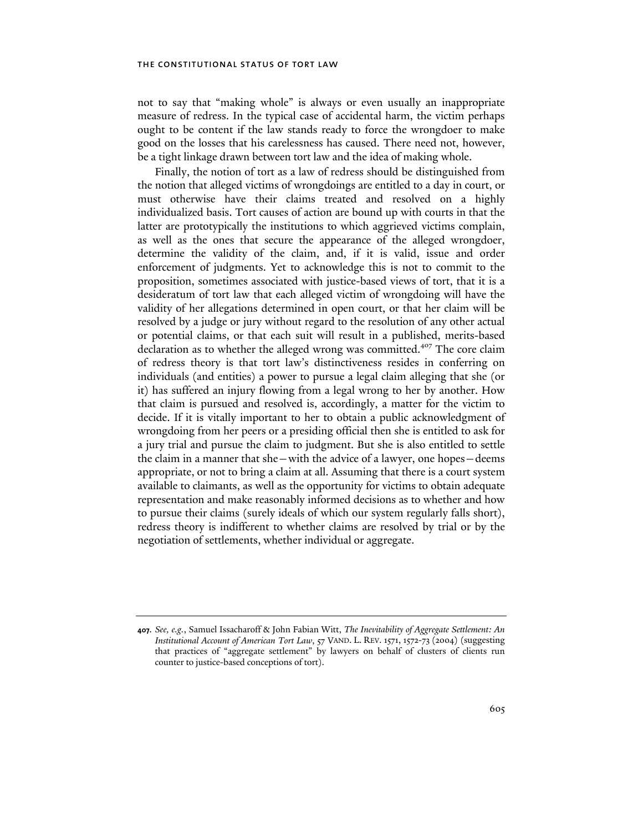not to say that "making whole" is always or even usually an inappropriate measure of redress. In the typical case of accidental harm, the victim perhaps ought to be content if the law stands ready to force the wrongdoer to make good on the losses that his carelessness has caused. There need not, however, be a tight linkage drawn between tort law and the idea of making whole.

Finally, the notion of tort as a law of redress should be distinguished from the notion that alleged victims of wrongdoings are entitled to a day in court, or must otherwise have their claims treated and resolved on a highly individualized basis. Tort causes of action are bound up with courts in that the latter are prototypically the institutions to which aggrieved victims complain, as well as the ones that secure the appearance of the alleged wrongdoer, determine the validity of the claim, and, if it is valid, issue and order enforcement of judgments. Yet to acknowledge this is not to commit to the proposition, sometimes associated with justice-based views of tort, that it is a desideratum of tort law that each alleged victim of wrongdoing will have the validity of her allegations determined in open court, or that her claim will be resolved by a judge or jury without regard to the resolution of any other actual or potential claims, or that each suit will result in a published, merits-based declaration as to whether the alleged wrong was committed.<sup>407</sup> The core claim of redress theory is that tort law's distinctiveness resides in conferring on individuals (and entities) a power to pursue a legal claim alleging that she (or it) has suffered an injury flowing from a legal wrong to her by another. How that claim is pursued and resolved is, accordingly, a matter for the victim to decide. If it is vitally important to her to obtain a public acknowledgment of wrongdoing from her peers or a presiding official then she is entitled to ask for a jury trial and pursue the claim to judgment. But she is also entitled to settle the claim in a manner that she—with the advice of a lawyer, one hopes—deems appropriate, or not to bring a claim at all. Assuming that there is a court system available to claimants, as well as the opportunity for victims to obtain adequate representation and make reasonably informed decisions as to whether and how to pursue their claims (surely ideals of which our system regularly falls short), redress theory is indifferent to whether claims are resolved by trial or by the negotiation of settlements, whether individual or aggregate.

**<sup>407.</sup>** *See, e.g.*, Samuel Issacharoff & John Fabian Witt, *The Inevitability of Aggregate Settlement: An Institutional Account of American Tort Law*, 57 VAND. L. REV. 1571, 1572-73 (2004) (suggesting that practices of "aggregate settlement" by lawyers on behalf of clusters of clients run counter to justice-based conceptions of tort).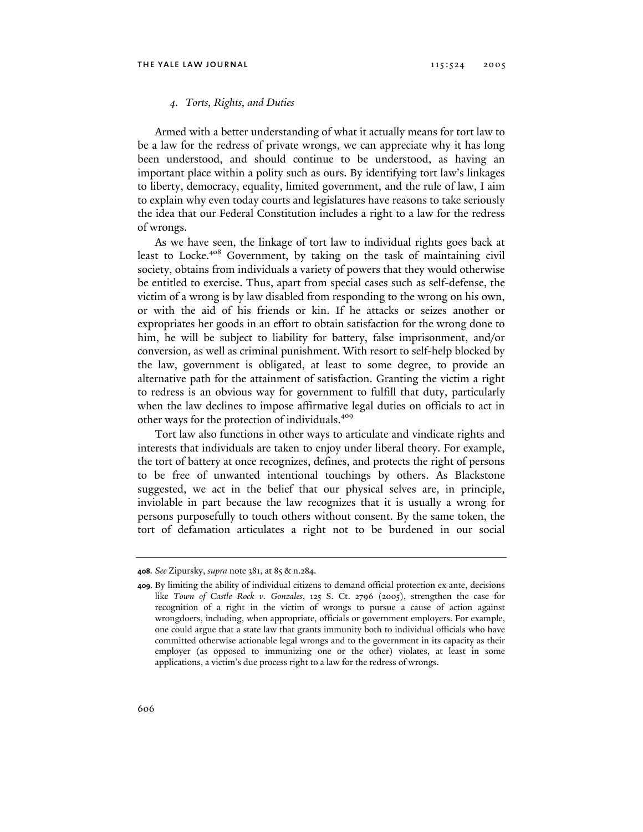### *4. Torts, Rights, and Duties*

Armed with a better understanding of what it actually means for tort law to be a law for the redress of private wrongs, we can appreciate why it has long been understood, and should continue to be understood, as having an important place within a polity such as ours. By identifying tort law's linkages to liberty, democracy, equality, limited government, and the rule of law, I aim to explain why even today courts and legislatures have reasons to take seriously the idea that our Federal Constitution includes a right to a law for the redress of wrongs.

As we have seen, the linkage of tort law to individual rights goes back at least to Locke.<sup>408</sup> Government, by taking on the task of maintaining civil society, obtains from individuals a variety of powers that they would otherwise be entitled to exercise. Thus, apart from special cases such as self-defense, the victim of a wrong is by law disabled from responding to the wrong on his own, or with the aid of his friends or kin. If he attacks or seizes another or expropriates her goods in an effort to obtain satisfaction for the wrong done to him, he will be subject to liability for battery, false imprisonment, and/or conversion, as well as criminal punishment. With resort to self-help blocked by the law, government is obligated, at least to some degree, to provide an alternative path for the attainment of satisfaction. Granting the victim a right to redress is an obvious way for government to fulfill that duty, particularly when the law declines to impose affirmative legal duties on officials to act in other ways for the protection of individuals.<sup>409</sup>

Tort law also functions in other ways to articulate and vindicate rights and interests that individuals are taken to enjoy under liberal theory. For example, the tort of battery at once recognizes, defines, and protects the right of persons to be free of unwanted intentional touchings by others. As Blackstone suggested, we act in the belief that our physical selves are, in principle, inviolable in part because the law recognizes that it is usually a wrong for persons purposefully to touch others without consent. By the same token, the tort of defamation articulates a right not to be burdened in our social

**<sup>408.</sup>** *See* Zipursky, *supra* note 381, at 85 & n.284.

**<sup>409.</sup>** By limiting the ability of individual citizens to demand official protection ex ante, decisions like *Town of Castle Rock v. Gonzales*, 125 S. Ct. 2796 (2005), strengthen the case for recognition of a right in the victim of wrongs to pursue a cause of action against wrongdoers, including, when appropriate, officials or government employers. For example, one could argue that a state law that grants immunity both to individual officials who have committed otherwise actionable legal wrongs and to the government in its capacity as their employer (as opposed to immunizing one or the other) violates, at least in some applications, a victim's due process right to a law for the redress of wrongs.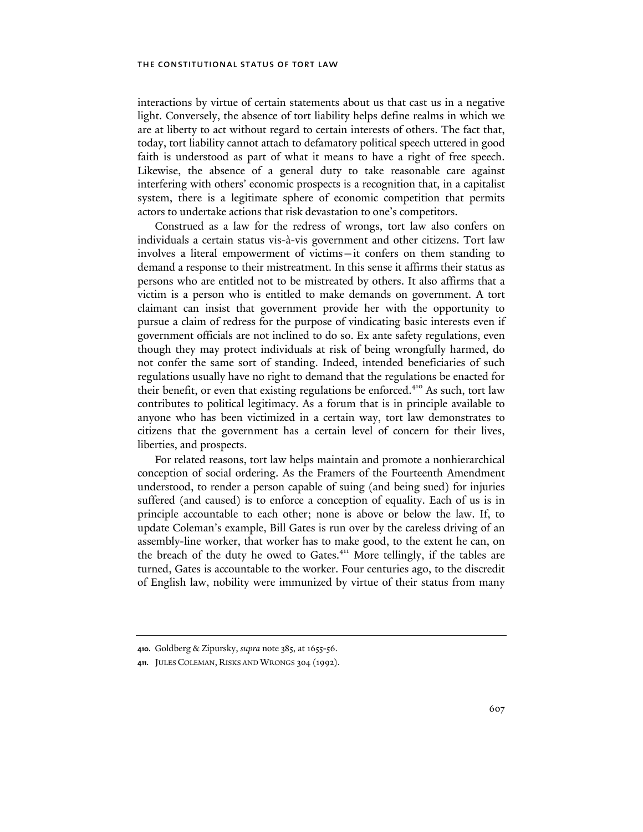interactions by virtue of certain statements about us that cast us in a negative light. Conversely, the absence of tort liability helps define realms in which we are at liberty to act without regard to certain interests of others. The fact that, today, tort liability cannot attach to defamatory political speech uttered in good faith is understood as part of what it means to have a right of free speech. Likewise, the absence of a general duty to take reasonable care against interfering with others' economic prospects is a recognition that, in a capitalist system, there is a legitimate sphere of economic competition that permits actors to undertake actions that risk devastation to one's competitors.

Construed as a law for the redress of wrongs, tort law also confers on individuals a certain status vis-à-vis government and other citizens. Tort law involves a literal empowerment of victims—it confers on them standing to demand a response to their mistreatment. In this sense it affirms their status as persons who are entitled not to be mistreated by others. It also affirms that a victim is a person who is entitled to make demands on government. A tort claimant can insist that government provide her with the opportunity to pursue a claim of redress for the purpose of vindicating basic interests even if government officials are not inclined to do so. Ex ante safety regulations, even though they may protect individuals at risk of being wrongfully harmed, do not confer the same sort of standing. Indeed, intended beneficiaries of such regulations usually have no right to demand that the regulations be enacted for their benefit, or even that existing regulations be enforced.<sup>410</sup> As such, tort law contributes to political legitimacy. As a forum that is in principle available to anyone who has been victimized in a certain way, tort law demonstrates to citizens that the government has a certain level of concern for their lives, liberties, and prospects.

For related reasons, tort law helps maintain and promote a nonhierarchical conception of social ordering. As the Framers of the Fourteenth Amendment understood, to render a person capable of suing (and being sued) for injuries suffered (and caused) is to enforce a conception of equality. Each of us is in principle accountable to each other; none is above or below the law. If, to update Coleman's example, Bill Gates is run over by the careless driving of an assembly-line worker, that worker has to make good, to the extent he can, on the breach of the duty he owed to Gates.<sup>411</sup> More tellingly, if the tables are turned, Gates is accountable to the worker. Four centuries ago, to the discredit of English law, nobility were immunized by virtue of their status from many

**<sup>410.</sup>** Goldberg & Zipursky, *supra* note 385, at 1655-56.

**<sup>411.</sup>** JULES COLEMAN, RISKS AND WRONGS 304 (1992).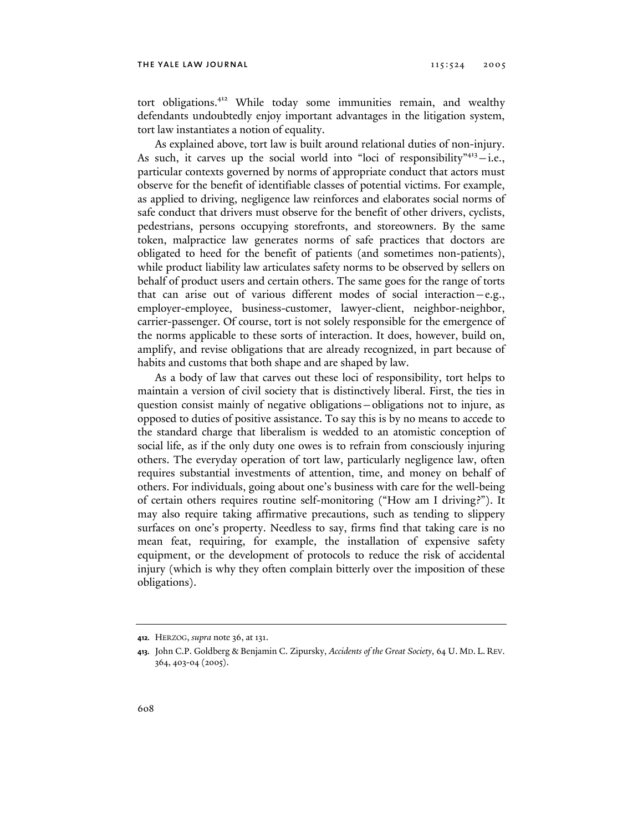tort obligations.412 While today some immunities remain, and wealthy defendants undoubtedly enjoy important advantages in the litigation system, tort law instantiates a notion of equality.

As explained above, tort law is built around relational duties of non-injury. As such, it carves up the social world into "loci of responsibility" $4^{13}$  -i.e., particular contexts governed by norms of appropriate conduct that actors must observe for the benefit of identifiable classes of potential victims. For example, as applied to driving, negligence law reinforces and elaborates social norms of safe conduct that drivers must observe for the benefit of other drivers, cyclists, pedestrians, persons occupying storefronts, and storeowners. By the same token, malpractice law generates norms of safe practices that doctors are obligated to heed for the benefit of patients (and sometimes non-patients), while product liability law articulates safety norms to be observed by sellers on behalf of product users and certain others. The same goes for the range of torts that can arise out of various different modes of social interaction—e.g., employer-employee, business-customer, lawyer-client, neighbor-neighbor, carrier-passenger. Of course, tort is not solely responsible for the emergence of the norms applicable to these sorts of interaction. It does, however, build on, amplify, and revise obligations that are already recognized, in part because of habits and customs that both shape and are shaped by law.

As a body of law that carves out these loci of responsibility, tort helps to maintain a version of civil society that is distinctively liberal. First, the ties in question consist mainly of negative obligations—obligations not to injure, as opposed to duties of positive assistance. To say this is by no means to accede to the standard charge that liberalism is wedded to an atomistic conception of social life, as if the only duty one owes is to refrain from consciously injuring others. The everyday operation of tort law, particularly negligence law, often requires substantial investments of attention, time, and money on behalf of others. For individuals, going about one's business with care for the well-being of certain others requires routine self-monitoring ("How am I driving?"). It may also require taking affirmative precautions, such as tending to slippery surfaces on one's property. Needless to say, firms find that taking care is no mean feat, requiring, for example, the installation of expensive safety equipment, or the development of protocols to reduce the risk of accidental injury (which is why they often complain bitterly over the imposition of these obligations).

**<sup>412.</sup>** HERZOG, *supra* note 36, at 131.

**<sup>413.</sup>** John C.P. Goldberg & Benjamin C. Zipursky, *Accidents of the Great Society*, 64 U. MD. L. REV. 364, 403-04 (2005).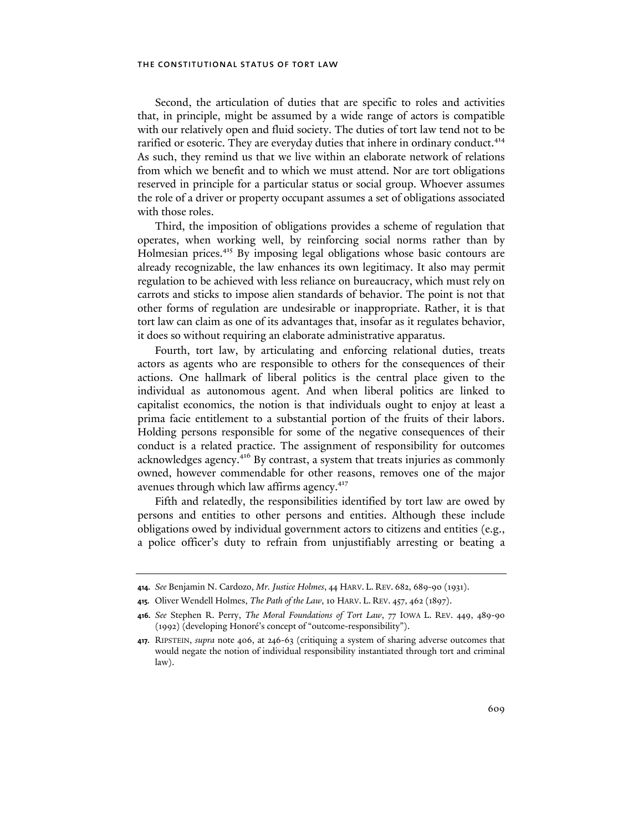Second, the articulation of duties that are specific to roles and activities that, in principle, might be assumed by a wide range of actors is compatible with our relatively open and fluid society. The duties of tort law tend not to be rarified or esoteric. They are everyday duties that inhere in ordinary conduct.<sup>414</sup> As such, they remind us that we live within an elaborate network of relations from which we benefit and to which we must attend. Nor are tort obligations reserved in principle for a particular status or social group. Whoever assumes the role of a driver or property occupant assumes a set of obligations associated with those roles.

Third, the imposition of obligations provides a scheme of regulation that operates, when working well, by reinforcing social norms rather than by Holmesian prices.<sup>415</sup> By imposing legal obligations whose basic contours are already recognizable, the law enhances its own legitimacy. It also may permit regulation to be achieved with less reliance on bureaucracy, which must rely on carrots and sticks to impose alien standards of behavior. The point is not that other forms of regulation are undesirable or inappropriate. Rather, it is that tort law can claim as one of its advantages that, insofar as it regulates behavior, it does so without requiring an elaborate administrative apparatus.

Fourth, tort law, by articulating and enforcing relational duties, treats actors as agents who are responsible to others for the consequences of their actions. One hallmark of liberal politics is the central place given to the individual as autonomous agent. And when liberal politics are linked to capitalist economics, the notion is that individuals ought to enjoy at least a prima facie entitlement to a substantial portion of the fruits of their labors. Holding persons responsible for some of the negative consequences of their conduct is a related practice. The assignment of responsibility for outcomes acknowledges agency.416 By contrast, a system that treats injuries as commonly owned, however commendable for other reasons, removes one of the major avenues through which law affirms agency.<sup>417</sup>

Fifth and relatedly, the responsibilities identified by tort law are owed by persons and entities to other persons and entities. Although these include obligations owed by individual government actors to citizens and entities (e.g., a police officer's duty to refrain from unjustifiably arresting or beating a

**<sup>414.</sup>** *See* Benjamin N. Cardozo, *Mr. Justice Holmes*, 44 HARV. L. REV. 682, 689-90 (1931).

**<sup>415.</sup>** Oliver Wendell Holmes, *The Path of the Law*, 10 HARV. L. REV. 457, 462 (1897).

**<sup>416.</sup>** *See* Stephen R. Perry, *The Moral Foundations of Tort Law*, 77 IOWA L. REV. 449, 489-90 (1992) (developing Honoré's concept of "outcome-responsibility").

**<sup>417.</sup>** RIPSTEIN, *supra* note 406, at 246-63 (critiquing a system of sharing adverse outcomes that would negate the notion of individual responsibility instantiated through tort and criminal law).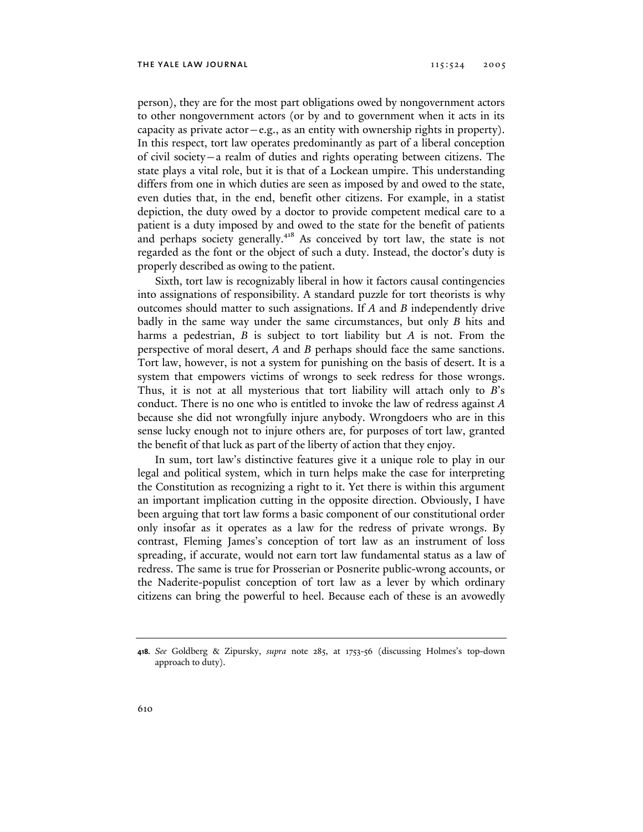person), they are for the most part obligations owed by nongovernment actors to other nongovernment actors (or by and to government when it acts in its capacity as private actor—e.g., as an entity with ownership rights in property). In this respect, tort law operates predominantly as part of a liberal conception of civil society—a realm of duties and rights operating between citizens. The state plays a vital role, but it is that of a Lockean umpire. This understanding differs from one in which duties are seen as imposed by and owed to the state, even duties that, in the end, benefit other citizens. For example, in a statist depiction, the duty owed by a doctor to provide competent medical care to a patient is a duty imposed by and owed to the state for the benefit of patients and perhaps society generally.<sup>418</sup> As conceived by tort law, the state is not regarded as the font or the object of such a duty. Instead, the doctor's duty is properly described as owing to the patient.

Sixth, tort law is recognizably liberal in how it factors causal contingencies into assignations of responsibility. A standard puzzle for tort theorists is why outcomes should matter to such assignations. If *A* and *B* independently drive badly in the same way under the same circumstances, but only *B* hits and harms a pedestrian, *B* is subject to tort liability but *A* is not. From the perspective of moral desert, *A* and *B* perhaps should face the same sanctions. Tort law, however, is not a system for punishing on the basis of desert. It is a system that empowers victims of wrongs to seek redress for those wrongs. Thus, it is not at all mysterious that tort liability will attach only to *B*'s conduct. There is no one who is entitled to invoke the law of redress against *A* because she did not wrongfully injure anybody. Wrongdoers who are in this sense lucky enough not to injure others are, for purposes of tort law, granted the benefit of that luck as part of the liberty of action that they enjoy.

In sum, tort law's distinctive features give it a unique role to play in our legal and political system, which in turn helps make the case for interpreting the Constitution as recognizing a right to it. Yet there is within this argument an important implication cutting in the opposite direction. Obviously, I have been arguing that tort law forms a basic component of our constitutional order only insofar as it operates as a law for the redress of private wrongs. By contrast, Fleming James's conception of tort law as an instrument of loss spreading, if accurate, would not earn tort law fundamental status as a law of redress. The same is true for Prosserian or Posnerite public-wrong accounts, or the Naderite-populist conception of tort law as a lever by which ordinary citizens can bring the powerful to heel. Because each of these is an avowedly

**<sup>418.</sup>** *See* Goldberg & Zipursky, *supra* note 285, at 1753-56 (discussing Holmes's top-down approach to duty).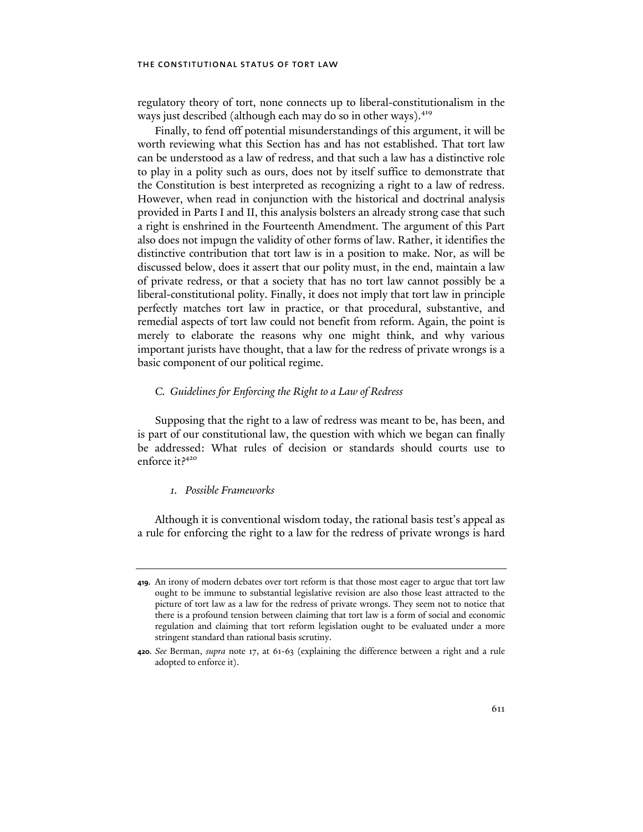regulatory theory of tort, none connects up to liberal-constitutionalism in the ways just described (although each may do so in other ways).<sup>419</sup>

Finally, to fend off potential misunderstandings of this argument, it will be worth reviewing what this Section has and has not established. That tort law can be understood as a law of redress, and that such a law has a distinctive role to play in a polity such as ours, does not by itself suffice to demonstrate that the Constitution is best interpreted as recognizing a right to a law of redress. However, when read in conjunction with the historical and doctrinal analysis provided in Parts I and II, this analysis bolsters an already strong case that such a right is enshrined in the Fourteenth Amendment. The argument of this Part also does not impugn the validity of other forms of law. Rather, it identifies the distinctive contribution that tort law is in a position to make. Nor, as will be discussed below, does it assert that our polity must, in the end, maintain a law of private redress, or that a society that has no tort law cannot possibly be a liberal-constitutional polity. Finally, it does not imply that tort law in principle perfectly matches tort law in practice, or that procedural, substantive, and remedial aspects of tort law could not benefit from reform. Again, the point is merely to elaborate the reasons why one might think, and why various important jurists have thought, that a law for the redress of private wrongs is a basic component of our political regime.

## *C. Guidelines for Enforcing the Right to a Law of Redress*

Supposing that the right to a law of redress was meant to be, has been, and is part of our constitutional law, the question with which we began can finally be addressed: What rules of decision or standards should courts use to enforce it?<sup>420</sup>

### *1. Possible Frameworks*

Although it is conventional wisdom today, the rational basis test's appeal as a rule for enforcing the right to a law for the redress of private wrongs is hard

**<sup>419.</sup>** An irony of modern debates over tort reform is that those most eager to argue that tort law ought to be immune to substantial legislative revision are also those least attracted to the picture of tort law as a law for the redress of private wrongs. They seem not to notice that there is a profound tension between claiming that tort law is a form of social and economic regulation and claiming that tort reform legislation ought to be evaluated under a more stringent standard than rational basis scrutiny.

**<sup>420.</sup>** *See* Berman, *supra* note 17, at 61-63 (explaining the difference between a right and a rule adopted to enforce it).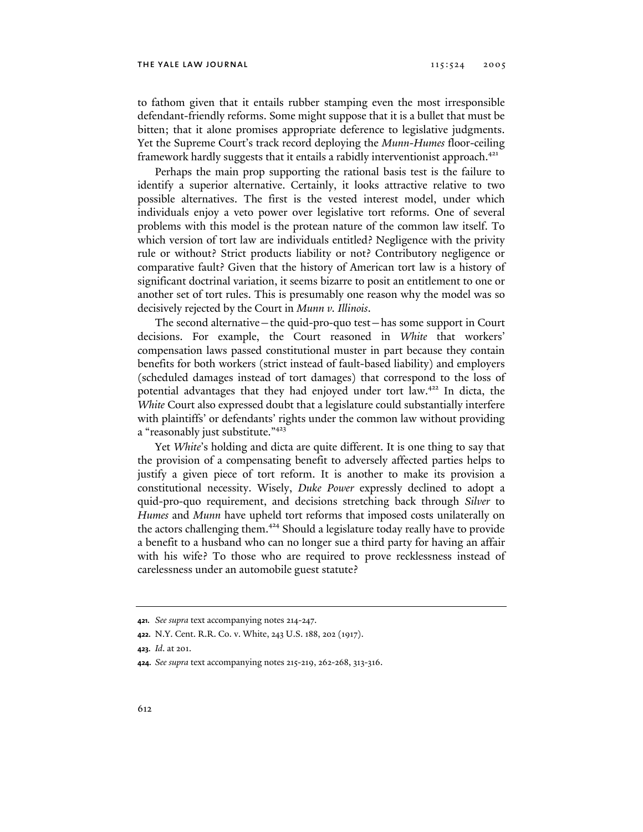to fathom given that it entails rubber stamping even the most irresponsible defendant-friendly reforms. Some might suppose that it is a bullet that must be bitten; that it alone promises appropriate deference to legislative judgments. Yet the Supreme Court's track record deploying the *Munn-Humes* floor-ceiling framework hardly suggests that it entails a rabidly interventionist approach.<sup>421</sup>

Perhaps the main prop supporting the rational basis test is the failure to identify a superior alternative. Certainly, it looks attractive relative to two possible alternatives. The first is the vested interest model, under which individuals enjoy a veto power over legislative tort reforms. One of several problems with this model is the protean nature of the common law itself. To which version of tort law are individuals entitled? Negligence with the privity rule or without? Strict products liability or not? Contributory negligence or comparative fault? Given that the history of American tort law is a history of significant doctrinal variation, it seems bizarre to posit an entitlement to one or another set of tort rules. This is presumably one reason why the model was so decisively rejected by the Court in *Munn v. Illinois*.

The second alternative—the quid-pro-quo test—has some support in Court decisions. For example, the Court reasoned in *White* that workers' compensation laws passed constitutional muster in part because they contain benefits for both workers (strict instead of fault-based liability) and employers (scheduled damages instead of tort damages) that correspond to the loss of potential advantages that they had enjoyed under tort law.<sup>422</sup> In dicta, the *White* Court also expressed doubt that a legislature could substantially interfere with plaintiffs' or defendants' rights under the common law without providing a "reasonably just substitute."423

Yet *White*'s holding and dicta are quite different. It is one thing to say that the provision of a compensating benefit to adversely affected parties helps to justify a given piece of tort reform. It is another to make its provision a constitutional necessity. Wisely, *Duke Power* expressly declined to adopt a quid-pro-quo requirement, and decisions stretching back through *Silver* to *Humes* and *Munn* have upheld tort reforms that imposed costs unilaterally on the actors challenging them.<sup>424</sup> Should a legislature today really have to provide a benefit to a husband who can no longer sue a third party for having an affair with his wife? To those who are required to prove recklessness instead of carelessness under an automobile guest statute?

**<sup>421.</sup>** *See supra* text accompanying notes 214-247.

**<sup>422.</sup>** N.Y. Cent. R.R. Co. v. White, 243 U.S. 188, 202 (1917).

**<sup>423.</sup>** *Id*. at 201.

**<sup>424.</sup>** *See supra* text accompanying notes 215-219, 262-268, 313-316.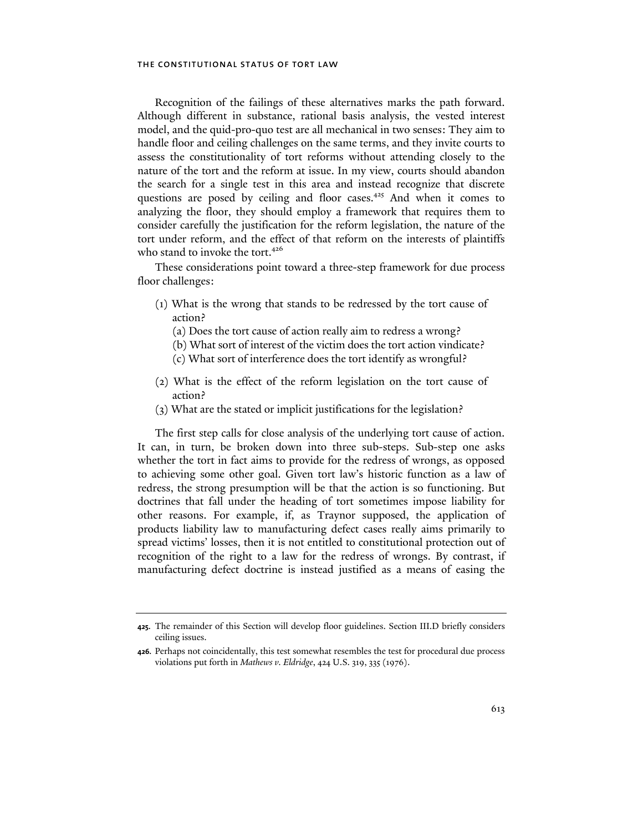Recognition of the failings of these alternatives marks the path forward. Although different in substance, rational basis analysis, the vested interest model, and the quid-pro-quo test are all mechanical in two senses: They aim to handle floor and ceiling challenges on the same terms, and they invite courts to assess the constitutionality of tort reforms without attending closely to the nature of the tort and the reform at issue. In my view, courts should abandon the search for a single test in this area and instead recognize that discrete questions are posed by ceiling and floor cases.<sup>425</sup> And when it comes to analyzing the floor, they should employ a framework that requires them to consider carefully the justification for the reform legislation, the nature of the tort under reform, and the effect of that reform on the interests of plaintiffs who stand to invoke the tort.<sup>426</sup>

These considerations point toward a three-step framework for due process floor challenges:

- (1) What is the wrong that stands to be redressed by the tort cause of action?
	- (a) Does the tort cause of action really aim to redress a wrong?
	- (b) What sort of interest of the victim does the tort action vindicate?
	- (c) What sort of interference does the tort identify as wrongful?
- (2) What is the effect of the reform legislation on the tort cause of action?
- (3) What are the stated or implicit justifications for the legislation?

The first step calls for close analysis of the underlying tort cause of action. It can, in turn, be broken down into three sub-steps. Sub-step one asks whether the tort in fact aims to provide for the redress of wrongs, as opposed to achieving some other goal. Given tort law's historic function as a law of redress, the strong presumption will be that the action is so functioning. But doctrines that fall under the heading of tort sometimes impose liability for other reasons. For example, if, as Traynor supposed, the application of products liability law to manufacturing defect cases really aims primarily to spread victims' losses, then it is not entitled to constitutional protection out of recognition of the right to a law for the redress of wrongs. By contrast, if manufacturing defect doctrine is instead justified as a means of easing the

**<sup>425.</sup>** The remainder of this Section will develop floor guidelines. Section III.D briefly considers ceiling issues.

**<sup>426.</sup>** Perhaps not coincidentally, this test somewhat resembles the test for procedural due process violations put forth in *Mathews v. Eldridge*, 424 U.S. 319, 335 (1976).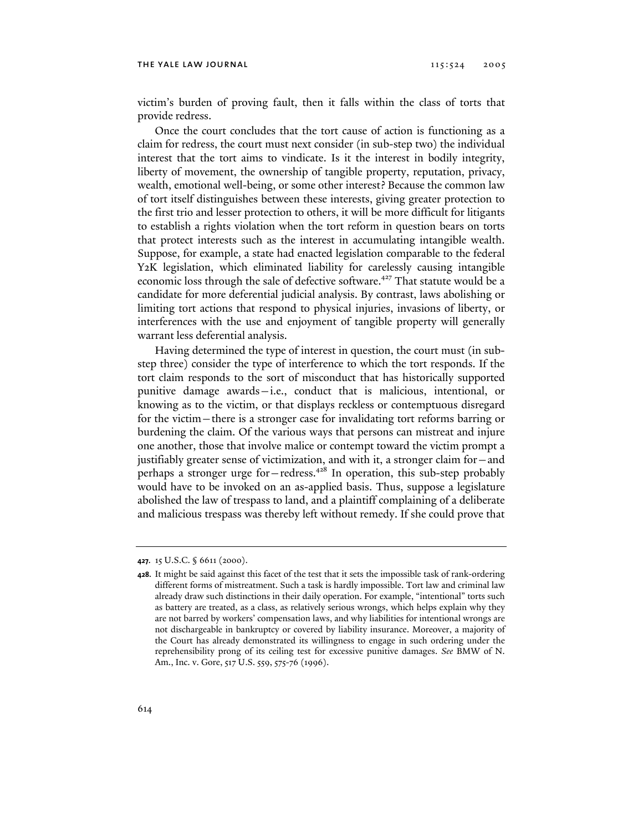victim's burden of proving fault, then it falls within the class of torts that provide redress.

Once the court concludes that the tort cause of action is functioning as a claim for redress, the court must next consider (in sub-step two) the individual interest that the tort aims to vindicate. Is it the interest in bodily integrity, liberty of movement, the ownership of tangible property, reputation, privacy, wealth, emotional well-being, or some other interest? Because the common law of tort itself distinguishes between these interests, giving greater protection to the first trio and lesser protection to others, it will be more difficult for litigants to establish a rights violation when the tort reform in question bears on torts that protect interests such as the interest in accumulating intangible wealth. Suppose, for example, a state had enacted legislation comparable to the federal Y2K legislation, which eliminated liability for carelessly causing intangible economic loss through the sale of defective software.<sup>427</sup> That statute would be a candidate for more deferential judicial analysis. By contrast, laws abolishing or limiting tort actions that respond to physical injuries, invasions of liberty, or interferences with the use and enjoyment of tangible property will generally warrant less deferential analysis.

Having determined the type of interest in question, the court must (in substep three) consider the type of interference to which the tort responds. If the tort claim responds to the sort of misconduct that has historically supported punitive damage awards—i.e., conduct that is malicious, intentional, or knowing as to the victim, or that displays reckless or contemptuous disregard for the victim—there is a stronger case for invalidating tort reforms barring or burdening the claim. Of the various ways that persons can mistreat and injure one another, those that involve malice or contempt toward the victim prompt a justifiably greater sense of victimization, and with it, a stronger claim for—and perhaps a stronger urge for  $-$  redress.<sup>428</sup> In operation, this sub-step probably would have to be invoked on an as-applied basis. Thus, suppose a legislature abolished the law of trespass to land, and a plaintiff complaining of a deliberate and malicious trespass was thereby left without remedy. If she could prove that

**<sup>427.</sup>** 15 U.S.C. § 6611 (2000).

**<sup>428.</sup>** It might be said against this facet of the test that it sets the impossible task of rank-ordering different forms of mistreatment. Such a task is hardly impossible. Tort law and criminal law already draw such distinctions in their daily operation. For example, "intentional" torts such as battery are treated, as a class, as relatively serious wrongs, which helps explain why they are not barred by workers' compensation laws, and why liabilities for intentional wrongs are not dischargeable in bankruptcy or covered by liability insurance. Moreover, a majority of the Court has already demonstrated its willingness to engage in such ordering under the reprehensibility prong of its ceiling test for excessive punitive damages. *See* BMW of N. Am., Inc. v. Gore, 517 U.S. 559, 575-76 (1996).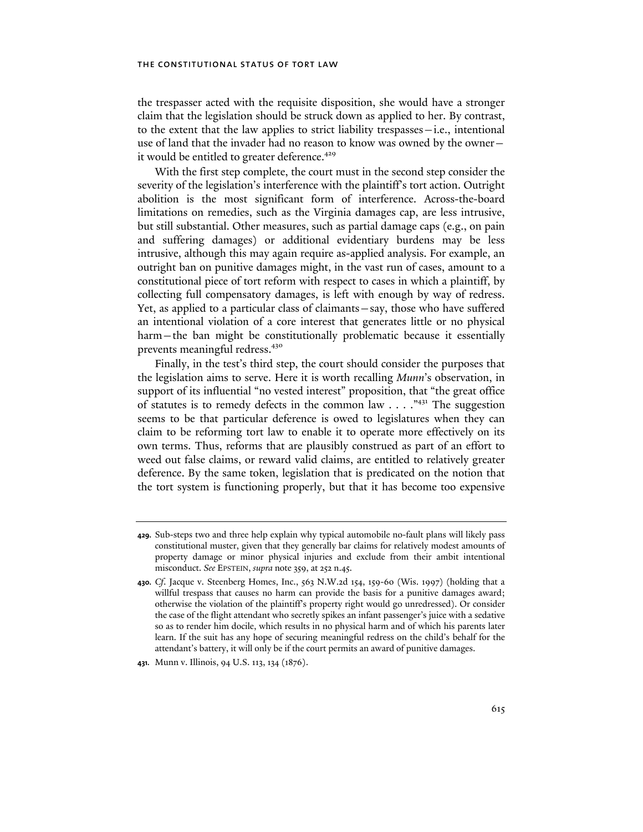the trespasser acted with the requisite disposition, she would have a stronger claim that the legislation should be struck down as applied to her. By contrast, to the extent that the law applies to strict liability trespasses—i.e., intentional use of land that the invader had no reason to know was owned by the owner it would be entitled to greater deference.<sup>429</sup>

With the first step complete, the court must in the second step consider the severity of the legislation's interference with the plaintiff's tort action. Outright abolition is the most significant form of interference. Across-the-board limitations on remedies, such as the Virginia damages cap, are less intrusive, but still substantial. Other measures, such as partial damage caps (e.g., on pain and suffering damages) or additional evidentiary burdens may be less intrusive, although this may again require as-applied analysis. For example, an outright ban on punitive damages might, in the vast run of cases, amount to a constitutional piece of tort reform with respect to cases in which a plaintiff, by collecting full compensatory damages, is left with enough by way of redress. Yet, as applied to a particular class of claimants—say, those who have suffered an intentional violation of a core interest that generates little or no physical harm—the ban might be constitutionally problematic because it essentially prevents meaningful redress.<sup>430</sup>

Finally, in the test's third step, the court should consider the purposes that the legislation aims to serve. Here it is worth recalling *Munn*'s observation, in support of its influential "no vested interest" proposition, that "the great office of statutes is to remedy defects in the common law . . . ."431 The suggestion seems to be that particular deference is owed to legislatures when they can claim to be reforming tort law to enable it to operate more effectively on its own terms. Thus, reforms that are plausibly construed as part of an effort to weed out false claims, or reward valid claims, are entitled to relatively greater deference. By the same token, legislation that is predicated on the notion that the tort system is functioning properly, but that it has become too expensive

**<sup>429.</sup>** Sub-steps two and three help explain why typical automobile no-fault plans will likely pass constitutional muster, given that they generally bar claims for relatively modest amounts of property damage or minor physical injuries and exclude from their ambit intentional misconduct. *See* EPSTEIN, *supra* note 359, at 252 n.45.

**<sup>430.</sup>** *Cf*. Jacque v. Steenberg Homes, Inc., 563 N.W.2d 154, 159-60 (Wis. 1997) (holding that a willful trespass that causes no harm can provide the basis for a punitive damages award; otherwise the violation of the plaintiff's property right would go unredressed). Or consider the case of the flight attendant who secretly spikes an infant passenger's juice with a sedative so as to render him docile, which results in no physical harm and of which his parents later learn. If the suit has any hope of securing meaningful redress on the child's behalf for the attendant's battery, it will only be if the court permits an award of punitive damages.

**<sup>431.</sup>** Munn v. Illinois, 94 U.S. 113, 134 (1876).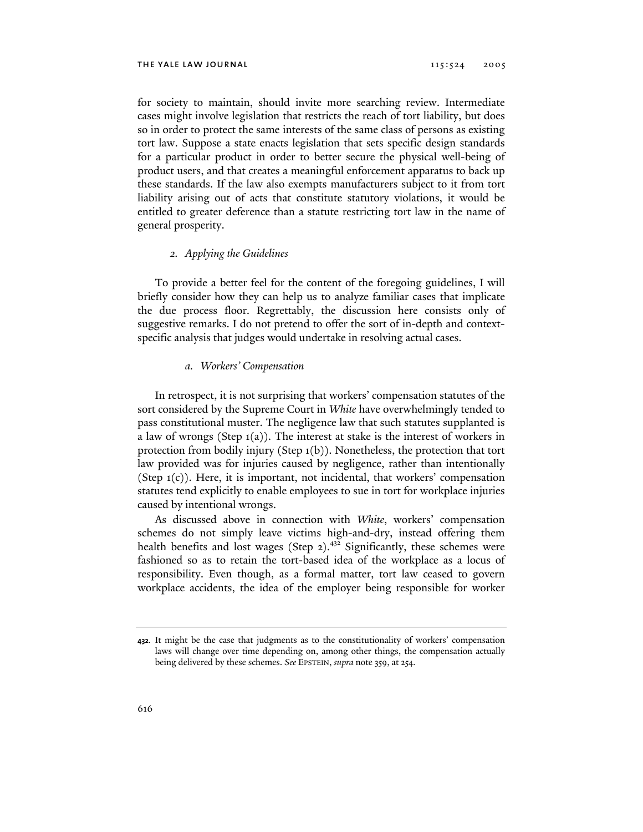for society to maintain, should invite more searching review. Intermediate cases might involve legislation that restricts the reach of tort liability, but does so in order to protect the same interests of the same class of persons as existing tort law. Suppose a state enacts legislation that sets specific design standards for a particular product in order to better secure the physical well-being of product users, and that creates a meaningful enforcement apparatus to back up these standards. If the law also exempts manufacturers subject to it from tort liability arising out of acts that constitute statutory violations, it would be entitled to greater deference than a statute restricting tort law in the name of general prosperity.

### *2. Applying the Guidelines*

To provide a better feel for the content of the foregoing guidelines, I will briefly consider how they can help us to analyze familiar cases that implicate the due process floor. Regrettably, the discussion here consists only of suggestive remarks. I do not pretend to offer the sort of in-depth and contextspecific analysis that judges would undertake in resolving actual cases.

## *a. Workers' Compensation*

In retrospect, it is not surprising that workers' compensation statutes of the sort considered by the Supreme Court in *White* have overwhelmingly tended to pass constitutional muster. The negligence law that such statutes supplanted is a law of wrongs (Step 1(a)). The interest at stake is the interest of workers in protection from bodily injury (Step 1(b)). Nonetheless, the protection that tort law provided was for injuries caused by negligence, rather than intentionally (Step 1(c)). Here, it is important, not incidental, that workers' compensation statutes tend explicitly to enable employees to sue in tort for workplace injuries caused by intentional wrongs.

As discussed above in connection with *White*, workers' compensation schemes do not simply leave victims high-and-dry, instead offering them health benefits and lost wages (Step  $2$ ).<sup>432</sup> Significantly, these schemes were fashioned so as to retain the tort-based idea of the workplace as a locus of responsibility. Even though, as a formal matter, tort law ceased to govern workplace accidents, the idea of the employer being responsible for worker

**<sup>432.</sup>** It might be the case that judgments as to the constitutionality of workers' compensation laws will change over time depending on, among other things, the compensation actually being delivered by these schemes. *See* EPSTEIN, *supra* note 359, at 254.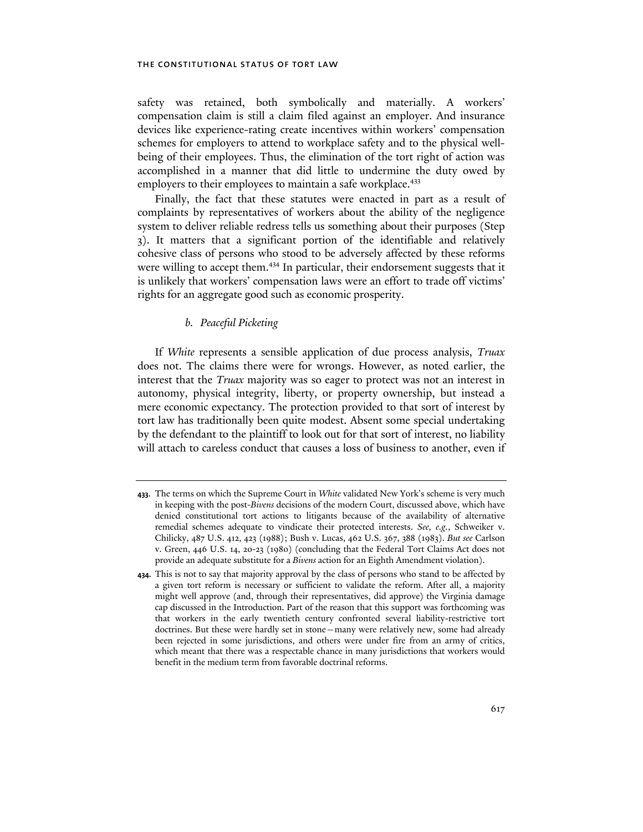safety was retained, both symbolically and materially. A workers' compensation claim is still a claim filed against an employer. And insurance devices like experience-rating create incentives within workers' compensation schemes for employers to attend to workplace safety and to the physical wellbeing of their employees. Thus, the elimination of the tort right of action was accomplished in a manner that did little to undermine the duty owed by employers to their employees to maintain a safe workplace.<sup>433</sup>

Finally, the fact that these statutes were enacted in part as a result of complaints by representatives of workers about the ability of the negligence system to deliver reliable redress tells us something about their purposes (Step 3). It matters that a significant portion of the identifiable and relatively cohesive class of persons who stood to be adversely affected by these reforms were willing to accept them.<sup>434</sup> In particular, their endorsement suggests that it is unlikely that workers' compensation laws were an effort to trade off victims' rights for an aggregate good such as economic prosperity.

## *b. Peaceful Picketing*

If *White* represents a sensible application of due process analysis, *Truax*  does not. The claims there were for wrongs. However, as noted earlier, the interest that the *Truax* majority was so eager to protect was not an interest in autonomy, physical integrity, liberty, or property ownership, but instead a mere economic expectancy. The protection provided to that sort of interest by tort law has traditionally been quite modest. Absent some special undertaking by the defendant to the plaintiff to look out for that sort of interest, no liability will attach to careless conduct that causes a loss of business to another, even if

**<sup>433.</sup>** The terms on which the Supreme Court in *White* validated New York's scheme is very much in keeping with the post-*Bivens* decisions of the modern Court, discussed above, which have denied constitutional tort actions to litigants because of the availability of alternative remedial schemes adequate to vindicate their protected interests. *See, e.g.*, Schweiker v. Chilicky, 487 U.S. 412, 423 (1988); Bush v. Lucas, 462 U.S. 367, 388 (1983). *But see* Carlson v. Green, 446 U.S. 14, 20-23 (1980) (concluding that the Federal Tort Claims Act does not provide an adequate substitute for a *Bivens* action for an Eighth Amendment violation).

**<sup>434.</sup>** This is not to say that majority approval by the class of persons who stand to be affected by a given tort reform is necessary or sufficient to validate the reform. After all, a majority might well approve (and, through their representatives, did approve) the Virginia damage cap discussed in the Introduction. Part of the reason that this support was forthcoming was that workers in the early twentieth century confronted several liability-restrictive tort doctrines. But these were hardly set in stone—many were relatively new, some had already been rejected in some jurisdictions, and others were under fire from an army of critics, which meant that there was a respectable chance in many jurisdictions that workers would benefit in the medium term from favorable doctrinal reforms.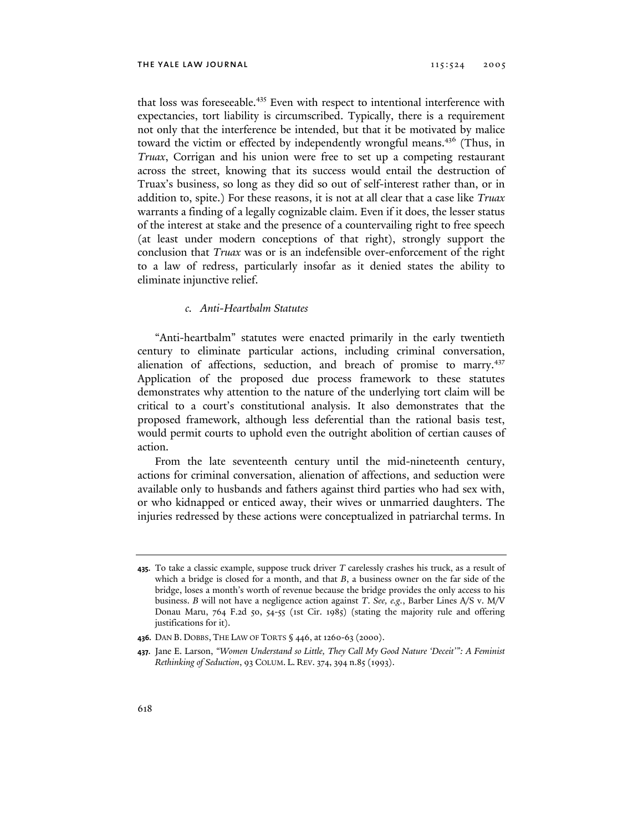that loss was foreseeable.<sup>435</sup> Even with respect to intentional interference with expectancies, tort liability is circumscribed. Typically, there is a requirement not only that the interference be intended, but that it be motivated by malice toward the victim or effected by independently wrongful means.<sup>436</sup> (Thus, in *Truax*, Corrigan and his union were free to set up a competing restaurant across the street, knowing that its success would entail the destruction of Truax's business, so long as they did so out of self-interest rather than, or in addition to, spite.) For these reasons, it is not at all clear that a case like *Truax* warrants a finding of a legally cognizable claim. Even if it does, the lesser status of the interest at stake and the presence of a countervailing right to free speech (at least under modern conceptions of that right), strongly support the conclusion that *Truax* was or is an indefensible over-enforcement of the right to a law of redress, particularly insofar as it denied states the ability to eliminate injunctive relief.

## *c. Anti-Heartbalm Statutes*

"Anti-heartbalm" statutes were enacted primarily in the early twentieth century to eliminate particular actions, including criminal conversation, alienation of affections, seduction, and breach of promise to marry.<sup>437</sup> Application of the proposed due process framework to these statutes demonstrates why attention to the nature of the underlying tort claim will be critical to a court's constitutional analysis. It also demonstrates that the proposed framework, although less deferential than the rational basis test, would permit courts to uphold even the outright abolition of certian causes of action.

From the late seventeenth century until the mid-nineteenth century, actions for criminal conversation, alienation of affections, and seduction were available only to husbands and fathers against third parties who had sex with, or who kidnapped or enticed away, their wives or unmarried daughters. The injuries redressed by these actions were conceptualized in patriarchal terms. In

**<sup>435.</sup>** To take a classic example, suppose truck driver *T* carelessly crashes his truck, as a result of which a bridge is closed for a month, and that *B*, a business owner on the far side of the bridge, loses a month's worth of revenue because the bridge provides the only access to his business. *B* will not have a negligence action against *T*. *See, e.g.*, Barber Lines A/S v. M/V Donau Maru, 764 F.2d 50, 54-55 (1st Cir. 1985) (stating the majority rule and offering justifications for it).

**<sup>436.</sup>** DAN B. DOBBS, THE LAW OF TORTS § 446, at 1260-63 (2000).

**<sup>437.</sup>** Jane E. Larson, *"Women Understand so Little, They Call My Good Nature 'Deceit'": A Feminist Rethinking of Seduction*, 93 COLUM. L. REV. 374, 394 n.85 (1993).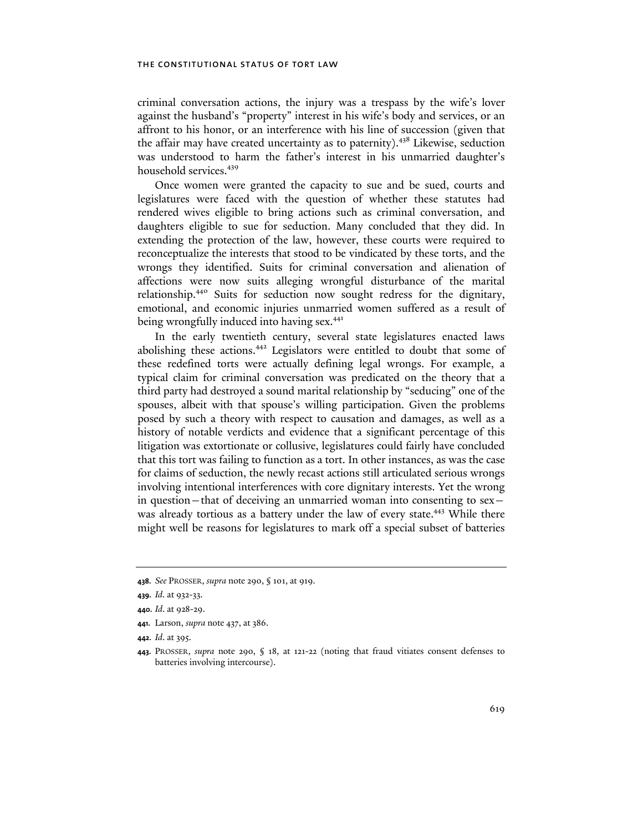criminal conversation actions, the injury was a trespass by the wife's lover against the husband's "property" interest in his wife's body and services, or an affront to his honor, or an interference with his line of succession (given that the affair may have created uncertainty as to paternity).<sup>438</sup> Likewise, seduction was understood to harm the father's interest in his unmarried daughter's household services.<sup>439</sup>

Once women were granted the capacity to sue and be sued, courts and legislatures were faced with the question of whether these statutes had rendered wives eligible to bring actions such as criminal conversation, and daughters eligible to sue for seduction. Many concluded that they did. In extending the protection of the law, however, these courts were required to reconceptualize the interests that stood to be vindicated by these torts, and the wrongs they identified. Suits for criminal conversation and alienation of affections were now suits alleging wrongful disturbance of the marital relationship.440 Suits for seduction now sought redress for the dignitary, emotional, and economic injuries unmarried women suffered as a result of being wrongfully induced into having sex.<sup>441</sup>

In the early twentieth century, several state legislatures enacted laws abolishing these actions.<sup>442</sup> Legislators were entitled to doubt that some of these redefined torts were actually defining legal wrongs. For example, a typical claim for criminal conversation was predicated on the theory that a third party had destroyed a sound marital relationship by "seducing" one of the spouses, albeit with that spouse's willing participation. Given the problems posed by such a theory with respect to causation and damages, as well as a history of notable verdicts and evidence that a significant percentage of this litigation was extortionate or collusive, legislatures could fairly have concluded that this tort was failing to function as a tort. In other instances, as was the case for claims of seduction, the newly recast actions still articulated serious wrongs involving intentional interferences with core dignitary interests. Yet the wrong in question—that of deceiving an unmarried woman into consenting to sex was already tortious as a battery under the law of every state.<sup>443</sup> While there might well be reasons for legislatures to mark off a special subset of batteries

**<sup>438.</sup>** *See* PROSSER, *supra* note 290, § 101, at 919.

**<sup>439.</sup>** *Id*. at 932-33.

**<sup>440.</sup>** *Id*. at 928-29.

**<sup>441.</sup>** Larson, *supra* note 437, at 386.

**<sup>442.</sup>** *Id*. at 395.

**<sup>443.</sup>** PROSSER, *supra* note 290, § 18, at 121-22 (noting that fraud vitiates consent defenses to batteries involving intercourse).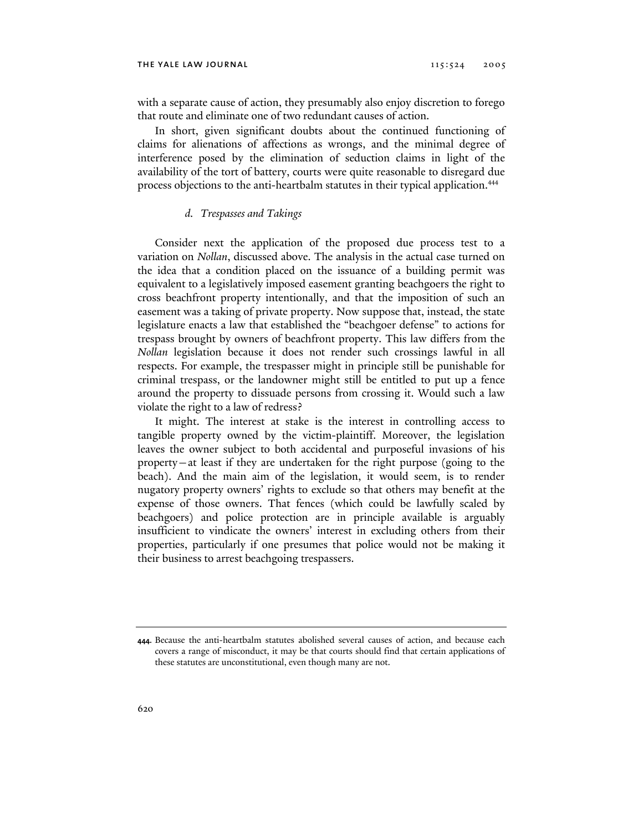with a separate cause of action, they presumably also enjoy discretion to forego that route and eliminate one of two redundant causes of action.

In short, given significant doubts about the continued functioning of claims for alienations of affections as wrongs, and the minimal degree of interference posed by the elimination of seduction claims in light of the availability of the tort of battery, courts were quite reasonable to disregard due process objections to the anti-heartbalm statutes in their typical application.<sup>444</sup>

#### *d. Trespasses and Takings*

Consider next the application of the proposed due process test to a variation on *Nollan*, discussed above. The analysis in the actual case turned on the idea that a condition placed on the issuance of a building permit was equivalent to a legislatively imposed easement granting beachgoers the right to cross beachfront property intentionally, and that the imposition of such an easement was a taking of private property. Now suppose that, instead, the state legislature enacts a law that established the "beachgoer defense" to actions for trespass brought by owners of beachfront property. This law differs from the *Nollan* legislation because it does not render such crossings lawful in all respects. For example, the trespasser might in principle still be punishable for criminal trespass, or the landowner might still be entitled to put up a fence around the property to dissuade persons from crossing it. Would such a law violate the right to a law of redress?

It might. The interest at stake is the interest in controlling access to tangible property owned by the victim-plaintiff. Moreover, the legislation leaves the owner subject to both accidental and purposeful invasions of his property—at least if they are undertaken for the right purpose (going to the beach). And the main aim of the legislation, it would seem, is to render nugatory property owners' rights to exclude so that others may benefit at the expense of those owners. That fences (which could be lawfully scaled by beachgoers) and police protection are in principle available is arguably insufficient to vindicate the owners' interest in excluding others from their properties, particularly if one presumes that police would not be making it their business to arrest beachgoing trespassers.

**<sup>444.</sup>** Because the anti-heartbalm statutes abolished several causes of action, and because each covers a range of misconduct, it may be that courts should find that certain applications of these statutes are unconstitutional, even though many are not.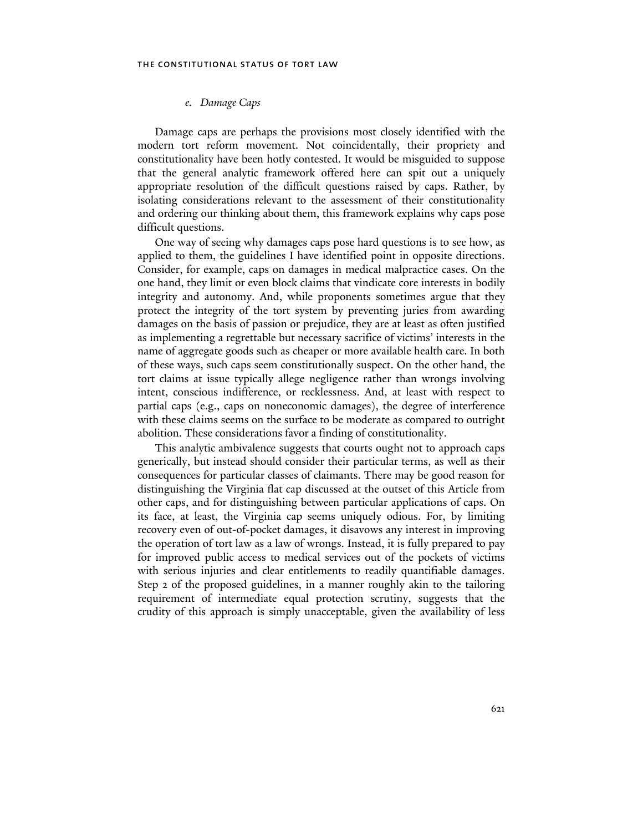## *e. Damage Caps*

Damage caps are perhaps the provisions most closely identified with the modern tort reform movement. Not coincidentally, their propriety and constitutionality have been hotly contested. It would be misguided to suppose that the general analytic framework offered here can spit out a uniquely appropriate resolution of the difficult questions raised by caps. Rather, by isolating considerations relevant to the assessment of their constitutionality and ordering our thinking about them, this framework explains why caps pose difficult questions.

One way of seeing why damages caps pose hard questions is to see how, as applied to them, the guidelines I have identified point in opposite directions. Consider, for example, caps on damages in medical malpractice cases. On the one hand, they limit or even block claims that vindicate core interests in bodily integrity and autonomy. And, while proponents sometimes argue that they protect the integrity of the tort system by preventing juries from awarding damages on the basis of passion or prejudice, they are at least as often justified as implementing a regrettable but necessary sacrifice of victims' interests in the name of aggregate goods such as cheaper or more available health care. In both of these ways, such caps seem constitutionally suspect. On the other hand, the tort claims at issue typically allege negligence rather than wrongs involving intent, conscious indifference, or recklessness. And, at least with respect to partial caps (e.g., caps on noneconomic damages), the degree of interference with these claims seems on the surface to be moderate as compared to outright abolition. These considerations favor a finding of constitutionality.

This analytic ambivalence suggests that courts ought not to approach caps generically, but instead should consider their particular terms, as well as their consequences for particular classes of claimants. There may be good reason for distinguishing the Virginia flat cap discussed at the outset of this Article from other caps, and for distinguishing between particular applications of caps. On its face, at least, the Virginia cap seems uniquely odious. For, by limiting recovery even of out-of-pocket damages, it disavows any interest in improving the operation of tort law as a law of wrongs. Instead, it is fully prepared to pay for improved public access to medical services out of the pockets of victims with serious injuries and clear entitlements to readily quantifiable damages. Step 2 of the proposed guidelines, in a manner roughly akin to the tailoring requirement of intermediate equal protection scrutiny, suggests that the crudity of this approach is simply unacceptable, given the availability of less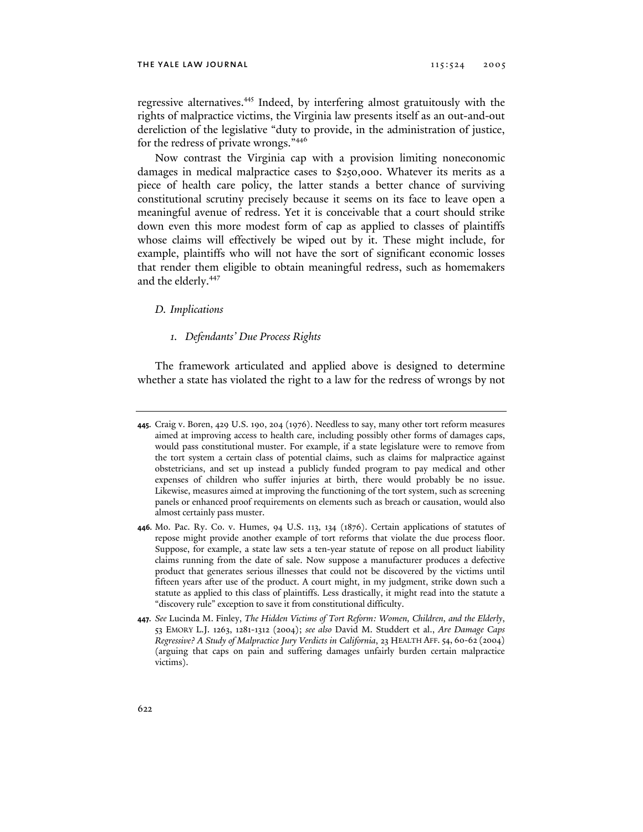regressive alternatives.<sup>445</sup> Indeed, by interfering almost gratuitously with the rights of malpractice victims, the Virginia law presents itself as an out-and-out dereliction of the legislative "duty to provide, in the administration of justice, for the redress of private wrongs."<sup>446</sup>

Now contrast the Virginia cap with a provision limiting noneconomic damages in medical malpractice cases to \$250,000. Whatever its merits as a piece of health care policy, the latter stands a better chance of surviving constitutional scrutiny precisely because it seems on its face to leave open a meaningful avenue of redress. Yet it is conceivable that a court should strike down even this more modest form of cap as applied to classes of plaintiffs whose claims will effectively be wiped out by it. These might include, for example, plaintiffs who will not have the sort of significant economic losses that render them eligible to obtain meaningful redress, such as homemakers and the elderly.<sup>447</sup>

#### *D. Implications*

## *1. Defendants' Due Process Rights*

The framework articulated and applied above is designed to determine whether a state has violated the right to a law for the redress of wrongs by not

**<sup>445.</sup>** Craig v. Boren, 429 U.S. 190, 204 (1976). Needless to say, many other tort reform measures aimed at improving access to health care, including possibly other forms of damages caps, would pass constitutional muster. For example, if a state legislature were to remove from the tort system a certain class of potential claims, such as claims for malpractice against obstetricians, and set up instead a publicly funded program to pay medical and other expenses of children who suffer injuries at birth, there would probably be no issue. Likewise, measures aimed at improving the functioning of the tort system, such as screening panels or enhanced proof requirements on elements such as breach or causation, would also almost certainly pass muster.

**<sup>446.</sup>** Mo. Pac. Ry. Co. v. Humes, 94 U.S. 113, 134 (1876). Certain applications of statutes of repose might provide another example of tort reforms that violate the due process floor. Suppose, for example, a state law sets a ten-year statute of repose on all product liability claims running from the date of sale. Now suppose a manufacturer produces a defective product that generates serious illnesses that could not be discovered by the victims until fifteen years after use of the product. A court might, in my judgment, strike down such a statute as applied to this class of plaintiffs. Less drastically, it might read into the statute a "discovery rule" exception to save it from constitutional difficulty.

**<sup>447.</sup>** *See* Lucinda M. Finley, *The Hidden Victims of Tort Reform: Women, Children, and the Elderly*, 53 EMORY L.J. 1263, 1281-1312 (2004); *see also* David M. Studdert et al., *Are Damage Caps Regressive? A Study of Malpractice Jury Verdicts in California*, 23 HEALTH AFF. 54, 60-62 (2004) (arguing that caps on pain and suffering damages unfairly burden certain malpractice victims).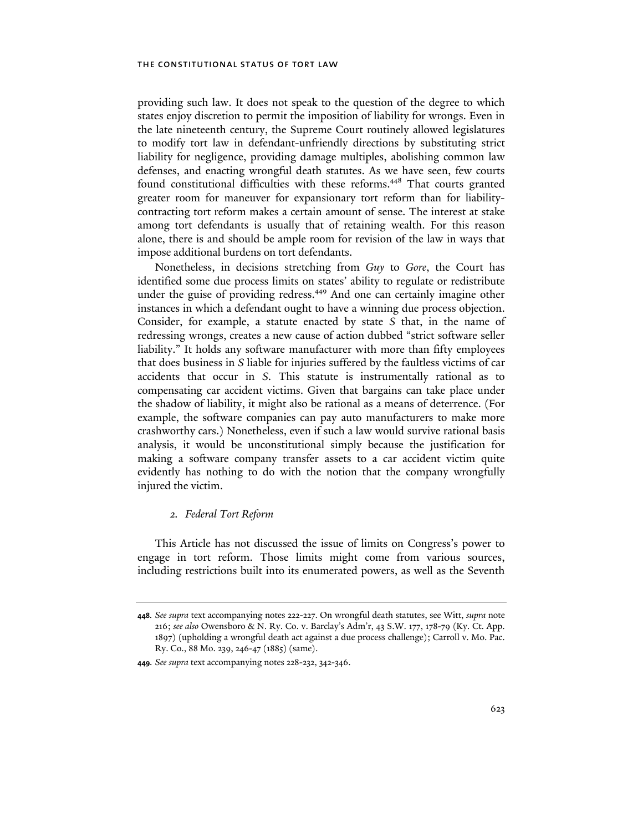providing such law. It does not speak to the question of the degree to which states enjoy discretion to permit the imposition of liability for wrongs. Even in the late nineteenth century, the Supreme Court routinely allowed legislatures to modify tort law in defendant-unfriendly directions by substituting strict liability for negligence, providing damage multiples, abolishing common law defenses, and enacting wrongful death statutes. As we have seen, few courts found constitutional difficulties with these reforms.<sup>448</sup> That courts granted greater room for maneuver for expansionary tort reform than for liabilitycontracting tort reform makes a certain amount of sense. The interest at stake among tort defendants is usually that of retaining wealth. For this reason alone, there is and should be ample room for revision of the law in ways that impose additional burdens on tort defendants.

Nonetheless, in decisions stretching from *Guy* to *Gore*, the Court has identified some due process limits on states' ability to regulate or redistribute under the guise of providing redress.<sup>449</sup> And one can certainly imagine other instances in which a defendant ought to have a winning due process objection. Consider, for example, a statute enacted by state *S* that, in the name of redressing wrongs, creates a new cause of action dubbed "strict software seller liability." It holds any software manufacturer with more than fifty employees that does business in *S* liable for injuries suffered by the faultless victims of car accidents that occur in *S*. This statute is instrumentally rational as to compensating car accident victims. Given that bargains can take place under the shadow of liability, it might also be rational as a means of deterrence. (For example, the software companies can pay auto manufacturers to make more crashworthy cars.) Nonetheless, even if such a law would survive rational basis analysis, it would be unconstitutional simply because the justification for making a software company transfer assets to a car accident victim quite evidently has nothing to do with the notion that the company wrongfully injured the victim.

# *2. Federal Tort Reform*

This Article has not discussed the issue of limits on Congress's power to engage in tort reform. Those limits might come from various sources, including restrictions built into its enumerated powers, as well as the Seventh

**<sup>448.</sup>** *See supra* text accompanying notes 222-227. On wrongful death statutes, see Witt, *supra* note 216; *see also* Owensboro & N. Ry. Co. v. Barclay's Adm'r, 43 S.W. 177, 178-79 (Ky. Ct. App. 1897) (upholding a wrongful death act against a due process challenge); Carroll v. Mo. Pac. Ry. Co., 88 Mo. 239, 246-47 (1885) (same).

**<sup>449.</sup>** *See supra* text accompanying notes 228-232, 342-346.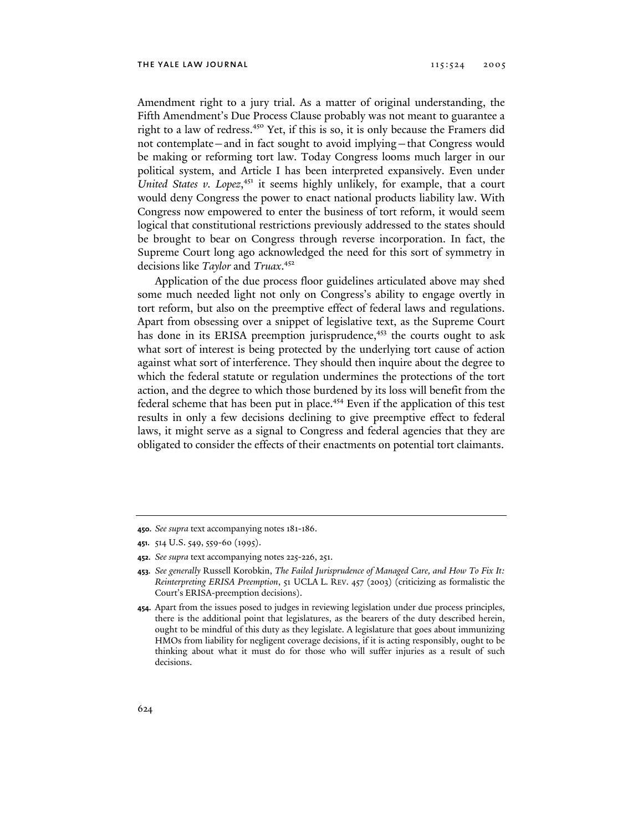Amendment right to a jury trial. As a matter of original understanding, the Fifth Amendment's Due Process Clause probably was not meant to guarantee a right to a law of redress.450 Yet, if this is so, it is only because the Framers did not contemplate—and in fact sought to avoid implying—that Congress would be making or reforming tort law. Today Congress looms much larger in our political system, and Article I has been interpreted expansively. Even under United States v. Lopez,<sup>451</sup> it seems highly unlikely, for example, that a court would deny Congress the power to enact national products liability law. With Congress now empowered to enter the business of tort reform, it would seem logical that constitutional restrictions previously addressed to the states should be brought to bear on Congress through reverse incorporation. In fact, the Supreme Court long ago acknowledged the need for this sort of symmetry in decisions like *Taylor* and *Truax*. 452

Application of the due process floor guidelines articulated above may shed some much needed light not only on Congress's ability to engage overtly in tort reform, but also on the preemptive effect of federal laws and regulations. Apart from obsessing over a snippet of legislative text, as the Supreme Court has done in its ERISA preemption jurisprudence,<sup>453</sup> the courts ought to ask what sort of interest is being protected by the underlying tort cause of action against what sort of interference. They should then inquire about the degree to which the federal statute or regulation undermines the protections of the tort action, and the degree to which those burdened by its loss will benefit from the federal scheme that has been put in place.<sup>454</sup> Even if the application of this test results in only a few decisions declining to give preemptive effect to federal laws, it might serve as a signal to Congress and federal agencies that they are obligated to consider the effects of their enactments on potential tort claimants.

**452.** *See supra* text accompanying notes 225-226, 251.

**<sup>450.</sup>** *See supra* text accompanying notes 181-186.

**<sup>451.</sup>** 514 U.S. 549, 559-60 (1995).

**<sup>453.</sup>** *See generally* Russell Korobkin, *The Failed Jurisprudence of Managed Care, and How To Fix It: Reinterpreting ERISA Preemption*, 51 UCLA L. REV. 457 (2003) (criticizing as formalistic the Court's ERISA-preemption decisions).

**<sup>454.</sup>** Apart from the issues posed to judges in reviewing legislation under due process principles, there is the additional point that legislatures, as the bearers of the duty described herein, ought to be mindful of this duty as they legislate. A legislature that goes about immunizing HMOs from liability for negligent coverage decisions, if it is acting responsibly, ought to be thinking about what it must do for those who will suffer injuries as a result of such decisions.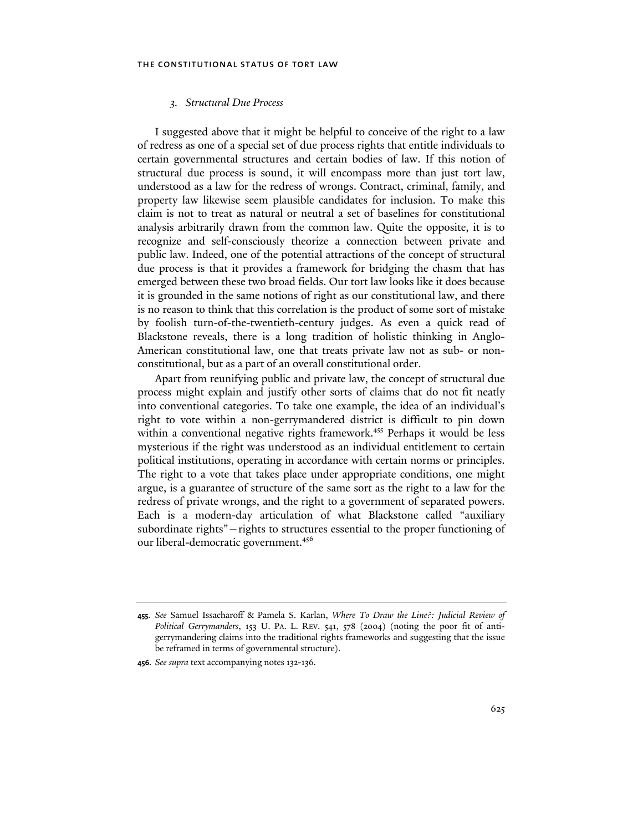### *3. Structural Due Process*

I suggested above that it might be helpful to conceive of the right to a law of redress as one of a special set of due process rights that entitle individuals to certain governmental structures and certain bodies of law. If this notion of structural due process is sound, it will encompass more than just tort law, understood as a law for the redress of wrongs. Contract, criminal, family, and property law likewise seem plausible candidates for inclusion. To make this claim is not to treat as natural or neutral a set of baselines for constitutional analysis arbitrarily drawn from the common law. Quite the opposite, it is to recognize and self-consciously theorize a connection between private and public law. Indeed, one of the potential attractions of the concept of structural due process is that it provides a framework for bridging the chasm that has emerged between these two broad fields. Our tort law looks like it does because it is grounded in the same notions of right as our constitutional law, and there is no reason to think that this correlation is the product of some sort of mistake by foolish turn-of-the-twentieth-century judges. As even a quick read of Blackstone reveals, there is a long tradition of holistic thinking in Anglo-American constitutional law, one that treats private law not as sub- or nonconstitutional, but as a part of an overall constitutional order.

Apart from reunifying public and private law, the concept of structural due process might explain and justify other sorts of claims that do not fit neatly into conventional categories. To take one example, the idea of an individual's right to vote within a non-gerrymandered district is difficult to pin down within a conventional negative rights framework.<sup>455</sup> Perhaps it would be less mysterious if the right was understood as an individual entitlement to certain political institutions, operating in accordance with certain norms or principles. The right to a vote that takes place under appropriate conditions, one might argue, is a guarantee of structure of the same sort as the right to a law for the redress of private wrongs, and the right to a government of separated powers. Each is a modern-day articulation of what Blackstone called "auxiliary subordinate rights"—rights to structures essential to the proper functioning of our liberal-democratic government.<sup>456</sup>

**<sup>455.</sup>** *See* Samuel Issacharoff & Pamela S. Karlan, *Where To Draw the Line?: Judicial Review of Political Gerrymanders*, 153 U. PA. L. REV. 541, 578 (2004) (noting the poor fit of antigerrymandering claims into the traditional rights frameworks and suggesting that the issue be reframed in terms of governmental structure).

**<sup>456.</sup>** *See supra* text accompanying notes 132-136*.*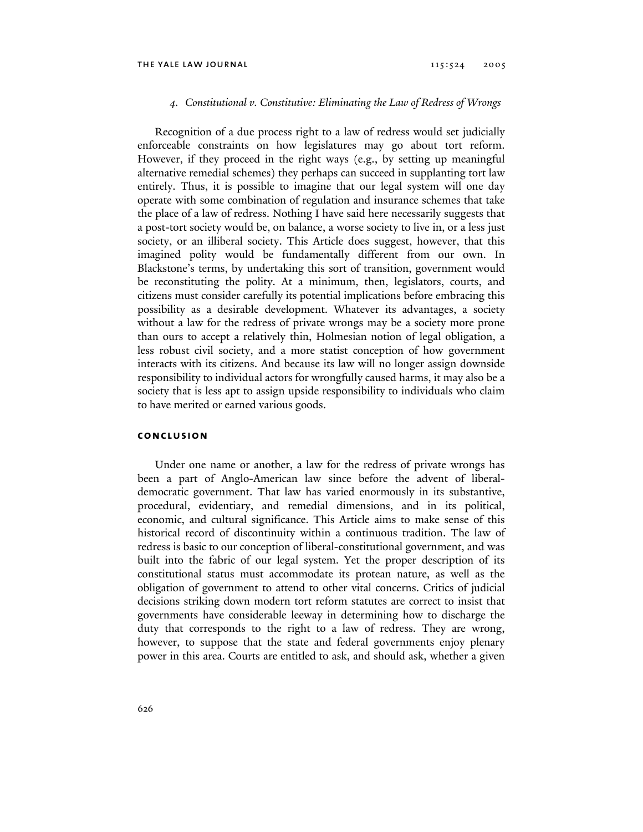## *4. Constitutional v. Constitutive: Eliminating the Law of Redress of Wrongs*

Recognition of a due process right to a law of redress would set judicially enforceable constraints on how legislatures may go about tort reform. However, if they proceed in the right ways (e.g., by setting up meaningful alternative remedial schemes) they perhaps can succeed in supplanting tort law entirely. Thus, it is possible to imagine that our legal system will one day operate with some combination of regulation and insurance schemes that take the place of a law of redress. Nothing I have said here necessarily suggests that a post-tort society would be, on balance, a worse society to live in, or a less just society, or an illiberal society. This Article does suggest, however, that this imagined polity would be fundamentally different from our own. In Blackstone's terms, by undertaking this sort of transition, government would be reconstituting the polity. At a minimum, then, legislators, courts, and citizens must consider carefully its potential implications before embracing this possibility as a desirable development. Whatever its advantages, a society without a law for the redress of private wrongs may be a society more prone than ours to accept a relatively thin, Holmesian notion of legal obligation, a less robust civil society, and a more statist conception of how government interacts with its citizens. And because its law will no longer assign downside responsibility to individual actors for wrongfully caused harms, it may also be a society that is less apt to assign upside responsibility to individuals who claim to have merited or earned various goods.

## **conclusion**

Under one name or another, a law for the redress of private wrongs has been a part of Anglo-American law since before the advent of liberaldemocratic government. That law has varied enormously in its substantive, procedural, evidentiary, and remedial dimensions, and in its political, economic, and cultural significance. This Article aims to make sense of this historical record of discontinuity within a continuous tradition. The law of redress is basic to our conception of liberal-constitutional government, and was built into the fabric of our legal system. Yet the proper description of its constitutional status must accommodate its protean nature, as well as the obligation of government to attend to other vital concerns. Critics of judicial decisions striking down modern tort reform statutes are correct to insist that governments have considerable leeway in determining how to discharge the duty that corresponds to the right to a law of redress. They are wrong, however, to suppose that the state and federal governments enjoy plenary power in this area. Courts are entitled to ask, and should ask, whether a given